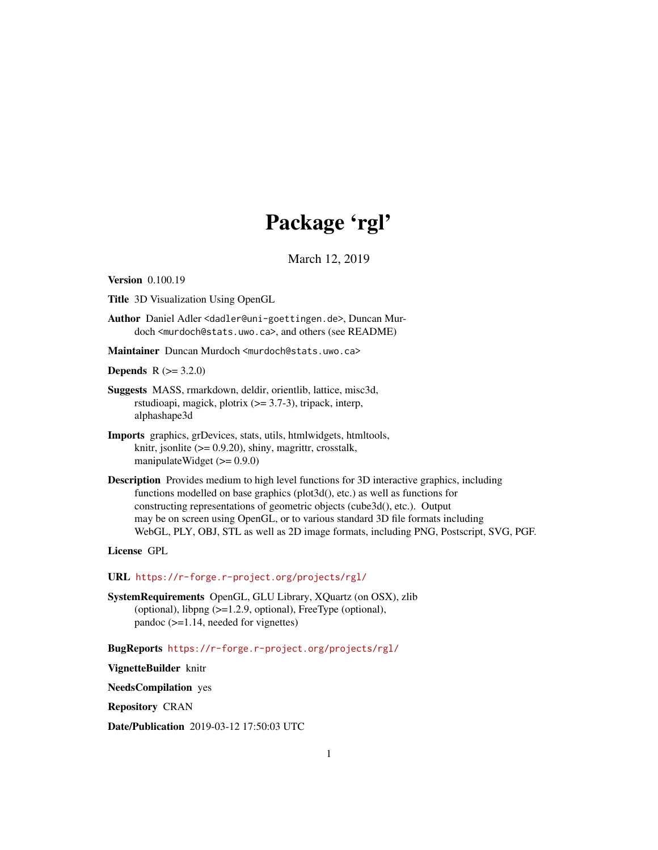# Package 'rgl'

March 12, 2019

<span id="page-0-0"></span>Version 0.100.19

Title 3D Visualization Using OpenGL

Author Daniel Adler <dadler@uni-goettingen.de>, Duncan Murdoch <murdoch@stats.uwo.ca>, and others (see README)

Maintainer Duncan Murdoch <murdoch@stats.uwo.ca>

**Depends**  $R (= 3.2.0)$ 

- Suggests MASS, rmarkdown, deldir, orientlib, lattice, misc3d, rstudioapi, magick, plotrix  $(>= 3.7-3)$ , tripack, interp, alphashape3d
- Imports graphics, grDevices, stats, utils, htmlwidgets, htmltools, knitr, jsonlite (>= 0.9.20), shiny, magrittr, crosstalk, manipulateWidget (>= 0.9.0)
- Description Provides medium to high level functions for 3D interactive graphics, including functions modelled on base graphics (plot3d(), etc.) as well as functions for constructing representations of geometric objects (cube3d(), etc.). Output may be on screen using OpenGL, or to various standard 3D file formats including WebGL, PLY, OBJ, STL as well as 2D image formats, including PNG, Postscript, SVG, PGF.

License GPL

URL <https://r-forge.r-project.org/projects/rgl/>

SystemRequirements OpenGL, GLU Library, XQuartz (on OSX), zlib (optional), libpng (>=1.2.9, optional), FreeType (optional), pandoc (>=1.14, needed for vignettes)

BugReports <https://r-forge.r-project.org/projects/rgl/>

VignetteBuilder knitr

NeedsCompilation yes

Repository CRAN

Date/Publication 2019-03-12 17:50:03 UTC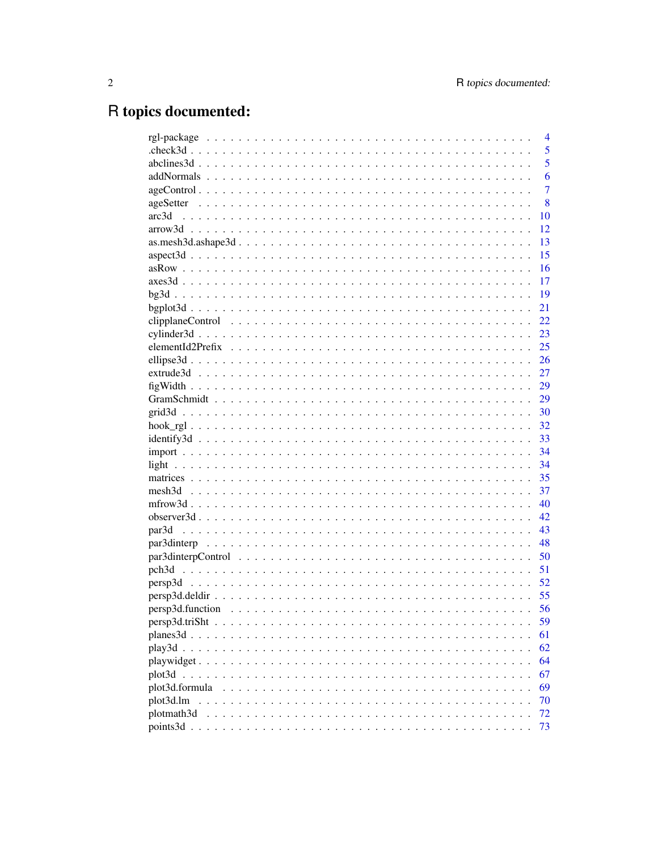# R topics documented:

|                | $\overline{4}$ |
|----------------|----------------|
|                | 5              |
|                | 5              |
|                | 6              |
|                | $\overline{7}$ |
|                | 8              |
| arc3d          | 10             |
|                | 12             |
|                | 13             |
|                | 15             |
|                | 16             |
|                | 17             |
|                | 19             |
|                | 21             |
|                | 22             |
|                | 23             |
|                | 25             |
|                | 26             |
|                | 27             |
|                | 29             |
|                | 29             |
|                | 30             |
|                | 32             |
|                | 33             |
|                | 34             |
|                | 34             |
|                | 35             |
|                | 37             |
|                | 40             |
|                | 42             |
|                | 43             |
|                | 48             |
|                | 50             |
|                | 51             |
|                | 52             |
|                | 55             |
|                | 56             |
|                | 59             |
|                | 61             |
| play3d         | 62             |
| playwidget     | 64             |
|                | 67             |
|                |                |
| plot3d.formula | 69             |
| plot3d.lm      | 70             |
| plotmath3d     | 72             |
| points3d       | 73             |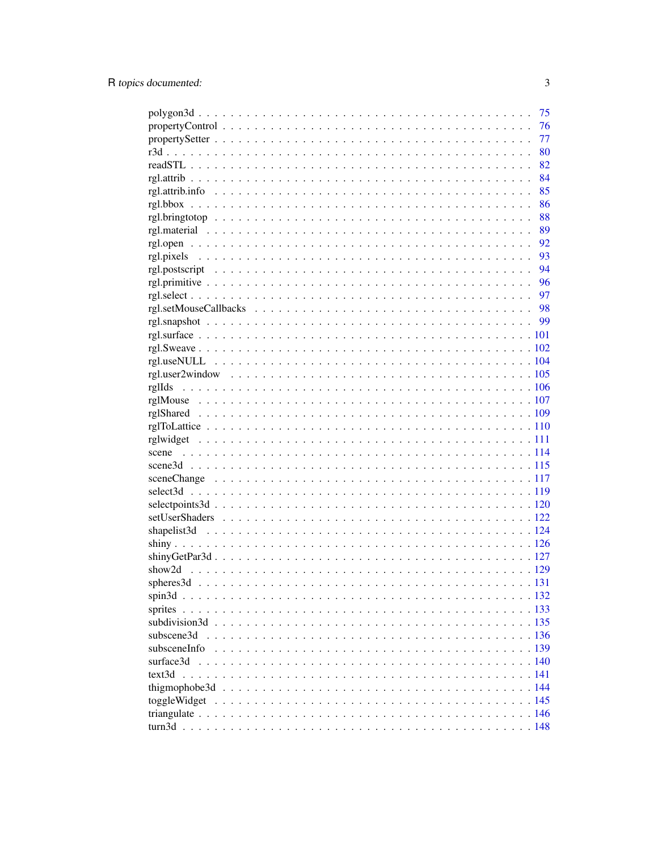|              | 75   |
|--------------|------|
|              | 76   |
|              | 77   |
|              | 80   |
|              | 82   |
|              | 84   |
|              | 85   |
|              | 86   |
|              | 88   |
|              | 89   |
|              |      |
|              | - 93 |
|              | - 94 |
|              |      |
|              |      |
|              |      |
|              |      |
|              |      |
|              |      |
|              |      |
|              |      |
|              |      |
|              |      |
|              |      |
|              |      |
|              |      |
|              |      |
|              |      |
|              |      |
|              |      |
|              |      |
|              |      |
|              |      |
|              |      |
|              |      |
|              |      |
|              |      |
|              |      |
| sprites      |      |
|              |      |
| subscene3d   |      |
| subsceneInfo |      |
| surface3d    |      |
|              |      |
|              |      |
|              |      |
| toggleWidget |      |
|              |      |
|              |      |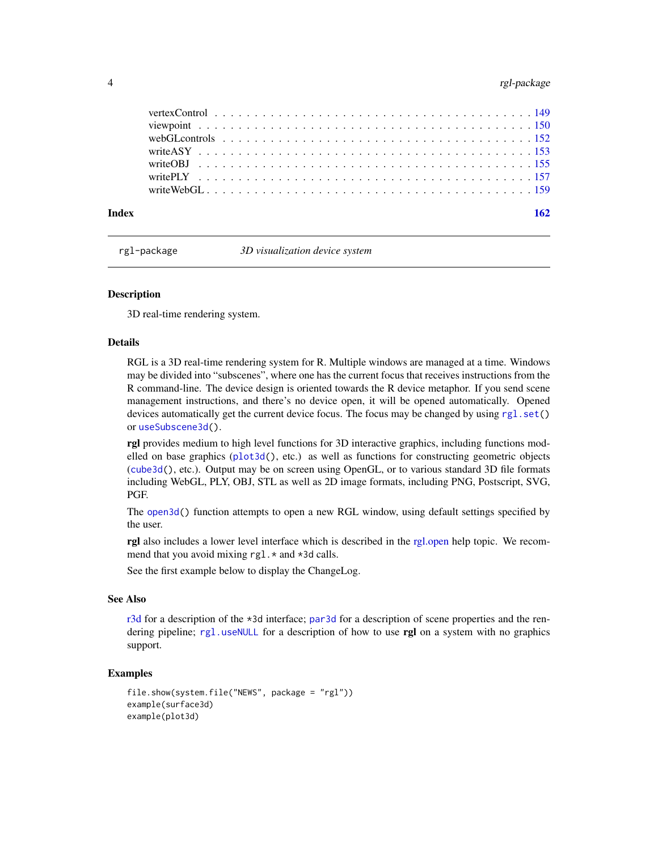# <span id="page-3-0"></span>4 rgl-package

| Index |                                                                                                                                                                                           |  |  |  |  |  |  |  |  |  |  |  |  |  |  |  |  |
|-------|-------------------------------------------------------------------------------------------------------------------------------------------------------------------------------------------|--|--|--|--|--|--|--|--|--|--|--|--|--|--|--|--|
|       |                                                                                                                                                                                           |  |  |  |  |  |  |  |  |  |  |  |  |  |  |  |  |
|       |                                                                                                                                                                                           |  |  |  |  |  |  |  |  |  |  |  |  |  |  |  |  |
|       |                                                                                                                                                                                           |  |  |  |  |  |  |  |  |  |  |  |  |  |  |  |  |
|       |                                                                                                                                                                                           |  |  |  |  |  |  |  |  |  |  |  |  |  |  |  |  |
|       | webGL controls $\ldots$ $\ldots$ $\ldots$ $\ldots$ $\ldots$ $\ldots$ $\ldots$ $\ldots$ $\ldots$ $\ldots$ $\ldots$ $\ldots$ $\ldots$ $\ldots$ $\ldots$ $\ldots$ $\ldots$ $\ldots$ $\ldots$ |  |  |  |  |  |  |  |  |  |  |  |  |  |  |  |  |
|       |                                                                                                                                                                                           |  |  |  |  |  |  |  |  |  |  |  |  |  |  |  |  |
|       |                                                                                                                                                                                           |  |  |  |  |  |  |  |  |  |  |  |  |  |  |  |  |
|       |                                                                                                                                                                                           |  |  |  |  |  |  |  |  |  |  |  |  |  |  |  |  |

rgl-package *3D visualization device system*

#### **Description**

3D real-time rendering system.

#### Details

RGL is a 3D real-time rendering system for R. Multiple windows are managed at a time. Windows may be divided into "subscenes", where one has the current focus that receives instructions from the R command-line. The device design is oriented towards the R device metaphor. If you send scene management instructions, and there's no device open, it will be opened automatically. Opened devices automatically get the current device focus. The focus may be changed by using [rgl.set\(](#page-91-1)) or [useSubscene3d\(](#page-135-1)).

**rgl** provides medium to high level functions for 3D interactive graphics, including functions modelled on base graphics ( $plot3d()$  $plot3d()$ , etc.) as well as functions for constructing geometric objects ([cube3d\(](#page-36-1)), etc.). Output may be on screen using OpenGL, or to various standard 3D file formats including WebGL, PLY, OBJ, STL as well as 2D image formats, including PNG, Postscript, SVG, PGF.

The [open3d\(](#page-42-1)) function attempts to open a new RGL window, using default settings specified by the user.

rgl also includes a lower level interface which is described in the [rgl.open](#page-91-2) help topic. We recommend that you avoid mixing rgl. \* and \*3d calls.

See the first example below to display the ChangeLog.

# See Also

[r3d](#page-79-1) for a description of the \*3d interface; [par3d](#page-42-2) for a description of scene properties and the rendering pipeline; [rgl.useNULL](#page-103-1) for a description of how to use rgl on a system with no graphics support.

```
file.show(system.file("NEWS", package = "rgl"))
example(surface3d)
example(plot3d)
```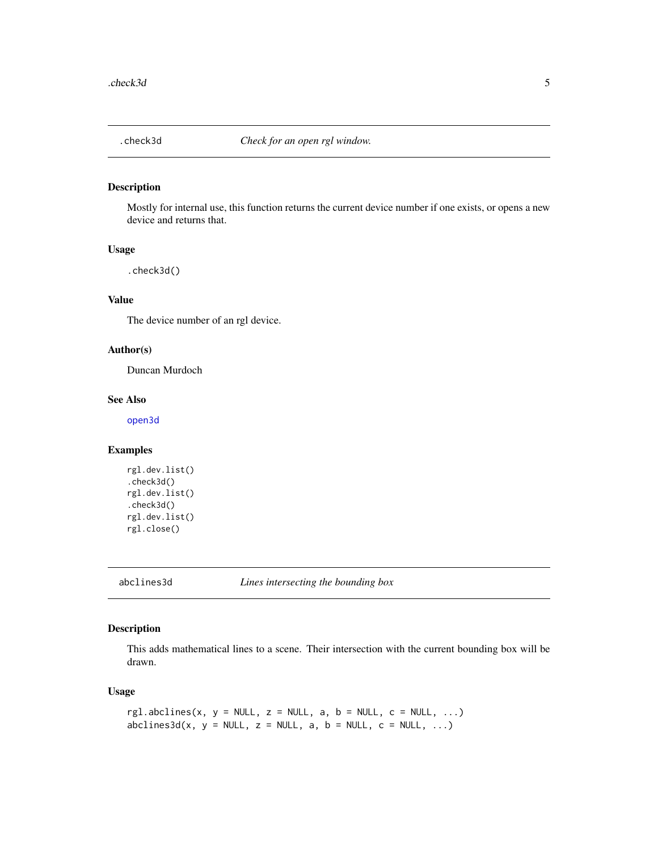<span id="page-4-0"></span>

Mostly for internal use, this function returns the current device number if one exists, or opens a new device and returns that.

# Usage

.check3d()

# Value

The device number of an rgl device.

# Author(s)

Duncan Murdoch

#### See Also

[open3d](#page-42-1)

# Examples

```
rgl.dev.list()
.check3d()
rgl.dev.list()
.check3d()
rgl.dev.list()
rgl.close()
```
<span id="page-4-1"></span>abclines3d *Lines intersecting the bounding box*

# Description

This adds mathematical lines to a scene. Their intersection with the current bounding box will be drawn.

## Usage

```
rgl.abclines(x, y = NULL, z = NULL, a, b = NULL, c = NULL, ...)
abclines3d(x, y = NULL, z = NULL, a, b = NULL, c = NULL, ...)
```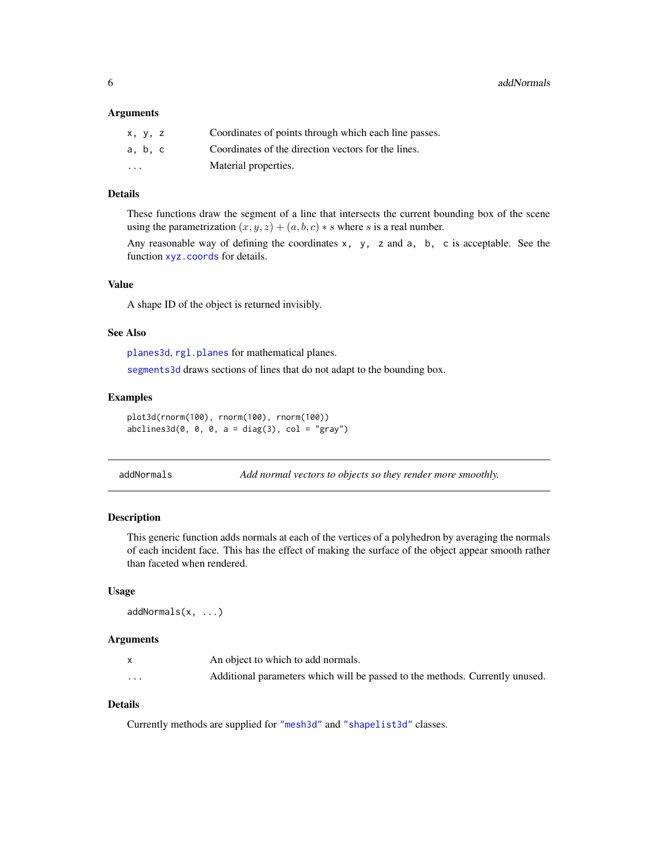<span id="page-5-0"></span>**6 b** addNormals **b** and **c** and **c** and **c** and **c** and **c** and **c** and **c** and **c** and **c** and **c** and **c** and **c** and **c** and **c** and **c** and **c** and **c** and **c** and **c** and **c** and **c** and **c** and **c** and **c** and **c** 

#### **Arguments**

| x, y, z                 | Coordinates of points through which each line passes. |
|-------------------------|-------------------------------------------------------|
| a, b, c                 | Coordinates of the direction vectors for the lines.   |
| $\cdot$ $\cdot$ $\cdot$ | Material properties.                                  |

# Details

These functions draw the segment of a line that intersects the current bounding box of the scene using the parametrization  $(x, y, z) + (a, b, c) * s$  where s is a real number.

Any reasonable way of defining the coordinates  $x$ ,  $y$ ,  $z$  and  $a$ ,  $b$ ,  $c$  is acceptable. See the function [xyz.coords](#page-0-0) for details.

# Value

A shape ID of the object is returned invisibly.

#### See Also

[planes3d](#page-60-1), [rgl.planes](#page-60-2) for mathematical planes. [segments3d](#page-72-1) draws sections of lines that do not adapt to the bounding box.

# Examples

plot3d(rnorm(100), rnorm(100), rnorm(100))  $abclines3d(0, 0, 0, a = diag(3), col = "gray")$ 

| addNormals |  |  |  |  | Add normal vectors to objects so they render more smoothly. |  |
|------------|--|--|--|--|-------------------------------------------------------------|--|
|------------|--|--|--|--|-------------------------------------------------------------|--|

## Description

This generic function adds normals at each of the vertices of a polyhedron by averaging the normals of each incident face. This has the effect of making the surface of the object appear smooth rather than faceted when rendered.

#### Usage

addNormals(x, ...)

#### Arguments

|          | An object to which to add normals.                                           |
|----------|------------------------------------------------------------------------------|
| $\cdots$ | Additional parameters which will be passed to the methods. Currently unused. |

# Details

Currently methods are supplied for ["mesh3d"](#page-36-2) and ["shapelist3d"](#page-123-1) classes.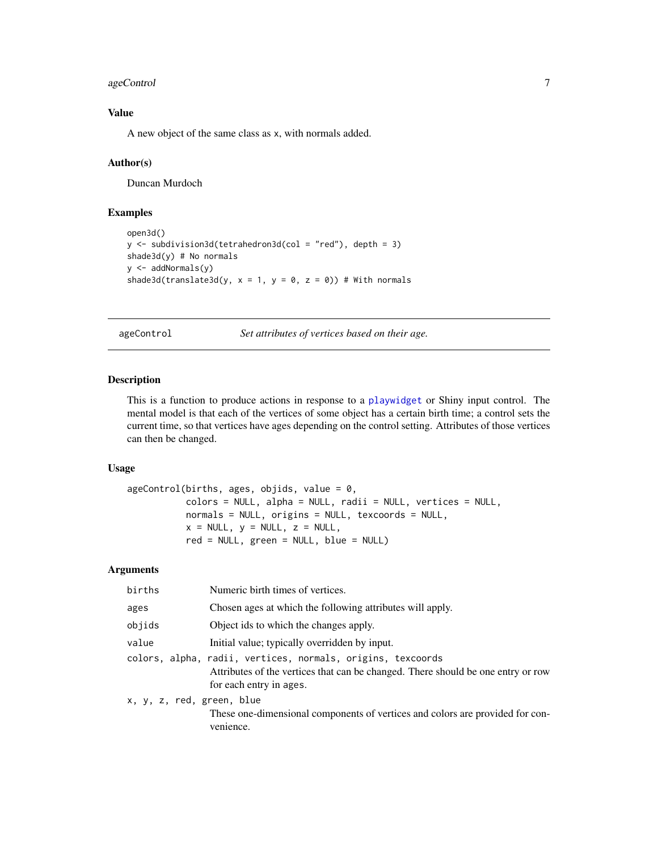# <span id="page-6-0"></span>ageControl 7

# Value

A new object of the same class as x, with normals added.

# Author(s)

Duncan Murdoch

# Examples

```
open3d()
y \le - subdivision3d(tetrahedron3d(col = "red"), depth = 3)
shade3d(y) # No normals
y <- addNormals(y)
shade3d(translate3d(y, x = 1, y = 0, z = 0)) # With normals
```
<span id="page-6-1"></span>ageControl *Set attributes of vertices based on their age.*

# Description

This is a function to produce actions in response to a [playwidget](#page-63-1) or Shiny input control. The mental model is that each of the vertices of some object has a certain birth time; a control sets the current time, so that vertices have ages depending on the control setting. Attributes of those vertices can then be changed.

#### Usage

```
ageControl(births, ages, objids, value = 0,
          colors = NULL, alpha = NULL, radii = NULL, vertices = NULL,
          normals = NULL, origins = NULL, texcoords = NULL,
          x = NULL, y = NULL, z = NULL,red = NULL, green = NULL, blue = NULL)
```

| births                    | Numeric birth times of vertices.                                                                                                                                           |
|---------------------------|----------------------------------------------------------------------------------------------------------------------------------------------------------------------------|
| ages                      | Chosen ages at which the following attributes will apply.                                                                                                                  |
| objids                    | Object ids to which the changes apply.                                                                                                                                     |
| value                     | Initial value; typically overridden by input.                                                                                                                              |
|                           | colors, alpha, radii, vertices, normals, origins, texcoords<br>Attributes of the vertices that can be changed. There should be one entry or row<br>for each entry in ages. |
| x, y, z, red, green, blue | These one-dimensional components of vertices and colors are provided for con-<br>venience.                                                                                 |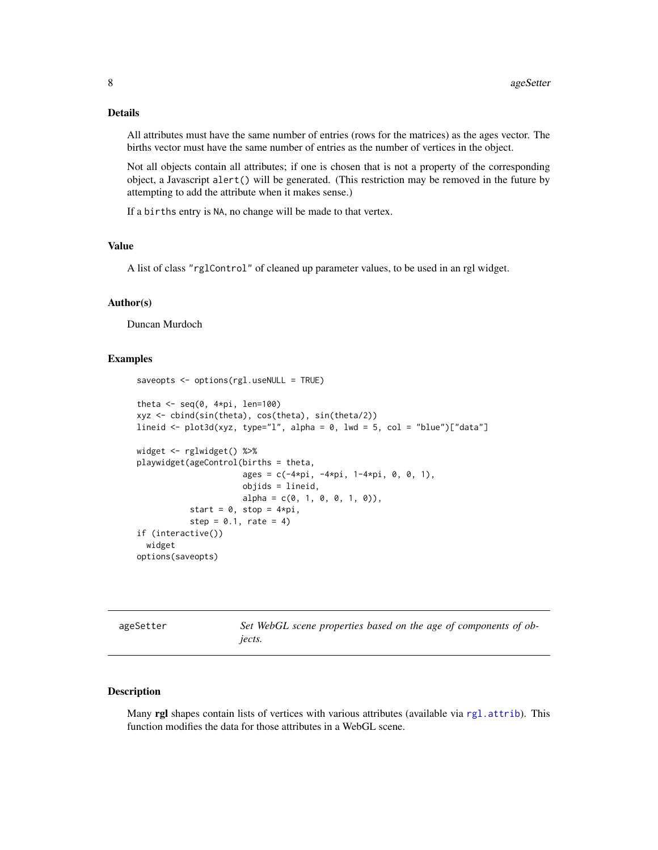# <span id="page-7-0"></span>Details

All attributes must have the same number of entries (rows for the matrices) as the ages vector. The births vector must have the same number of entries as the number of vertices in the object.

Not all objects contain all attributes; if one is chosen that is not a property of the corresponding object, a Javascript alert() will be generated. (This restriction may be removed in the future by attempting to add the attribute when it makes sense.)

If a births entry is NA, no change will be made to that vertex.

#### Value

A list of class "rglControl" of cleaned up parameter values, to be used in an rgl widget.

#### Author(s)

Duncan Murdoch

#### Examples

```
saveopts <- options(rgl.useNULL = TRUE)
theta \leq seq(0, 4*pi, len=100)
xyz <- cbind(sin(theta), cos(theta), sin(theta/2))
lineid <- plot3d(xyz, type="l", alpha = 0, lwd = 5, col = "blue")["data"]
widget <- rglwidget() %>%
playwidget(ageControl(births = theta,
                      ages = c(-4*pi, -4*pi, 1-4*pi, 0, 0, 1),objids = lineid,
                      alpha = c(0, 1, 0, 0, 1, 0),
           start = 0, stop = 4*pi,
           step = 0.1, rate = 4)
if (interactive())
  widget
options(saveopts)
```
Set WebGL scene properties based on the age of components of ob*jects.*

# Description

Many rgl shapes contain lists of vertices with various attributes (available via [rgl.attrib](#page-83-1)). This function modifies the data for those attributes in a WebGL scene.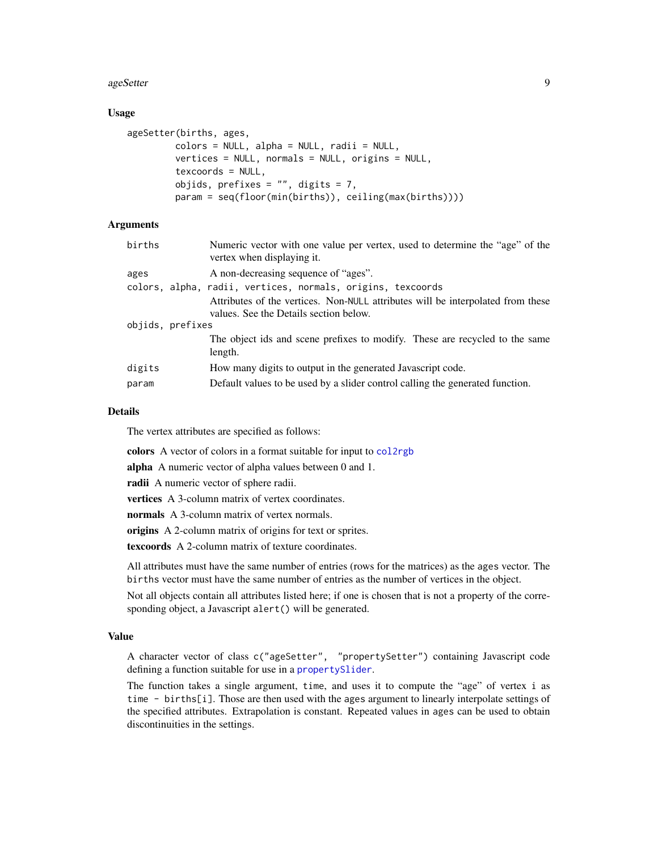#### ageSetter 9

## Usage

```
ageSetter(births, ages,
         colors = NULL, alpha = NULL, radii = NULL,
         vertices = NULL, normals = NULL, origins = NULL,
         texcoords = NULL,
         objids, prefixes = ", digits = 7,
         param = seq(floor(min(births)), ceiling(max(births))))
```
## Arguments

| births           | Numeric vector with one value per vertex, used to determine the "age" of the<br>vertex when displaying it. |
|------------------|------------------------------------------------------------------------------------------------------------|
| ages             | A non-decreasing sequence of "ages".                                                                       |
|                  | colors, alpha, radii, vertices, normals, origins, texcoords                                                |
|                  | Attributes of the vertices. Non-NULL attributes will be interpolated from these                            |
|                  | values. See the Details section below.                                                                     |
| objids, prefixes |                                                                                                            |
|                  | The object ids and scene prefixes to modify. These are recycled to the same                                |
|                  | length.                                                                                                    |
| digits           | How many digits to output in the generated Javascript code.                                                |
| param            | Default values to be used by a slider control calling the generated function.                              |
|                  |                                                                                                            |

#### Details

The vertex attributes are specified as follows:

colors A vector of colors in a format suitable for input to [col2rgb](#page-0-0)

alpha A numeric vector of alpha values between 0 and 1.

radii A numeric vector of sphere radii.

vertices A 3-column matrix of vertex coordinates.

normals A 3-column matrix of vertex normals.

origins A 2-column matrix of origins for text or sprites.

texcoords A 2-column matrix of texture coordinates.

All attributes must have the same number of entries (rows for the matrices) as the ages vector. The births vector must have the same number of entries as the number of vertices in the object.

Not all objects contain all attributes listed here; if one is chosen that is not a property of the corresponding object, a Javascript alert() will be generated.

# Value

A character vector of class c("ageSetter", "propertySetter") containing Javascript code defining a function suitable for use in a [propertySlider](#page-76-1).

The function takes a single argument, time, and uses it to compute the "age" of vertex i as time - births[i]. Those are then used with the ages argument to linearly interpolate settings of the specified attributes. Extrapolation is constant. Repeated values in ages can be used to obtain discontinuities in the settings.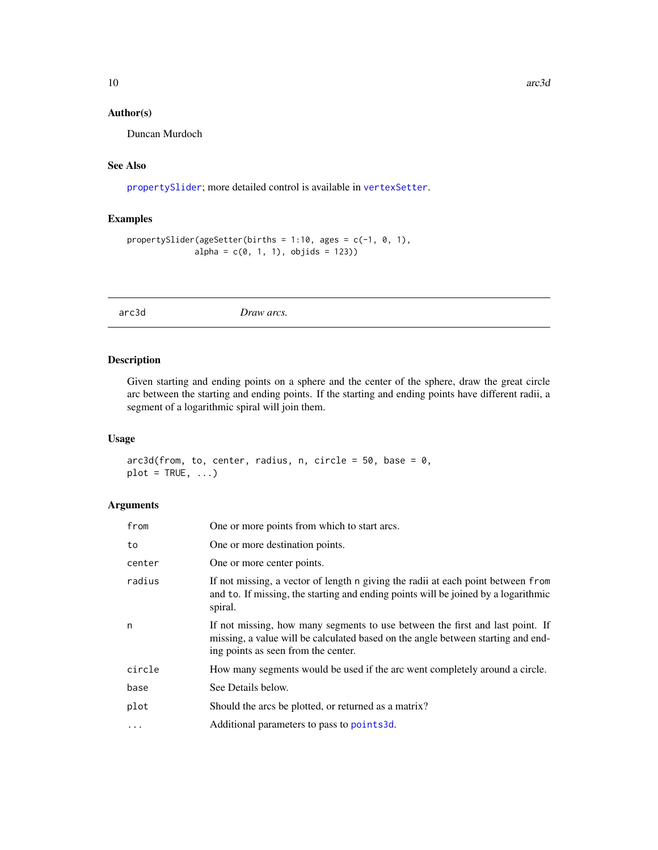# <span id="page-9-0"></span>Author(s)

Duncan Murdoch

# See Also

[propertySlider](#page-76-1); more detailed control is available in [vertexSetter](#page-76-1).

# Examples

```
propertySlider(ageSetter(births = 1:10, ages = c(-1, 0, 1),
             alpha = c(0, 1, 1), objids = 123)
```
arc3d *Draw arcs.*

# Description

Given starting and ending points on a sphere and the center of the sphere, draw the great circle arc between the starting and ending points. If the starting and ending points have different radii, a segment of a logarithmic spiral will join them.

# Usage

 $arc3d(from, to, center, radius, n, circle = 50, base = 0,$  $plot = TRUE, ...)$ 

| from     | One or more points from which to start arcs.                                                                                                                                                             |
|----------|----------------------------------------------------------------------------------------------------------------------------------------------------------------------------------------------------------|
| to       | One or more destination points.                                                                                                                                                                          |
| center   | One or more center points.                                                                                                                                                                               |
| radius   | If not missing, a vector of length n giving the radii at each point between from<br>and to. If missing, the starting and ending points will be joined by a logarithmic<br>spiral.                        |
| n        | If not missing, how many segments to use between the first and last point. If<br>missing, a value will be calculated based on the angle between starting and end-<br>ing points as seen from the center. |
| circle   | How many segments would be used if the arc went completely around a circle.                                                                                                                              |
| base     | See Details below.                                                                                                                                                                                       |
| plot     | Should the arcs be plotted, or returned as a matrix?                                                                                                                                                     |
| $\ddots$ | Additional parameters to pass to points3d.                                                                                                                                                               |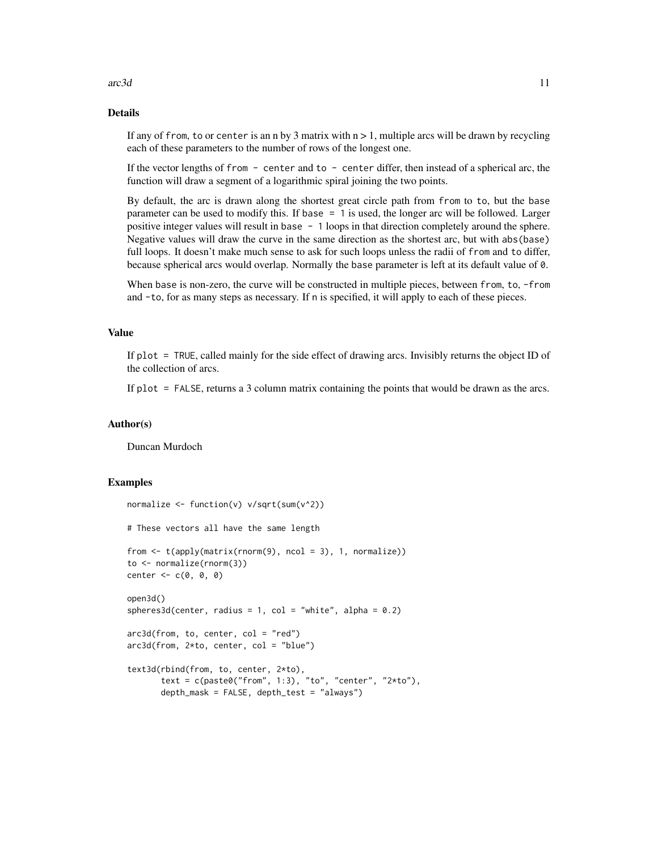#### $\arctan 3d$  11

# Details

If any of from, to or center is an n by 3 matrix with  $n > 1$ , multiple arcs will be drawn by recycling each of these parameters to the number of rows of the longest one.

If the vector lengths of from  $-$  center and to  $-$  center differ, then instead of a spherical arc, the function will draw a segment of a logarithmic spiral joining the two points.

By default, the arc is drawn along the shortest great circle path from from to to, but the base parameter can be used to modify this. If base = 1 is used, the longer arc will be followed. Larger positive integer values will result in base - 1 loops in that direction completely around the sphere. Negative values will draw the curve in the same direction as the shortest arc, but with abs(base) full loops. It doesn't make much sense to ask for such loops unless the radii of from and to differ, because spherical arcs would overlap. Normally the base parameter is left at its default value of 0.

When base is non-zero, the curve will be constructed in multiple pieces, between from, to, -from and -to, for as many steps as necessary. If n is specified, it will apply to each of these pieces.

#### Value

If plot = TRUE, called mainly for the side effect of drawing arcs. Invisibly returns the object ID of the collection of arcs.

If plot = FALSE, returns a 3 column matrix containing the points that would be drawn as the arcs.

#### Author(s)

Duncan Murdoch

```
normalize \leq function(v) v/sqrt(sum(v^2))
# These vectors all have the same length
from \leq t(apply(matrix(rnorm(9), ncol = 3), 1, normalize))
to <- normalize(rnorm(3))
center < -c(0, 0, 0)open3d()
spheres3d(center, radius = 1, col = "white", alpha = 0.2)arc3d(from, to, center, col = "red")arc3d(from, 2*t0, center, col = "blue")text3d(rbind(from, to, center, 2*to),
      text = c(paste0("from", 1:3), "to", "center", "2*to"),
      depth_mask = FALSE, depth_test = "always")
```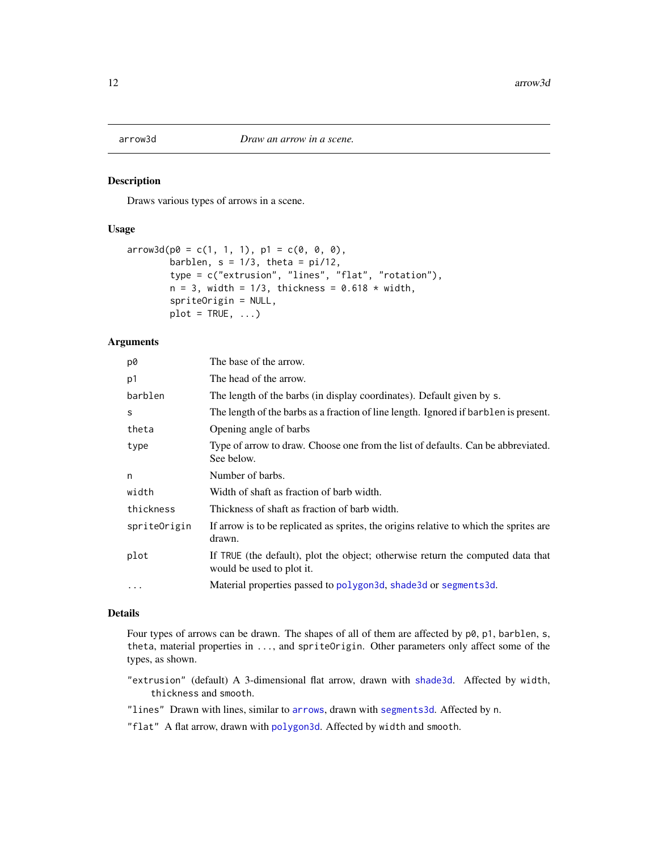<span id="page-11-1"></span><span id="page-11-0"></span>

Draws various types of arrows in a scene.

# Usage

```
arrow3d(p0 = c(1, 1, 1), p1 = c(0, 0, 0),barblen, s = 1/3, theta = pi/12,
       type = c("extrusion", "lines", "flat", "rotation"),
       n = 3, width = 1/3, thickness = 0.618 * width,
       spriteOrigin = NULL,
       plot = TRUE, ...)
```
# Arguments

| p0           | The base of the arrow.                                                                                       |
|--------------|--------------------------------------------------------------------------------------------------------------|
| p1           | The head of the arrow.                                                                                       |
| barblen      | The length of the barbs (in display coordinates). Default given by s.                                        |
| S            | The length of the barbs as a fraction of line length. Ignored if barblen is present.                         |
| theta        | Opening angle of barbs                                                                                       |
| type         | Type of arrow to draw. Choose one from the list of defaults. Can be abbreviated.<br>See below.               |
| n            | Number of barbs.                                                                                             |
| width        | Width of shaft as fraction of barb width.                                                                    |
| thickness    | Thickness of shaft as fraction of barb width.                                                                |
| spriteOrigin | If arrow is to be replicated as sprites, the origins relative to which the sprites are<br>drawn.             |
| plot         | If TRUE (the default), plot the object; otherwise return the computed data that<br>would be used to plot it. |
| $\cdot$      | Material properties passed to polygon3d, shade3d or segments3d.                                              |

#### Details

Four types of arrows can be drawn. The shapes of all of them are affected by p0, p1, barblen, s, theta, material properties in ..., and spriteOrigin. Other parameters only affect some of the types, as shown.

- "extrusion" (default) A 3-dimensional flat arrow, drawn with [shade3d](#page-36-1). Affected by width, thickness and smooth.
- "lines" Drawn with lines, similar to [arrows](#page-0-0), drawn with [segments3d](#page-72-1). Affected by n.

"flat" A flat arrow, drawn with [polygon3d](#page-74-1). Affected by width and smooth.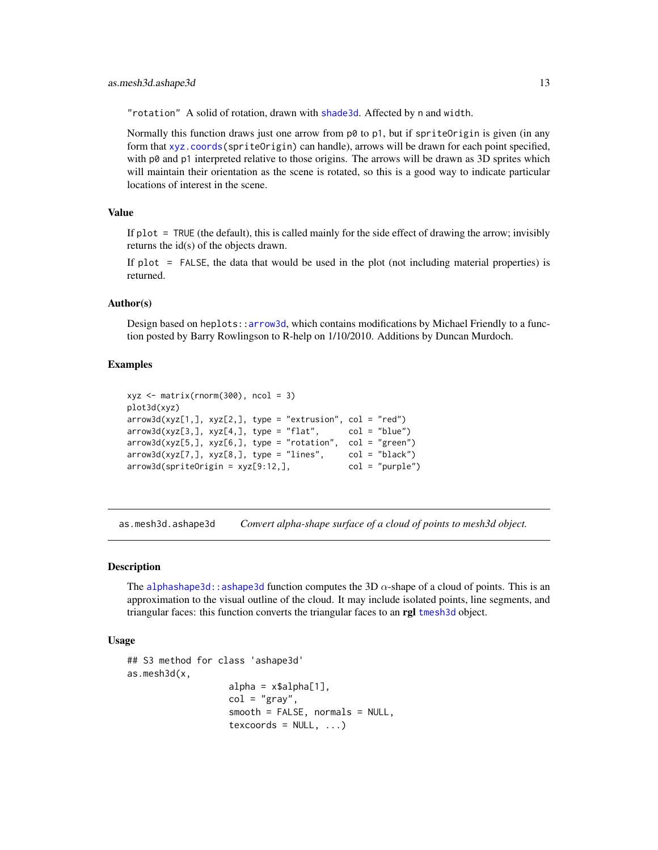<span id="page-12-0"></span>"rotation" A solid of rotation, drawn with [shade3d](#page-36-1). Affected by n and width.

Normally this function draws just one arrow from  $p\emptyset$  to  $p1$ , but if spriteOrigin is given (in any form that [xyz.coords\(](#page-0-0)spriteOrigin) can handle), arrows will be drawn for each point specified, with p0 and p1 interpreted relative to those origins. The arrows will be drawn as 3D sprites which will maintain their orientation as the scene is rotated, so this is a good way to indicate particular locations of interest in the scene.

# Value

If plot = TRUE (the default), this is called mainly for the side effect of drawing the arrow; invisibly returns the id(s) of the objects drawn.

If plot = FALSE, the data that would be used in the plot (not including material properties) is returned.

#### Author(s)

Design based on heplots:[:arrow3d](#page-11-1), which contains modifications by Michael Friendly to a function posted by Barry Rowlingson to R-help on 1/10/2010. Additions by Duncan Murdoch.

## Examples

```
xyz \le matrix(rnorm(300), ncol = 3)
plot3d(xyz)
arrow3d(xyz[1,], xyz[2,], type = "extrusion", col = "red")arrow3d(xyz[3,], xyz[4,], type = "flat", col = "blue")arrow3d(xyz[5,], xyz[6,], type = "rotation", col = "green")
arrow3d(xyz[7,], xyz[8,], type = "lines", col = "black")arrow3d(spriteOrigin = xyz[9:12,], col = "purple")
```
as.mesh3d.ashape3d *Convert alpha-shape surface of a cloud of points to mesh3d object.*

#### Description

The [alphashape3d::ashape3d](#page-0-0) function computes the 3D  $\alpha$ -shape of a cloud of points. This is an approximation to the visual outline of the cloud. It may include isolated points, line segments, and triangular faces: this function converts the triangular faces to an rgl [tmesh3d](#page-36-1) object.

#### Usage

```
## S3 method for class 'ashape3d'
as.mesh3d(x,
                     alpha = x$alpha[1],col = "gray",smooth = FALSE, normals = NULL,
                     texfore{ to } x \in \text{NULL}, \ldots
```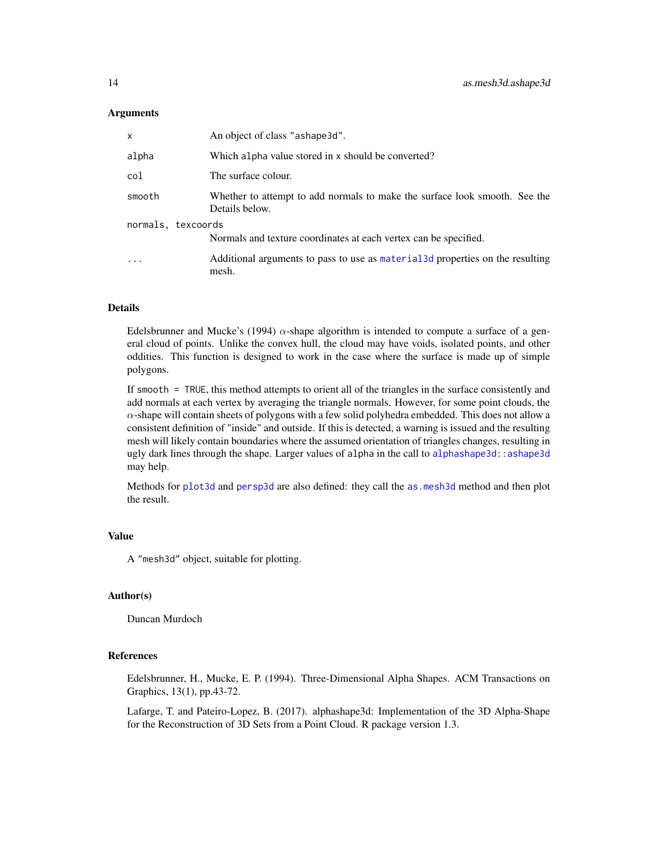## Arguments

| x                  | An object of class "ashape3d".                                                               |  |  |  |  |
|--------------------|----------------------------------------------------------------------------------------------|--|--|--|--|
| alpha              | Which alpha value stored in x should be converted?                                           |  |  |  |  |
| col                | The surface colour.                                                                          |  |  |  |  |
| smooth             | Whether to attempt to add normals to make the surface look smooth. See the<br>Details below. |  |  |  |  |
| normals, texcoords |                                                                                              |  |  |  |  |
|                    | Normals and texture coordinates at each vertex can be specified.                             |  |  |  |  |
| $\ddotsc$          | Additional arguments to pass to use as material 3d properties on the resulting<br>mesh.      |  |  |  |  |

# Details

Edelsbrunner and Mucke's (1994)  $\alpha$ -shape algorithm is intended to compute a surface of a general cloud of points. Unlike the convex hull, the cloud may have voids, isolated points, and other oddities. This function is designed to work in the case where the surface is made up of simple polygons.

If smooth = TRUE, this method attempts to orient all of the triangles in the surface consistently and add normals at each vertex by averaging the triangle normals. However, for some point clouds, the  $\alpha$ -shape will contain sheets of polygons with a few solid polyhedra embedded. This does not allow a consistent definition of "inside" and outside. If this is detected, a warning is issued and the resulting mesh will likely contain boundaries where the assumed orientation of triangles changes, resulting in ugly dark lines through the shape. Larger values of alpha in the call to alphashape3d: : ashape3d may help.

Methods for [plot3d](#page-66-1) and [persp3d](#page-51-1) are also defined: they call the [as.mesh3d](#page-36-1) method and then plot the result.

# Value

A "mesh3d" object, suitable for plotting.

# Author(s)

Duncan Murdoch

# References

Edelsbrunner, H., Mucke, E. P. (1994). Three-Dimensional Alpha Shapes. ACM Transactions on Graphics, 13(1), pp.43-72.

Lafarge, T. and Pateiro-Lopez, B. (2017). alphashape3d: Implementation of the 3D Alpha-Shape for the Reconstruction of 3D Sets from a Point Cloud. R package version 1.3.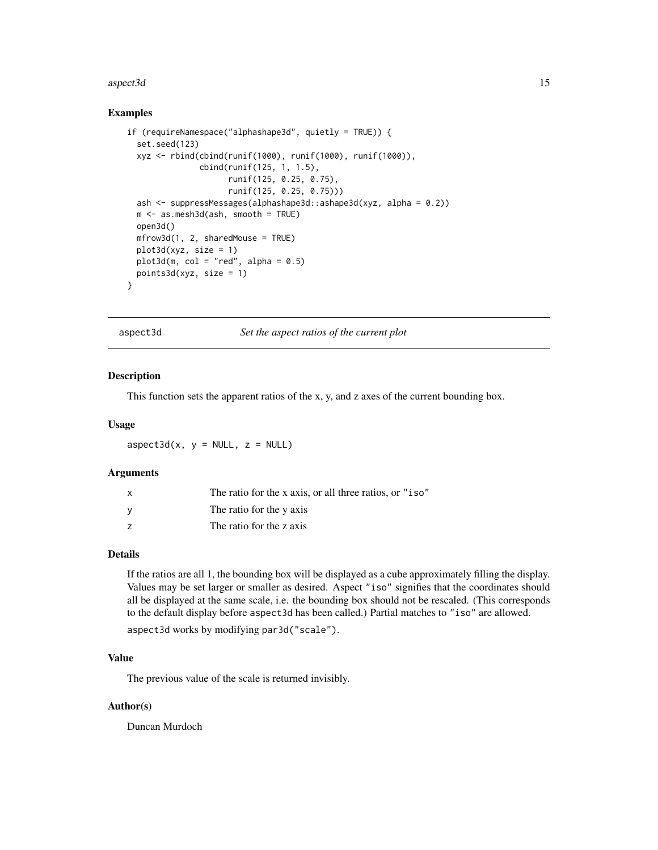#### <span id="page-14-0"></span>aspect3d 15

#### Examples

```
if (requireNamespace("alphashape3d", quietly = TRUE)) {
 set.seed(123)
 xyz <- rbind(cbind(runif(1000), runif(1000), runif(1000)),
               cbind(runif(125, 1, 1.5),
                     runif(125, 0.25, 0.75),
                     runif(125, 0.25, 0.75)))
 ash <- suppressMessages(alphashape3d::ashape3d(xyz, alpha = 0.2))
 m <- as.mesh3d(ash, smooth = TRUE)
 open3d()
 mfrow3d(1, 2, sharedMouse = TRUE)
 plot3d(xyz, size = 1)
 plot3d(m, col = "red", alpha = 0.5)points3d(xyz, size = 1)
}
```
aspect3d *Set the aspect ratios of the current plot*

# Description

This function sets the apparent ratios of the x, y, and z axes of the current bounding box.

#### Usage

 $a$ spect3d(x, y = NULL, z = NULL)

#### Arguments

| $\mathsf{x}$ | The ratio for the x axis, or all three ratios, or "iso" |
|--------------|---------------------------------------------------------|
| v            | The ratio for the y axis                                |
|              | The ratio for the z axis                                |

# Details

If the ratios are all 1, the bounding box will be displayed as a cube approximately filling the display. Values may be set larger or smaller as desired. Aspect "iso" signifies that the coordinates should all be displayed at the same scale, i.e. the bounding box should not be rescaled. (This corresponds to the default display before aspect3d has been called.) Partial matches to "iso" are allowed.

aspect3d works by modifying par3d("scale").

# Value

The previous value of the scale is returned invisibly.

#### Author(s)

Duncan Murdoch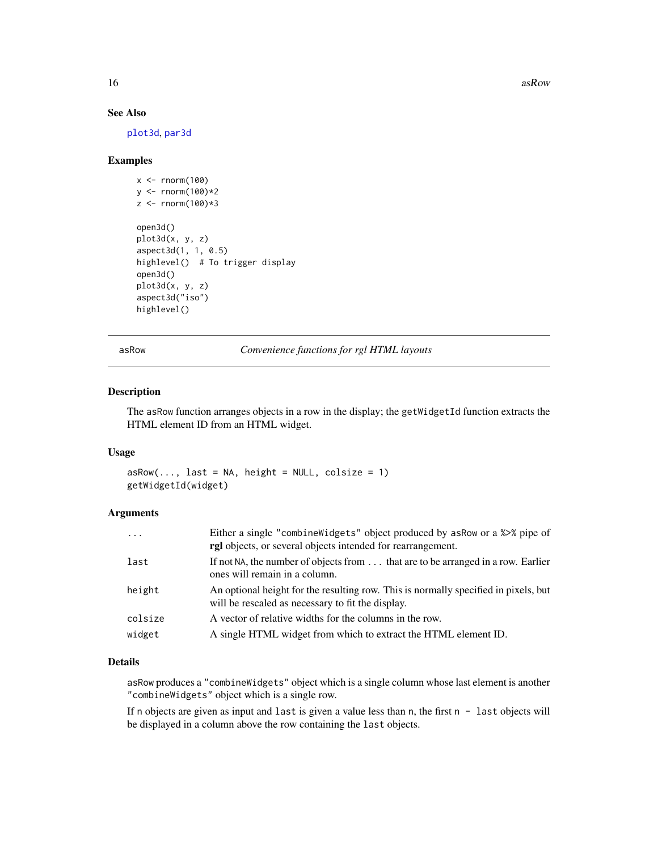<span id="page-15-0"></span>16 as a set of the set of the set of the set of the set of the set of the set of the set of the set of the set of the set of the set of the set of the set of the set of the set of the set of the set of the set of the set o

# See Also

[plot3d](#page-66-1), [par3d](#page-42-2)

#### Examples

```
x \leq -rnorm(100)y <- rnorm(100)*2
z <- rnorm(100)*3open3d()
plot3d(x, y, z)
aspect3d(1, 1, 0.5)
highlevel() # To trigger display
open3d()
plot3d(x, y, z)
aspect3d("iso")
highlevel()
```
asRow *Convenience functions for rgl HTML layouts*

# Description

The asRow function arranges objects in a row in the display; the getWidgetId function extracts the HTML element ID from an HTML widget.

#### Usage

 $asRow(..., last = NA, height = NULL, colsize = 1)$ getWidgetId(widget)

# Arguments

| $\ddots$ | Either a single "combine Widgets" object produced by as Row or a %>% pipe of<br>rgl objects, or several objects intended for rearrangement. |
|----------|---------------------------------------------------------------------------------------------------------------------------------------------|
| last     | If not NA, the number of objects from that are to be arranged in a row. Earlier<br>ones will remain in a column.                            |
| height   | An optional height for the resulting row. This is normally specified in pixels, but<br>will be rescaled as necessary to fit the display.    |
| colsize  | A vector of relative widths for the columns in the row.                                                                                     |
| widget   | A single HTML widget from which to extract the HTML element ID.                                                                             |

# Details

asRow produces a "combineWidgets" object which is a single column whose last element is another "combineWidgets" object which is a single row.

If n objects are given as input and last is given a value less than  $n$ , the first  $n -$  last objects will be displayed in a column above the row containing the last objects.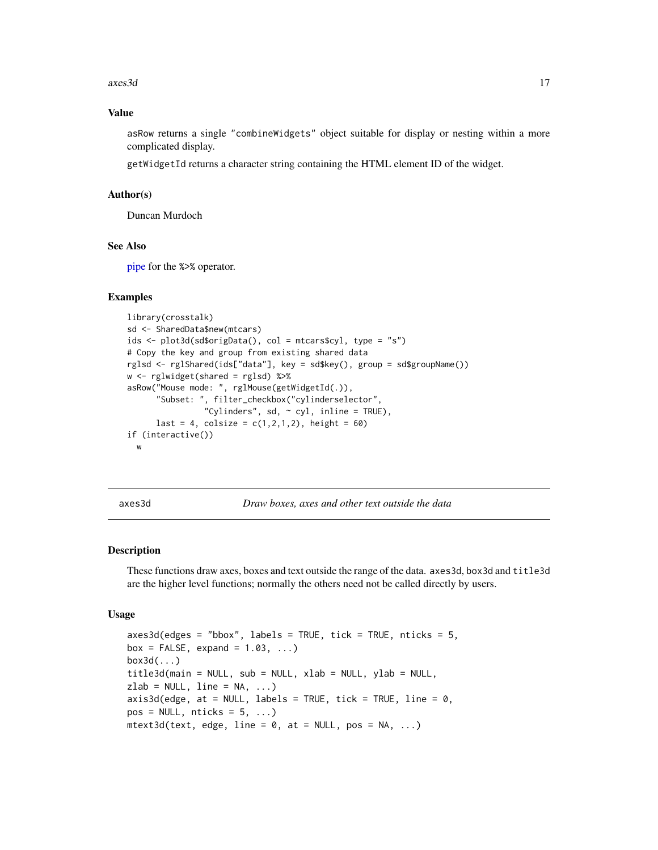#### <span id="page-16-0"></span> $axes3d$  17

#### Value

asRow returns a single "combineWidgets" object suitable for display or nesting within a more complicated display.

getWidgetId returns a character string containing the HTML element ID of the widget.

#### Author(s)

Duncan Murdoch

#### See Also

[pipe](#page-33-1) for the %>% operator.

#### Examples

```
library(crosstalk)
sd <- SharedData$new(mtcars)
ids <- plot3d(sd$origData(), col = mtcars$cyl, type = "s")
# Copy the key and group from existing shared data
rglsd <- rglShared(ids["data"], key = sd$key(), group = sd$groupName())
w <- rglwidget(shared = rglsd) %>%
asRow("Mouse mode: ", rglMouse(getWidgetId(.)),
      "Subset: ", filter_checkbox("cylinderselector",
                "Cylinders", sd, \sim cyl, inline = TRUE),
      last = 4, colsize = c(1, 2, 1, 2), height = 60if (interactive())
  w
```
axes3d *Draw boxes, axes and other text outside the data*

# <span id="page-16-1"></span>**Description**

These functions draw axes, boxes and text outside the range of the data. axes3d, box3d and title3d are the higher level functions; normally the others need not be called directly by users.

#### Usage

```
axes3d(edges = "bbox", labels = TRUE, tick = TRUE, nticks = 5,box = FALSE, expand = 1.03, ...)
box3d(...)
title3d(main = NULL, sub = NULL, xlab = NULL, ylab = NULL,
zlab = NULL, line = NA, ...)
axis3d(edge, at = NULL, labels = TRUE, tick = TRUE, line = 0,
pos = NULL, \n  <i>n</i>ticks = 5, ...)mtext{text3d(text, edge, line = 0, at = NULL, pos = NA, ...})
```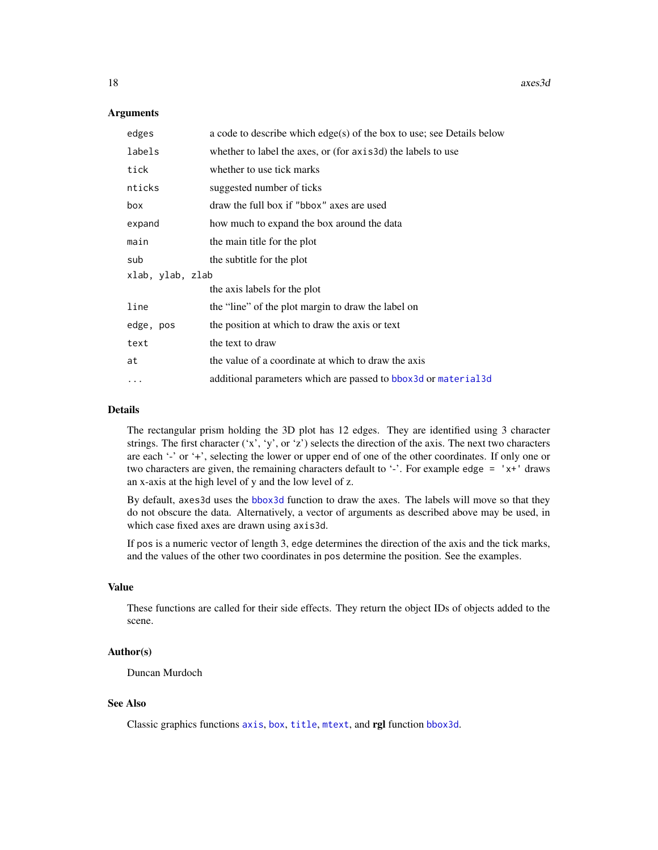#### **Arguments**

| edges            | a code to describe which $edge(s)$ of the box to use; see Details below |
|------------------|-------------------------------------------------------------------------|
| labels           | whether to label the axes, or (for axis3d) the labels to use            |
| tick             | whether to use tick marks                                               |
| nticks           | suggested number of ticks                                               |
| box              | draw the full box if "bbox" axes are used                               |
| expand           | how much to expand the box around the data                              |
| main             | the main title for the plot                                             |
| sub              | the subtitle for the plot                                               |
| xlab, ylab, zlab |                                                                         |
|                  | the axis labels for the plot                                            |
| line             | the "line" of the plot margin to draw the label on                      |
| edge, pos        | the position at which to draw the axis or text                          |
| text             | the text to draw                                                        |
| at               | the value of a coordinate at which to draw the axis                     |
|                  | additional parameters which are passed to bbox 3d or material 3d        |

#### Details

The rectangular prism holding the 3D plot has 12 edges. They are identified using 3 character strings. The first character  $('x', 'y', or 'z')$  selects the direction of the axis. The next two characters are each '-' or '+', selecting the lower or upper end of one of the other coordinates. If only one or two characters are given, the remaining characters default to '-'. For example edge =  $'x+'$  draws an x-axis at the high level of y and the low level of z.

By default, axes3d uses the [bbox3d](#page-85-1) function to draw the axes. The labels will move so that they do not obscure the data. Alternatively, a vector of arguments as described above may be used, in which case fixed axes are drawn using axis3d.

If pos is a numeric vector of length 3, edge determines the direction of the axis and the tick marks, and the values of the other two coordinates in pos determine the position. See the examples.

# Value

These functions are called for their side effects. They return the object IDs of objects added to the scene.

#### Author(s)

Duncan Murdoch

# See Also

Classic graphics functions [axis](#page-0-0), [box](#page-0-0), [title](#page-0-0), [mtext](#page-0-0), and rgl function [bbox3d](#page-85-1).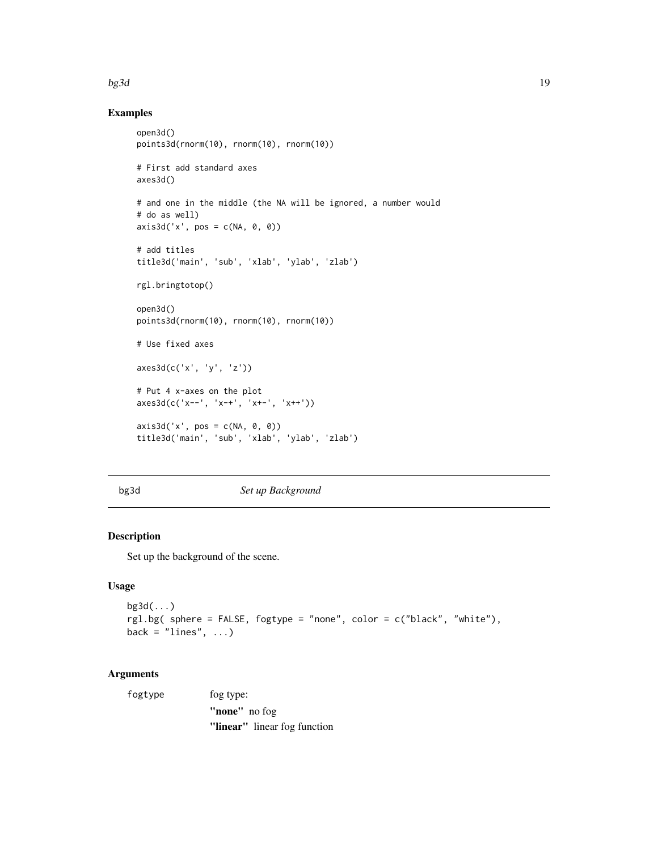#### <span id="page-18-0"></span> $bg3d$  19

# Examples

```
open3d()
points3d(rnorm(10), rnorm(10), rnorm(10))
# First add standard axes
axes3d()
# and one in the middle (the NA will be ignored, a number would
# do as well)
axis3d('x', pos = c(NA, 0, 0))# add titles
title3d('main', 'sub', 'xlab', 'ylab', 'zlab')
rgl.bringtotop()
open3d()
points3d(rnorm(10), rnorm(10), rnorm(10))
# Use fixed axes
axes3d(c('x', 'y', 'z'))
# Put 4 x-axes on the plot
axes3d(c('x--', 'x-+', 'x+-', 'x++'))
axis3d('x', pos = c(NA, 0, 0))title3d('main', 'sub', 'xlab', 'ylab', 'zlab')
```
# <span id="page-18-1"></span>bg3d *Set up Background*

# Description

Set up the background of the scene.

# Usage

```
bg3d(...)
rgl.bg( sphere = FALSE, fogtype = "none", color = c("black", "white"),
back = "lines", ...)
```

| fogtype | fog type:                    |
|---------|------------------------------|
|         | "none" no fog                |
|         | "linear" linear fog function |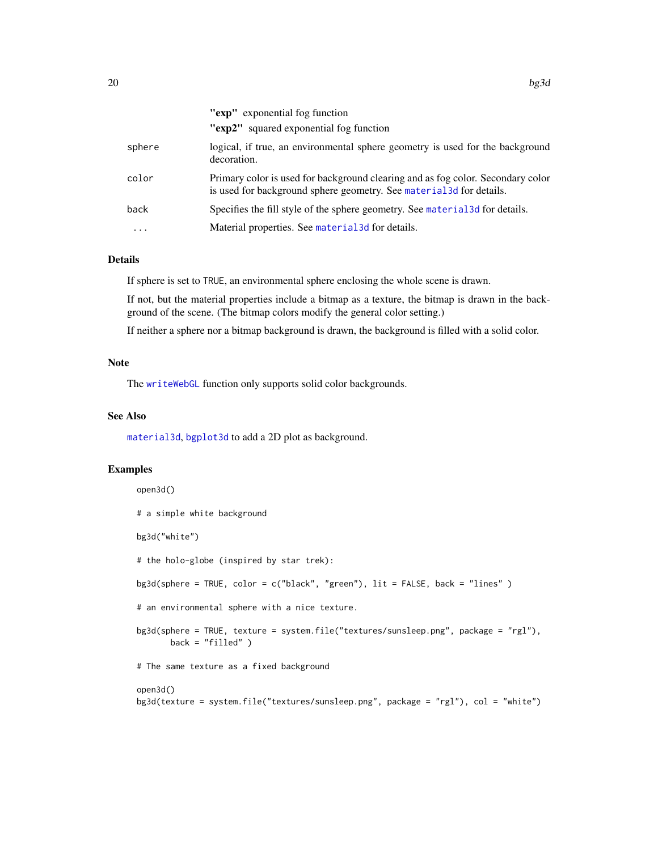|          | "exp" exponential fog function                                                                                                                          |
|----------|---------------------------------------------------------------------------------------------------------------------------------------------------------|
|          | "exp2" squared exponential fog function                                                                                                                 |
| sphere   | logical, if true, an environmental sphere geometry is used for the background<br>decoration.                                                            |
| color    | Primary color is used for background clearing and as fog color. Secondary color<br>is used for background sphere geometry. See material 3d for details. |
| back     | Specifies the fill style of the sphere geometry. See material 3d for details.                                                                           |
| $\cdots$ | Material properties. See material 3d for details.                                                                                                       |
|          |                                                                                                                                                         |

# Details

If sphere is set to TRUE, an environmental sphere enclosing the whole scene is drawn.

If not, but the material properties include a bitmap as a texture, the bitmap is drawn in the background of the scene. (The bitmap colors modify the general color setting.)

If neither a sphere nor a bitmap background is drawn, the background is filled with a solid color.

#### Note

The [writeWebGL](#page-158-1) function only supports solid color backgrounds.

# See Also

[material3d](#page-88-1), [bgplot3d](#page-20-1) to add a 2D plot as background.

#### Examples

```
open3d()
# a simple white background
bg3d("white")
# the holo-globe (inspired by star trek):
bg3d(sphere = TRUE, color = c("black", "green"), lit = FALSE, back = "lines" )
# an environmental sphere with a nice texture.
bg3d(sphere = TRUE, texture = system.file("textures/sunsleep.png", package = "rgl"),
      back = "filled" )# The same texture as a fixed background
open3d()
```
bg3d(texture = system.file("textures/sunsleep.png", package = "rgl"), col = "white")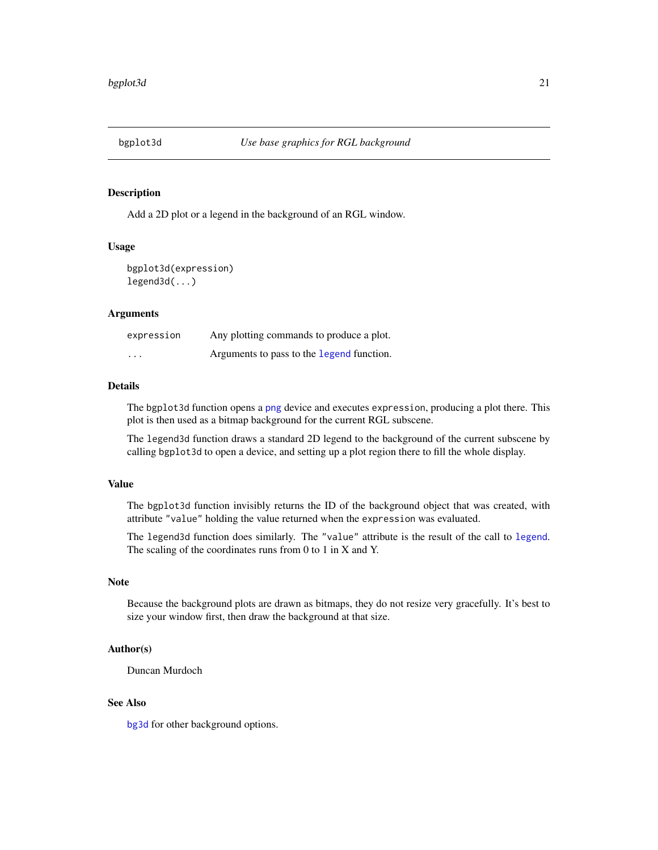<span id="page-20-1"></span><span id="page-20-0"></span>

Add a 2D plot or a legend in the background of an RGL window.

#### Usage

```
bgplot3d(expression)
legend3d(...)
```
#### Arguments

| expression | Any plotting commands to produce a plot.  |
|------------|-------------------------------------------|
| $\cdots$   | Arguments to pass to the legend function. |

# Details

The bgplot3d function opens a [png](#page-0-0) device and executes expression, producing a plot there. This plot is then used as a bitmap background for the current RGL subscene.

The legend3d function draws a standard 2D legend to the background of the current subscene by calling bgplot3d to open a device, and setting up a plot region there to fill the whole display.

#### Value

The bgplot3d function invisibly returns the ID of the background object that was created, with attribute "value" holding the value returned when the expression was evaluated.

The legend3d function does similarly. The "value" attribute is the result of the call to [legend](#page-0-0). The scaling of the coordinates runs from 0 to 1 in X and Y.

#### Note

Because the background plots are drawn as bitmaps, they do not resize very gracefully. It's best to size your window first, then draw the background at that size.

# Author(s)

Duncan Murdoch

# See Also

[bg3d](#page-18-1) for other background options.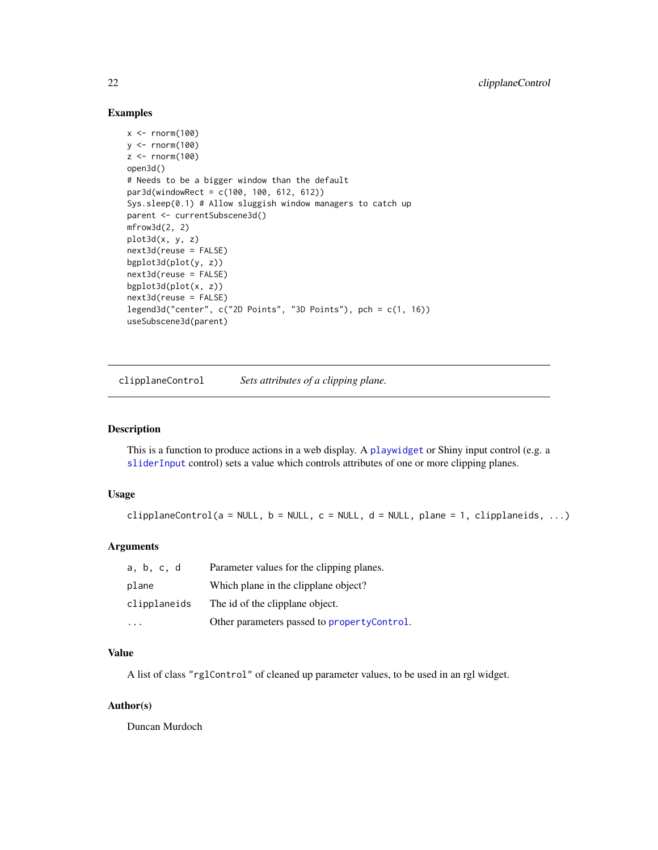# Examples

```
x \le - rnorm(100)y \le - rnorm(100)z \le rnorm(100)
open3d()
# Needs to be a bigger window than the default
par3d(windowRect = c(100, 100, 612, 612))
Sys.sleep(0.1) # Allow sluggish window managers to catch up
parent <- currentSubscene3d()
mfrow3d(2, 2)
plot3d(x, y, z)
next3d(reuse = FALSE)
bgplot3d(plot(y, z))
next3d(reuse = FALSE)
bgplot3d(plot(x, z))
next3d(reuse = FALSE)
legend3d("center", c("2D Points", "3D Points"), pch = c(1, 16))
useSubscene3d(parent)
```
clipplaneControl *Sets attributes of a clipping plane.*

# Description

This is a function to produce actions in a web display. A [playwidget](#page-63-1) or Shiny input control (e.g. a [sliderInput](#page-0-0) control) sets a value which controls attributes of one or more clipping planes.

#### Usage

 $clipplaneControl(a = NULL, b = NULL, c = NULL, d = NULL, plane = 1, clipplaneids, ...)$ 

# Arguments

| a, b, c, d   | Parameter values for the clipping planes.   |
|--------------|---------------------------------------------|
| plane        | Which plane in the clipplane object?        |
| clipplaneids | The id of the clipplane object.             |
|              | Other parameters passed to propertyControl. |

#### Value

A list of class "rglControl" of cleaned up parameter values, to be used in an rgl widget.

#### Author(s)

Duncan Murdoch

<span id="page-21-0"></span>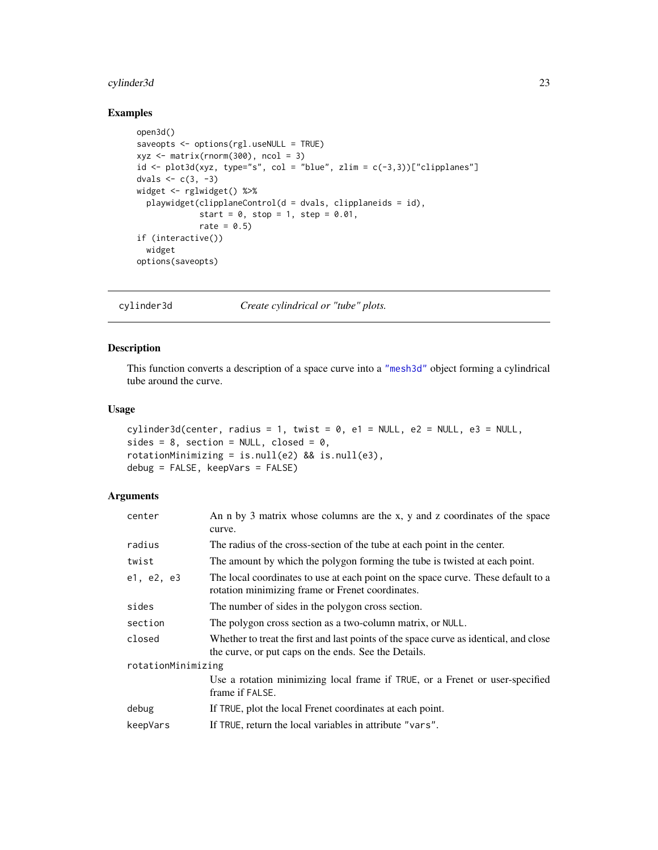# <span id="page-22-0"></span>cylinder3d 23

# Examples

```
open3d()
saveopts <- options(rgl.useNULL = TRUE)
xyz \le matrix(rnorm(300), ncol = 3)
id \leftarrow plot3d(xyz, type="s", col = "blue", zlim = c(-3,3))["clipplanes"]dvals <-c(3, -3)widget <- rglwidget() %>%
 playwidget(clipplaneControl(d = dvals, clipplaneids = id),
             start = 0, stop = 1, step = 0.01,
             rate = 0.5)
if (interactive())
 widget
options(saveopts)
```
cylinder3d *Create cylindrical or "tube" plots.*

# Description

This function converts a description of a space curve into a ["mesh3d"](#page-36-2) object forming a cylindrical tube around the curve.

# Usage

```
cylinder3d(center, radius = 1, twist = 0, el = NULL, e2 = NULL, e3 = NULL,sides = 8, section = NULL, closed = 0,
rotationMinimizing = is.null(e2) && is.null(e3),
debug = FALSE, keepVars = FALSE)
```

| center             | An n by 3 matrix whose columns are the x, y and z coordinates of the space<br>curve.                                                          |  |
|--------------------|-----------------------------------------------------------------------------------------------------------------------------------------------|--|
| radius             | The radius of the cross-section of the tube at each point in the center.                                                                      |  |
| twist              | The amount by which the polygon forming the tube is twisted at each point.                                                                    |  |
| e1, e2, e3         | The local coordinates to use at each point on the space curve. These default to a<br>rotation minimizing frame or Frenet coordinates.         |  |
| sides              | The number of sides in the polygon cross section.                                                                                             |  |
| section            | The polygon cross section as a two-column matrix, or NULL.                                                                                    |  |
| closed             | Whether to treat the first and last points of the space curve as identical, and close<br>the curve, or put caps on the ends. See the Details. |  |
| rotationMinimizing |                                                                                                                                               |  |
|                    | Use a rotation minimizing local frame if TRUE, or a Frenet or user-specified<br>frame if FALSE.                                               |  |
| debug              | If TRUE, plot the local Frenet coordinates at each point.                                                                                     |  |
| keepVars           | If TRUE, return the local variables in attribute "vars".                                                                                      |  |
|                    |                                                                                                                                               |  |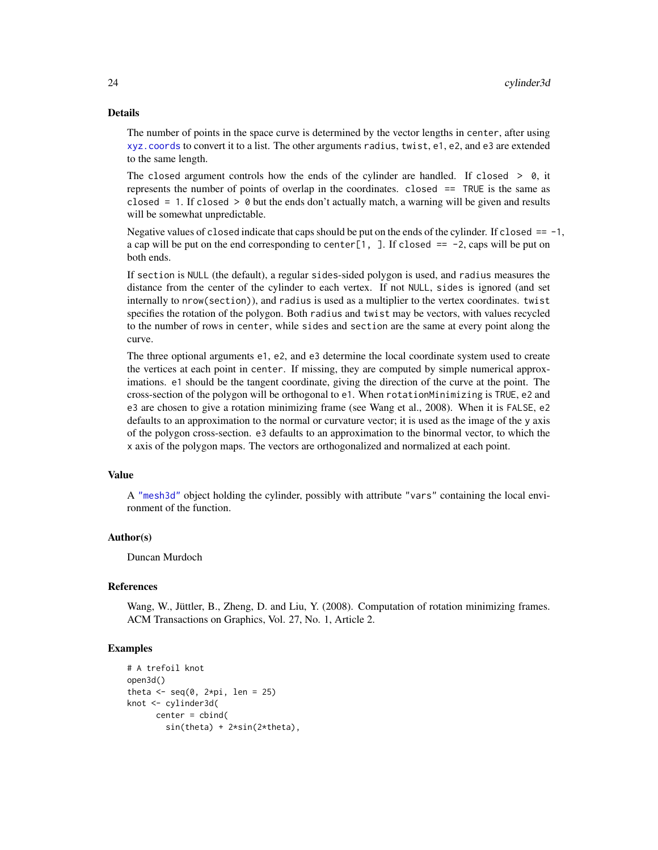#### Details

The number of points in the space curve is determined by the vector lengths in center, after using [xyz.coords](#page-0-0) to convert it to a list. The other arguments radius, twist, e1, e2, and e3 are extended to the same length.

The closed argument controls how the ends of the cylinder are handled. If closed  $> 0$ , it represents the number of points of overlap in the coordinates. closed == TRUE is the same as closed  $= 1$ . If closed  $> 0$  but the ends don't actually match, a warning will be given and results will be somewhat unpredictable.

Negative values of closed indicate that caps should be put on the ends of the cylinder. If closed  $=$  -1, a cap will be put on the end corresponding to center $[1, ]$ . If closed  $== -2$ , caps will be put on both ends.

If section is NULL (the default), a regular sides-sided polygon is used, and radius measures the distance from the center of the cylinder to each vertex. If not NULL, sides is ignored (and set internally to nrow(section)), and radius is used as a multiplier to the vertex coordinates. twist specifies the rotation of the polygon. Both radius and twist may be vectors, with values recycled to the number of rows in center, while sides and section are the same at every point along the curve.

The three optional arguments e1, e2, and e3 determine the local coordinate system used to create the vertices at each point in center. If missing, they are computed by simple numerical approximations. e1 should be the tangent coordinate, giving the direction of the curve at the point. The cross-section of the polygon will be orthogonal to e1. When rotationMinimizing is TRUE, e2 and e3 are chosen to give a rotation minimizing frame (see Wang et al., 2008). When it is FALSE, e2 defaults to an approximation to the normal or curvature vector; it is used as the image of the y axis of the polygon cross-section. e3 defaults to an approximation to the binormal vector, to which the x axis of the polygon maps. The vectors are orthogonalized and normalized at each point.

#### Value

A ["mesh3d"](#page-36-2) object holding the cylinder, possibly with attribute "vars" containing the local environment of the function.

#### Author(s)

Duncan Murdoch

#### References

Wang, W., Jüttler, B., Zheng, D. and Liu, Y. (2008). Computation of rotation minimizing frames. ACM Transactions on Graphics, Vol. 27, No. 1, Article 2.

```
# A trefoil knot
open3d()
theta \leq seq(0, 2*pi, len = 25)
knot <- cylinder3d(
      center = cbind(
        sin(theta) + 2*sin(2*theta),
```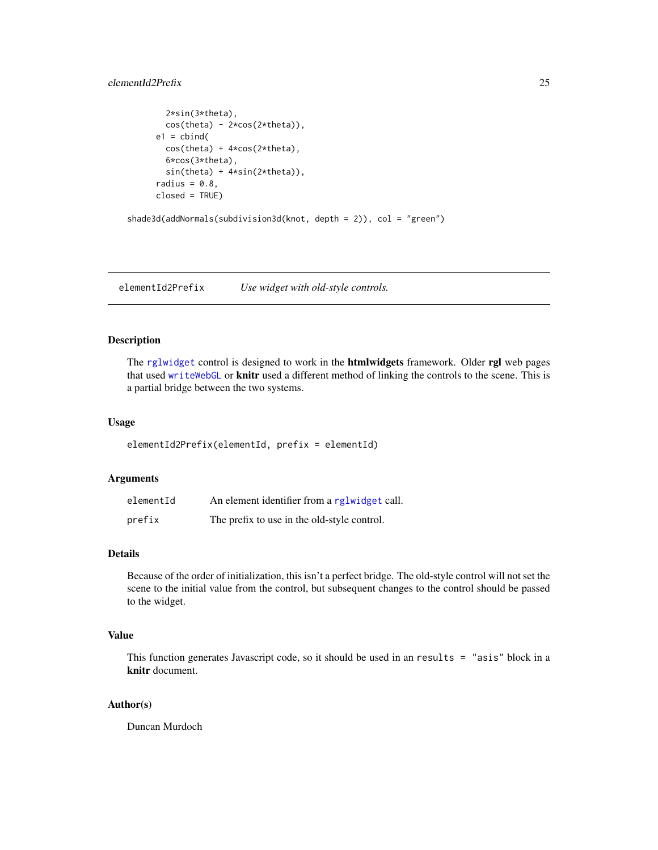# <span id="page-24-0"></span>elementId2Prefix 25

```
2*sin(3*theta),
        cos(theta) - 2*cos(2*theta),e1 = \text{cbind}(
        cos(theta) + 4*cos(2*theta),
        6*cos(3*theta),
        sin(theta) + 4*sin(2*theta)),
      radius = 0.8,
      closed = TRUE)
shade3d(addNormals(subdivision3d(knot, depth = 2)), col = "green")
```
elementId2Prefix *Use widget with old-style controls.*

#### Description

The [rglwidget](#page-110-1) control is designed to work in the **htmlwidgets** framework. Older rgl web pages that used [writeWebGL](#page-158-1) or knitr used a different method of linking the controls to the scene. This is a partial bridge between the two systems.

#### Usage

elementId2Prefix(elementId, prefix = elementId)

# Arguments

| elementId | An element identifier from a rglwidget call. |
|-----------|----------------------------------------------|
| prefix    | The prefix to use in the old-style control.  |

# Details

Because of the order of initialization, this isn't a perfect bridge. The old-style control will not set the scene to the initial value from the control, but subsequent changes to the control should be passed to the widget.

# Value

This function generates Javascript code, so it should be used in an results = "asis" block in a knitr document.

#### Author(s)

Duncan Murdoch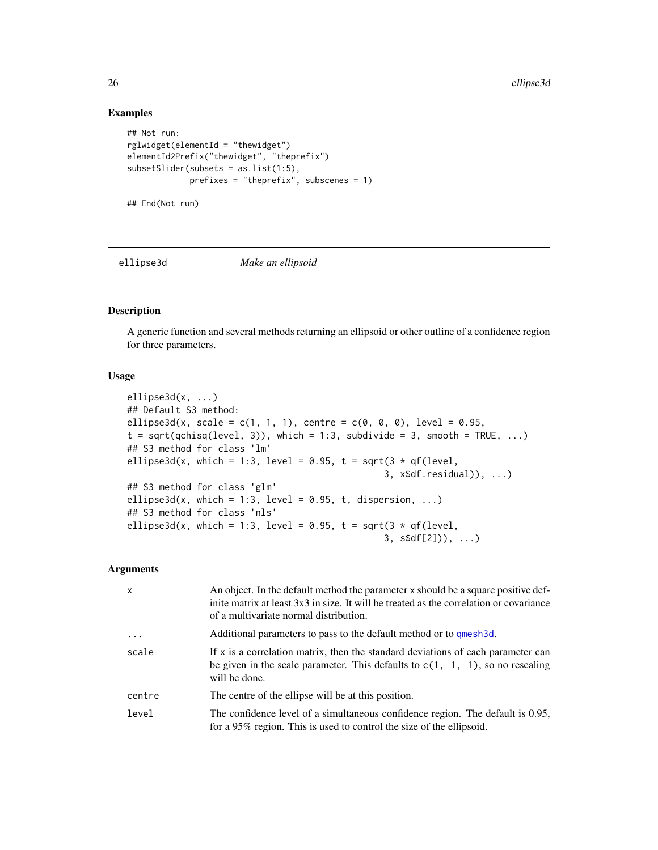#### Examples

```
## Not run:
rglwiget(elementId = "thewiget")elementId2Prefix("thewidget", "theprefix")
subsetSlider(subsets = as.list(1:5),
             prefixes = "theprefix", subscenes = 1)
## End(Not run)
```
ellipse3d *Make an ellipsoid*

# Description

A generic function and several methods returning an ellipsoid or other outline of a confidence region for three parameters.

#### Usage

```
ellipse3d(x, ...)
## Default S3 method:
ellipse3d(x, scale = c(1, 1, 1), centre = c(0, 0, 0), level = 0.95,
t = sqrt(qchisq(level, 3)), which = 1:3, subdivide = 3, smooth = TRUE, ...)
## S3 method for class 'lm'
ellipse3d(x, which = 1:3, level = 0.95, t = sqrt(3 * qf(level,
                                                3, x$df.residual)), ...)
## S3 method for class 'glm'
ellipse3d(x, which = 1:3, level = 0.95, t, dispersion, ...)
## S3 method for class 'nls'
ellipse3d(x, which = 1:3, level = 0.95, t = sqrt(3 * qf(level,
                                                3, s$df[2])), ...)
```

| $\mathsf{x}$ | An object. In the default method the parameter x should be a square positive def-<br>inite matrix at least 3x3 in size. It will be treated as the correlation or covariance<br>of a multivariate normal distribution. |
|--------------|-----------------------------------------------------------------------------------------------------------------------------------------------------------------------------------------------------------------------|
| $\ddots$ .   | Additional parameters to pass to the default method or to qmesh3d.                                                                                                                                                    |
| scale        | If $x$ is a correlation matrix, then the standard deviations of each parameter can<br>be given in the scale parameter. This defaults to $c(1, 1, 1)$ , so no rescaling<br>will be done.                               |
| centre       | The centre of the ellipse will be at this position.                                                                                                                                                                   |
| level        | The confidence level of a simultaneous confidence region. The default is 0.95,<br>for a 95% region. This is used to control the size of the ellipsoid.                                                                |

<span id="page-25-0"></span>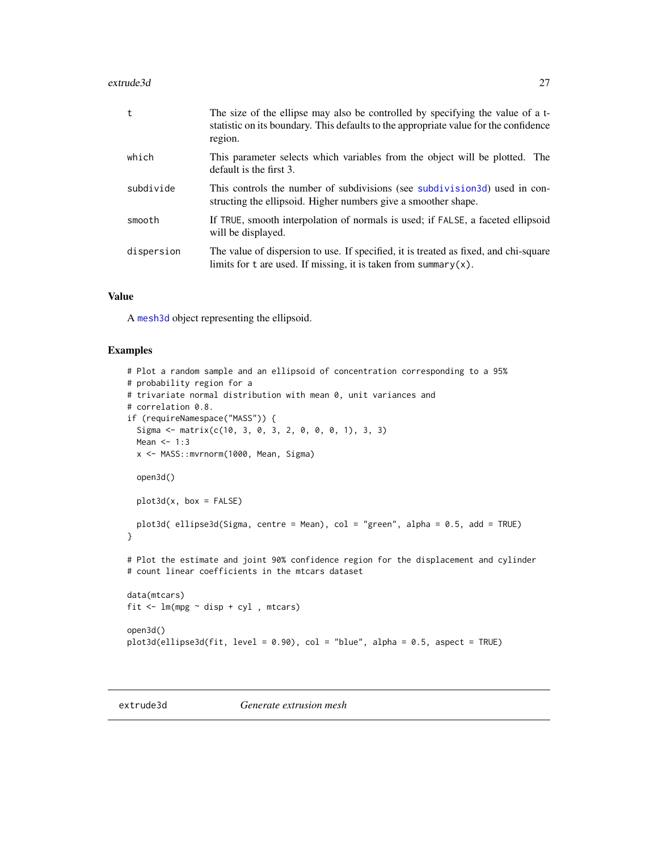#### <span id="page-26-0"></span>extrude3d 27

| t          | The size of the ellipse may also be controlled by specifying the value of a t-<br>statistic on its boundary. This defaults to the appropriate value for the confidence<br>region. |
|------------|-----------------------------------------------------------------------------------------------------------------------------------------------------------------------------------|
| which      | This parameter selects which variables from the object will be plotted. The<br>default is the first 3.                                                                            |
| subdivide  | This controls the number of subdivisions (see subdivision 3d) used in con-<br>structing the ellipsoid. Higher numbers give a smoother shape.                                      |
| smooth     | If TRUE, smooth interpolation of normals is used; if FALSE, a faceted ellipsoid<br>will be displayed.                                                                             |
| dispersion | The value of dispersion to use. If specified, it is treated as fixed, and chi-square<br>limits for t are used. If missing, it is taken from summary $(x)$ .                       |

#### Value

A [mesh3d](#page-36-2) object representing the ellipsoid.

```
# Plot a random sample and an ellipsoid of concentration corresponding to a 95%
# probability region for a
# trivariate normal distribution with mean 0, unit variances and
# correlation 0.8.
if (requireNamespace("MASS")) {
 Sigma <- matrix(c(10, 3, 0, 3, 2, 0, 0, 0, 1), 3, 3)
 Mean <-1:3x <- MASS::mvrnorm(1000, Mean, Sigma)
 open3d()
 plot3d(x, box = FALSE)plot3d( ellipse3d(Sigma, centre = Mean), col = "green", alpha = 0.5, add = TRUE)
}
# Plot the estimate and joint 90% confidence region for the displacement and cylinder
# count linear coefficients in the mtcars dataset
data(mtcars)
fit <- lm(mpg ~ disp + cyl , mtcars)
open3d()
plot3d(ellipse3d(fit, level = 0.90), col = "blue", alpha = 0.5, aspect = TRUE)
```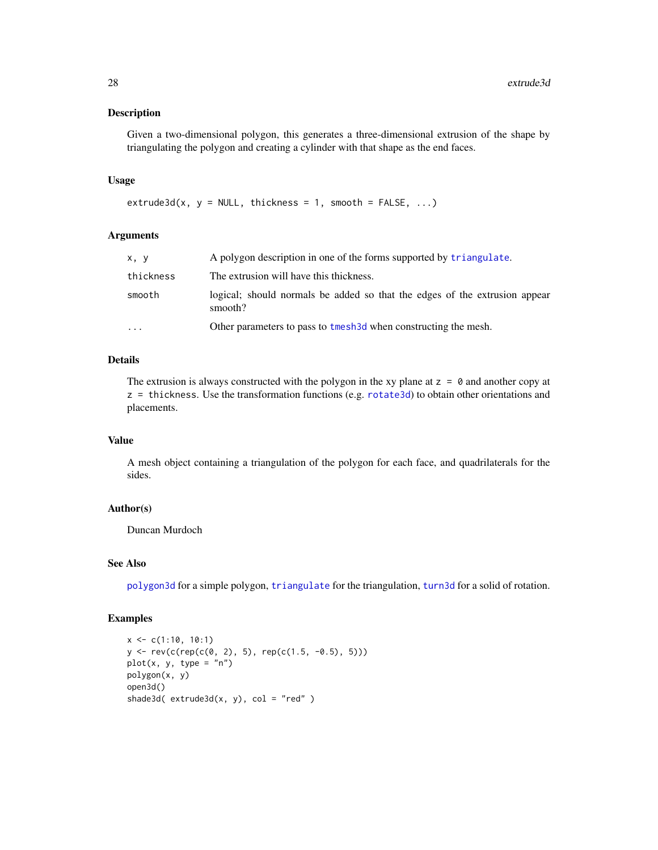Given a two-dimensional polygon, this generates a three-dimensional extrusion of the shape by triangulating the polygon and creating a cylinder with that shape as the end faces.

#### Usage

 $extrude3d(x, y = NULL, thickness = 1, smooth = FALSE, ...)$ 

# Arguments

| x, y      | A polygon description in one of the forms supported by triangulate.                  |
|-----------|--------------------------------------------------------------------------------------|
| thickness | The extrusion will have this thickness.                                              |
| smooth    | logical; should normal be added so that the edges of the extrusion appear<br>smooth? |
| $\ddotsc$ | Other parameters to pass to tmesh 3d when constructing the mesh.                     |

# Details

The extrusion is always constructed with the polygon in the xy plane at  $z = 0$  and another copy at z = thickness. Use the transformation functions (e.g. [rotate3d](#page-34-1)) to obtain other orientations and placements.

# Value

A mesh object containing a triangulation of the polygon for each face, and quadrilaterals for the sides.

# Author(s)

Duncan Murdoch

#### See Also

[polygon3d](#page-74-1) for a simple polygon, [triangulate](#page-145-1) for the triangulation, [turn3d](#page-147-1) for a solid of rotation.

```
x \leq -c(1:10, 10:1)y <- rev(c(rep(c(0, 2), 5), rep(c(1.5, -0.5), 5)))
plot(x, y, type = "n")
polygon(x, y)
open3d()
shade3d(ext{extended}(x, y), col = "red" )
```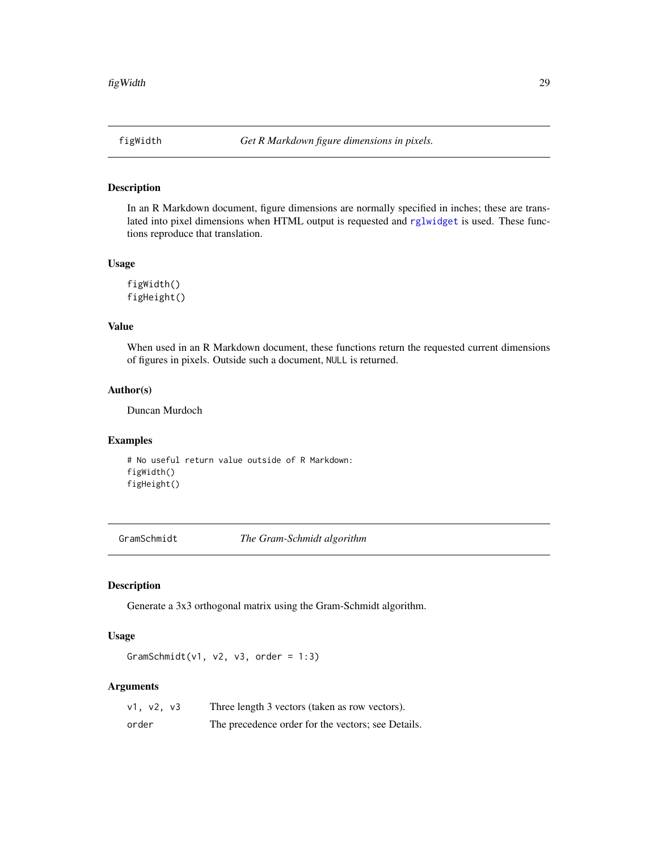<span id="page-28-0"></span>

In an R Markdown document, figure dimensions are normally specified in inches; these are translated into pixel dimensions when HTML output is requested and [rglwidget](#page-110-1) is used. These functions reproduce that translation.

#### Usage

figWidth() figHeight()

# Value

When used in an R Markdown document, these functions return the requested current dimensions of figures in pixels. Outside such a document, NULL is returned.

#### Author(s)

Duncan Murdoch

#### Examples

# No useful return value outside of R Markdown: figWidth() figHeight()

GramSchmidt *The Gram-Schmidt algorithm*

# Description

Generate a 3x3 orthogonal matrix using the Gram-Schmidt algorithm.

### Usage

GramSchmidt(v1, v2, v3, order =  $1:3$ )

| v1, v2, v3 | Three length 3 vectors (taken as row vectors).     |
|------------|----------------------------------------------------|
| order      | The precedence order for the vectors; see Details. |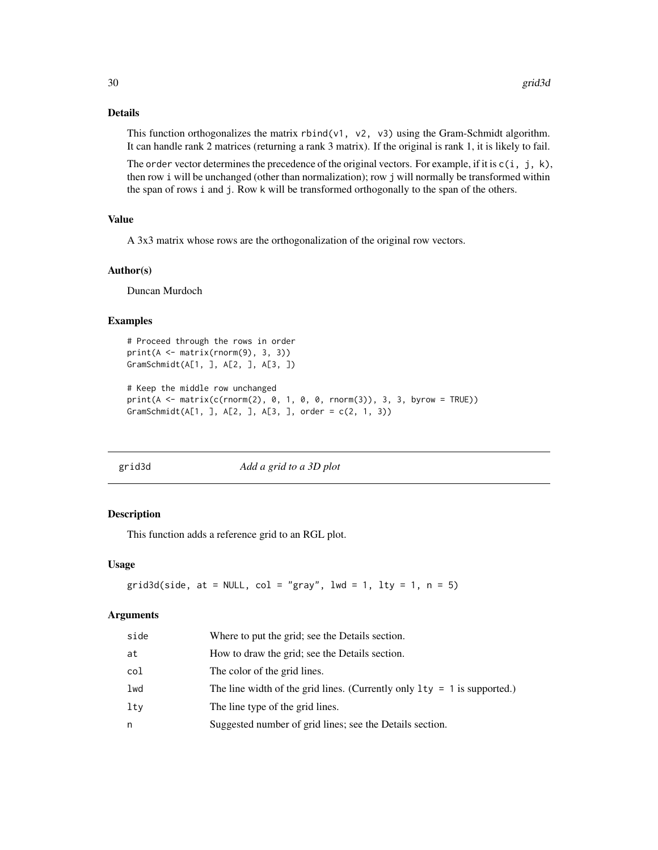# Details

This function orthogonalizes the matrix rbind(v1, v2, v3) using the Gram-Schmidt algorithm. It can handle rank 2 matrices (returning a rank 3 matrix). If the original is rank 1, it is likely to fail.

The order vector determines the precedence of the original vectors. For example, if it is  $c(i, j, k)$ , then row i will be unchanged (other than normalization); row j will normally be transformed within the span of rows i and j. Row k will be transformed orthogonally to the span of the others.

# Value

A 3x3 matrix whose rows are the orthogonalization of the original row vectors.

#### Author(s)

Duncan Murdoch

#### Examples

```
# Proceed through the rows in order
print(A <- matrix(rnorm(9), 3, 3))
GramSchmidt(A[1, ], A[2, ], A[3, ])
# Keep the middle row unchanged
print(A \leq matrix(c(rnorm(2), 0, 1, 0, 0, rnorm(3)), 3, 3, byrow = TRUE))GramSchmidt(A[1, ], A[2, ], A[3, ], order = c(2, 1, 3))
```
grid3d *Add a grid to a 3D plot*

#### Description

This function adds a reference grid to an RGL plot.

#### Usage

```
grid3d(side, at = NULL, col = "gray", lwd = 1, lty = 1, n = 5)
```

| side | Where to put the grid; see the Details section.                            |
|------|----------------------------------------------------------------------------|
| at   | How to draw the grid; see the Details section.                             |
| col  | The color of the grid lines.                                               |
| lwd  | The line width of the grid lines. (Currently only $1ty = 1$ is supported.) |
| ltv  | The line type of the grid lines.                                           |
| n    | Suggested number of grid lines; see the Details section.                   |
|      |                                                                            |

<span id="page-29-0"></span>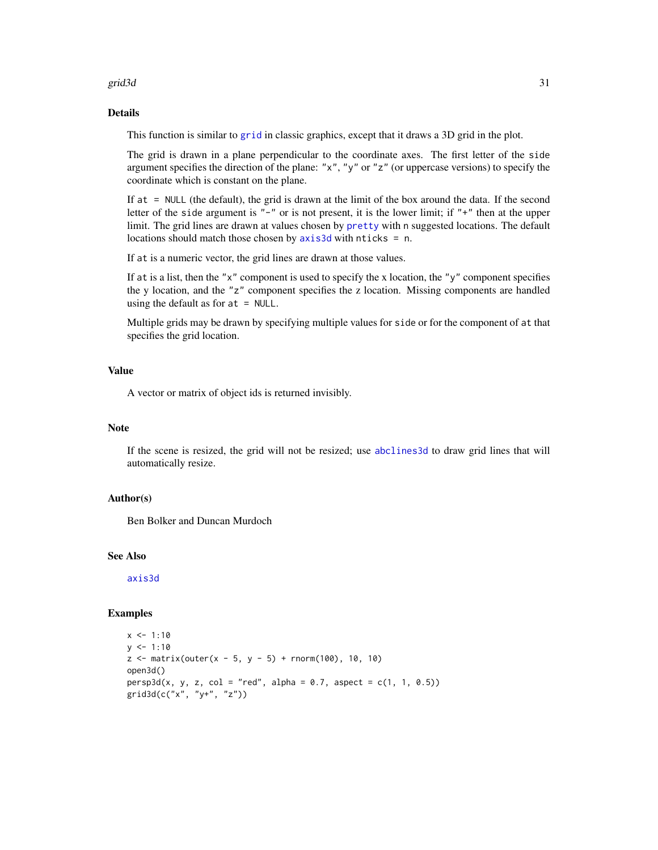#### grid3d 31 and 32 and 32 and 33 and 33 and 33 and 33 and 33 and 33 and 33 and 34 and 34 and 35 and 35 and 36 and 36 and 36 and 36 and 36 and 36 and 36 and 36 and 36 and 36 and 36 and 36 and 36 and 36 and 36 and 36 and 36 an

# Details

This function is similar to [grid](#page-0-0) in classic graphics, except that it draws a 3D grid in the plot.

The grid is drawn in a plane perpendicular to the coordinate axes. The first letter of the side argument specifies the direction of the plane: "x", "y" or "z" (or uppercase versions) to specify the coordinate which is constant on the plane.

If at = NULL (the default), the grid is drawn at the limit of the box around the data. If the second letter of the side argument is "-" or is not present, it is the lower limit; if "+" then at the upper limit. The grid lines are drawn at values chosen by [pretty](#page-0-0) with n suggested locations. The default locations should match those chosen by [axis3d](#page-16-1) with nticks = n.

If at is a numeric vector, the grid lines are drawn at those values.

If at is a list, then the " $x$ " component is used to specify the x location, the " $y$ " component specifies the y location, and the "z" component specifies the z location. Missing components are handled using the default as for  $at = NULL$ .

Multiple grids may be drawn by specifying multiple values for side or for the component of at that specifies the grid location.

# Value

A vector or matrix of object ids is returned invisibly.

#### **Note**

If the scene is resized, the grid will not be resized; use [abclines3d](#page-4-1) to draw grid lines that will automatically resize.

#### Author(s)

Ben Bolker and Duncan Murdoch

#### See Also

[axis3d](#page-16-1)

```
x \le -1:10y \le -1:10z \le matrix(outer(x - 5, y - 5) + rnorm(100), 10, 10)
open3d()
persp3d(x, y, z, col = "red", alpha = 0.7, aspect = c(1, 1, 0.5))grid3d(c("x", "y+", "z"))
```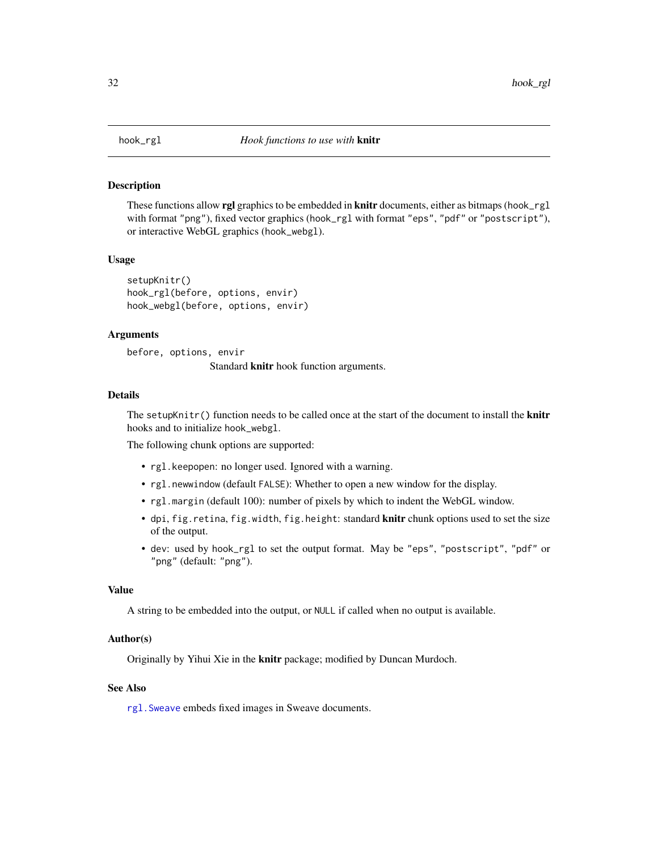These functions allow rgl graphics to be embedded in knitr documents, either as bitmaps (hook\_rgl with format "png"), fixed vector graphics (hook\_rgl with format "eps", "pdf" or "postscript"), or interactive WebGL graphics (hook\_webgl).

#### Usage

```
setupKnitr()
hook_rgl(before, options, envir)
hook_webgl(before, options, envir)
```
#### Arguments

before, options, envir Standard knitr hook function arguments.

# Details

The setupKnitr() function needs to be called once at the start of the document to install the **knitr** hooks and to initialize hook\_webgl.

The following chunk options are supported:

- rgl.keepopen: no longer used. Ignored with a warning.
- rgl.newwindow (default FALSE): Whether to open a new window for the display.
- rgl.margin (default 100): number of pixels by which to indent the WebGL window.
- dpi, fig.retina, fig.width, fig.height: standard knitr chunk options used to set the size of the output.
- dev: used by hook\_rgl to set the output format. May be "eps", "postscript", "pdf" or "png" (default: "png").

# Value

A string to be embedded into the output, or NULL if called when no output is available.

# Author(s)

Originally by Yihui Xie in the knitr package; modified by Duncan Murdoch.

# See Also

[rgl.Sweave](#page-101-1) embeds fixed images in Sweave documents.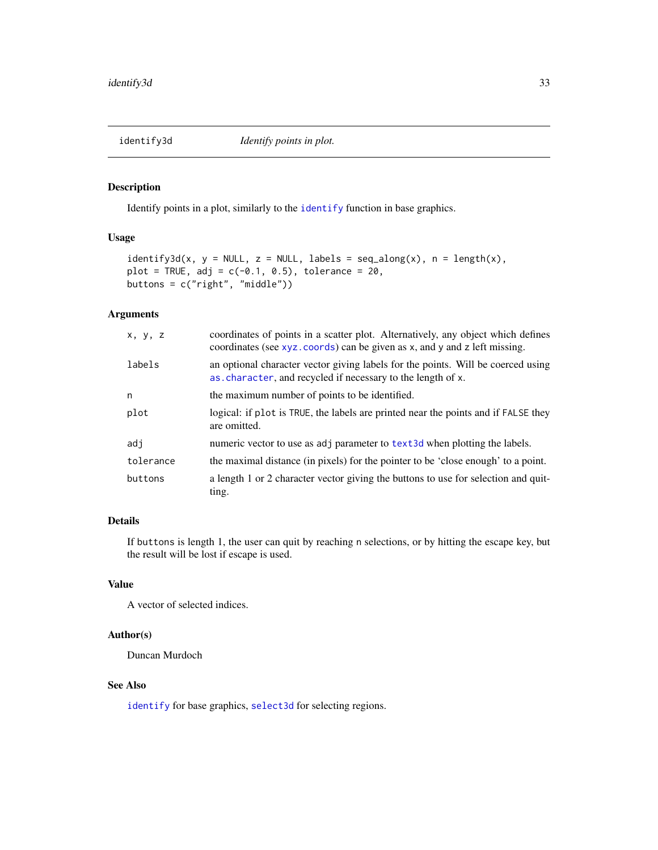<span id="page-32-0"></span>

Identify points in a plot, similarly to the [identify](#page-0-0) function in base graphics.

# Usage

```
identity3d(x, y = NULL, z = NULL, labels = seq_along(x), n = length(x),plot = TRUE, adj = c(-0.1, 0.5), tolerance = 20,
buttons = c("right", "middle"))
```
# Arguments

| X, Y, Z   | coordinates of points in a scatter plot. Alternatively, any object which defines<br>coordinates (see xyz. coords) can be given as x, and y and z left missing. |
|-----------|----------------------------------------------------------------------------------------------------------------------------------------------------------------|
| labels    | an optional character vector giving labels for the points. Will be coerced using<br>as.character, and recycled if necessary to the length of x.                |
| n         | the maximum number of points to be identified.                                                                                                                 |
| plot      | logical: if plot is TRUE, the labels are printed near the points and if FALSE they<br>are omitted.                                                             |
| adi       | numeric vector to use as adj parameter to text3d when plotting the labels.                                                                                     |
| tolerance | the maximal distance (in pixels) for the pointer to be 'close enough' to a point.                                                                              |
| buttons   | a length 1 or 2 character vector giving the buttons to use for selection and quit-<br>ting.                                                                    |

# Details

If buttons is length 1, the user can quit by reaching n selections, or by hitting the escape key, but the result will be lost if escape is used.

# Value

A vector of selected indices.

#### Author(s)

Duncan Murdoch

# See Also

[identify](#page-0-0) for base graphics, [select3d](#page-118-1) for selecting regions.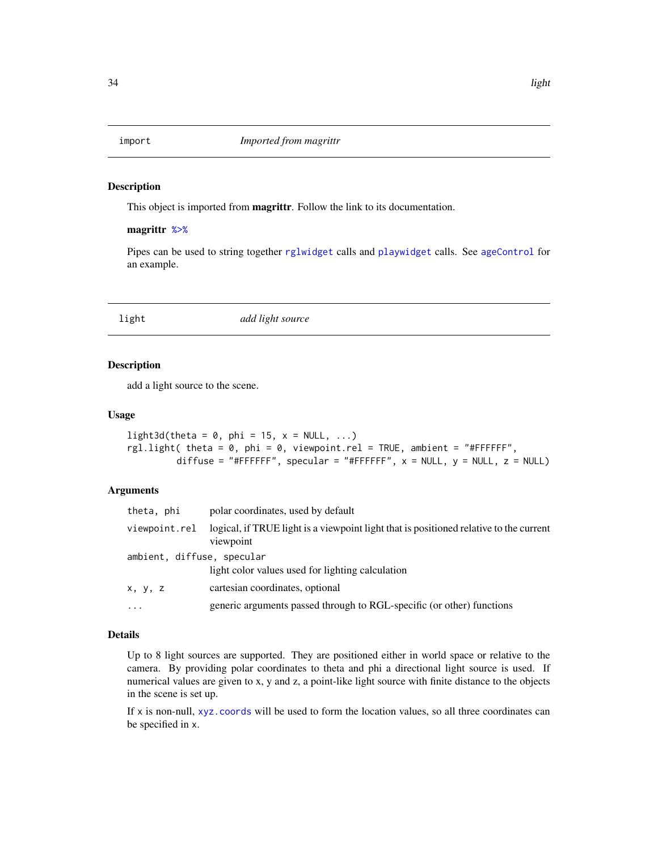<span id="page-33-1"></span><span id="page-33-0"></span>

This object is imported from magrittr. Follow the link to its documentation.

#### magrittr [%>%](#page-33-1)

Pipes can be used to string together [rglwidget](#page-110-1) calls and [playwidget](#page-63-1) calls. See [ageControl](#page-6-1) for an example.

light *add light source*

#### Description

add a light source to the scene.

#### Usage

```
light3d(theta = 0, phi = 15, x = NULL, ...)
rgl.light( theta = 0, phi = 0, viewpoint.rel = TRUE, ambient = "#FFFFFF",
         diffuse = "#FFFFFF", specular = "#FFFFFF", x = NULL, y = NULL, z = NULL)
```
# Arguments

| theta, phi                 | polar coordinates, used by default                                                                  |
|----------------------------|-----------------------------------------------------------------------------------------------------|
| viewpoint.rel              | logical, if TRUE light is a viewpoint light that is positioned relative to the current<br>viewpoint |
| ambient, diffuse, specular | light color values used for lighting calculation                                                    |
| x, y, z                    | cartesian coordinates, optional                                                                     |
| $\cdots$                   | generic arguments passed through to RGL-specific (or other) functions                               |

#### Details

Up to 8 light sources are supported. They are positioned either in world space or relative to the camera. By providing polar coordinates to theta and phi a directional light source is used. If numerical values are given to x, y and z, a point-like light source with finite distance to the objects in the scene is set up.

If  $x$  is non-null,  $xyz$  coords will be used to form the location values, so all three coordinates can be specified in x.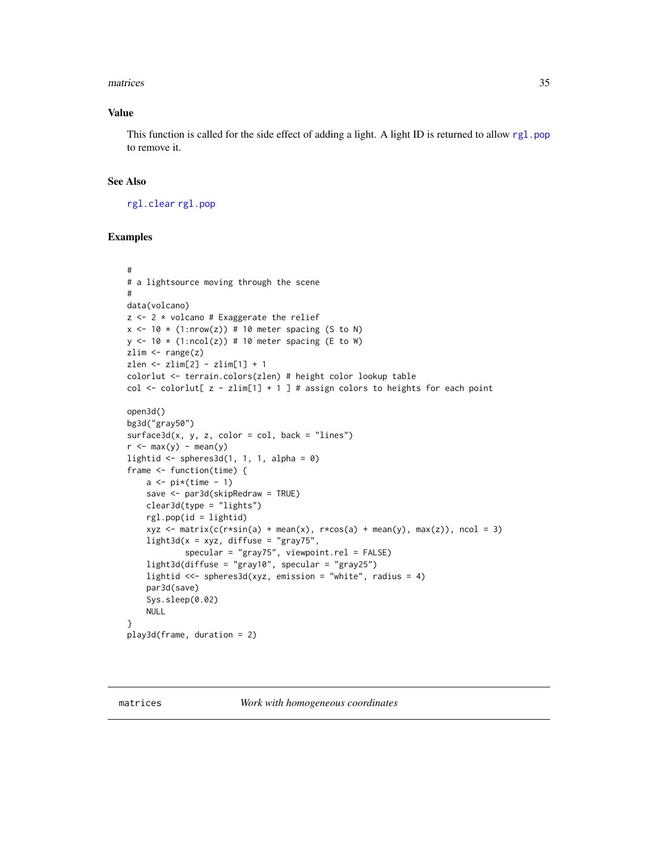#### <span id="page-34-0"></span>matrices 35

# Value

This function is called for the side effect of adding a light. A light ID is returned to allow [rgl.pop](#page-113-1) to remove it.

#### See Also

[rgl.clear](#page-113-1) [rgl.pop](#page-113-1)

```
#
# a lightsource moving through the scene
#
data(volcano)
z \le -2 * volcano # Exaggerate the relief
x \le -10 \times (1: nrow(z)) # 10 meter spacing (S to N)
y \leftarrow 10 \times (1:\text{ncol}(z)) # 10 meter spacing (E to W)
zlim \leftarrow range(z)zlen <- zlim[2] - zlim[1] + 1
colorlut <- terrain.colors(zlen) # height color lookup table
col \le colorlut[ z - zlim[1] + 1 ] # assign colors to heights for each point
open3d()
bg3d("gray50")
surface3d(x, y, z, color = col, back = "lines")r <- max(y) - mean(y)lightid \leq spheres3d(1, 1, 1, alpha = 0)
frame <- function(time) {
    a \leftarrow pi*(time - 1)save <- par3d(skipRedraw = TRUE)
    clear3d(type = "lights")
    rgl.pop(id = lightid)
    xyz \le matrix(c(r*sin(a) + mean(x), r*cos(a) + mean(y), max(z)), ncol = 3)
    light3d(x = xyz, diffuse = "gray75",specular = "gray75", viewpoint.rel = FALSE)
    light3d(diffuse = "gray10", specular = "gray25")
    lightid <<- spheres3d(xyz, emission = "white", radius = 4)
    par3d(save)
    Sys.sleep(0.02)
    NULL
}
play3d(frame, duration = 2)
```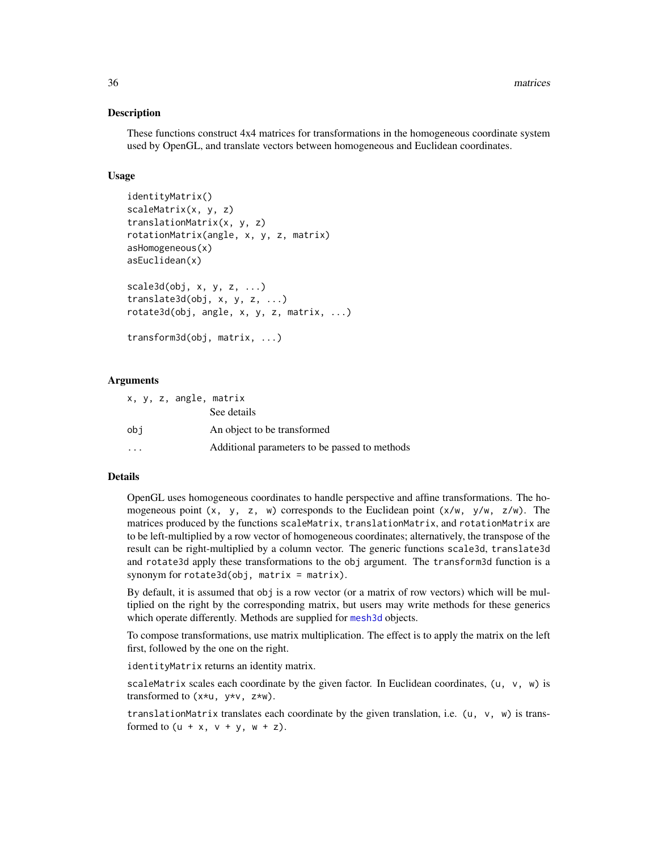These functions construct 4x4 matrices for transformations in the homogeneous coordinate system used by OpenGL, and translate vectors between homogeneous and Euclidean coordinates.

#### Usage

```
identityMatrix()
scaleMatrix(x, y, z)
translationMatrix(x, y, z)
rotationMatrix(angle, x, y, z, matrix)
asHomogeneous(x)
asEuclidean(x)
scale3d(obj, x, y, z, ...)translate3d(obj, x, y, z, ...)
rotate3d(obj, angle, x, y, z, matrix, ...)
transform3d(obj, matrix, ...)
```
#### Arguments

| x, y, z, angle, matrix  |                                               |
|-------------------------|-----------------------------------------------|
|                         | See details                                   |
| obi                     | An object to be transformed                   |
| $\cdot$ $\cdot$ $\cdot$ | Additional parameters to be passed to methods |

# Details

OpenGL uses homogeneous coordinates to handle perspective and affine transformations. The homogeneous point  $(x, y, z, w)$  corresponds to the Euclidean point  $(x/w, y/w, z/w)$ . The matrices produced by the functions scaleMatrix, translationMatrix, and rotationMatrix are to be left-multiplied by a row vector of homogeneous coordinates; alternatively, the transpose of the result can be right-multiplied by a column vector. The generic functions scale3d, translate3d and rotate3d apply these transformations to the obj argument. The transform3d function is a synonym for  $rotate3d(obj, matrix = matrix)$ .

By default, it is assumed that obj is a row vector (or a matrix of row vectors) which will be multiplied on the right by the corresponding matrix, but users may write methods for these generics which operate differently. Methods are supplied for [mesh3d](#page-36-2) objects.

To compose transformations, use matrix multiplication. The effect is to apply the matrix on the left first, followed by the one on the right.

identityMatrix returns an identity matrix.

scaleMatrix scales each coordinate by the given factor. In Euclidean coordinates,  $(u, v, w)$  is transformed to  $(x*u, y*v, z*w)$ .

translationMatrix translates each coordinate by the given translation, i.e.  $(u, v, w)$  is transformed to  $(u + x, v + y, w + z)$ .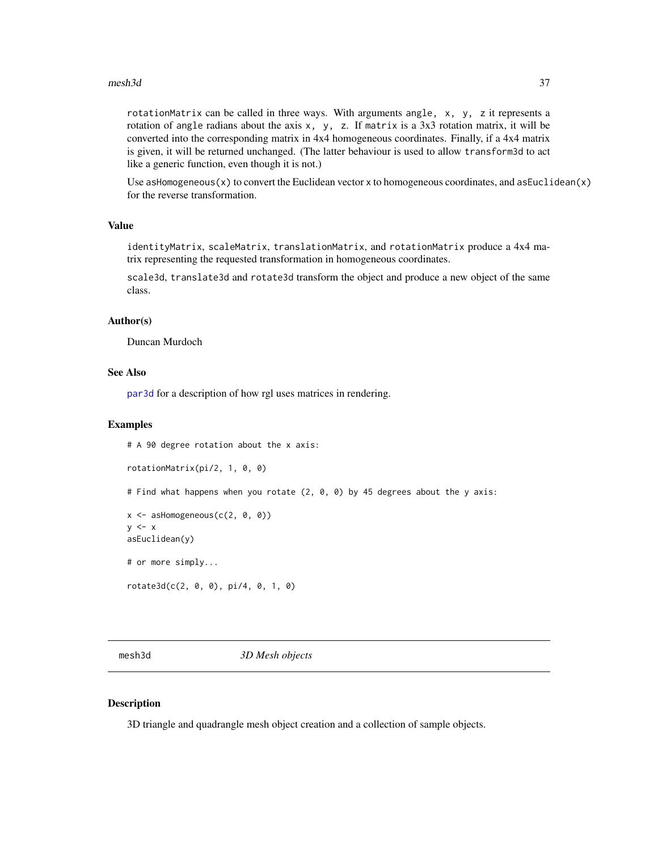#### $mesh3d$  37

rotationMatrix can be called in three ways. With arguments angle, x, y, z it represents a rotation of angle radians about the axis  $x$ ,  $y$ , z. If matrix is a 3x3 rotation matrix, it will be converted into the corresponding matrix in 4x4 homogeneous coordinates. Finally, if a 4x4 matrix is given, it will be returned unchanged. (The latter behaviour is used to allow transform3d to act like a generic function, even though it is not.)

Use as Homogeneous $(x)$  to convert the Euclidean vector x to homogeneous coordinates, and as Euclidean $(x)$ for the reverse transformation.

## Value

identityMatrix, scaleMatrix, translationMatrix, and rotationMatrix produce a 4x4 matrix representing the requested transformation in homogeneous coordinates.

scale3d, translate3d and rotate3d transform the object and produce a new object of the same class.

#### Author(s)

Duncan Murdoch

# See Also

[par3d](#page-42-0) for a description of how rgl uses matrices in rendering.

### Examples

# A 90 degree rotation about the x axis:

```
rotationMatrix(pi/2, 1, 0, 0)
```
# Find what happens when you rotate (2, 0, 0) by 45 degrees about the y axis:

```
x \le - asHomogeneous(c(2, 0, 0))
y \leq -xasEuclidean(y)
# or more simply...
```

```
rotate3d(c(2, 0, 0), pi/4, 0, 1, 0)
```
<span id="page-36-0"></span>mesh3d *3D Mesh objects*

# <span id="page-36-1"></span>Description

3D triangle and quadrangle mesh object creation and a collection of sample objects.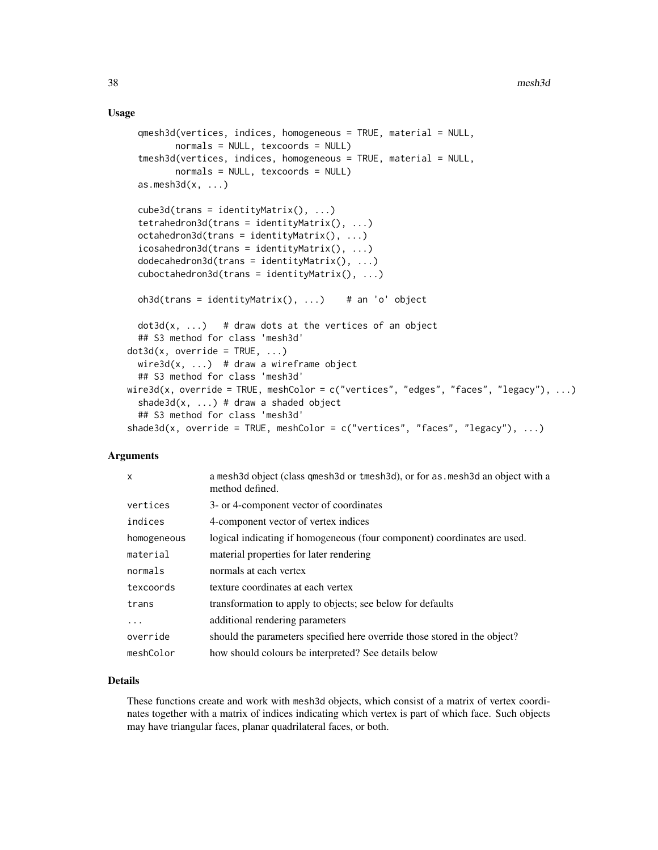### Usage

```
qmesh3d(vertices, indices, homogeneous = TRUE, material = NULL,
        normals = NULL, texcoords = NULL)
  tmesh3d(vertices, indices, homogeneous = TRUE, material = NULL,
         normals = NULL, texcoords = NULL)
  as.mesh3d(x, \ldots)cube3d(trans = identityMatrix(), ...)tetrahedron3d(trans = identityMatrix(), ...)
  octahedron3d(trans = identityMatrix(), ...)
  icosahedron3d(trans = identityMatrix(), ...)dodecahedron3d(trans = identityMatrix(), ...)
  cuboctahedron3d(trans = identityMatrix(), ...)oh3d(trans = identityMatrix(), ...) # an 'o' object
  dot3d(x, ...) # draw dots at the vertices of an object
  ## S3 method for class 'mesh3d'
dot3d(x, override = TRUE, ...)wire3d(x, ...) # draw a wireframe object
  ## S3 method for class 'mesh3d'
wire3d(x, override = TRUE, meshColor = c("vertices", "edges", "faces", "legacy"), ...)
  shade3d(x, ...) # draw a shaded object
  ## S3 method for class 'mesh3d'
shade3d(x, override = TRUE, meshColor = c("vertices", "faces", "legacy"), ...)
```
#### Arguments

| $\mathsf{x}$ | a mesh3d object (class qmesh3d or tmesh3d), or for as mesh3d an object with a<br>method defined. |
|--------------|--------------------------------------------------------------------------------------------------|
| vertices     | 3- or 4-component vector of coordinates                                                          |
| indices      | 4-component vector of vertex indices                                                             |
| homogeneous  | logical indicating if homogeneous (four component) coordinates are used.                         |
| material     | material properties for later rendering                                                          |
| normals      | normals at each vertex                                                                           |
| texcoords    | texture coordinates at each vertex                                                               |
| trans        | transformation to apply to objects; see below for defaults                                       |
| .            | additional rendering parameters                                                                  |
| override     | should the parameters specified here override those stored in the object?                        |
| meshColor    | how should colours be interpreted? See details below                                             |

## Details

These functions create and work with mesh3d objects, which consist of a matrix of vertex coordinates together with a matrix of indices indicating which vertex is part of which face. Such objects may have triangular faces, planar quadrilateral faces, or both.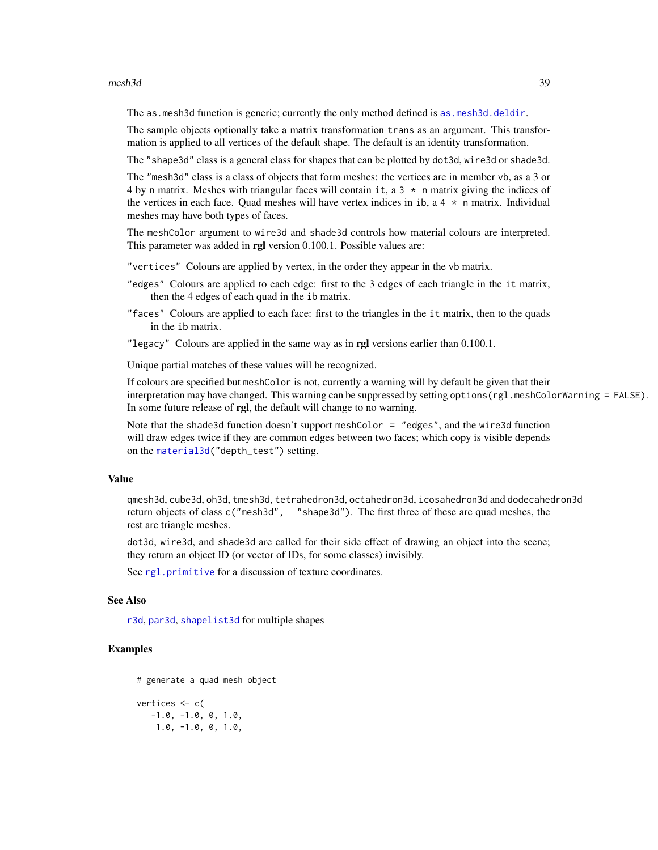#### $mesh3d$  39

The as.mesh3d function is generic; currently the only method defined is [as.mesh3d.deldir](#page-54-0).

The sample objects optionally take a matrix transformation trans as an argument. This transformation is applied to all vertices of the default shape. The default is an identity transformation.

The "shape3d" class is a general class for shapes that can be plotted by dot3d, wire3d or shade3d.

The "mesh3d" class is a class of objects that form meshes: the vertices are in member vb, as a 3 or 4 by n matrix. Meshes with triangular faces will contain it, a  $3 \times n$  matrix giving the indices of the vertices in each face. Quad meshes will have vertex indices in ib, a  $4 \times n$  matrix. Individual meshes may have both types of faces.

The meshColor argument to wire3d and shade3d controls how material colours are interpreted. This parameter was added in rgl version 0.100.1. Possible values are:

"vertices" Colours are applied by vertex, in the order they appear in the vb matrix.

- "edges" Colours are applied to each edge: first to the 3 edges of each triangle in the it matrix, then the 4 edges of each quad in the ib matrix.
- "faces" Colours are applied to each face: first to the triangles in the it matrix, then to the quads in the ib matrix.
- "legacy" Colours are applied in the same way as in rgl versions earlier than  $0.100.1$ .

Unique partial matches of these values will be recognized.

If colours are specified but meshColor is not, currently a warning will by default be given that their interpretation may have changed. This warning can be suppressed by setting options(rgl.meshColorWarning = FALSE). In some future release of rgl, the default will change to no warning.

Note that the shade3d function doesn't support meshColor = "edges", and the wire3d function will draw edges twice if they are common edges between two faces; which copy is visible depends on the [material3d\(](#page-88-0)"depth\_test") setting.

# Value

qmesh3d, cube3d, oh3d, tmesh3d, tetrahedron3d, octahedron3d, icosahedron3d and dodecahedron3d return objects of class c("mesh3d", "shape3d"). The first three of these are quad meshes, the rest are triangle meshes.

dot3d, wire3d, and shade3d are called for their side effect of drawing an object into the scene; they return an object ID (or vector of IDs, for some classes) invisibly.

See [rgl.primitive](#page-95-0) for a discussion of texture coordinates.

## See Also

[r3d](#page-79-0), [par3d](#page-42-0), [shapelist3d](#page-123-0) for multiple shapes

```
# generate a quad mesh object
vertices <- c(
  -1.0, -1.0, 0, 1.0,1.0, -1.0, 0, 1.0,
```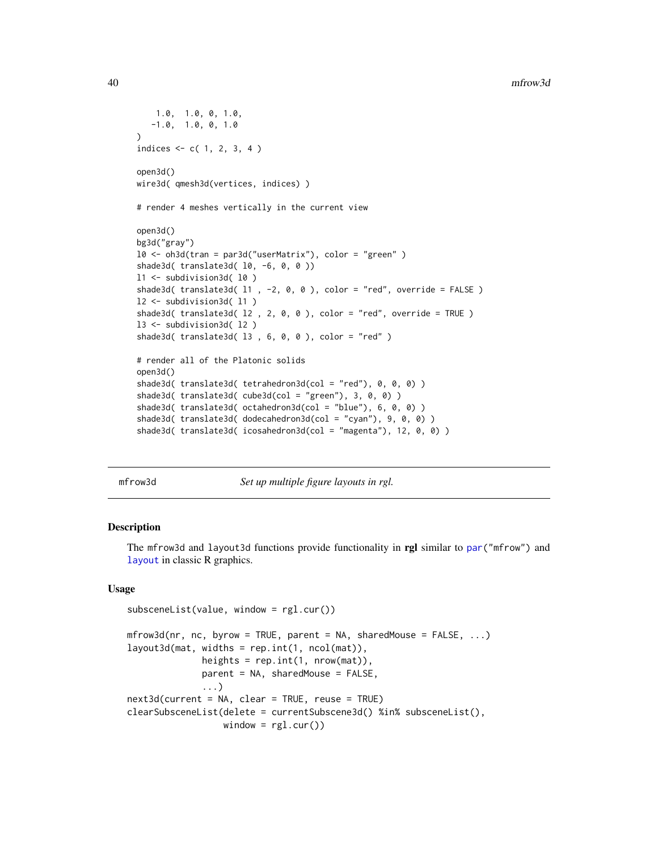```
1.0, 1.0, 0, 1.0,
   -1.0, 1.0, 0, 1.0)
indices <- c( 1, 2, 3, 4 )
open3d()
wire3d( qmesh3d(vertices, indices) )
# render 4 meshes vertically in the current view
open3d()
bg3d("gray")
l0 <- oh3d(tran = par3d("userMatrix"), color = "green" )
shade3d( translate3d( 10, -6, 0, 0 ))
l1 <- subdivision3d( l0 )
shade3d( translate3d( 11 , -2, 0, 0 ), color = "red", override = FALSE )
l2 <- subdivision3d( l1 )
shade3d( translate3d( l2 , 2, 0, 0 ), color = "red", override = TRUE )
l3 <- subdivision3d( l2 )
shade3d( translate3d( 13 , 6, 0, 0 ), color = "red" )# render all of the Platonic solids
open3d()
shade3d( translate3d( tetrahedron3d(col = "red"), 0, 0, 0) )
shade3d( translate3d( cube3d(col = "green"), 3, 0, 0) )
shade3d( translate3d( octahedron3d(col = "blue"), 6, 0, 0) )
shade3d( translate3d( dodecahedron3d(col = "cyan"), 9, 0, 0) )
shade3d( translate3d( icosahedron3d(col = "magenta"), 12, 0, 0) )
```
mfrow3d *Set up multiple figure layouts in rgl.*

### **Description**

The mfrow3d and layout3d functions provide functionality in rgl similar to [par\(](#page-0-0)"mfrow") and [layout](#page-0-0) in classic R graphics.

# Usage

```
subsceneList(value, window = rgl.cur())
```

```
mfrow3d(nr, nc, byrow = TRUE, parent = NA, sharedMouse = FALSE, ...)
layout3d(mat, widths = rep.int(1, ncol(mat)),
              heights = rep.int(1, nrow(mat)),
              parent = NA, sharedMouse = FALSE,
              ...)
next3d(current = NA, clear = TRUE, reuse = TRUE)
clearSubsceneList(delete = currentSubscene3d() %in% subsceneList(),
                  window = rgl.cur()
```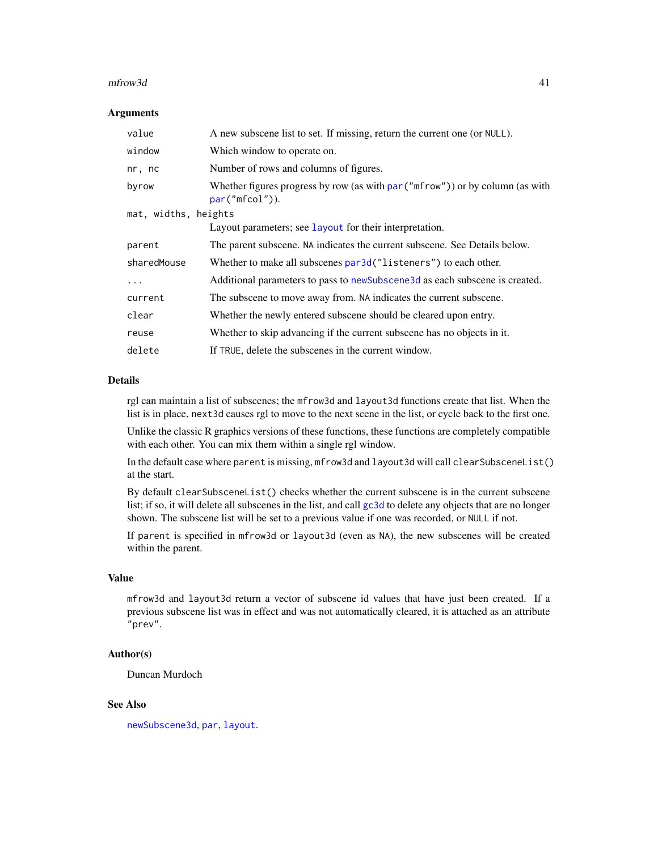#### $m$ frow $3d$  41

#### **Arguments**

| value                | A new subscene list to set. If missing, return the current one (or NULL).                            |  |
|----------------------|------------------------------------------------------------------------------------------------------|--|
| window               | Which window to operate on.                                                                          |  |
| nr, nc               | Number of rows and columns of figures.                                                               |  |
| byrow                | Whether figures progress by row (as with $par("mfrom")$ ) or by column (as with<br>$par("mfcol")$ ). |  |
| mat, widths, heights |                                                                                                      |  |
|                      | Layout parameters; see Layout for their interpretation.                                              |  |
| parent               | The parent subscene. NA indicates the current subscene. See Details below.                           |  |
| sharedMouse          | Whether to make all subscenes par3d ("listeners") to each other.                                     |  |
| $\cdots$             | Additional parameters to pass to new Subscene 3d as each subscene is created.                        |  |
| current              | The subscene to move away from. NA indicates the current subscene.                                   |  |
| clear                | Whether the newly entered subscene should be cleared upon entry.                                     |  |
| reuse                | Whether to skip advancing if the current subscene has no objects in it.                              |  |
| delete               | If TRUE, delete the subscenes in the current window.                                                 |  |

## Details

rgl can maintain a list of subscenes; the mfrow3d and layout3d functions create that list. When the list is in place, next3d causes rgl to move to the next scene in the list, or cycle back to the first one.

Unlike the classic R graphics versions of these functions, these functions are completely compatible with each other. You can mix them within a single rgl window.

In the default case where parent is missing, mfrow3d and layout3d will call clearSubsceneList() at the start.

By default clearSubsceneList() checks whether the current subscene is in the current subscene list; if so, it will delete all subscenes in the list, and call [gc3d](#page-135-0) to delete any objects that are no longer shown. The subscene list will be set to a previous value if one was recorded, or NULL if not.

If parent is specified in mfrow3d or layout3d (even as NA), the new subscenes will be created within the parent.

## Value

mfrow3d and layout3d return a vector of subscene id values that have just been created. If a previous subscene list was in effect and was not automatically cleared, it is attached as an attribute "prev".

## Author(s)

Duncan Murdoch

# See Also

[newSubscene3d](#page-135-0), [par](#page-0-0), [layout](#page-0-0).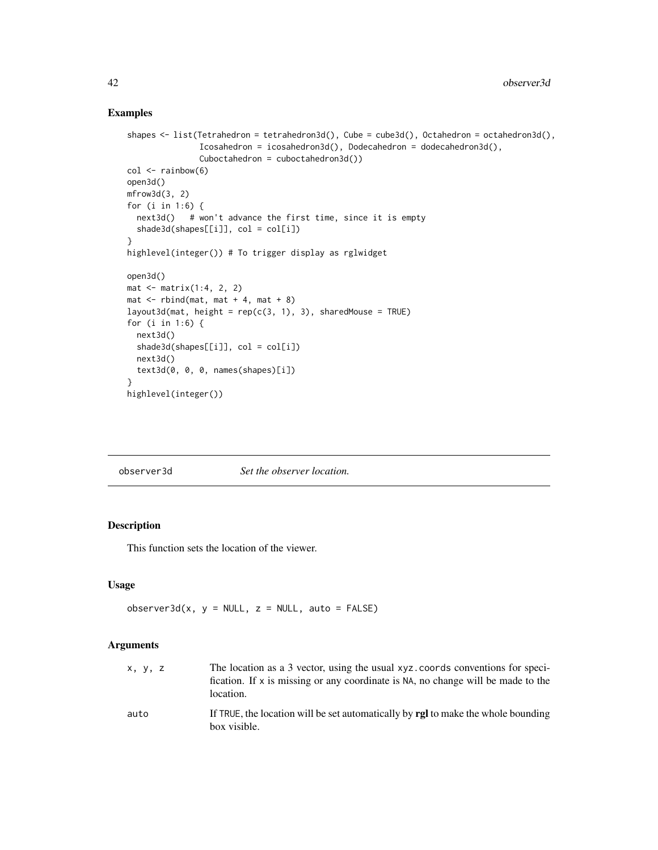## Examples

```
shapes <- list(Tetrahedron = tetrahedron3d(), Cube = cube3d(), Octahedron = octahedron3d(),
               Icosahedron = icosahedron3d(), Dodecahedron = dodecahedron3d(),
               Cuboctahedron = cuboctahedron3d())
col \leftarrow rainbow(6)open3d()
mfrow3d(3, 2)
for (i in 1:6) {
  next3d() # won't advance the first time, since it is empty
  shade3d(shapes[[i]], col = col[i])
}
highlevel(integer()) # To trigger display as rglwidget
open3d()
mat <- matrix(1:4, 2, 2)
mat < -rbind(mat, mat + 4, mat + 8)layout3d(mat, height = rep(c(3, 1), 3), sharedMouse = TRUE)for (i in 1:6) {
  next3d()
  shade3d(shapes[[i]], col = col[i])
  next3d()
  text3d(0, 0, 0, names(shapes)[i])
}
highlevel(integer())
```
<span id="page-41-0"></span>observer3d *Set the observer location.*

# Description

This function sets the location of the viewer.

## Usage

 $observer3d(x, y = NULL, z = NULL, auto = FALSE)$ 

### Arguments

| x, y, z | The location as a 3 vector, using the usual xyz. coords conventions for speci-<br>fication. If x is missing or any coordinate is NA, no change will be made to the<br>location. |
|---------|---------------------------------------------------------------------------------------------------------------------------------------------------------------------------------|
| auto    | If TRUE, the location will be set automatically by <b>rgl</b> to make the whole bounding<br>box visible.                                                                        |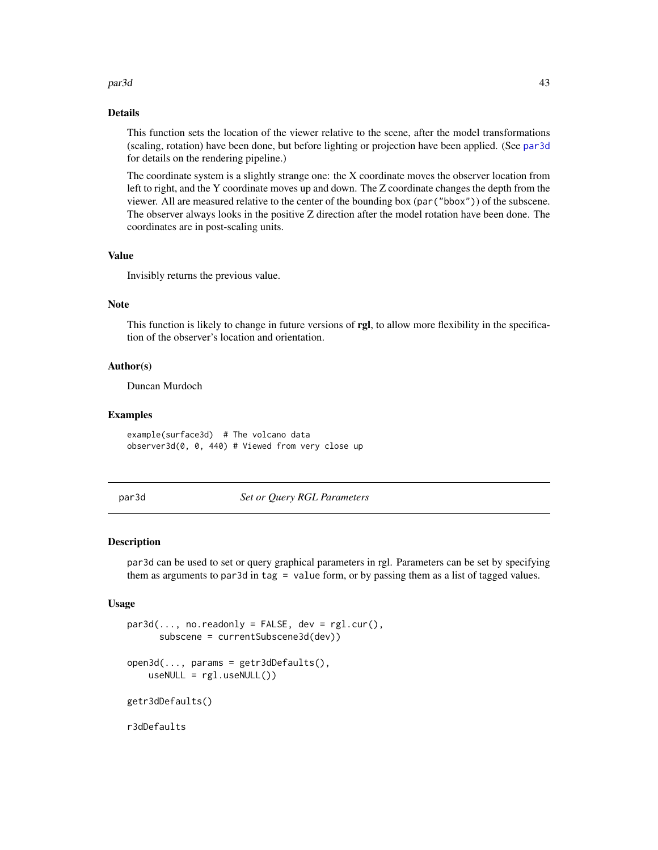### par3d 43

### Details

This function sets the location of the viewer relative to the scene, after the model transformations (scaling, rotation) have been done, but before lighting or projection have been applied. (See [par3d](#page-42-0) for details on the rendering pipeline.)

The coordinate system is a slightly strange one: the X coordinate moves the observer location from left to right, and the Y coordinate moves up and down. The Z coordinate changes the depth from the viewer. All are measured relative to the center of the bounding box (par("bbox")) of the subscene. The observer always looks in the positive Z direction after the model rotation have been done. The coordinates are in post-scaling units.

## Value

Invisibly returns the previous value.

## Note

This function is likely to change in future versions of rgl, to allow more flexibility in the specification of the observer's location and orientation.

# Author(s)

Duncan Murdoch

### Examples

example(surface3d) # The volcano data observer3d(0, 0, 440) # Viewed from very close up

<span id="page-42-0"></span>par3d *Set or Query RGL Parameters*

#### <span id="page-42-1"></span>Description

par3d can be used to set or query graphical parameters in rgl. Parameters can be set by specifying them as arguments to par3d in tag = value form, or by passing them as a list of tagged values.

### Usage

```
par3d(..., no.readonly = FALSE, dev = rg1.cur(),subscene = currentSubscene3d(dev))
open3d(..., params = getr3dDefaults(),
   useNULL = rgl.useNULL())
getr3dDefaults()
```
r3dDefaults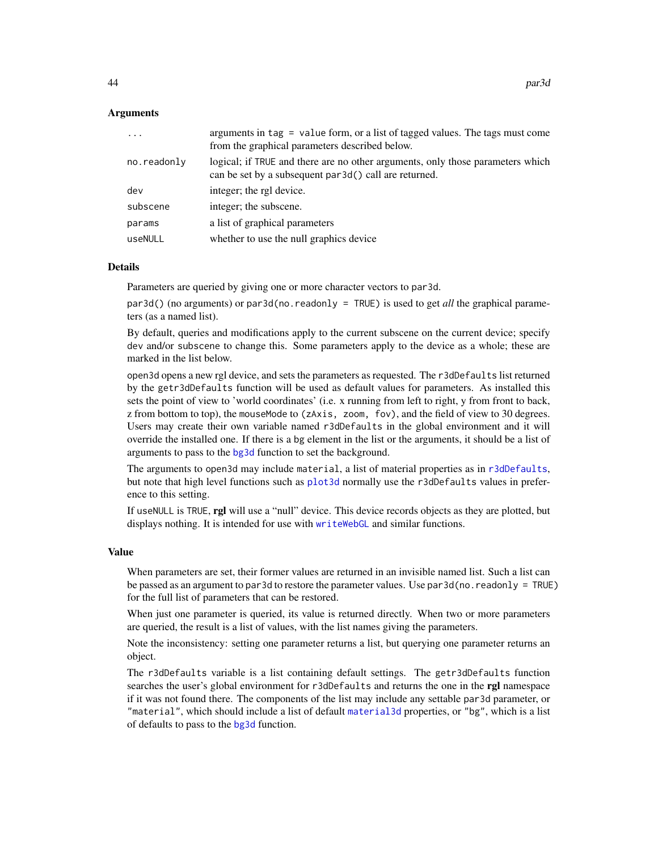### Arguments

| $\ddots$    | arguments in $tag = value form$ , or a list of tagged values. The tags must come<br>from the graphical parameters described below.      |
|-------------|-----------------------------------------------------------------------------------------------------------------------------------------|
| no.readonly | logical; if TRUE and there are no other arguments, only those parameters which<br>can be set by a subsequent par3d() call are returned. |
| dev         | integer; the rgl device.                                                                                                                |
| subscene    | integer; the subscene.                                                                                                                  |
| params      | a list of graphical parameters                                                                                                          |
| useNULL     | whether to use the null graphics device                                                                                                 |
|             |                                                                                                                                         |

## Details

Parameters are queried by giving one or more character vectors to par3d.

par3d() (no arguments) or par3d(no.readonly = TRUE) is used to get *all* the graphical parameters (as a named list).

By default, queries and modifications apply to the current subscene on the current device; specify dev and/or subscene to change this. Some parameters apply to the device as a whole; these are marked in the list below.

open3d opens a new rgl device, and sets the parameters as requested. The r3dDefaults list returned by the getr3dDefaults function will be used as default values for parameters. As installed this sets the point of view to 'world coordinates' (i.e. x running from left to right, y from front to back, z from bottom to top), the mouseMode to (zAxis, zoom, fov), and the field of view to 30 degrees. Users may create their own variable named r3dDefaults in the global environment and it will override the installed one. If there is a bg element in the list or the arguments, it should be a list of arguments to pass to the [bg3d](#page-18-0) function to set the background.

The arguments to open3d may include material, a list of material properties as in [r3dDefaults](#page-42-1), but note that high level functions such as [plot3d](#page-66-0) normally use the r3dDefaults values in preference to this setting.

If useNULL is TRUE, rgl will use a "null" device. This device records objects as they are plotted, but displays nothing. It is intended for use with [writeWebGL](#page-158-0) and similar functions.

### Value

When parameters are set, their former values are returned in an invisible named list. Such a list can be passed as an argument to par3d to restore the parameter values. Use par3d(no.readonly = TRUE) for the full list of parameters that can be restored.

When just one parameter is queried, its value is returned directly. When two or more parameters are queried, the result is a list of values, with the list names giving the parameters.

Note the inconsistency: setting one parameter returns a list, but querying one parameter returns an object.

The r3dDefaults variable is a list containing default settings. The getr3dDefaults function searches the user's global environment for r3dDefaults and returns the one in the rgl namespace if it was not found there. The components of the list may include any settable par3d parameter, or "material", which should include a list of default [material3d](#page-88-0) properties, or "bg", which is a list of defaults to pass to the [bg3d](#page-18-0) function.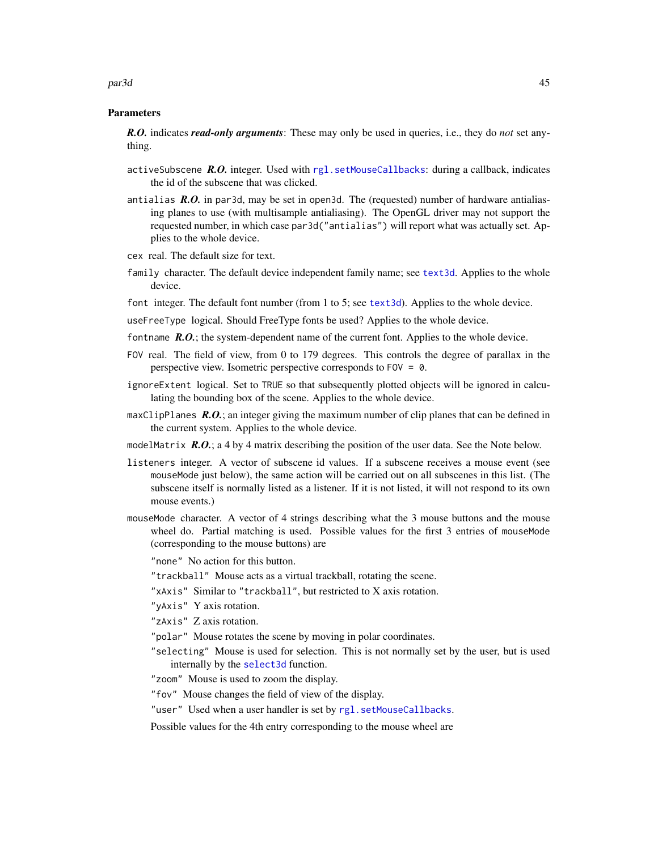#### par3d 45

#### Parameters

*R.O.* indicates *read-only arguments*: These may only be used in queries, i.e., they do *not* set anything.

- activeSubscene *R.O.* integer. Used with [rgl.setMouseCallbacks](#page-97-0): during a callback, indicates the id of the subscene that was clicked.
- antialias *R.O.* in par3d, may be set in open3d. The (requested) number of hardware antialiasing planes to use (with multisample antialiasing). The OpenGL driver may not support the requested number, in which case par3d("antialias") will report what was actually set. Applies to the whole device.
- cex real. The default size for text.
- family character. The default device independent family name; see [text3d](#page-140-0). Applies to the whole device.
- font integer. The default font number (from 1 to 5; see [text3d](#page-140-0)). Applies to the whole device.
- useFreeType logical. Should FreeType fonts be used? Applies to the whole device.
- fontname **R.O.**; the system-dependent name of the current font. Applies to the whole device.
- FOV real. The field of view, from 0 to 179 degrees. This controls the degree of parallax in the perspective view. Isometric perspective corresponds to FOV = 0.
- ignoreExtent logical. Set to TRUE so that subsequently plotted objects will be ignored in calculating the bounding box of the scene. Applies to the whole device.
- maxClipPlanes *R.O.*; an integer giving the maximum number of clip planes that can be defined in the current system. Applies to the whole device.
- modelMatrix  $R.O.$ ; a 4 by 4 matrix describing the position of the user data. See the Note below.
- listeners integer. A vector of subscene id values. If a subscene receives a mouse event (see mouseMode just below), the same action will be carried out on all subscenes in this list. (The subscene itself is normally listed as a listener. If it is not listed, it will not respond to its own mouse events.)
- mouseMode character. A vector of 4 strings describing what the 3 mouse buttons and the mouse wheel do. Partial matching is used. Possible values for the first 3 entries of mouseMode (corresponding to the mouse buttons) are

"none" No action for this button.

- "trackball" Mouse acts as a virtual trackball, rotating the scene.
- "xAxis" Similar to "trackball", but restricted to X axis rotation.
- "yAxis" Y axis rotation.

"zAxis" Z axis rotation.

- "polar" Mouse rotates the scene by moving in polar coordinates.
- "selecting" Mouse is used for selection. This is not normally set by the user, but is used internally by the [select3d](#page-118-0) function.
- "zoom" Mouse is used to zoom the display.
- "fov" Mouse changes the field of view of the display.
- "user" Used when a user handler is set by [rgl.setMouseCallbacks](#page-97-0).

Possible values for the 4th entry corresponding to the mouse wheel are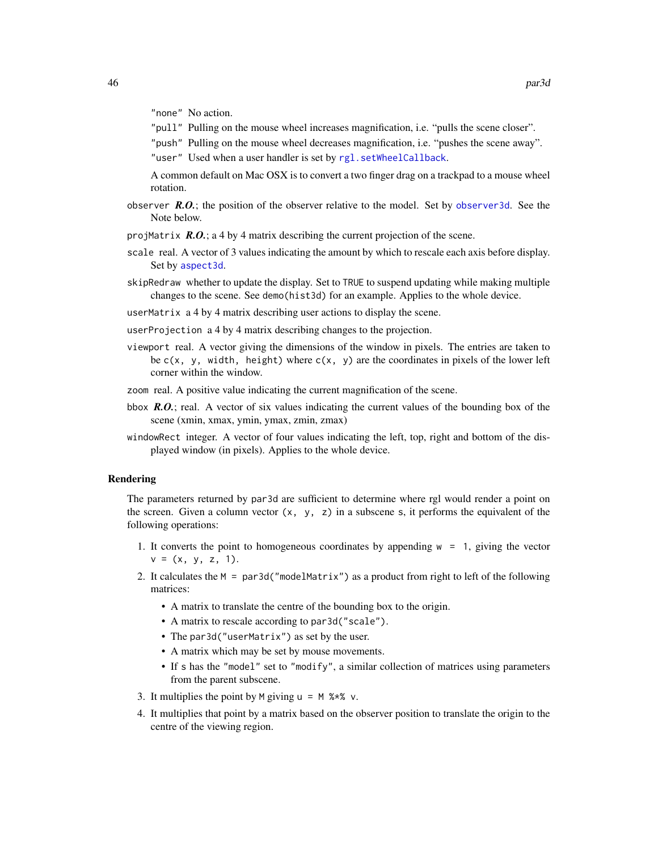"none" No action.

- "pull" Pulling on the mouse wheel increases magnification, i.e. "pulls the scene closer".
- "push" Pulling on the mouse wheel decreases magnification, i.e. "pushes the scene away".

"user" Used when a user handler is set by [rgl.setWheelCallback](#page-97-1).

A common default on Mac OSX is to convert a two finger drag on a trackpad to a mouse wheel rotation.

- observer  $R.O.$ ; the position of the observer relative to the model. Set by observer 3d. See the Note below.
- projMatrix *R.O.*; a 4 by 4 matrix describing the current projection of the scene.
- scale real. A vector of 3 values indicating the amount by which to rescale each axis before display. Set by [aspect3d](#page-14-0).
- skipRedraw whether to update the display. Set to TRUE to suspend updating while making multiple changes to the scene. See demo(hist3d) for an example. Applies to the whole device.
- userMatrix a 4 by 4 matrix describing user actions to display the scene.
- userProjection a 4 by 4 matrix describing changes to the projection.
- viewport real. A vector giving the dimensions of the window in pixels. The entries are taken to be  $c(x, y, width, height)$  where  $c(x, y)$  are the coordinates in pixels of the lower left corner within the window.
- zoom real. A positive value indicating the current magnification of the scene.
- bbox *R.O.*; real. A vector of six values indicating the current values of the bounding box of the scene (xmin, xmax, ymin, ymax, zmin, zmax)
- windowRect integer. A vector of four values indicating the left, top, right and bottom of the displayed window (in pixels). Applies to the whole device.

#### Rendering

The parameters returned by par3d are sufficient to determine where rgl would render a point on the screen. Given a column vector  $(x, y, z)$  in a subscene s, it performs the equivalent of the following operations:

- 1. It converts the point to homogeneous coordinates by appending  $w = 1$ , giving the vector  $v = (x, y, z, 1).$
- 2. It calculates the  $M = par3d("modelMatrix")$  as a product from right to left of the following matrices:
	- A matrix to translate the centre of the bounding box to the origin.
	- A matrix to rescale according to par3d("scale").
	- The par3d("userMatrix") as set by the user.
	- A matrix which may be set by mouse movements.
	- If s has the "model" set to "modify", a similar collection of matrices using parameters from the parent subscene.
- 3. It multiplies the point by M giving  $u = M$  %\*% v.
- 4. It multiplies that point by a matrix based on the observer position to translate the origin to the centre of the viewing region.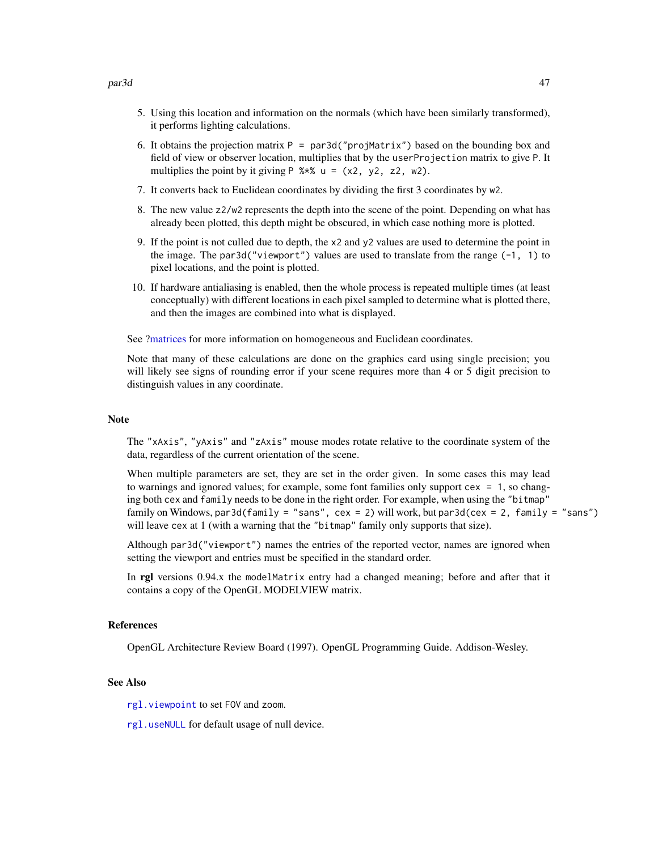- 5. Using this location and information on the normals (which have been similarly transformed), it performs lighting calculations.
- 6. It obtains the projection matrix  $P = par3d("projMatrix")$  based on the bounding box and field of view or observer location, multiplies that by the userProjection matrix to give P. It multiplies the point by it giving  $P \text{ %*% } u = (x2, y2, z2, w2)$ .
- 7. It converts back to Euclidean coordinates by dividing the first 3 coordinates by w2.
- 8. The new value z2/w2 represents the depth into the scene of the point. Depending on what has already been plotted, this depth might be obscured, in which case nothing more is plotted.
- 9. If the point is not culled due to depth, the x2 and y2 values are used to determine the point in the image. The par3d("viewport") values are used to translate from the range  $(-1, 1)$  to pixel locations, and the point is plotted.
- 10. If hardware antialiasing is enabled, then the whole process is repeated multiple times (at least conceptually) with different locations in each pixel sampled to determine what is plotted there, and then the images are combined into what is displayed.

See [?matrices](#page-34-0) for more information on homogeneous and Euclidean coordinates.

Note that many of these calculations are done on the graphics card using single precision; you will likely see signs of rounding error if your scene requires more than 4 or 5 digit precision to distinguish values in any coordinate.

### **Note**

The "xAxis", "yAxis" and "zAxis" mouse modes rotate relative to the coordinate system of the data, regardless of the current orientation of the scene.

When multiple parameters are set, they are set in the order given. In some cases this may lead to warnings and ignored values; for example, some font families only support cex = 1, so changing both cex and family needs to be done in the right order. For example, when using the "bitmap" family on Windows, par3d(family = "sans", cex = 2) will work, but par3d(cex = 2, family = "sans") will leave cex at 1 (with a warning that the "bitmap" family only supports that size).

Although par3d("viewport") names the entries of the reported vector, names are ignored when setting the viewport and entries must be specified in the standard order.

In rgl versions 0.94.x the modelMatrix entry had a changed meaning; before and after that it contains a copy of the OpenGL MODELVIEW matrix.

#### References

OpenGL Architecture Review Board (1997). OpenGL Programming Guide. Addison-Wesley.

#### See Also

[rgl.viewpoint](#page-149-0) to set FOV and zoom.

[rgl.useNULL](#page-103-0) for default usage of null device.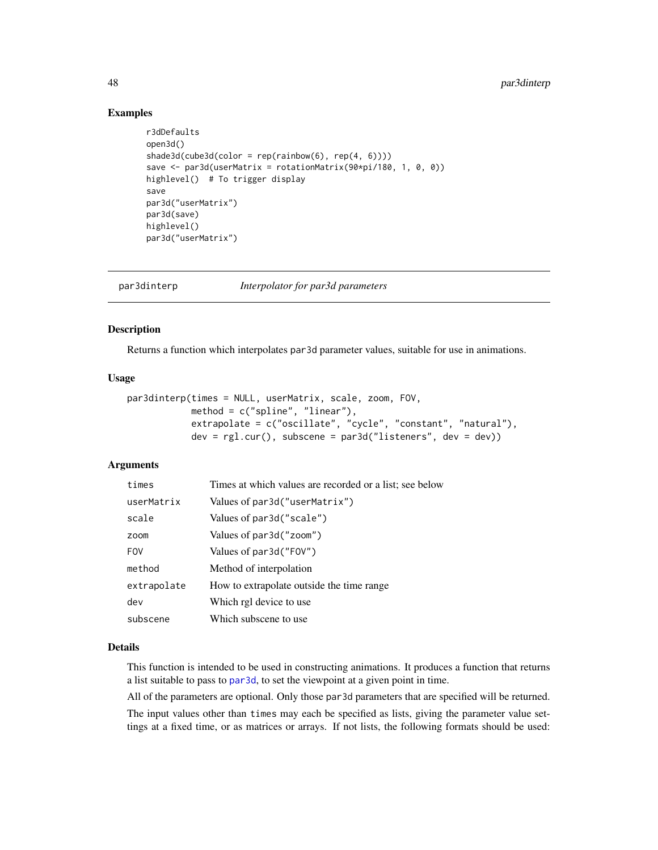## Examples

```
r3dDefaults
open3d()
shade3d(cube3d(color = rep(rainbow(6), rep(4, 6))))save <- par3d(userMatrix = rotationMatrix(90*pi/180, 1, 0, 0))
highlevel() # To trigger display
save
par3d("userMatrix")
par3d(save)
highlevel()
par3d("userMatrix")
```
<span id="page-47-0"></span>

| par3dinterp | Interpolator for par3d parameters |  |  |
|-------------|-----------------------------------|--|--|
|             |                                   |  |  |

## Description

Returns a function which interpolates par3d parameter values, suitable for use in animations.

# Usage

```
par3dinterp(times = NULL, userMatrix, scale, zoom, FOV,
            method = c("spline", "linear"),
            extrapolate = c("oscillate", "cycle", "constant", "natural"),
            dev = rgl.cur(), subscene = par3d("listeners", dev = dev))
```
# Arguments

| times       | Times at which values are recorded or a list; see below |
|-------------|---------------------------------------------------------|
| userMatrix  | Values of par3d("userMatrix")                           |
| scale       | Values of par3d("scale")                                |
| zoom        | Values of par3d("zoom")                                 |
| <b>FOV</b>  | Values of par3d("FOV")                                  |
| method      | Method of interpolation                                 |
| extrapolate | How to extrapolate outside the time range               |
| dev         | Which rgl device to use                                 |
| subscene    | Which subscene to use                                   |

#### Details

This function is intended to be used in constructing animations. It produces a function that returns a list suitable to pass to [par3d](#page-42-0), to set the viewpoint at a given point in time.

All of the parameters are optional. Only those par3d parameters that are specified will be returned.

The input values other than times may each be specified as lists, giving the parameter value settings at a fixed time, or as matrices or arrays. If not lists, the following formats should be used: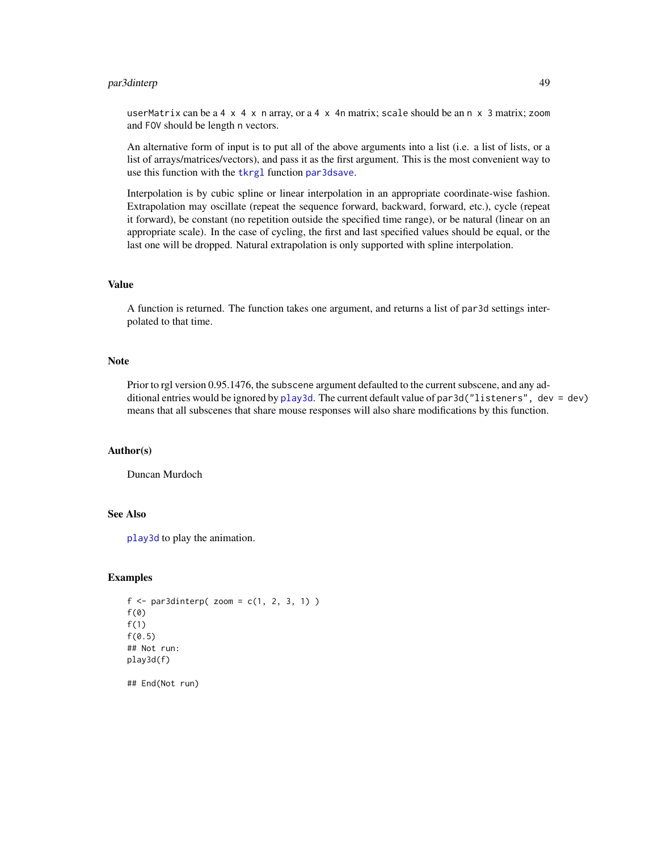# par3dinterp 49

userMatrix can be a 4  $\times$  4  $\times$  n array, or a 4  $\times$  4n matrix; scale should be an n  $\times$  3 matrix; zoom and FOV should be length n vectors.

An alternative form of input is to put all of the above arguments into a list (i.e. a list of lists, or a list of arrays/matrices/vectors), and pass it as the first argument. This is the most convenient way to use this function with the [tkrgl](#page-0-0) function [par3dsave](#page-0-0).

Interpolation is by cubic spline or linear interpolation in an appropriate coordinate-wise fashion. Extrapolation may oscillate (repeat the sequence forward, backward, forward, etc.), cycle (repeat it forward), be constant (no repetition outside the specified time range), or be natural (linear on an appropriate scale). In the case of cycling, the first and last specified values should be equal, or the last one will be dropped. Natural extrapolation is only supported with spline interpolation.

# Value

A function is returned. The function takes one argument, and returns a list of par3d settings interpolated to that time.

## Note

Prior to rgl version 0.95.1476, the subscene argument defaulted to the current subscene, and any additional entries would be ignored by [play3d](#page-61-0). The current default value of par3d("listeners", dev = dev) means that all subscenes that share mouse responses will also share modifications by this function.

### Author(s)

Duncan Murdoch

# See Also

[play3d](#page-61-0) to play the animation.

## Examples

```
f \leftarrow par3dinterp( zoom = c(1, 2, 3, 1))f(\emptyset)f(1)
f(0.5)## Not run:
play3d(f)
```
## End(Not run)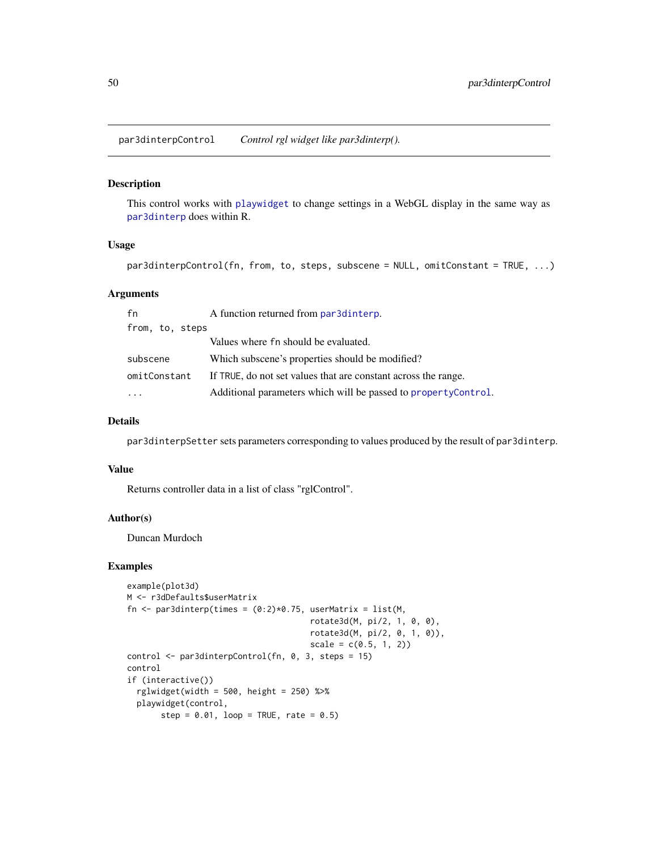par3dinterpControl *Control rgl widget like par3dinterp().*

#### Description

This control works with [playwidget](#page-63-0) to change settings in a WebGL display in the same way as [par3dinterp](#page-47-0) does within R.

## Usage

par3dinterpControl(fn, from, to, steps, subscene = NULL, omitConstant = TRUE, ...)

### Arguments

| fn              | A function returned from par3dinterp.                           |
|-----------------|-----------------------------------------------------------------|
| from, to, steps |                                                                 |
|                 | Values where fn should be evaluated.                            |
| subscene        | Which subscene's properties should be modified?                 |
| omitConstant    | If TRUE, do not set values that are constant across the range.  |
|                 | Additional parameters which will be passed to property Control. |

## Details

par3dinterpSetter sets parameters corresponding to values produced by the result of par3dinterp.

#### Value

Returns controller data in a list of class "rglControl".

### Author(s)

Duncan Murdoch

```
example(plot3d)
M <- r3dDefaults$userMatrix
fn \leq par3dinterp(times = (0:2)*0.75, userMatrix = list(M,
                                      rotate3d(M, pi/2, 1, 0, 0),
                                      rotate3d(M, pi/2, 0, 1, 0)),
                                      scale = c(0.5, 1, 2)control <- par3dinterpControl(fn, 0, 3, steps = 15)
control
if (interactive())
  rglwide(width = 500, height = 250) %>%
  playwidget(control,
       step = 0.01, loop = TRUE, rate = 0.5)
```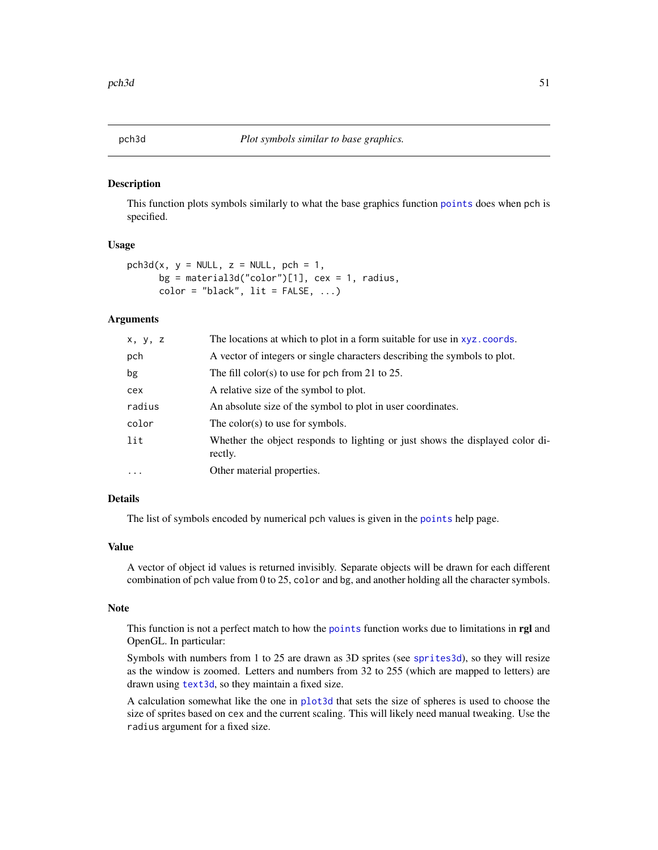## Description

This function plots symbols similarly to what the base graphics function [points](#page-0-0) does when pch is specified.

## Usage

```
pch3d(x, y = NULL, z = NULL, pch = 1,bg = material3d("color")[1], cex = 1, radius,
     color = "black", lit = FALSE, ...)
```
## Arguments

| x, y, z  | The locations at which to plot in a form suitable for use in xyz.coords.                 |
|----------|------------------------------------------------------------------------------------------|
| pch      | A vector of integers or single characters describing the symbols to plot.                |
| bg       | The fill color(s) to use for pch from 21 to 25.                                          |
| cex      | A relative size of the symbol to plot.                                                   |
| radius   | An absolute size of the symbol to plot in user coordinates.                              |
| color    | The color(s) to use for symbols.                                                         |
| lit      | Whether the object responds to lighting or just shows the displayed color di-<br>rectly. |
| $\cdots$ | Other material properties.                                                               |

## Details

The list of symbols encoded by numerical pch values is given in the [points](#page-0-0) help page.

### Value

A vector of object id values is returned invisibly. Separate objects will be drawn for each different combination of pch value from 0 to 25, color and bg, and another holding all the character symbols.

## Note

This function is not a perfect match to how the [points](#page-0-0) function works due to limitations in rgl and OpenGL. In particular:

Symbols with numbers from 1 to 25 are drawn as 3D sprites (see [sprites3d](#page-132-0)), so they will resize as the window is zoomed. Letters and numbers from 32 to 255 (which are mapped to letters) are drawn using [text3d](#page-140-0), so they maintain a fixed size.

A calculation somewhat like the one in [plot3d](#page-66-0) that sets the size of spheres is used to choose the size of sprites based on cex and the current scaling. This will likely need manual tweaking. Use the radius argument for a fixed size.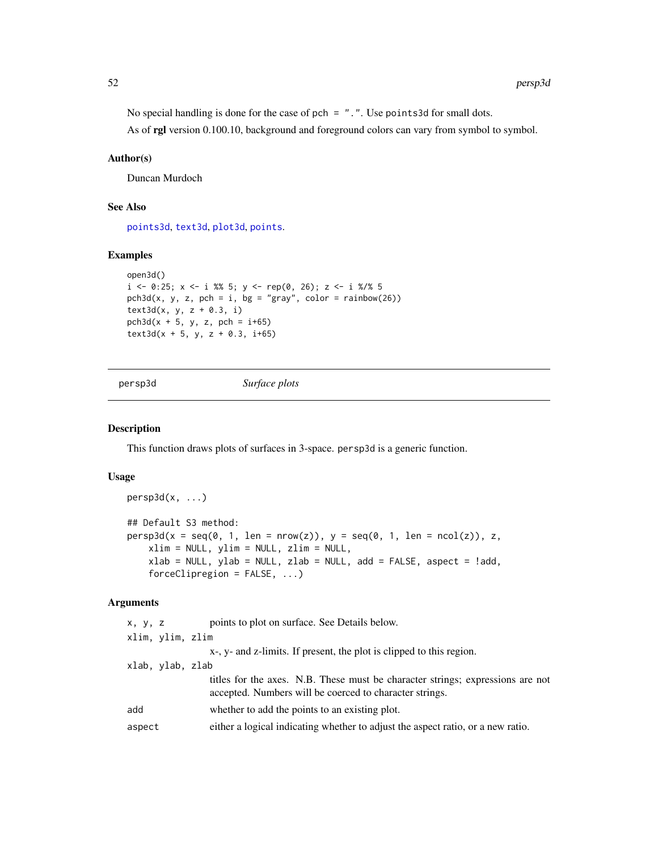No special handling is done for the case of pch =  $"$ .". Use points3d for small dots.

As of rgl version 0.100.10, background and foreground colors can vary from symbol to symbol.

## Author(s)

Duncan Murdoch

# See Also

[points3d](#page-72-0), [text3d](#page-140-0), [plot3d](#page-66-0), [points](#page-0-0).

# Examples

```
open3d()
i \le -0:25; x \le -i \frac{8}{6} 5; y \le -\text{rep}(0, 26); z \le -i \frac{8}{6} 5
pch3d(x, y, z, pch = i, bg = "gray", color = rainbow(26))text3d(x, y, z + 0.3, i)pch3d(x + 5, y, z, pch = i+65)text3d(x + 5, y, z + 0.3, i+65)
```
<span id="page-51-0"></span>persp3d *Surface plots*

### Description

This function draws plots of surfaces in 3-space. persp3d is a generic function.

# Usage

```
persp3d(x, ...)
## Default S3 method:
persp3d(x = seq(0, 1, len = nrow(z)), y = seq(0, 1, len = ncol(z)), z,xlim = NULL, ylim = NULL, zlim = NULL,
    xlab = NULL, ylab = NULL, zlab = NULL, add = FALSE, aspect = !add,
    forceClipregion = FALSE, ...)
```
# Arguments

| x, y, z |                  | points to plot on surface. See Details below.                                                                                             |
|---------|------------------|-------------------------------------------------------------------------------------------------------------------------------------------|
|         | xlim, ylim, zlim |                                                                                                                                           |
|         |                  | $x-$ , $y-$ and $z$ -limits. If present, the plot is clipped to this region.                                                              |
|         | xlab, ylab, zlab |                                                                                                                                           |
|         |                  | titles for the axes. N.B. These must be character strings; expressions are not<br>accepted. Numbers will be coerced to character strings. |
| add     |                  | whether to add the points to an existing plot.                                                                                            |
| aspect  |                  | either a logical indicating whether to adjust the aspect ratio, or a new ratio.                                                           |
|         |                  |                                                                                                                                           |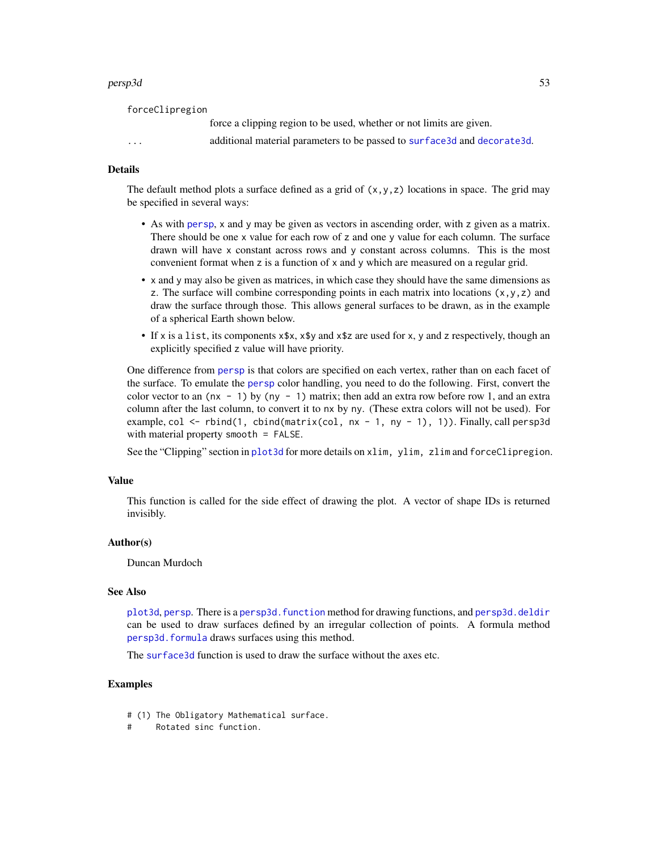#### persp3d 53

forceClipregion

force a clipping region to be used, whether or not limits are given.

... additional material parameters to be passed to [surface3d](#page-139-0) and [decorate3d](#page-66-1).

#### Details

The default method plots a surface defined as a grid of  $(x, y, z)$  locations in space. The grid may be specified in several ways:

- As with [persp](#page-0-0), x and y may be given as vectors in ascending order, with z given as a matrix. There should be one x value for each row of z and one y value for each column. The surface drawn will have x constant across rows and y constant across columns. This is the most convenient format when z is a function of x and y which are measured on a regular grid.
- x and y may also be given as matrices, in which case they should have the same dimensions as z. The surface will combine corresponding points in each matrix into locations  $(x, y, z)$  and draw the surface through those. This allows general surfaces to be drawn, as in the example of a spherical Earth shown below.
- If x is a list, its components x\$x, x\$y and x\$z are used for x, y and z respectively, though an explicitly specified z value will have priority.

One difference from [persp](#page-0-0) is that colors are specified on each vertex, rather than on each facet of the surface. To emulate the [persp](#page-0-0) color handling, you need to do the following. First, convert the color vector to an ( $nx - 1$ ) by ( $ny - 1$ ) matrix; then add an extra row before row 1, and an extra column after the last column, to convert it to nx by ny. (These extra colors will not be used). For example, col <- rbind(1, cbind(matrix(col, nx - 1, ny - 1), 1)). Finally, call persp3d with material property smooth = FALSE.

See the "Clipping" section in [plot3d](#page-66-0) for more details on xlim, ylim, zlim and forceClipregion.

#### Value

This function is called for the side effect of drawing the plot. A vector of shape IDs is returned invisibly.

### Author(s)

Duncan Murdoch

### See Also

[plot3d](#page-66-0), [persp](#page-0-0). There is a persp3d. function method for drawing functions, and [persp3d.deldir](#page-54-1) can be used to draw surfaces defined by an irregular collection of points. A formula method [persp3d.formula](#page-68-0) draws surfaces using this method.

The [surface3d](#page-139-0) function is used to draw the surface without the axes etc.

- # (1) The Obligatory Mathematical surface.
- # Rotated sinc function.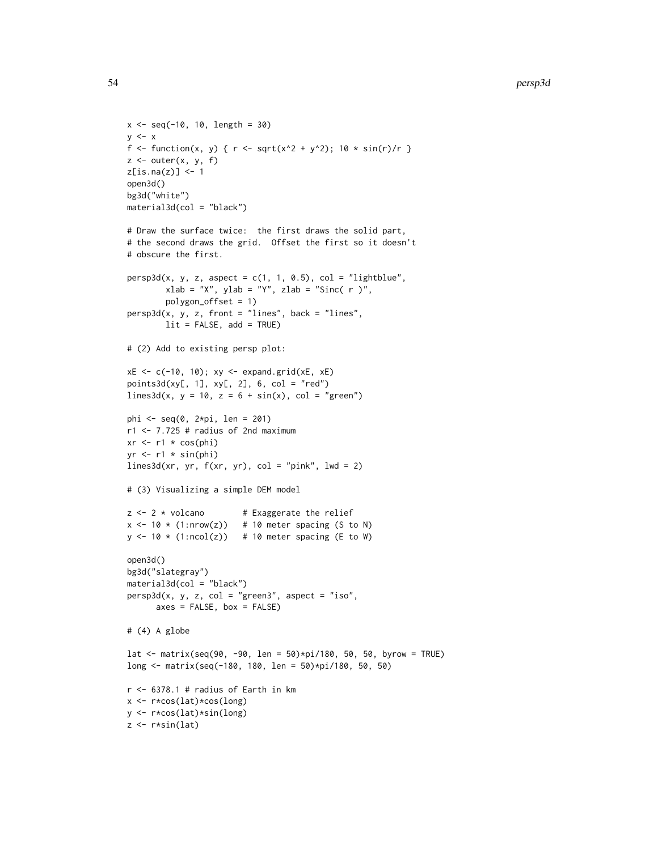```
x \le - seq(-10, 10, length = 30)
y \leq -xf <- function(x, y) { r <- sqrt(x^2 + y^2); 10 * sin(r)/r }
z \le outer(x, y, f)
z[is.na(z)] <- 1
open3d()
bg3d("white")
material3d(col = "black")
# Draw the surface twice: the first draws the solid part,
# the second draws the grid. Offset the first so it doesn't
# obscure the first.
persp3d(x, y, z, aspect = c(1, 1, 0.5), col = "lightblue",xlab = "X", ylab = "Y", zlab = "Sinc( r )",polygon_offset = 1)
persp3d(x, y, z, front = "lines", back = "lines",lit = FALSE, add = TRUE)# (2) Add to existing persp plot:
xE <- c(-10, 10); xy <- expand.grid(xE, xE)
points3d(xy[, 1], xy[, 2], 6, col = "red")
lines3d(x, y = 10, z = 6 + sin(x), col = "green")phi <- seq(0, 2*pi, len = 201)r1 < -7.725 # radius of 2nd maximum
xr \leq r1 \times \cos(\pi)yr \leftarrow r1 * sin(\phi)lines3d(xr, yr, f(xr, yr), col = "pink", lwd = 2)# (3) Visualizing a simple DEM model
z \le -2 \times volcano # Exaggerate the relief
x \le -10 \times (1: nrow(z)) # 10 meter spacing (S to N)
y \le -10 \times (1:\text{ncol}(z)) # 10 meter spacing (E to W)
open3d()
bg3d("slategray")
material3d(col = "black")
persp3d(x, y, z, col = "green3", aspect = "iso",axes = FALSE, box = FALSE)# (4) A globe
lat <- matrix(seq(90, -90, len = 50)*pi/180, 50, 50, byrow = TRUE)
long <- matrix(seq(-180, 180, len = 50)*pi/180, 50, 50)
r <- 6378.1 # radius of Earth in kmx <- r*cos(lat)*cos(long)
y <- r*cos(lat)*sin(long)
z \leftarrow r * sin(lat)
```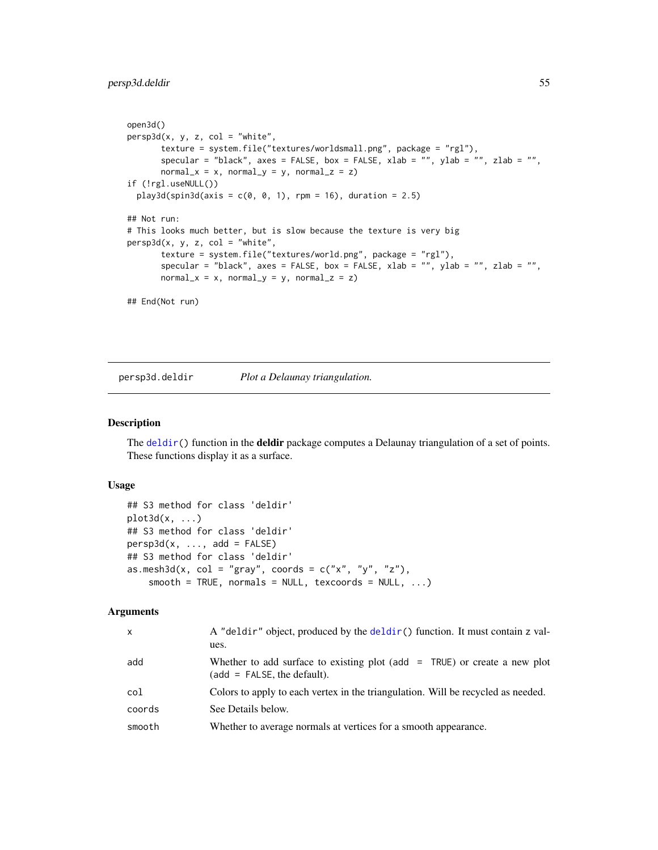```
open3d()
persp3d(x, y, z, col = "white",texture = system.file("textures/worldsmall.png", package = "rgl"),
      specular = "black", axes = FALSE, box = FALSE, xlab = "", ylab = "", zlab = "",
      normal_x = x, normal_y = y, normal_z = z)
if (!rgl.useNULL())
 play3d(spin3d(axis = c(0, 0, 1), rpm = 16), duration = 2.5)## Not run:
# This looks much better, but is slow because the texture is very big
persp3d(x, y, z, col = "white",texture = system.file("textures/world.png", package = "rgl"),
      specular = "black", axes = FALSE, box = FALSE, xlab = "", ylab = "", zlab = "",
      normal_x = x, normal_y = y, normal_z = z)
## End(Not run)
```
<span id="page-54-1"></span>persp3d.deldir *Plot a Delaunay triangulation.*

### <span id="page-54-0"></span>Description

The [deldir\(](#page-0-0)) function in the deldir package computes a Delaunay triangulation of a set of points. These functions display it as a surface.

# Usage

```
## S3 method for class 'deldir'
plot3d(x, \ldots)## S3 method for class 'deldir'
persp3d(x, ..., add = FALSE)## S3 method for class 'deldir'
as.mesh3d(x, col = "gray", coords = c("x", "y", "z"),smooth = TRUE, normals = NULL, texcoords = NULL, ...)
```
#### Arguments

| $\mathsf{x}$ | A "deldir" object, produced by the deldir() function. It must contain z val-<br>ues.                         |
|--------------|--------------------------------------------------------------------------------------------------------------|
| add          | Whether to add surface to existing plot (add $=$ TRUE) or create a new plot<br>$(add = FALSE, the default).$ |
| col          | Colors to apply to each vertex in the triangulation. Will be recycled as needed.                             |
| coords       | See Details below.                                                                                           |
| smooth       | Whether to average normals at vertices for a smooth appearance.                                              |
|              |                                                                                                              |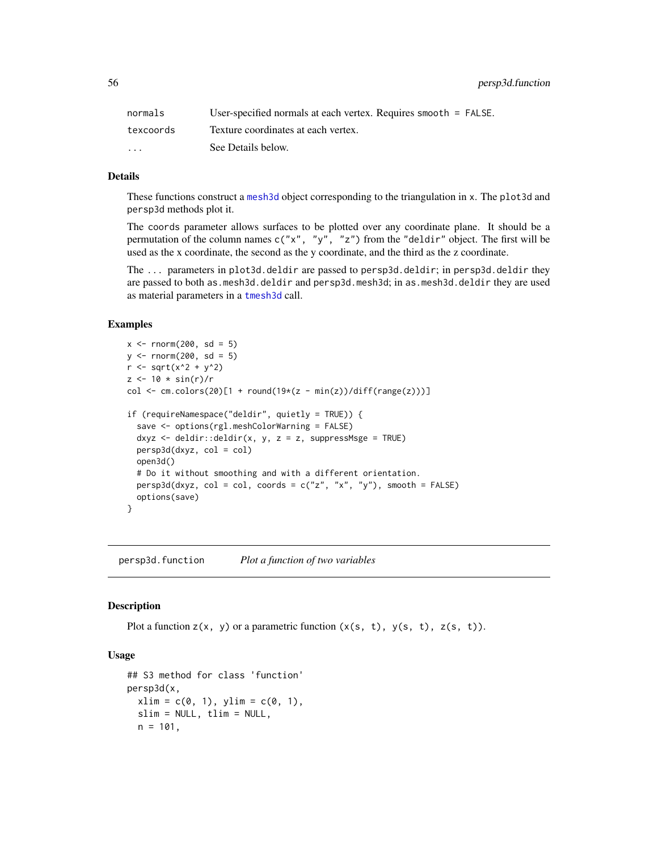56 persp3d.function

| normals                 | User-specified normals at each vertex. Requires smooth $=$ FALSE. |
|-------------------------|-------------------------------------------------------------------|
| texcoords               | Texture coordinates at each vertex.                               |
| $\cdot$ $\cdot$ $\cdot$ | See Details below.                                                |

## Details

These functions construct a [mesh3d](#page-36-0) object corresponding to the triangulation in x. The plot3d and persp3d methods plot it.

The coords parameter allows surfaces to be plotted over any coordinate plane. It should be a permutation of the column names  $c("x", "y", "z")$  from the "deldir" object. The first will be used as the x coordinate, the second as the y coordinate, and the third as the z coordinate.

The ... parameters in plot3d.deldir are passed to persp3d.deldir; in persp3d.deldir they are passed to both as.mesh3d.deldir and persp3d.mesh3d; in as.mesh3d.deldir they are used as material parameters in a [tmesh3d](#page-36-1) call.

## Examples

```
x < - rnorm(200, sd = 5)
y \le - rnorm(200, sd = 5)
r <- sqrt(x^2 + y^2)
z \le -10 * \sin(r)/rcol \le cm.colors(20)[1 + round(19*(z - min(z))/diff(range(z)))]
if (requireNamespace("deldir", quietly = TRUE)) {
  save <- options(rgl.meshColorWarning = FALSE)
  dxyz <- deldir::deldir(x, y, z = z, suppressMsge = TRUE)
  persp3d(dxyz, col = col)open3d()
  # Do it without smoothing and with a different orientation.
  persp3d(dxyz, col = col, coords = c("z", "x", "y"), smooth = FALSE)
  options(save)
}
```
<span id="page-55-0"></span>persp3d.function *Plot a function of two variables*

## <span id="page-55-1"></span>**Description**

Plot a function  $z(x, y)$  or a parametric function  $(x(s, t), y(s, t), z(s, t))$ .

### Usage

```
## S3 method for class 'function'
persp3d(x,
 xlim = c(0, 1), ylim = c(0, 1),slim = NULL, tlim = NULL,
 n = 101,
```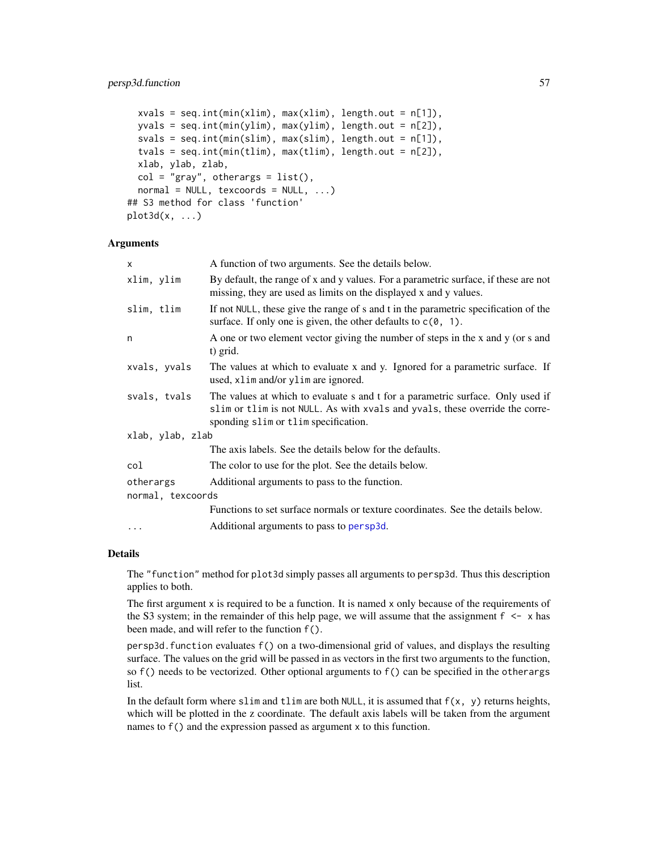```
xvals = seq.int(min(xlim), max(xlim), length.out = n[1]),yvals = seq.int(min(ylim), max(ylim), length.out = n[2]),
  svals = seq.int(min(slim), max(slim), length.out = n[1]),
  tvals = seq.int(min(tlim), max(tlim), length.out = n[2]),
  xlab, ylab, zlab,
  col = "gray", others = list(),normal = NULL, texcoords = NULL, ...## S3 method for class 'function'
plot3d(x, \ldots)
```
## Arguments

| $\times$          | A function of two arguments. See the details below.                                                                                                                                                    |  |
|-------------------|--------------------------------------------------------------------------------------------------------------------------------------------------------------------------------------------------------|--|
| xlim, ylim        | By default, the range of x and y values. For a parametric surface, if these are not<br>missing, they are used as limits on the displayed x and y values.                                               |  |
| slim, tlim        | If not NULL, these give the range of s and t in the parametric specification of the<br>surface. If only one is given, the other defaults to $c(0, 1)$ .                                                |  |
| n                 | A one or two element vector giving the number of steps in the x and y (or s and<br>t) grid.                                                                                                            |  |
| xvals, yvals      | The values at which to evaluate x and y. Ignored for a parametric surface. If<br>used, xlim and/or ylim are ignored.                                                                                   |  |
| svals, tvals      | The values at which to evaluate s and t for a parametric surface. Only used if<br>slim or tlim is not NULL. As with xvals and yvals, these override the corre-<br>sponding slim or tlim specification. |  |
| xlab, ylab, zlab  |                                                                                                                                                                                                        |  |
|                   | The axis labels. See the details below for the defaults.                                                                                                                                               |  |
| col               | The color to use for the plot. See the details below.                                                                                                                                                  |  |
| otherargs         | Additional arguments to pass to the function.                                                                                                                                                          |  |
| normal, texcoords |                                                                                                                                                                                                        |  |
|                   | Functions to set surface normals or texture coordinates. See the details below.                                                                                                                        |  |
| .                 | Additional arguments to pass to persp3d.                                                                                                                                                               |  |
|                   |                                                                                                                                                                                                        |  |

## Details

The "function" method for plot3d simply passes all arguments to persp3d. Thus this description applies to both.

The first argument x is required to be a function. It is named x only because of the requirements of the S3 system; in the remainder of this help page, we will assume that the assignment  $f \leq x$  has been made, and will refer to the function f().

persp3d.function evaluates f() on a two-dimensional grid of values, and displays the resulting surface. The values on the grid will be passed in as vectors in the first two arguments to the function, so f() needs to be vectorized. Other optional arguments to f() can be specified in the otherargs list.

In the default form where slim and tlim are both NULL, it is assumed that  $f(x, y)$  returns heights, which will be plotted in the z coordinate. The default axis labels will be taken from the argument names to f() and the expression passed as argument x to this function.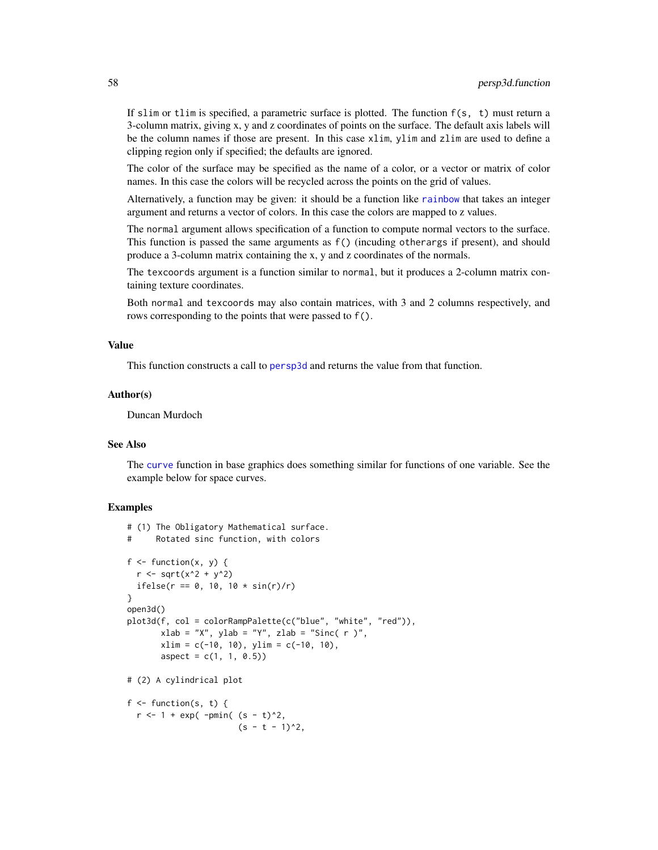If slim or tlim is specified, a parametric surface is plotted. The function  $f(s, t)$  must return a 3-column matrix, giving x, y and z coordinates of points on the surface. The default axis labels will be the column names if those are present. In this case xlim, ylim and zlim are used to define a clipping region only if specified; the defaults are ignored.

The color of the surface may be specified as the name of a color, or a vector or matrix of color names. In this case the colors will be recycled across the points on the grid of values.

Alternatively, a function may be given: it should be a function like [rainbow](#page-0-0) that takes an integer argument and returns a vector of colors. In this case the colors are mapped to z values.

The normal argument allows specification of a function to compute normal vectors to the surface. This function is passed the same arguments as f() (incuding otherargs if present), and should produce a 3-column matrix containing the x, y and z coordinates of the normals.

The texcoords argument is a function similar to normal, but it produces a 2-column matrix containing texture coordinates.

Both normal and texcoords may also contain matrices, with 3 and 2 columns respectively, and rows corresponding to the points that were passed to f().

#### Value

This function constructs a call to [persp3d](#page-51-0) and returns the value from that function.

## Author(s)

Duncan Murdoch

#### See Also

The [curve](#page-0-0) function in base graphics does something similar for functions of one variable. See the example below for space curves.

```
# (1) The Obligatory Mathematical surface.
      Rotated sinc function, with colors
f \leftarrow function(x, y) {
  r <- sqrt(x^2 + y^2)
  ifelse(r = 0, 10, 10 * sin(r)/r)
}
open3d()
plot3d(f, col = colorRampPalette(c("blue", "white", "red")),
       xlab = "X", ylab = "Y", zlab = "Sinc( r )",xlim = c(-10, 10), ylim = c(-10, 10),aspect = c(1, 1, 0.5)# (2) A cylindrical plot
f \leftarrow function(s, t) {
  r < -1 + \exp(-\text{pmin}(\text{ s} - \text{ t})^2),
                        (s - t - 1)^2,
```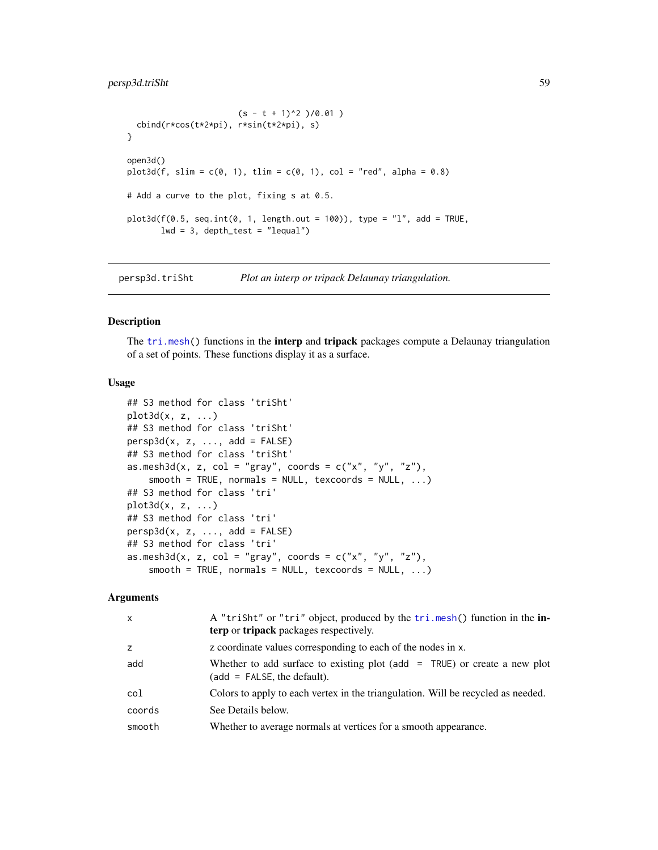# persp3d.triSht 59

```
(s - t + 1)^2 )(0.01)cbind(r*cos(t*2*pi), r*sin(t*2*pi), s)
}
open3d()
plot3d(f, slim = c(0, 1), tlim = c(0, 1), col = "red", alpha = 0.8)# Add a curve to the plot, fixing s at 0.5.
plot3d(f(0.5, seq.int(0, 1, length.out = 100)), type = "l", add = TRUE,lwd = 3, depth_test = "lequal")
```
persp3d.triSht *Plot an interp or tripack Delaunay triangulation.*

### Description

The [tri.mesh\(](#page-0-0)) functions in the **interp** and **tripack** packages compute a Delaunay triangulation of a set of points. These functions display it as a surface.

## Usage

```
## S3 method for class 'triSht'
plot3d(x, z, \ldots)## S3 method for class 'triSht'
persp3d(x, z, ..., add = FALSE)## S3 method for class 'triSht'
as.mesh3d(x, z, col = "gray", coords = c("x", "y", "z"),
    smooth = TRUE, normals = NULL, texcoords = NULL, ...)## S3 method for class 'tri'
plot3d(x, z, ...)
## S3 method for class 'tri'
persp3d(x, z, ..., add = FALSE)## S3 method for class 'tri'
as.mesh3d(x, z, col = "gray", coords = c("x", "y", "z"),
    smooth = TRUE, normals = NULL, texcoords = NULL, ...)
```
#### Arguments

| $\mathsf{x}$ | A "trisht" or "tri" object, produced by the tri.mesh() function in the in-<br><b>terp</b> or <b>tripack</b> packages respectively. |
|--------------|------------------------------------------------------------------------------------------------------------------------------------|
| z            | z coordinate values corresponding to each of the nodes in x.                                                                       |
| add          | Whether to add surface to existing plot (add $=$ TRUE) or create a new plot<br>$(add = FALSE, the default).$                       |
| col          | Colors to apply to each vertex in the triangulation. Will be recycled as needed.                                                   |
| coords       | See Details below.                                                                                                                 |
| smooth       | Whether to average normals at vertices for a smooth appearance.                                                                    |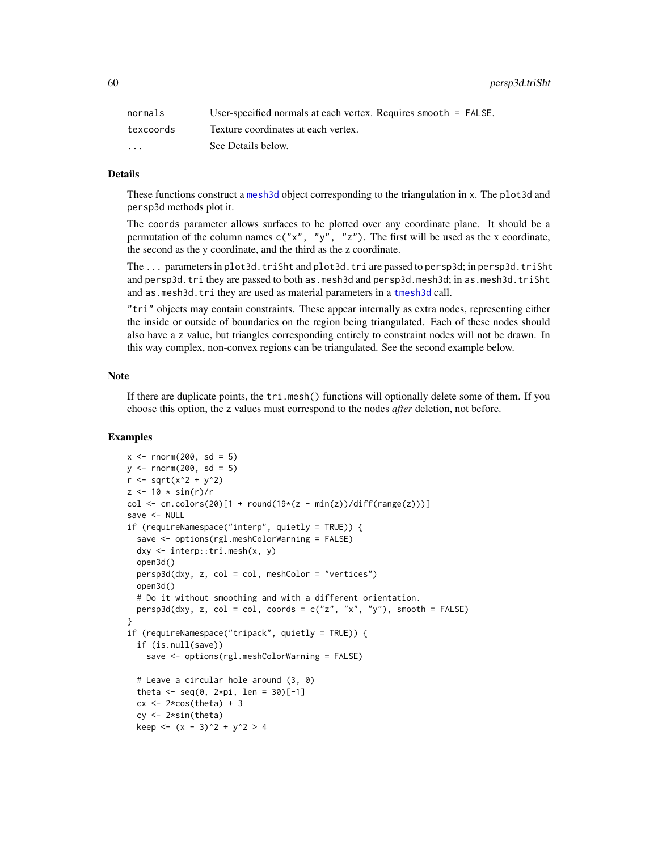60 persp3d.triSht

| normals                 | User-specified normals at each vertex. Requires smooth $=$ FALSE. |
|-------------------------|-------------------------------------------------------------------|
| texcoords               | Texture coordinates at each vertex.                               |
| $\cdot$ $\cdot$ $\cdot$ | See Details below.                                                |

### Details

These functions construct a [mesh3d](#page-36-0) object corresponding to the triangulation in x. The plot3d and persp3d methods plot it.

The coords parameter allows surfaces to be plotted over any coordinate plane. It should be a permutation of the column names  $c("x", "y", "z")$ . The first will be used as the x coordinate, the second as the y coordinate, and the third as the z coordinate.

The ... parameters in plot3d.triSht and plot3d.tri are passed to persp3d; in persp3d.triSht and persp3d.tri they are passed to both as.mesh3d and persp3d.mesh3d; in as.mesh3d.triSht and as.mesh3d.tri they are used as material parameters in a [tmesh3d](#page-36-1) call.

"tri" objects may contain constraints. These appear internally as extra nodes, representing either the inside or outside of boundaries on the region being triangulated. Each of these nodes should also have a z value, but triangles corresponding entirely to constraint nodes will not be drawn. In this way complex, non-convex regions can be triangulated. See the second example below.

#### Note

If there are duplicate points, the tri.mesh() functions will optionally delete some of them. If you choose this option, the z values must correspond to the nodes *after* deletion, not before.

```
x \le - rnorm(200, sd = 5)
y \le - rnorm(200, sd = 5)
r <- sqrt(x^2 + y^2)
z \le -10 * \sin(r)/rcol \leq cm.colors(20)[1 + round(19*(z - min(z))/diff(range(z)))]
save <- NULL
if (requireNamespace("interp", quietly = TRUE)) {
  save <- options(rgl.meshColorWarning = FALSE)
  dxy <- interp::tri.mesh(x, y)
  open3d()
  persp3d(dxy, z, col = col, meshColor = "vertices")
  open3d()
  # Do it without smoothing and with a different orientation.
  persp3d(dxy, z, col = col, coords = c("z", "x", "y"), smooth = FALSE)}
if (requireNamespace("tripack", quietly = TRUE)) {
  if (is.null(save))
    save <- options(rgl.meshColorWarning = FALSE)
  # Leave a circular hole around (3, 0)
  theta \leq - seq(0, 2*pi, len = 30)[-1]
  cx \leftarrow 2 * cos(theta) + 3cy <- 2*sin(theta)
  keep <- (x - 3)^2 + y^2 > 4
```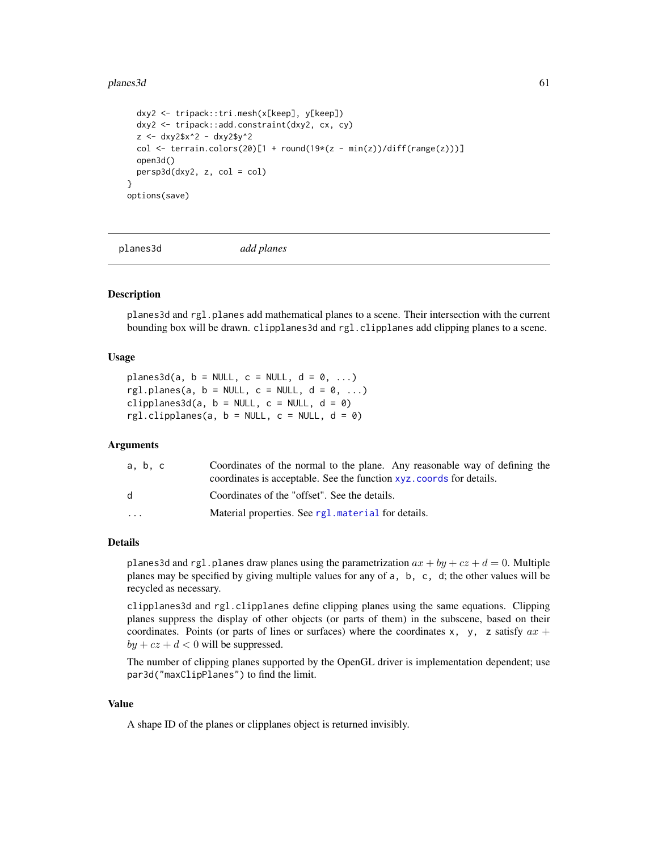### planes3d 61

```
dxy2 <- tripack::tri.mesh(x[keep], y[keep])
 dxy2 <- tripack::add.constraint(dxy2, cx, cy)
 z <- dxy2$x^2 - dxy2$y^2
 col <- terrain.colors(20)[1 + round(19*(z - min(z))/diff(range(z)))]
 open3d()
 persp3d(dxy2, z, col = col)}
options(save)
```
<span id="page-60-0"></span>

planes3d *add planes*

## <span id="page-60-1"></span>Description

planes3d and rgl.planes add mathematical planes to a scene. Their intersection with the current bounding box will be drawn. clipplanes3d and rgl.clipplanes add clipping planes to a scene.

#### Usage

planes3d(a,  $b = NULL$ ,  $c = NULL$ ,  $d = 0$ , ...) rgl.planes(a,  $b = NULL$ ,  $c = NULL$ ,  $d = 0$ , ...) clipplanes3d(a,  $b = NULL$ ,  $c = NULL$ ,  $d = 0$ ) rgl.clipplanes(a,  $b = NULL$ ,  $c = NULL$ ,  $d = 0$ )

## Arguments

| a. b. c                 | Coordinates of the normal to the plane. Any reasonable way of defining the<br>coordinates is acceptable. See the function xyz. coords for details. |
|-------------------------|----------------------------------------------------------------------------------------------------------------------------------------------------|
| d.                      | Coordinates of the "offset". See the details.                                                                                                      |
| $\cdot$ $\cdot$ $\cdot$ | Material properties. See rg1. material for details.                                                                                                |
|                         |                                                                                                                                                    |

## Details

planes3d and rgl.planes draw planes using the parametrization  $ax + by + cz + d = 0$ . Multiple planes may be specified by giving multiple values for any of a, b, c, d; the other values will be recycled as necessary.

clipplanes3d and rgl.clipplanes define clipping planes using the same equations. Clipping planes suppress the display of other objects (or parts of them) in the subscene, based on their coordinates. Points (or parts of lines or surfaces) where the coordinates x, y, z satisfy  $ax +$  $by + cz + d < 0$  will be suppressed.

The number of clipping planes supported by the OpenGL driver is implementation dependent; use par3d("maxClipPlanes") to find the limit.

# Value

A shape ID of the planes or clipplanes object is returned invisibly.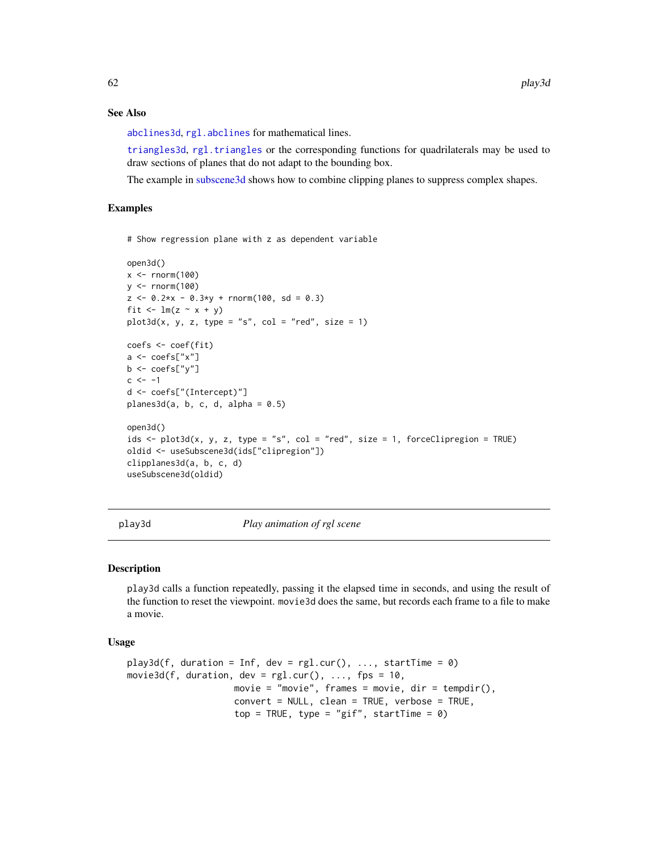## See Also

[abclines3d](#page-4-0), [rgl.abclines](#page-4-1) for mathematical lines.

[triangles3d](#page-72-1), [rgl.triangles](#page-95-1) or the corresponding functions for quadrilaterals may be used to draw sections of planes that do not adapt to the bounding box.

The example in [subscene3d](#page-135-1) shows how to combine clipping planes to suppress complex shapes.

## Examples

# Show regression plane with z as dependent variable

```
open3d()
x \le - rnorm(100)y \le - rnorm(100)z \le -0.2*x - 0.3*y + rnorm(100, sd = 0.3)fit \leftarrow lm(z \sim x + y)
plot3d(x, y, z, type = "s", col = "red", size = 1)coefs <- coef(fit)
a \leftarrow \text{coeffs["x"]b \leftarrow \text{coeffs}['y'']c < -1d <- coefs["(Intercept)"]
planes3d(a, b, c, d, alpha = 0.5)open3d()
ids \le plot3d(x, y, z, type = "s", col = "red", size = 1, forceClipregion = TRUE)
oldid <- useSubscene3d(ids["clipregion"])
clipplanes3d(a, b, c, d)
useSubscene3d(oldid)
```
<span id="page-61-0"></span>play3d *Play animation of rgl scene*

#### Description

play3d calls a function repeatedly, passing it the elapsed time in seconds, and using the result of the function to reset the viewpoint. movie3d does the same, but records each frame to a file to make a movie.

# Usage

```
play3d(f, duration = Inf, dev = rg1.cur(), ..., startTime = 0)movie3d(f, duration, dev = rgl.cur(), ..., fps = 10,
                    movie = "movie", frames = movie, dir = tempdir(),
                    convert = NULL, clean = TRUE, verbose = TRUE,
                    top = TRUE, type = "gif", startTime = 0)
```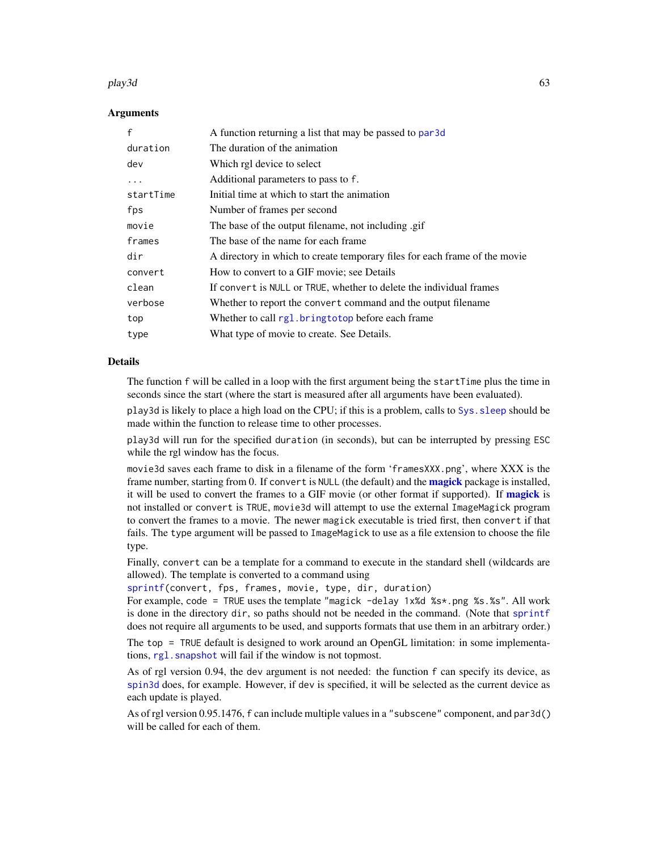#### play3d 63

### Arguments

| A function returning a list that may be passed to par 3d                   |
|----------------------------------------------------------------------------|
| The duration of the animation                                              |
| Which rgl device to select                                                 |
| Additional parameters to pass to f.                                        |
| Initial time at which to start the animation                               |
| Number of frames per second                                                |
| The base of the output filename, not including .gif                        |
| The base of the name for each frame                                        |
| A directory in which to create temporary files for each frame of the movie |
| How to convert to a GIF movie; see Details                                 |
| If convert is NULL or TRUE, whether to delete the individual frames        |
| Whether to report the convert command and the output filename              |
| Whether to call rgl. bringtotop before each frame                          |
| What type of movie to create. See Details.                                 |
|                                                                            |

### Details

The function f will be called in a loop with the first argument being the startTime plus the time in seconds since the start (where the start is measured after all arguments have been evaluated).

play3d is likely to place a high load on the CPU; if this is a problem, calls to [Sys.sleep](#page-0-0) should be made within the function to release time to other processes.

play3d will run for the specified duration (in seconds), but can be interrupted by pressing ESC while the rgl window has the focus.

movie3d saves each frame to disk in a filename of the form 'framesXXX.png', where XXX is the frame number, starting from 0. If convert is NULL (the default) and the **[magick](#page-0-0)** package is installed, it will be used to convert the frames to a GIF movie (or other format if supported). If [magick](#page-0-0) is not installed or convert is TRUE, movie3d will attempt to use the external ImageMagick program to convert the frames to a movie. The newer magick executable is tried first, then convert if that fails. The type argument will be passed to ImageMagick to use as a file extension to choose the file type.

Finally, convert can be a template for a command to execute in the standard shell (wildcards are allowed). The template is converted to a command using

[sprintf\(](#page-0-0)convert, fps, frames, movie, type, dir, duration)

For example, code = TRUE uses the template "magick -delay 1x%d %s\*.png %s.%s". All work is done in the directory dir, so paths should not be needed in the command. (Note that [sprintf](#page-0-0) does not require all arguments to be used, and supports formats that use them in an arbitrary order.)

The top = TRUE default is designed to work around an OpenGL limitation: in some implementations, rgl. snapshot will fail if the window is not topmost.

As of rgl version 0.94, the dev argument is not needed: the function f can specify its device, as [spin3d](#page-131-0) does, for example. However, if dev is specified, it will be selected as the current device as each update is played.

As of rgl version 0.95.1476, f can include multiple values in a "subscene" component, and par3d() will be called for each of them.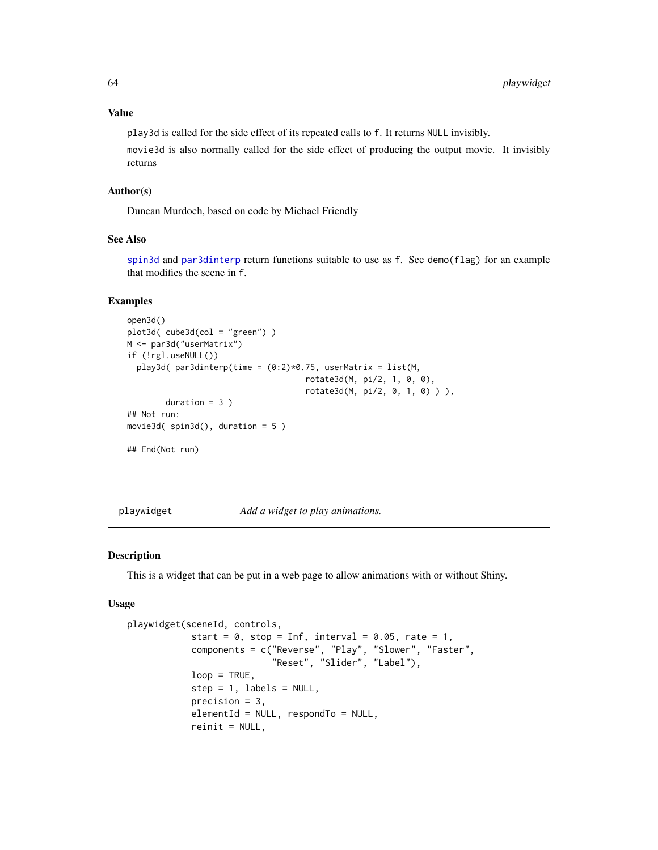## Value

play3d is called for the side effect of its repeated calls to f. It returns NULL invisibly.

movie3d is also normally called for the side effect of producing the output movie. It invisibly returns

## Author(s)

Duncan Murdoch, based on code by Michael Friendly

## See Also

[spin3d](#page-131-0) and [par3dinterp](#page-47-0) return functions suitable to use as f. See demo(flag) for an example that modifies the scene in f.

# Examples

```
open3d()
plot3d( cube3d(col = "green") )
M <- par3d("userMatrix")
if (!rgl.useNULL())
  play3d( par3dinterp(time = (0:2)*0.75, userMatrix = list(M,
                                     rotate3d(M, pi/2, 1, 0, 0),
                                     rotate3d(M, pi/2, 0, 1, 0) ) ),
        duration = 3 )
## Not run:
movie3d( spin3d(), duration = 5 )
## End(Not run)
```
<span id="page-63-0"></span>playwidget *Add a widget to play animations.*

#### Description

This is a widget that can be put in a web page to allow animations with or without Shiny.

### Usage

```
playwidget(sceneId, controls,
            start = 0, stop = Inf, interval = 0.05, rate = 1,
            components = c("Reverse", "Play", "Slower", "Faster",
                           "Reset", "Slider", "Label"),
            loop = TRUE,step = 1, labels = NULL,
            precision = 3,
            elementId = NULL, respondTo = NULL,
            reinit = NULL,
```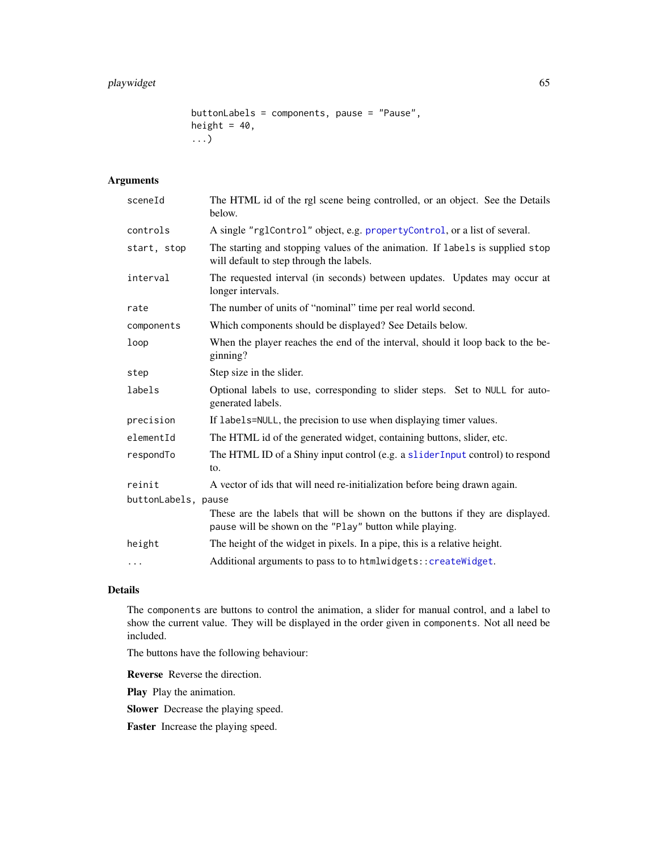```
buttonLabels = components, pause = "Pause",
height = 40,
...)
```
# Arguments

| sceneId             | The HTML id of the rgl scene being controlled, or an object. See the Details<br>below.                                                   |  |
|---------------------|------------------------------------------------------------------------------------------------------------------------------------------|--|
| controls            | A single "rglControl" object, e.g. propertyControl, or a list of several.                                                                |  |
| start, stop         | The starting and stopping values of the animation. If labels is supplied stop<br>will default to step through the labels.                |  |
| interval            | The requested interval (in seconds) between updates. Updates may occur at<br>longer intervals.                                           |  |
| rate                | The number of units of "nominal" time per real world second.                                                                             |  |
| components          | Which components should be displayed? See Details below.                                                                                 |  |
| loop                | When the player reaches the end of the interval, should it loop back to the be-<br>ginning?                                              |  |
| step                | Step size in the slider.                                                                                                                 |  |
| labels              | Optional labels to use, corresponding to slider steps. Set to NULL for auto-<br>generated labels.                                        |  |
| precision           | If labels=NULL, the precision to use when displaying timer values.                                                                       |  |
| elementId           | The HTML id of the generated widget, containing buttons, slider, etc.                                                                    |  |
| respondTo           | The HTML ID of a Shiny input control (e.g. a slider Input control) to respond<br>to.                                                     |  |
| reinit              | A vector of ids that will need re-initialization before being drawn again.                                                               |  |
| buttonLabels, pause |                                                                                                                                          |  |
|                     | These are the labels that will be shown on the buttons if they are displayed.<br>pause will be shown on the "Play" button while playing. |  |
| height              | The height of the widget in pixels. In a pipe, this is a relative height.                                                                |  |
| $\cdots$            | Additional arguments to pass to to htmlwidgets:: createWidget.                                                                           |  |

## Details

The components are buttons to control the animation, a slider for manual control, and a label to show the current value. They will be displayed in the order given in components. Not all need be included.

The buttons have the following behaviour:

Reverse Reverse the direction.

Play Play the animation.

Slower Decrease the playing speed.

Faster Increase the playing speed.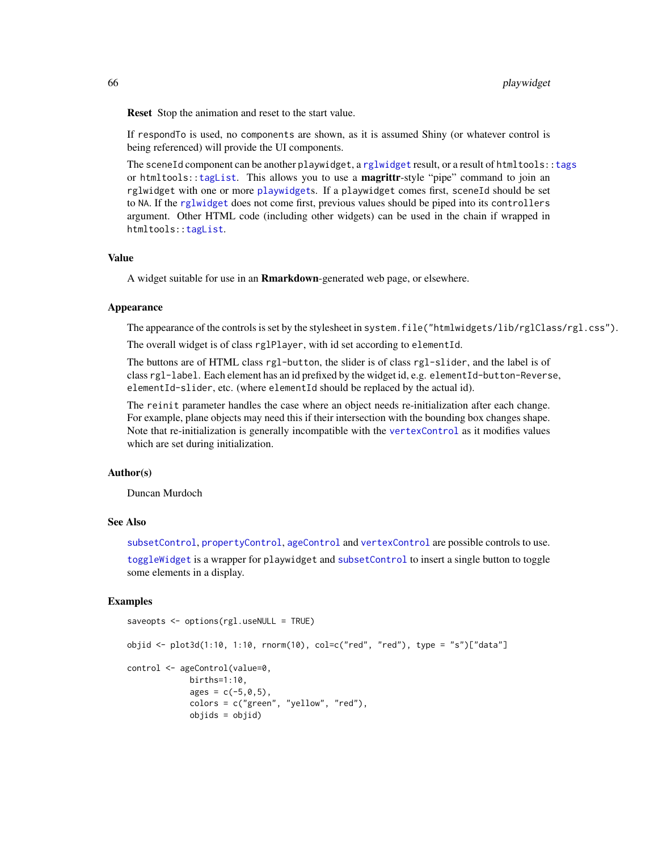Reset Stop the animation and reset to the start value.

If respondTo is used, no components are shown, as it is assumed Shiny (or whatever control is being referenced) will provide the UI components.

The sceneId component can be another playwidget, a [rglwidget](#page-110-0) result, or a result of htmltools:[:tags](#page-0-0) or htmltools: : tagList. This allows you to use a **magrittr**-style "pipe" command to join an rglwidget with one or more [playwidget](#page-63-0)s. If a playwidget comes first, sceneId should be set to NA. If the [rglwidget](#page-110-0) does not come first, previous values should be piped into its controllers argument. Other HTML code (including other widgets) can be used in the chain if wrapped in htmltools:[:tagList](#page-0-0).

### Value

A widget suitable for use in an **Rmarkdown**-generated web page, or elsewhere.

#### Appearance

The appearance of the controls is set by the stylesheet in system.file("htmlwidgets/lib/rglClass/rgl.css").

The overall widget is of class rglPlayer, with id set according to elementId.

The buttons are of HTML class rgl-button, the slider is of class rgl-slider, and the label is of class rgl-label. Each element has an id prefixed by the widget id, e.g. elementId-button-Reverse, elementId-slider, etc. (where elementId should be replaced by the actual id).

The reinit parameter handles the case where an object needs re-initialization after each change. For example, plane objects may need this if their intersection with the bounding box changes shape. Note that re-initialization is generally incompatible with the [vertexControl](#page-148-0) as it modifies values which are set during initialization.

## Author(s)

Duncan Murdoch

### See Also

[subsetControl](#page-75-1), [propertyControl](#page-75-0), [ageControl](#page-6-0) and [vertexControl](#page-148-0) are possible controls to use.

[toggleWidget](#page-144-0) is a wrapper for playwidget and [subsetControl](#page-75-1) to insert a single button to toggle some elements in a display.

```
saveopts <- options(rgl.useNULL = TRUE)
objid \leq plot3d(1:10, 1:10, rnorm(10), col=c("red", "red"), type = "s")["data"]
control <- ageControl(value=0,
            births=1:10,
             ages = c(-5, 0, 5),colors = c("green", "yellow", "red"),
             objids = objid)
```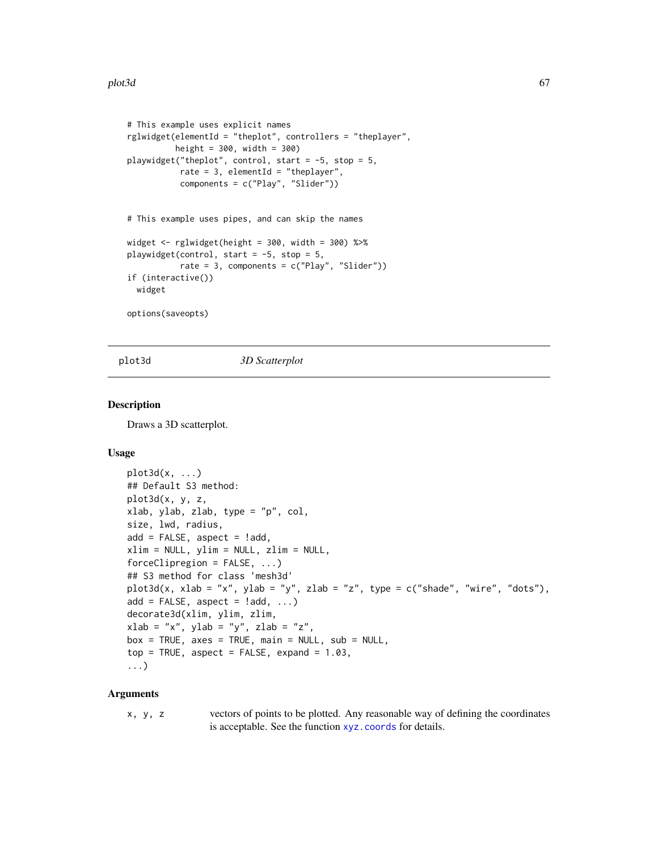```
# This example uses explicit names
rglwidget(elementId = "theplot", controllers = "theplayer",
         height = 300, width = 300)
playwidget("theplot", control, start = -5, stop = 5,
          rate = 3, elementId = "theplayer",
           components = c("Play", "Slider"))
# This example uses pipes, and can skip the names
widget <- rglwidget(height = 300, width = 300) %>%
playwidget(control, start = -5, stop = 5,
           rate = 3, components = c("Play", "Slider"))
if (interactive())
 widget
options(saveopts)
```
<span id="page-66-0"></span>

plot3d *3D Scatterplot*

### <span id="page-66-1"></span>**Description**

Draws a 3D scatterplot.

#### Usage

```
plot3d(x, \ldots)## Default S3 method:
plot3d(x, y, z,
xlab, ylab, zlab, type = "p", col,
size, lwd, radius,
add = FALSE, aspect = !add,xlim = NULL, ylim = NULL, zlim = NULL,
forceClipregion = FALSE, ...## S3 method for class 'mesh3d'
plot3d(x, xlab = "x", ylab = "y", zlab = "z", type = c("shade", "wire", "dots"),add = FALSE, aspect = !add, ...)decorate3d(xlim, ylim, zlim,
xlab = "x", ylab = "y", zlab = "z",
box = TRUE, axes = TRUE, main = NULL, sub = NULL,
top = TRUE, aspect = FALSE, expand = 1.03,
...)
```
#### Arguments

x, y, z vectors of points to be plotted. Any reasonable way of defining the coordinates is acceptable. See the function [xyz.coords](#page-0-0) for details.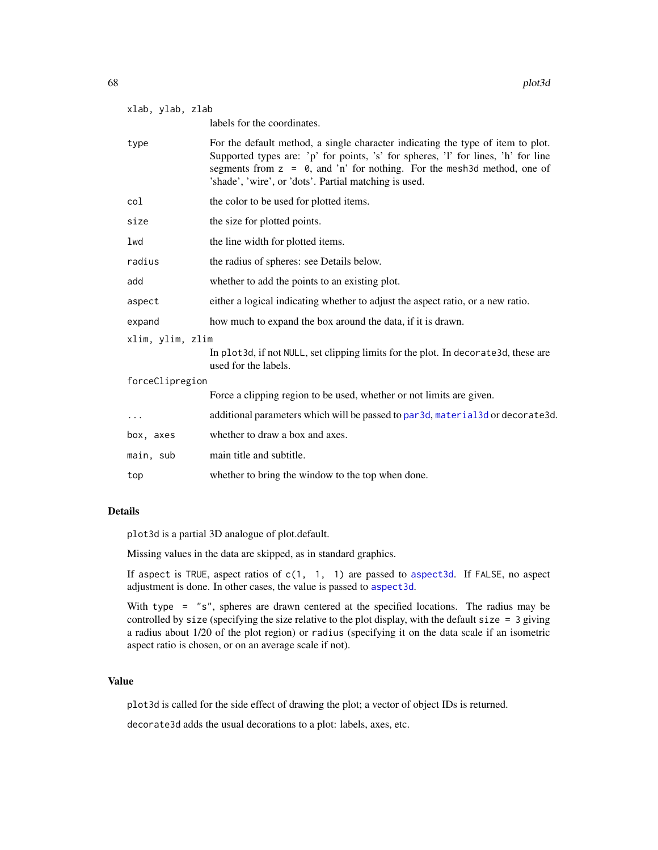| xlab, ylab, zlab |  |
|------------------|--|
|                  |  |

labels for the coordinates.

| type             | For the default method, a single character indicating the type of item to plot.<br>Supported types are: 'p' for points, 's' for spheres, 'l' for lines, 'h' for line<br>segments from $z = 0$ , and 'n' for nothing. For the mesh3d method, one of<br>'shade', 'wire', or 'dots'. Partial matching is used. |
|------------------|-------------------------------------------------------------------------------------------------------------------------------------------------------------------------------------------------------------------------------------------------------------------------------------------------------------|
| col              | the color to be used for plotted items.                                                                                                                                                                                                                                                                     |
| size             | the size for plotted points.                                                                                                                                                                                                                                                                                |
| lwd              | the line width for plotted items.                                                                                                                                                                                                                                                                           |
| radius           | the radius of spheres: see Details below.                                                                                                                                                                                                                                                                   |
| add              | whether to add the points to an existing plot.                                                                                                                                                                                                                                                              |
| aspect           | either a logical indicating whether to adjust the aspect ratio, or a new ratio.                                                                                                                                                                                                                             |
| expand           | how much to expand the box around the data, if it is drawn.                                                                                                                                                                                                                                                 |
| xlim, ylim, zlim |                                                                                                                                                                                                                                                                                                             |
|                  | In plot3d, if not NULL, set clipping limits for the plot. In decorate3d, these are<br>used for the labels.                                                                                                                                                                                                  |
| forceClipregion  |                                                                                                                                                                                                                                                                                                             |
|                  | Force a clipping region to be used, whether or not limits are given.                                                                                                                                                                                                                                        |
| $\cdots$         | additional parameters which will be passed to par3d, material3d or decorate3d.                                                                                                                                                                                                                              |
| box, axes        | whether to draw a box and axes.                                                                                                                                                                                                                                                                             |
| main, sub        | main title and subtitle.                                                                                                                                                                                                                                                                                    |
| top              | whether to bring the window to the top when done.                                                                                                                                                                                                                                                           |

## Details

plot3d is a partial 3D analogue of plot.default.

Missing values in the data are skipped, as in standard graphics.

If aspect is TRUE, aspect ratios of  $c(1, 1, 1)$  are passed to aspect 3d. If FALSE, no aspect adjustment is done. In other cases, the value is passed to [aspect3d](#page-14-0).

With type = "s", spheres are drawn centered at the specified locations. The radius may be controlled by size (specifying the size relative to the plot display, with the default size = 3 giving a radius about 1/20 of the plot region) or radius (specifying it on the data scale if an isometric aspect ratio is chosen, or on an average scale if not).

# Value

plot3d is called for the side effect of drawing the plot; a vector of object IDs is returned.

decorate3d adds the usual decorations to a plot: labels, axes, etc.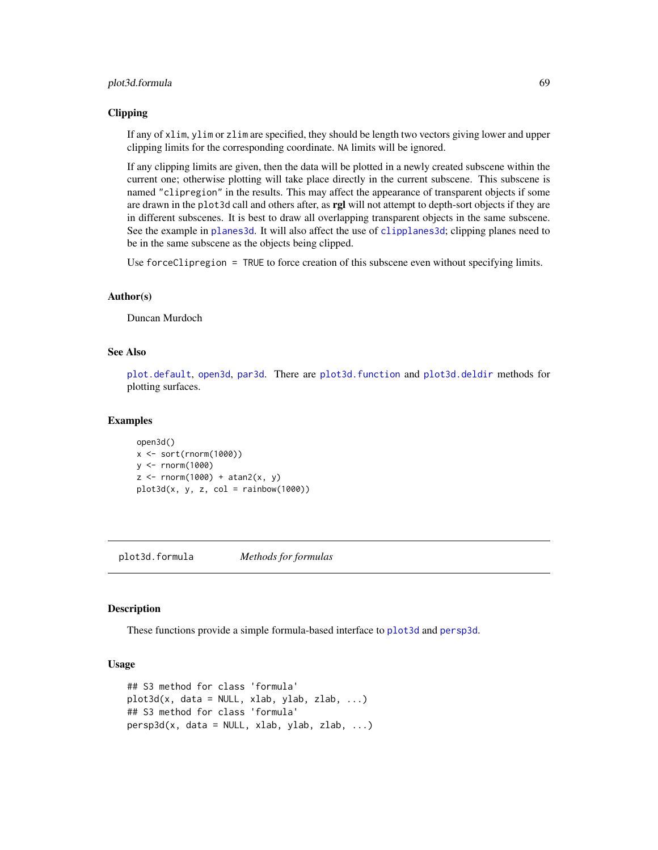## plot3d.formula 69

### Clipping

If any of xlim, ylim or zlim are specified, they should be length two vectors giving lower and upper clipping limits for the corresponding coordinate. NA limits will be ignored.

If any clipping limits are given, then the data will be plotted in a newly created subscene within the current one; otherwise plotting will take place directly in the current subscene. This subscene is named "clipregion" in the results. This may affect the appearance of transparent objects if some are drawn in the plot3d call and others after, as rgl will not attempt to depth-sort objects if they are in different subscenes. It is best to draw all overlapping transparent objects in the same subscene. See the example in [planes3d](#page-60-0). It will also affect the use of [clipplanes3d](#page-60-1); clipping planes need to be in the same subscene as the objects being clipped.

Use forceClipregion = TRUE to force creation of this subscene even without specifying limits.

#### Author(s)

Duncan Murdoch

## See Also

[plot.default](#page-0-0), [open3d](#page-42-1), [par3d](#page-42-0). There are [plot3d.function](#page-55-1) and [plot3d.deldir](#page-54-0) methods for plotting surfaces.

#### Examples

open3d() x <- sort(rnorm(1000)) y <- rnorm(1000)  $z$  <- rnorm(1000) + atan2(x, y)  $plot3d(x, y, z, col = rainbow(1000))$ 

plot3d.formula *Methods for formulas*

### <span id="page-68-0"></span>Description

These functions provide a simple formula-based interface to [plot3d](#page-66-0) and [persp3d](#page-51-0).

### Usage

```
## S3 method for class 'formula'
plot3d(x, data = NULL, xlab, ylab, zlab, ...)## S3 method for class 'formula'
persp3d(x, data = NULL, xlab, ylab, zlab, ...)
```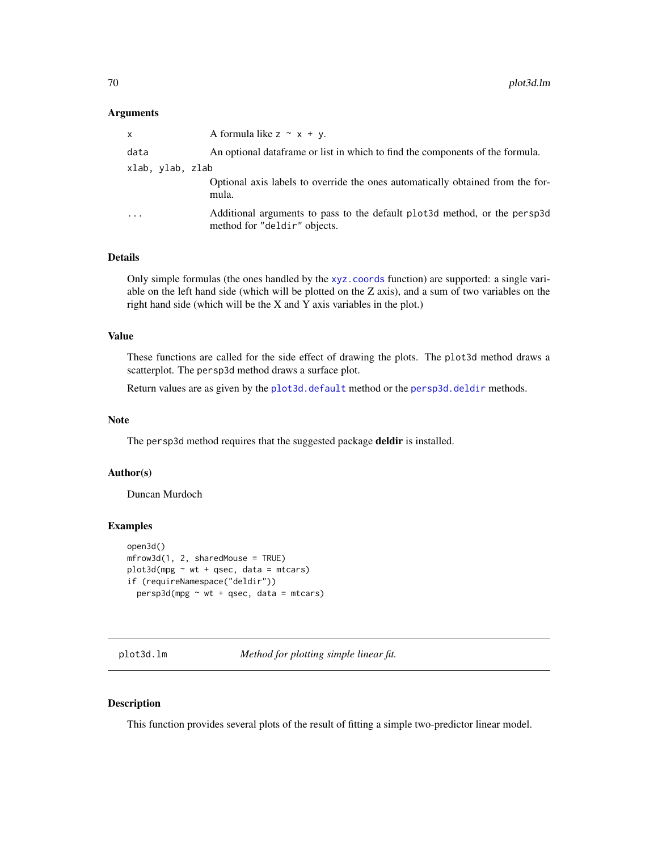### **Arguments**

| X         |                  | A formula like $z \sim x + y$ .                                                                           |
|-----------|------------------|-----------------------------------------------------------------------------------------------------------|
| data      |                  | An optional data frame or list in which to find the components of the formula.                            |
|           | xlab, ylab, zlab |                                                                                                           |
|           |                  | Optional axis labels to override the ones automatically obtained from the for-<br>mula.                   |
| $\ddotsc$ |                  | Additional arguments to pass to the default plot3d method, or the persp3d<br>method for "deldir" objects. |

# Details

Only simple formulas (the ones handled by the [xyz.coords](#page-0-0) function) are supported: a single variable on the left hand side (which will be plotted on the Z axis), and a sum of two variables on the right hand side (which will be the X and Y axis variables in the plot.)

## Value

These functions are called for the side effect of drawing the plots. The plot3d method draws a scatterplot. The persp3d method draws a surface plot.

Return values are as given by the [plot3d.default](#page-66-1) method or the [persp3d.deldir](#page-54-1) methods.

## Note

The persp3d method requires that the suggested package deldir is installed.

## Author(s)

Duncan Murdoch

### Examples

```
open3d()
mfrow3d(1, 2, sharedMouse = TRUE)
plot3d(mpg \sim wt + qsec, data = mtcars)if (requireNamespace("deldir"))
  persp3d(mpg \sim wt + qsec, data = mtcars)
```
plot3d.lm *Method for plotting simple linear fit.*

# Description

This function provides several plots of the result of fitting a simple two-predictor linear model.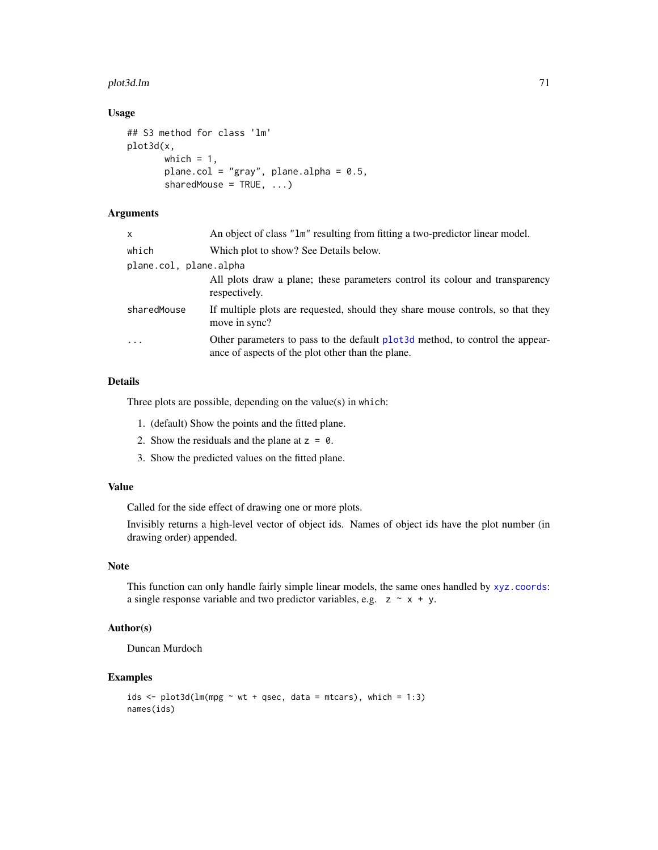#### plot3d.lm 71

# Usage

```
## S3 method for class 'lm'
plot3d(x,
       which = 1,
       plane.col = "gray", plane.alpha = 0.5,
       sharedMouse = TRUE, ...)
```
# Arguments

| $\mathsf{x}$           | An object of class "1m" resulting from fitting a two-predictor linear model.                                                        |
|------------------------|-------------------------------------------------------------------------------------------------------------------------------------|
| which                  | Which plot to show? See Details below.                                                                                              |
| plane.col, plane.alpha |                                                                                                                                     |
|                        | All plots draw a plane; these parameters control its colour and transparency<br>respectively.                                       |
| sharedMouse            | If multiple plots are requested, should they share mouse controls, so that they<br>move in sync?                                    |
| $\cdot$                | Other parameters to pass to the default plot 3d method, to control the appear-<br>ance of aspects of the plot other than the plane. |

# Details

Three plots are possible, depending on the value(s) in which:

- 1. (default) Show the points and the fitted plane.
- 2. Show the residuals and the plane at  $z = 0$ .
- 3. Show the predicted values on the fitted plane.

### Value

Called for the side effect of drawing one or more plots.

Invisibly returns a high-level vector of object ids. Names of object ids have the plot number (in drawing order) appended.

# Note

This function can only handle fairly simple linear models, the same ones handled by [xyz.coords](#page-0-0): a single response variable and two predictor variables, e.g.  $z \sim x + y$ .

## Author(s)

Duncan Murdoch

```
ids \le plot3d(lm(mpg \sim wt + qsec, data = mtcars), which = 1:3)
names(ids)
```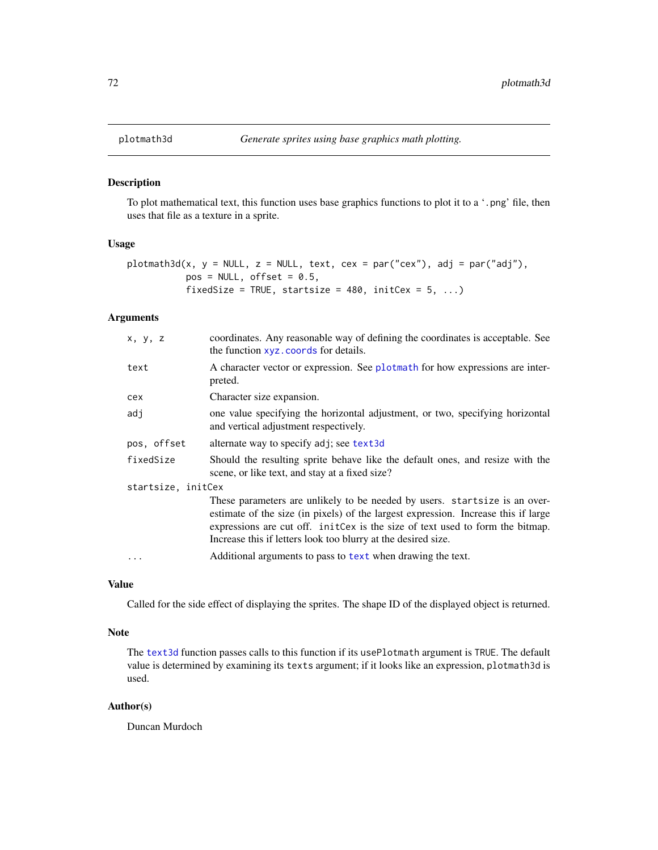# Description

To plot mathematical text, this function uses base graphics functions to plot it to a '.png' file, then uses that file as a texture in a sprite.

### Usage

```
plotmath3d(x, y = NULL, z = NULL, text, cex = par("cex"), adj = par("adj"),
          pos = NULL, offset = 0.5,fixedSize = TRUE, startsize = 480, initCex = 5, ...)
```
## Arguments

| x, y, z            | coordinates. Any reasonable way of defining the coordinates is acceptable. See<br>the function xyz. coords for details.                                                                                                                                                                                                                                                           |  |
|--------------------|-----------------------------------------------------------------------------------------------------------------------------------------------------------------------------------------------------------------------------------------------------------------------------------------------------------------------------------------------------------------------------------|--|
| text               | A character vector or expression. See plotmath for how expressions are inter-<br>preted.                                                                                                                                                                                                                                                                                          |  |
| cex                | Character size expansion.                                                                                                                                                                                                                                                                                                                                                         |  |
| adj                | one value specifying the horizontal adjustment, or two, specifying horizontal<br>and vertical adjustment respectively.                                                                                                                                                                                                                                                            |  |
| pos, offset        | alternate way to specify adj; see text3d                                                                                                                                                                                                                                                                                                                                          |  |
| fixedSize          | Should the resulting sprite behave like the default ones, and resize with the<br>scene, or like text, and stay at a fixed size?                                                                                                                                                                                                                                                   |  |
| startsize, initCex |                                                                                                                                                                                                                                                                                                                                                                                   |  |
|                    | These parameters are unlikely to be needed by users. startsize is an over-<br>estimate of the size (in pixels) of the largest expression. Increase this if large<br>expressions are cut off. initCex is the size of text used to form the bitmap.<br>Increase this if letters look too blurry at the desired size.<br>Additional arguments to pass to text when drawing the text. |  |
|                    |                                                                                                                                                                                                                                                                                                                                                                                   |  |

# Value

Called for the side effect of displaying the sprites. The shape ID of the displayed object is returned.

## Note

The [text3d](#page-140-0) function passes calls to this function if its usePlotmath argument is TRUE. The default value is determined by examining its texts argument; if it looks like an expression, plotmath3d is used.

## Author(s)

Duncan Murdoch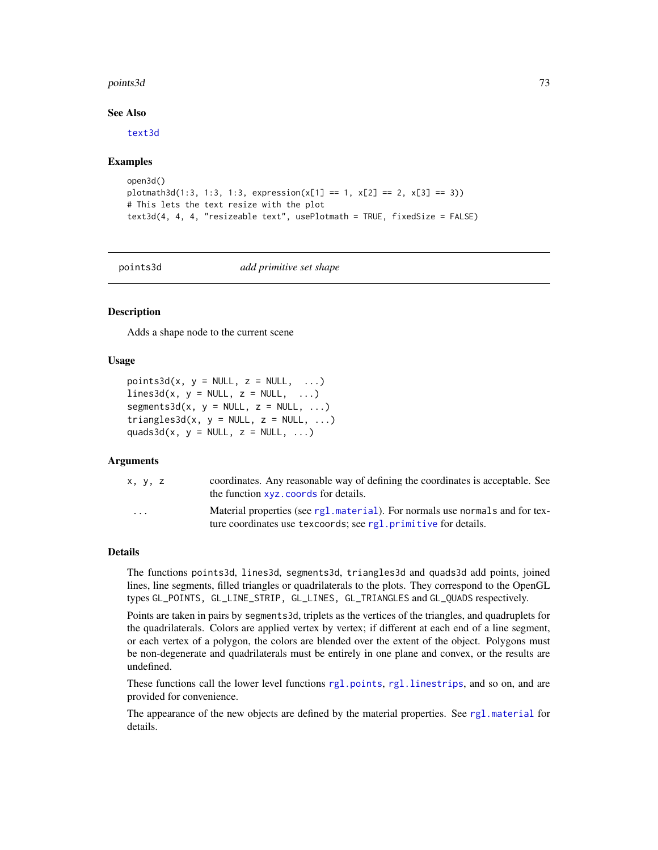#### points3d 73

## See Also

[text3d](#page-140-0)

## Examples

```
open3d()
plotmath3d(1:3, 1:3, 1:3, expression(x[1] == 1, x[2] == 2, x[3] == 3))# This lets the text resize with the plot
text3d(4, 4, 4, "resizeable text", usePlotmath = TRUE, fixedSize = FALSE)
```
<span id="page-72-1"></span>

points3d *add primitive set shape*

# <span id="page-72-0"></span>**Description**

Adds a shape node to the current scene

## Usage

```
points3d(x, y = NULL, z = NULL, ...)lines3d(x, y = NULL, z = NULL, ...)segments3d(x, y = NULL, z = NULL, ...)triangle3d(x, y = NULL, z = NULL, ...)quads3d(x, y = NULL, z = NULL, ...)
```
## Arguments

| x, y, z                 | coordinates. Any reasonable way of defining the coordinates is acceptable. See<br>the function xvz. coords for details.                         |
|-------------------------|-------------------------------------------------------------------------------------------------------------------------------------------------|
| $\cdot$ $\cdot$ $\cdot$ | Material properties (see rg1. material). For normals use normals and for tex-<br>ture coordinates use texcoords; see rgl.primitive for details. |

## Details

The functions points3d, lines3d, segments3d, triangles3d and quads3d add points, joined lines, line segments, filled triangles or quadrilaterals to the plots. They correspond to the OpenGL types GL\_POINTS, GL\_LINE\_STRIP, GL\_LINES, GL\_TRIANGLES and GL\_QUADS respectively.

Points are taken in pairs by segments3d, triplets as the vertices of the triangles, and quadruplets for the quadrilaterals. Colors are applied vertex by vertex; if different at each end of a line segment, or each vertex of a polygon, the colors are blended over the extent of the object. Polygons must be non-degenerate and quadrilaterals must be entirely in one plane and convex, or the results are undefined.

These functions call the lower level functions [rgl.points](#page-95-1), [rgl.linestrips](#page-95-1), and so on, and are provided for convenience.

The appearance of the new objects are defined by the material properties. See [rgl.material](#page-88-0) for details.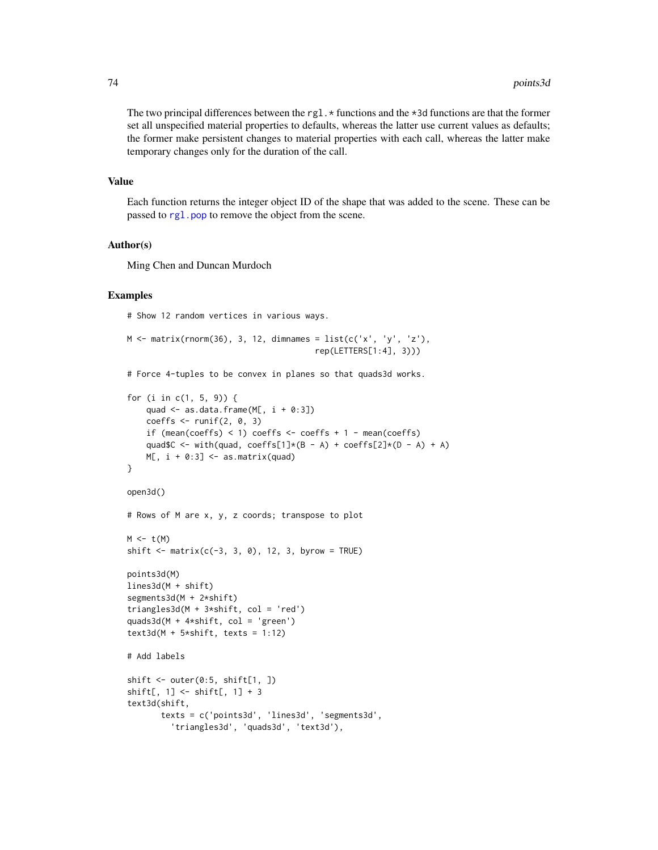The two principal differences between the rgl.  $\star$  functions and the  $\star$ 3d functions are that the former set all unspecified material properties to defaults, whereas the latter use current values as defaults; the former make persistent changes to material properties with each call, whereas the latter make temporary changes only for the duration of the call.

## Value

Each function returns the integer object ID of the shape that was added to the scene. These can be passed to [rgl.pop](#page-113-0) to remove the object from the scene.

## Author(s)

Ming Chen and Duncan Murdoch

#### Examples

# Show 12 random vertices in various ways.

```
M \leq - matrix(rnorm(36), 3, 12, dimnames = list(c('x', 'y', 'z'),
                                         rep(LETTERS[1:4], 3)))
```
# Force 4-tuples to be convex in planes so that quads3d works.

```
for (i in c(1, 5, 9)) {
    quad \leq as.data.frame(M[, i + 0:3])
    coeffs \le runif(2, 0, 3)
    if (mean(coeffs) < 1) coeffs <- coeffs + 1 - mean(coeffs)
    quad$C <- with(quad, coeffs[1]*(B - A) + coeffs[2]*(D - A) + A)
   M[, i + 0:3] < - as.matrix(quad)
}
open3d()
# Rows of M are x, y, z coords; transpose to plot
M \leftarrow t(M)shift \leq matrix(c(-3, 3, 0), 12, 3, byrow = TRUE)
points3d(M)
lines3d(M + shift)
segments3d(M + 2*shift)
triangles3d(M + 3*shift, col = 'red')
quads3d(M + 4*shift, col = 'green')
text3d(M + 5*shift, texts = 1:12)# Add labels
shift \leq outer(0:5, shift[1, ])
shift[, 1] <- shift[, 1] + 3
text3d(shift,
       texts = c('points3d', 'lines3d', 'segments3d',
         'triangles3d', 'quads3d', 'text3d'),
```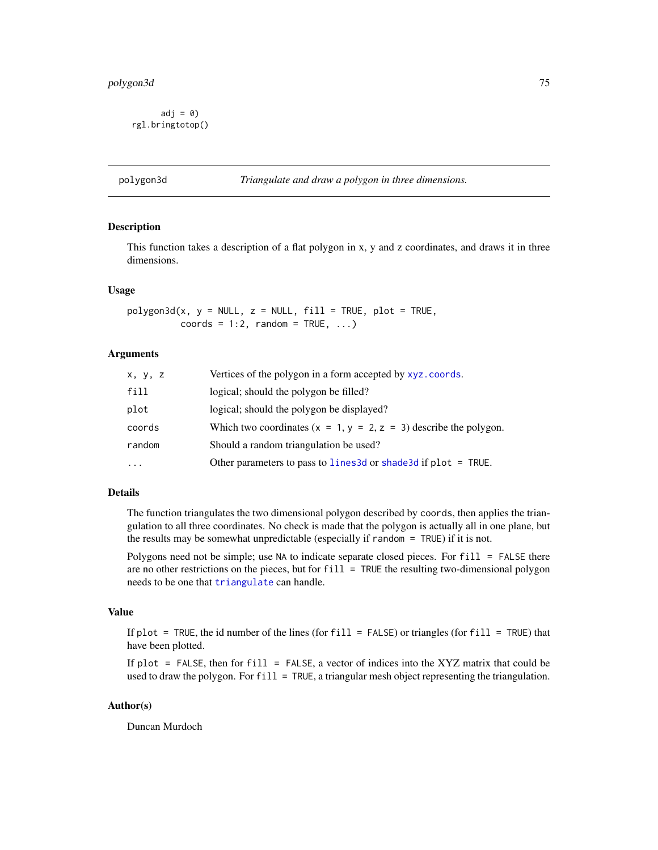$adj = 0$ rgl.bringtotop()

## Description

This function takes a description of a flat polygon in x, y and z coordinates, and draws it in three dimensions.

#### Usage

 $polygon3d(x, y = NULL, z = NULL, fill = TRUE, plot = TRUE,$ coords =  $1:2$ , random = TRUE, ...)

# Arguments

| x, y, z  | Vertices of the polygon in a form accepted by xyz.coords.           |
|----------|---------------------------------------------------------------------|
| fill     | logical; should the polygon be filled?                              |
| plot     | logical; should the polygon be displayed?                           |
| coords   | Which two coordinates $(x = 1, y = 2, z = 3)$ describe the polygon. |
| random   | Should a random triangulation be used?                              |
| $\cdots$ | Other parameters to pass to lines3d or shade3d if plot = TRUE.      |

#### Details

The function triangulates the two dimensional polygon described by coords, then applies the triangulation to all three coordinates. No check is made that the polygon is actually all in one plane, but the results may be somewhat unpredictable (especially if random = TRUE) if it is not.

Polygons need not be simple; use NA to indicate separate closed pieces. For fill = FALSE there are no other restrictions on the pieces, but for fill = TRUE the resulting two-dimensional polygon needs to be one that [triangulate](#page-145-0) can handle.

#### Value

If plot = TRUE, the id number of the lines (for fill = FALSE) or triangles (for fill = TRUE) that have been plotted.

If plot = FALSE, then for fill = FALSE, a vector of indices into the XYZ matrix that could be used to draw the polygon. For  $fill = TRUE$ , a triangular mesh object representing the triangulation.

## Author(s)

Duncan Murdoch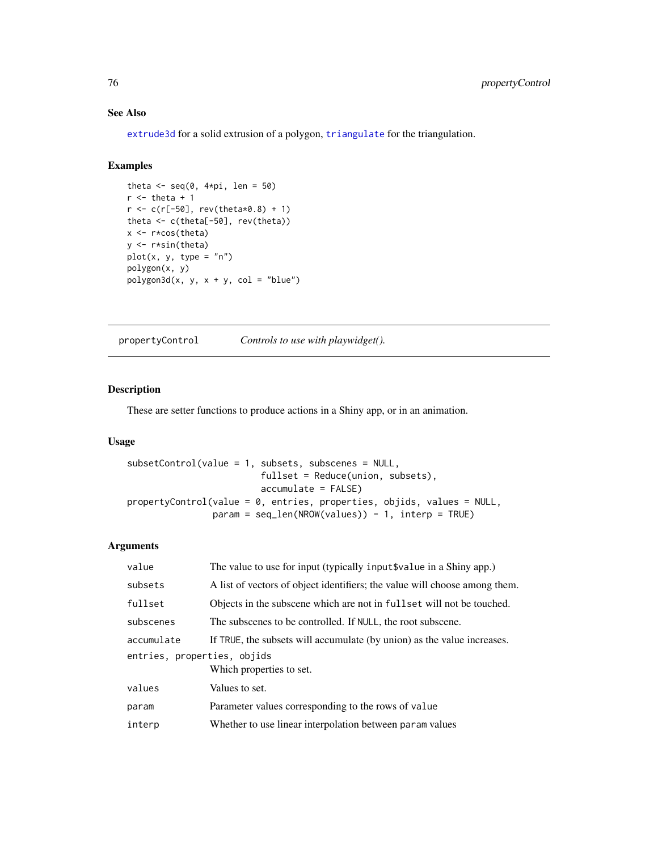# See Also

[extrude3d](#page-26-0) for a solid extrusion of a polygon, [triangulate](#page-145-0) for the triangulation.

# Examples

```
theta \leq seq(0, 4*pi, len = 50)
r <- theta + 1
r < -c(r[-50], rev(the tax 0.8) + 1)theta <- c(theta[-50], rev(theta))
x <- r*cos(theta)
y <- r*sin(theta)
plot(x, y, type = "n")polygon(x, y)
polygon3d(x, y, x + y, col = "blue")
```
propertyControl *Controls to use with playwidget().*

# Description

These are setter functions to produce actions in a Shiny app, or in an animation.

# Usage

```
subsetControl(value = 1, subsets, subscenes = NULL,
                         fullset = Reduce(union, subsets),
                         accumulate = FALSE)
propertyControl(value = 0, entries, properties, objids, values = NULL,
                param = seq_length(NROW(values)) - 1, interp = TRUE)
```

| value                                                   | The value to use for input (typically input \$value in a Shiny app.)       |
|---------------------------------------------------------|----------------------------------------------------------------------------|
| subsets                                                 | A list of vectors of object identifiers; the value will choose among them. |
| fullset                                                 | Objects in the subscene which are not in fuller will not be touched.       |
| subscenes                                               | The subscenes to be controlled. If NULL, the root subscene.                |
| accumulate                                              | If TRUE, the subsets will accumulate (by union) as the value increases.    |
| entries, properties, objids<br>Which properties to set. |                                                                            |
| values                                                  | Values to set.                                                             |
| param                                                   | Parameter values corresponding to the rows of value                        |
| interp                                                  | Whether to use linear interpolation between param values                   |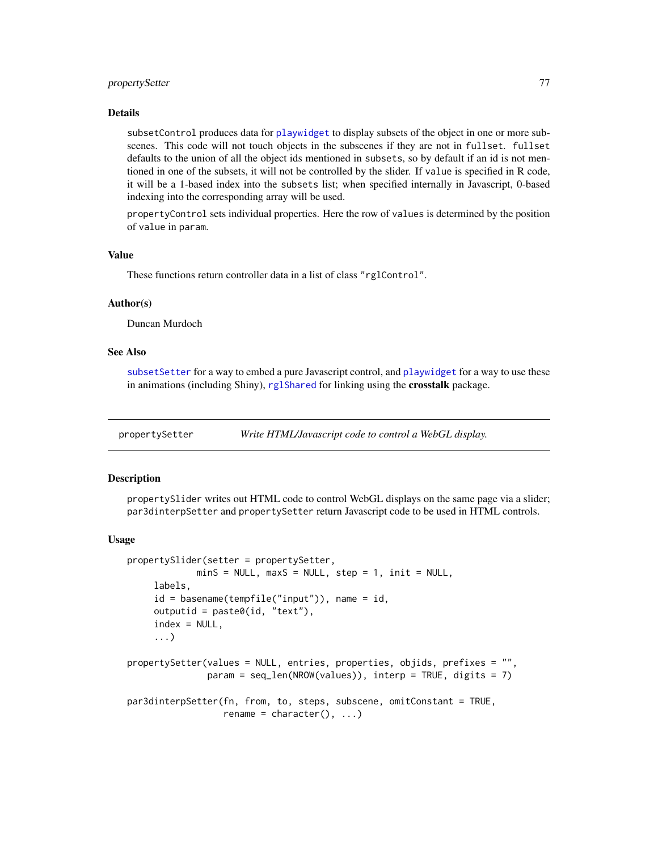# propertySetter 77

#### Details

subsetControl produces data for [playwidget](#page-63-0) to display subsets of the object in one or more subscenes. This code will not touch objects in the subscenes if they are not in fullset. fullset defaults to the union of all the object ids mentioned in subsets, so by default if an id is not mentioned in one of the subsets, it will not be controlled by the slider. If value is specified in R code, it will be a 1-based index into the subsets list; when specified internally in Javascript, 0-based indexing into the corresponding array will be used.

propertyControl sets individual properties. Here the row of values is determined by the position of value in param.

## Value

These functions return controller data in a list of class "rglControl".

## Author(s)

Duncan Murdoch

## See Also

[subsetSetter](#page-151-0) for a way to embed a pure Javascript control, and [playwidget](#page-63-0) for a way to use these in animations (including Shiny), [rglShared](#page-108-0) for linking using the crosstalk package.

propertySetter *Write HTML/Javascript code to control a WebGL display.*

## **Description**

propertySlider writes out HTML code to control WebGL displays on the same page via a slider; par3dinterpSetter and propertySetter return Javascript code to be used in HTML controls.

#### Usage

```
propertySlider(setter = propertySetter,
             minS = NULL, maxS = NULL, step = 1, init = NULL,
     labels,
     id = basename(tempfile("input")), name = id,
     outputid = paste0(id, "text"),
     index = NULL,...)
propertySetter(values = NULL, entries, properties, objids, prefixes = "",
               param = seq_len(NROW(values)), interp = TRUE, digits = 7)
par3dinterpSetter(fn, from, to, steps, subscene, omitConstant = TRUE,
                  rename = character(), ...)
```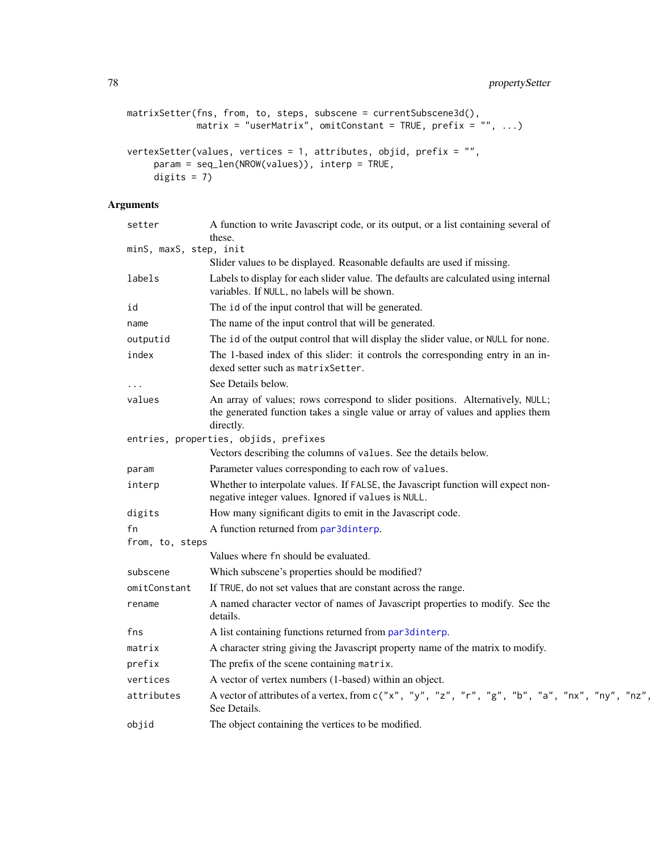```
matrixSetter(fns, from, to, steps, subscene = currentSubscene3d(),
             \text{matrix} = \text{"userMatrix"}, omitConstant = TRUE, prefix = "", ...)
vertexSetter(values, vertices = 1, attributes, objid, prefix = "",
     param = seq_len(NROW(values)), interp = TRUE,
     digits = 7)
```

| setter                 | A function to write Javascript code, or its output, or a list containing several of<br>these.                                                                                 |
|------------------------|-------------------------------------------------------------------------------------------------------------------------------------------------------------------------------|
| minS, maxS, step, init |                                                                                                                                                                               |
|                        | Slider values to be displayed. Reasonable defaults are used if missing.                                                                                                       |
| labels                 | Labels to display for each slider value. The defaults are calculated using internal<br>variables. If NULL, no labels will be shown.                                           |
| id                     | The id of the input control that will be generated.                                                                                                                           |
| name                   | The name of the input control that will be generated.                                                                                                                         |
| outputid               | The id of the output control that will display the slider value, or NULL for none.                                                                                            |
| index                  | The 1-based index of this slider: it controls the corresponding entry in an in-<br>dexed setter such as matrix Setter.                                                        |
|                        | See Details below.                                                                                                                                                            |
| values                 | An array of values; rows correspond to slider positions. Alternatively, NULL;<br>the generated function takes a single value or array of values and applies them<br>directly. |
|                        | entries, properties, objids, prefixes                                                                                                                                         |
|                        | Vectors describing the columns of values. See the details below.                                                                                                              |
| param                  | Parameter values corresponding to each row of values.                                                                                                                         |
| interp                 | Whether to interpolate values. If FALSE, the Javascript function will expect non-<br>negative integer values. Ignored if values is NULL.                                      |
| digits                 | How many significant digits to emit in the Javascript code.                                                                                                                   |
| fn                     | A function returned from par3dinterp.                                                                                                                                         |
| from, to, steps        |                                                                                                                                                                               |
|                        | Values where fn should be evaluated.                                                                                                                                          |
| subscene               | Which subscene's properties should be modified?                                                                                                                               |
| omitConstant           | If TRUE, do not set values that are constant across the range.                                                                                                                |
| rename                 | A named character vector of names of Javascript properties to modify. See the<br>details.                                                                                     |
| fns                    | A list containing functions returned from par3dinterp.                                                                                                                        |
| matrix                 | A character string giving the Javascript property name of the matrix to modify.                                                                                               |
| prefix                 | The prefix of the scene containing matrix.                                                                                                                                    |
| vertices               | A vector of vertex numbers (1-based) within an object.                                                                                                                        |
| attributes             | A vector of attributes of a vertex, from c("x", "y", "z", "r", "g", "b", "a", "nx", "ny", "nz",<br>See Details.                                                               |
| objid                  | The object containing the vertices to be modified.                                                                                                                            |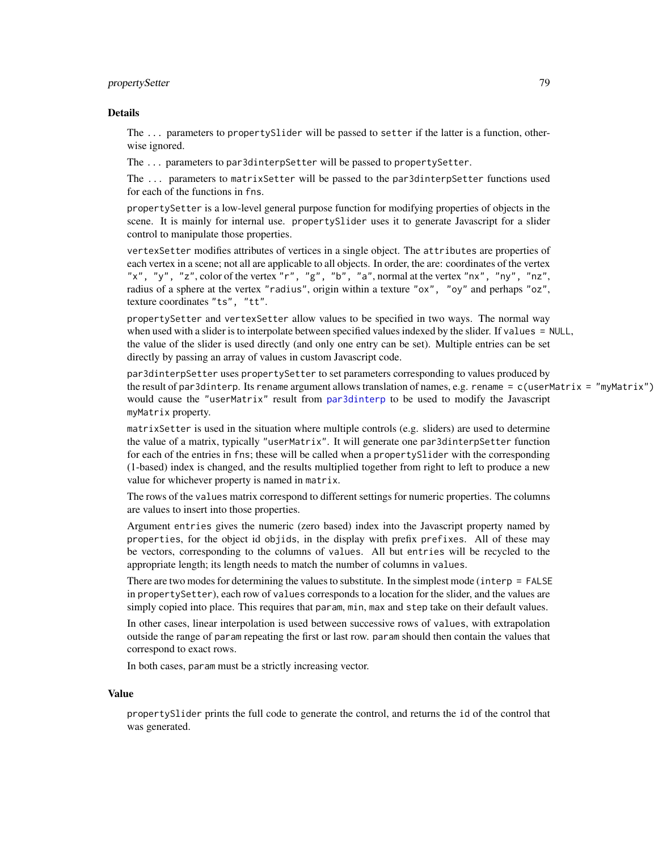# propertySetter 79

#### Details

The ... parameters to propertySlider will be passed to setter if the latter is a function, otherwise ignored.

The ... parameters to par3dinterpSetter will be passed to propertySetter.

The ... parameters to matrixSetter will be passed to the par3dinterpSetter functions used for each of the functions in fns.

propertySetter is a low-level general purpose function for modifying properties of objects in the scene. It is mainly for internal use. propertySlider uses it to generate Javascript for a slider control to manipulate those properties.

vertexSetter modifies attributes of vertices in a single object. The attributes are properties of each vertex in a scene; not all are applicable to all objects. In order, the are: coordinates of the vertex "x", "y", "z", color of the vertex "r", "g", "b", "a", normal at the vertex "nx", "ny", "nz", radius of a sphere at the vertex "radius", origin within a texture "ox", "oy" and perhaps "oz", texture coordinates "ts", "tt".

propertySetter and vertexSetter allow values to be specified in two ways. The normal way when used with a slider is to interpolate between specified values indexed by the slider. If values = NULL, the value of the slider is used directly (and only one entry can be set). Multiple entries can be set directly by passing an array of values in custom Javascript code.

par3dinterpSetter uses propertySetter to set parameters corresponding to values produced by the result of par3dinterp. Its rename argument allows translation of names, e.g. rename = c(userMatrix = "myMatrix") would cause the "userMatrix" result from [par3dinterp](#page-47-0) to be used to modify the Javascript myMatrix property.

matrixSetter is used in the situation where multiple controls (e.g. sliders) are used to determine the value of a matrix, typically "userMatrix". It will generate one par3dinterpSetter function for each of the entries in fns; these will be called when a propertySlider with the corresponding (1-based) index is changed, and the results multiplied together from right to left to produce a new value for whichever property is named in matrix.

The rows of the values matrix correspond to different settings for numeric properties. The columns are values to insert into those properties.

Argument entries gives the numeric (zero based) index into the Javascript property named by properties, for the object id objids, in the display with prefix prefixes. All of these may be vectors, corresponding to the columns of values. All but entries will be recycled to the appropriate length; its length needs to match the number of columns in values.

There are two modes for determining the values to substitute. In the simplest mode (interp = FALSE) in propertySetter), each row of values corresponds to a location for the slider, and the values are simply copied into place. This requires that param, min, max and step take on their default values.

In other cases, linear interpolation is used between successive rows of values, with extrapolation outside the range of param repeating the first or last row. param should then contain the values that correspond to exact rows.

In both cases, param must be a strictly increasing vector.

#### Value

propertySlider prints the full code to generate the control, and returns the id of the control that was generated.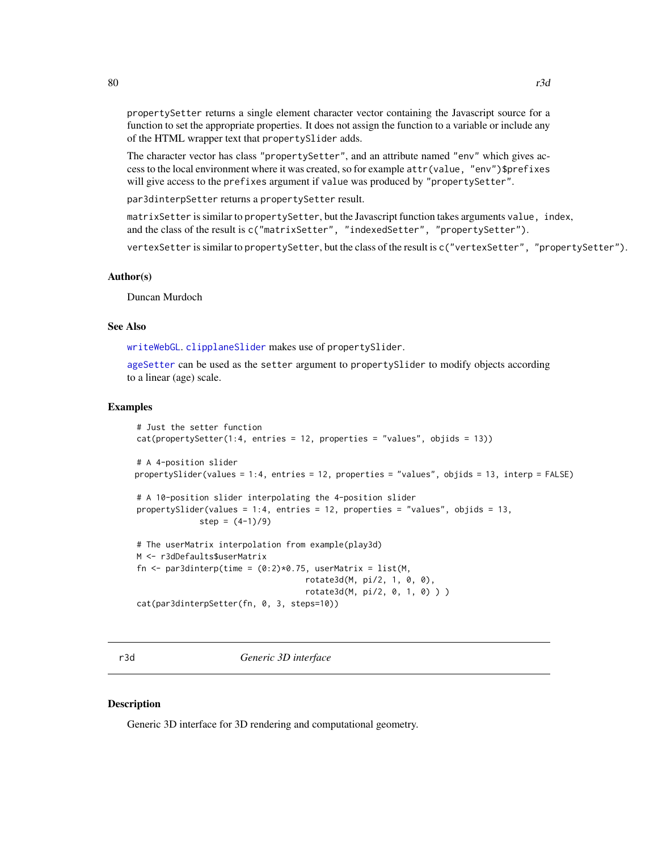propertySetter returns a single element character vector containing the Javascript source for a function to set the appropriate properties. It does not assign the function to a variable or include any of the HTML wrapper text that propertySlider adds.

The character vector has class "propertySetter", and an attribute named "env" which gives access to the local environment where it was created, so for example attr(value, "env")\$prefixes will give access to the prefixes argument if value was produced by "propertySetter".

par3dinterpSetter returns a propertySetter result.

matrixSetter is similar to propertySetter, but the Javascript function takes arguments value, index, and the class of the result is c("matrixSetter", "indexedSetter", "propertySetter").

vertexSetter is similar to propertySetter, but the class of the result is c("vertexSetter", "propertySetter").

## Author(s)

Duncan Murdoch

# See Also

[writeWebGL](#page-158-0). [clipplaneSlider](#page-151-0) makes use of propertySlider.

[ageSetter](#page-7-0) can be used as the setter argument to propertySlider to modify objects according to a linear (age) scale.

### Examples

```
# Just the setter function
cat(propertySetter(1:4, entries = 12, properties = "values", objids = 13))# A 4-position slider
propertySlider(values = 1:4, entries = 12, properties = "values", objids = 13, interp = FALSE)
# A 10-position slider interpolating the 4-position slider
propertySlider(values = 1:4, entries = 12, properties = "values", objids = 13,
             step = (4-1)/9)
# The userMatrix interpolation from example(play3d)
M <- r3dDefaults$userMatrix
fn \leq par3dinterp(time = (0:2)*0.75, userMatrix = list(M,
                                   rotate3d(M, pi/2, 1, 0, 0),
                                   rotate3d(M, pi/2, 0, 1, 0) ) )
cat(par3dinterpSetter(fn, 0, 3, steps=10))
```
<span id="page-79-0"></span>r3d *Generic 3D interface*

#### Description

Generic 3D interface for 3D rendering and computational geometry.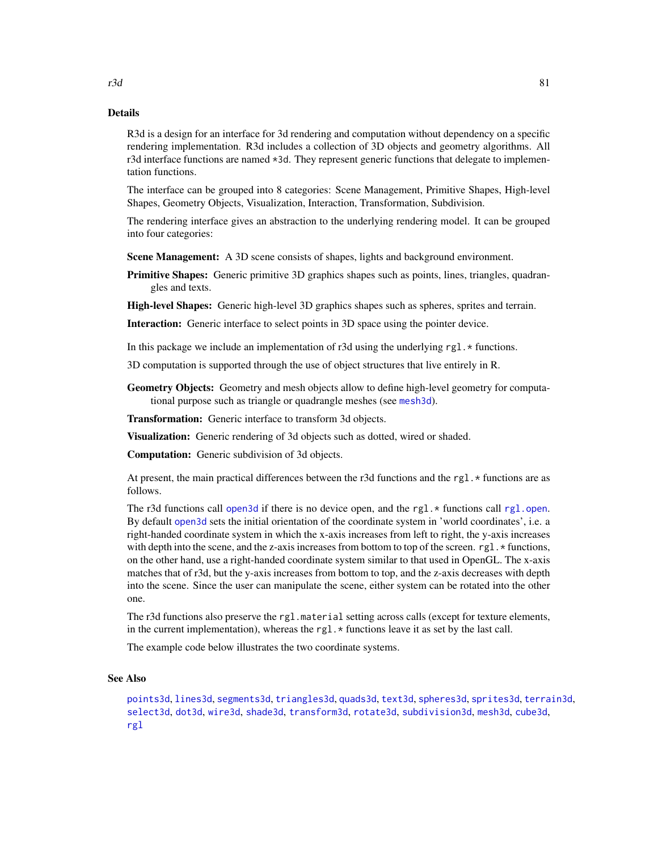# Details

R3d is a design for an interface for 3d rendering and computation without dependency on a specific rendering implementation. R3d includes a collection of 3D objects and geometry algorithms. All r3d interface functions are named \*3d. They represent generic functions that delegate to implementation functions.

The interface can be grouped into 8 categories: Scene Management, Primitive Shapes, High-level Shapes, Geometry Objects, Visualization, Interaction, Transformation, Subdivision.

The rendering interface gives an abstraction to the underlying rendering model. It can be grouped into four categories:

**Scene Management:** A 3D scene consists of shapes, lights and background environment.

**Primitive Shapes:** Generic primitive 3D graphics shapes such as points, lines, triangles, quadrangles and texts.

High-level Shapes: Generic high-level 3D graphics shapes such as spheres, sprites and terrain.

Interaction: Generic interface to select points in 3D space using the pointer device.

In this package we include an implementation of r3d using the underlying  $rgl.*$  functions.

3D computation is supported through the use of object structures that live entirely in R.

Geometry Objects: Geometry and mesh objects allow to define high-level geometry for computational purpose such as triangle or quadrangle meshes (see [mesh3d](#page-36-1)).

Transformation: Generic interface to transform 3d objects.

Visualization: Generic rendering of 3d objects such as dotted, wired or shaded.

Computation: Generic subdivision of 3d objects.

At present, the main practical differences between the r3d functions and the rgl.  $*$  functions are as follows.

The r3d functions call [open3d](#page-42-0) if there is no device open, and the rgl. $*$  functions call [rgl.open](#page-91-0). By default [open3d](#page-42-0) sets the initial orientation of the coordinate system in 'world coordinates', i.e. a right-handed coordinate system in which the x-axis increases from left to right, the y-axis increases with depth into the scene, and the z-axis increases from bottom to top of the screen.  $rg1.*$  functions, on the other hand, use a right-handed coordinate system similar to that used in OpenGL. The x-axis matches that of r3d, but the y-axis increases from bottom to top, and the z-axis decreases with depth into the scene. Since the user can manipulate the scene, either system can be rotated into the other one.

The r3d functions also preserve the rgl.material setting across calls (except for texture elements, in the current implementation), whereas the rgl.  $\star$  functions leave it as set by the last call.

The example code below illustrates the two coordinate systems.

## See Also

[points3d](#page-72-1), [lines3d](#page-72-0), [segments3d](#page-72-0), [triangles3d](#page-72-0), [quads3d](#page-72-0), [text3d](#page-140-0), [spheres3d](#page-130-0), [sprites3d](#page-132-0), [terrain3d](#page-139-0), [select3d](#page-118-0), [dot3d](#page-36-0), [wire3d](#page-36-0), [shade3d](#page-36-0), [transform3d](#page-34-0), [rotate3d](#page-34-0), [subdivision3d](#page-134-0), [mesh3d](#page-36-1), [cube3d](#page-36-0), [rgl](#page-3-0)

### $r3d$  81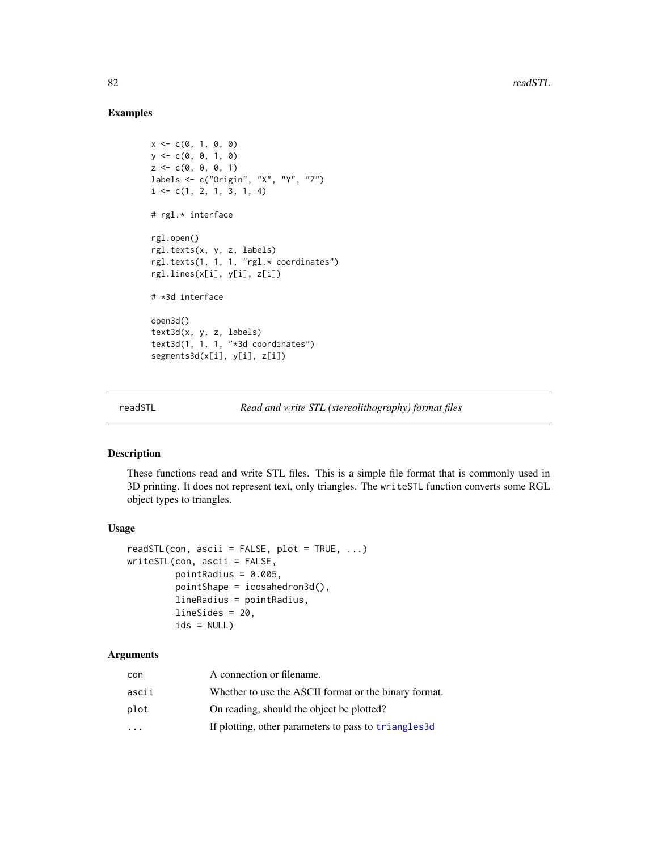# Examples

```
x \leq -c(0, 1, 0, 0)y \leq -c(0, 0, 1, 0)z \leq c(0, 0, 0, 1)labels <- c("Origin", "X", "Y", "Z")
i \leftarrow c(1, 2, 1, 3, 1, 4)# rgl.* interface
rgl.open()
rgl.texts(x, y, z, labels)
rgl.texts(1, 1, 1, "rgl.* coordinates")
rgl.lines(x[i], y[i], z[i])
# *3d interface
open3d()
text3d(x, y, z, labels)
text3d(1, 1, 1, "*3d coordinates")
segments3d(x[i], y[i], z[i])
```
readSTL *Read and write STL (stereolithography) format files*

## <span id="page-81-0"></span>Description

These functions read and write STL files. This is a simple file format that is commonly used in 3D printing. It does not represent text, only triangles. The writeSTL function converts some RGL object types to triangles.

## Usage

```
readSTL(con, ascii = FALSE, plot = TRUE, \ldots)
writeSTL(con, ascii = FALSE,
         pointRadius = 0.005,
         pointShape = icosahedron3d(),
         lineRadius = pointRadius,
         lineSides = 20,
         ids = NULL)
```

| con       | A connection or filename.                             |
|-----------|-------------------------------------------------------|
| ascii     | Whether to use the ASCII format or the binary format. |
| plot      | On reading, should the object be plotted?             |
| $\ddotsc$ | If plotting, other parameters to pass to triangles 3d |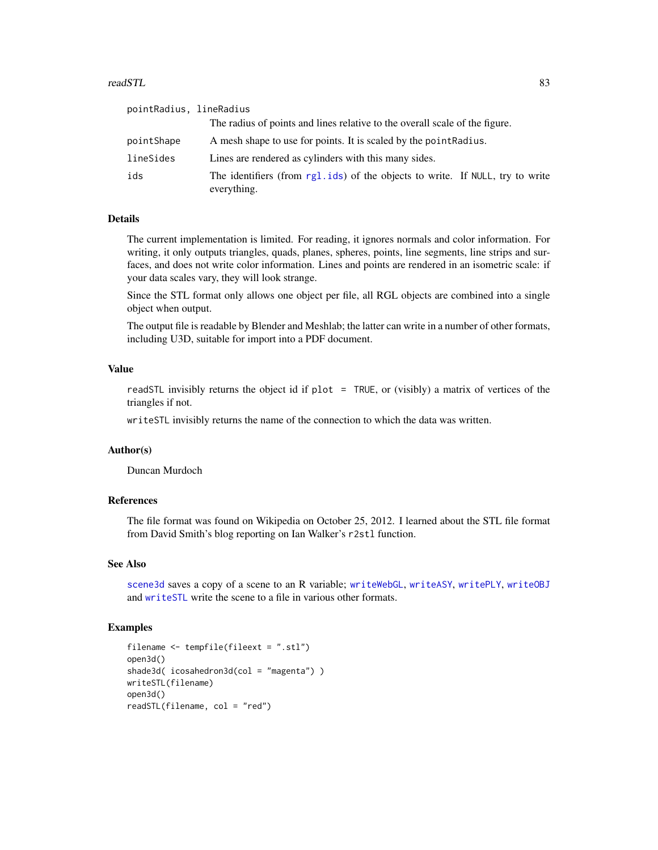#### readSTL 83

| pointRadius, lineRadius |                                                                                              |  |
|-------------------------|----------------------------------------------------------------------------------------------|--|
|                         | The radius of points and lines relative to the overall scale of the figure.                  |  |
| pointShape              | A mesh shape to use for points. It is scaled by the point Radius.                            |  |
| lineSides               | Lines are rendered as cylinders with this many sides.                                        |  |
| ids                     | The identifiers (from rg1.ids) of the objects to write. If NULL, try to write<br>everything. |  |

# Details

The current implementation is limited. For reading, it ignores normals and color information. For writing, it only outputs triangles, quads, planes, spheres, points, line segments, line strips and surfaces, and does not write color information. Lines and points are rendered in an isometric scale: if your data scales vary, they will look strange.

Since the STL format only allows one object per file, all RGL objects are combined into a single object when output.

The output file is readable by Blender and Meshlab; the latter can write in a number of other formats, including U3D, suitable for import into a PDF document.

# Value

readSTL invisibly returns the object id if plot = TRUE, or (visibly) a matrix of vertices of the triangles if not.

writeSTL invisibly returns the name of the connection to which the data was written.

## Author(s)

Duncan Murdoch

### References

The file format was found on Wikipedia on October 25, 2012. I learned about the STL file format from David Smith's blog reporting on Ian Walker's r2stl function.

## See Also

[scene3d](#page-114-0) saves a copy of a scene to an R variable; [writeWebGL](#page-158-0), [writeASY](#page-152-0), [writePLY](#page-156-0), [writeOBJ](#page-154-0) and [writeSTL](#page-81-0) write the scene to a file in various other formats.

```
filename <- tempfile(fileext = ".stl")
open3d()
shade3d( icosahedron3d(col = "magenta") )
writeSTL(filename)
open3d()
readSTL(filename, col = "red")
```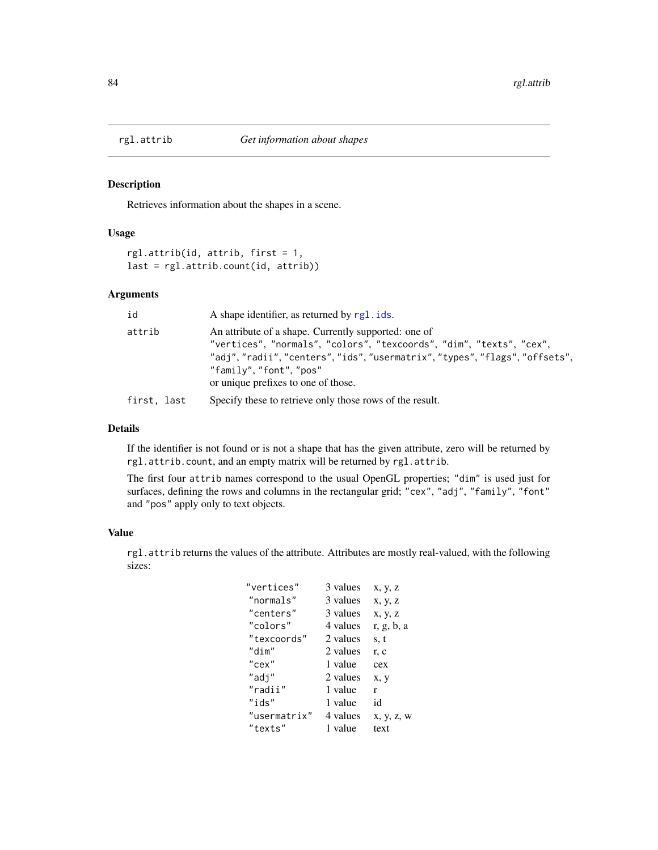<span id="page-83-0"></span>

# Description

Retrieves information about the shapes in a scene.

## Usage

```
rgl.attrib(id, attrib, first = 1,
last = rgl.attrib.count(id, attrib))
```
# Arguments

| id          | A shape identifier, as returned by rgl. ids.                                                                                                                                                                                                                            |
|-------------|-------------------------------------------------------------------------------------------------------------------------------------------------------------------------------------------------------------------------------------------------------------------------|
| attrib      | An attribute of a shape. Currently supported: one of<br>"vertices", "normals", "colors", "texcoords", "dim", "texts", "cex",<br>"adj","radii","centers","ids","usermatrix","types","flags","offsets",<br>"family", "font", "pos"<br>or unique prefixes to one of those. |
| first, last | Specify these to retrieve only those rows of the result.                                                                                                                                                                                                                |

# Details

If the identifier is not found or is not a shape that has the given attribute, zero will be returned by rgl.attrib.count, and an empty matrix will be returned by rgl.attrib.

The first four attrib names correspond to the usual OpenGL properties; "dim" is used just for surfaces, defining the rows and columns in the rectangular grid; "cex", "adj", "family", "font" and "pos" apply only to text objects.

## Value

rgl.attrib returns the values of the attribute. Attributes are mostly real-valued, with the following sizes:

| "vertices"   | 3 values | x, y, z    |
|--------------|----------|------------|
| "normals"    | 3 values | x, y, z    |
| "centers"    | 3 values | x, y, z    |
| "colors"     | 4 values | r, g, b, a |
| "texcoords"  | 2 values | s, t       |
| "dim"        | 2 values | r, c       |
| "cex"        | 1 value  | cex        |
| "adj"        | 2 values | x, y       |
| "radii"      | 1 value  | r          |
| "ids"        | 1 value  | id         |
| "usermatrix" | 4 values | x, y, z, w |
| "texts"      | 1 value  | text       |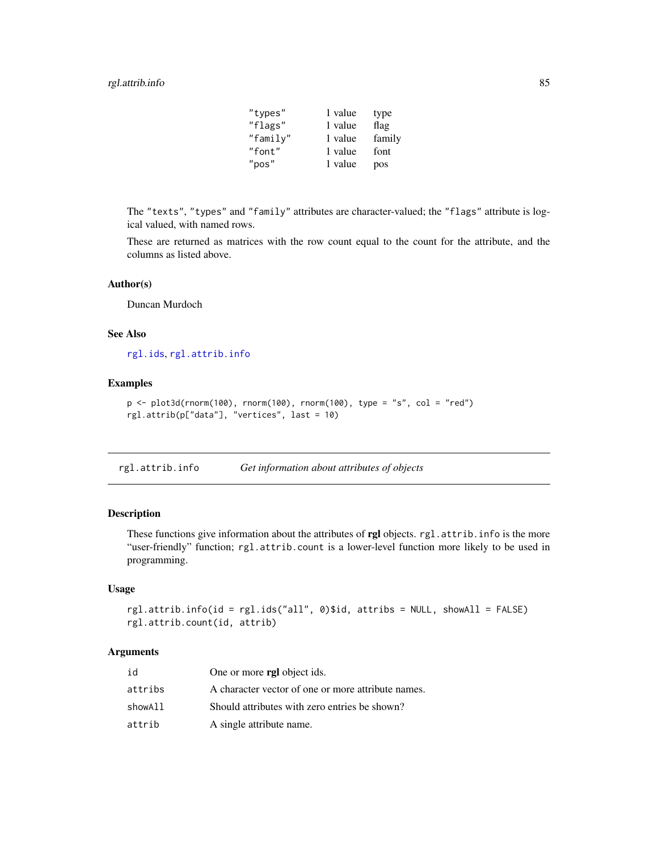# rgl.attrib.info 85

| "types"  | 1 value | type   |
|----------|---------|--------|
| "flags"  | 1 value | flag   |
| "family" | 1 value | family |
| "font"   | 1 value | font   |
| "pos"    | 1 value | pos    |

The "texts", "types" and "family" attributes are character-valued; the "flags" attribute is logical valued, with named rows.

These are returned as matrices with the row count equal to the count for the attribute, and the columns as listed above.

# Author(s)

Duncan Murdoch

## See Also

[rgl.ids](#page-113-0), [rgl.attrib.info](#page-84-0)

# Examples

```
p <- plot3d(rnorm(100), rnorm(100), rnorm(100), type = "s", col = "red")
rgl.attrib(p["data"], "vertices", last = 10)
```
<span id="page-84-0"></span>rgl.attrib.info *Get information about attributes of objects*

# Description

These functions give information about the attributes of rgl objects. rgl.attrib.info is the more "user-friendly" function; rgl.attrib.count is a lower-level function more likely to be used in programming.

## Usage

```
rgl.attrib.info(id = rgl.ids("all", 0)$id, attribs = NULL, showAll = FALSE)
rgl.attrib.count(id, attrib)
```

| id      | One or more rgl object ids.                        |
|---------|----------------------------------------------------|
| attribs | A character vector of one or more attribute names. |
| showAll | Should attributes with zero entries be shown?      |
| attrib  | A single attribute name.                           |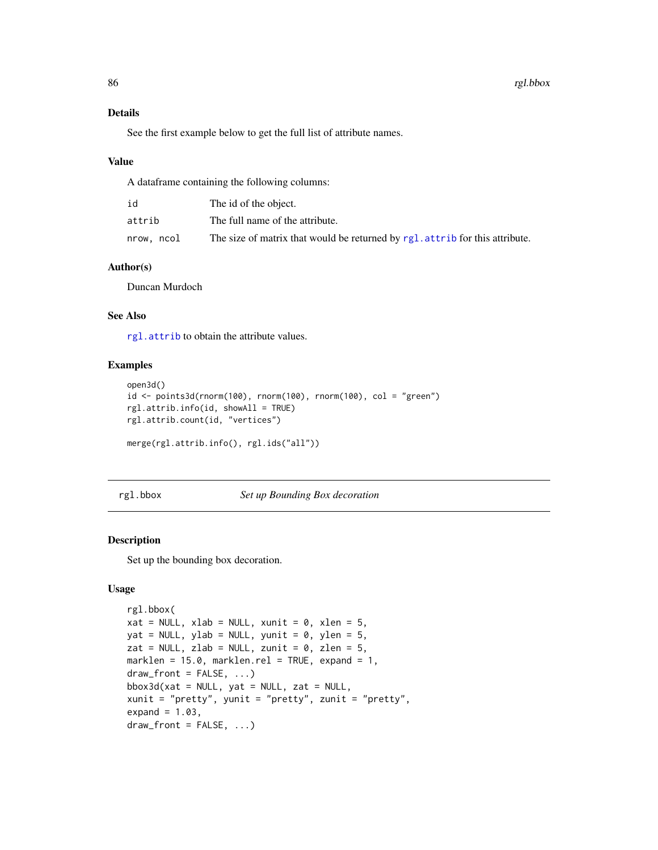# Details

See the first example below to get the full list of attribute names.

#### Value

A dataframe containing the following columns:

| id         | The id of the object.                                                           |
|------------|---------------------------------------------------------------------------------|
| attrib     | The full name of the attribute.                                                 |
| nrow, ncol | The size of matrix that would be returned by rgl. attribute for this attribute. |

# Author(s)

Duncan Murdoch

# See Also

[rgl.attrib](#page-83-0) to obtain the attribute values.

## Examples

```
open3d()
id <- points3d(rnorm(100), rnorm(100), rnorm(100), col = "green")
rgl.attrib.info(id, showAll = TRUE)
rgl.attrib.count(id, "vertices")
merge(rgl.attrib.info(), rgl.ids("all"))
```
<span id="page-85-0"></span>rgl.bbox *Set up Bounding Box decoration*

### <span id="page-85-1"></span>Description

Set up the bounding box decoration.

# Usage

```
rgl.bbox(
xat = NULL, xlab = NULL, xunit = 0, xlen = 5,
yat = NULL, ylab = NULL, yunit = 0, ylen = 5,
zat = NULL, zlab = NULL, zunit = 0, zlen = 5,
marklen = 15.0, marklen.rel = TRUE, expand = 1,
draw_front = FALSE, ...)bbox3d(xat = NULL, yat = NULL, zat = NULL,xunit = "pretty", yunit = "pretty", zunit = "pretty",
expand = 1.03,
draw_front = FALSE, ...)
```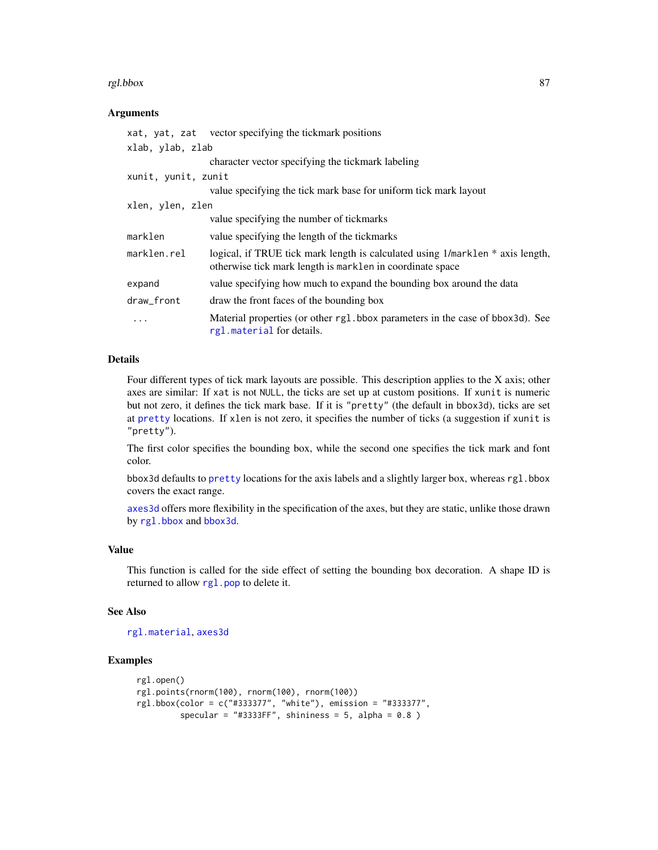#### rgl.bbox 37

## Arguments

|                     | xat, yat, zat vector specifying the tickmark positions                                                                                      |
|---------------------|---------------------------------------------------------------------------------------------------------------------------------------------|
| xlab, ylab, zlab    |                                                                                                                                             |
|                     | character vector specifying the tickmark labeling                                                                                           |
| xunit, yunit, zunit |                                                                                                                                             |
|                     | value specifying the tick mark base for uniform tick mark layout                                                                            |
| xlen, ylen, zlen    |                                                                                                                                             |
|                     | value specifying the number of tickmarks                                                                                                    |
| marklen             | value specifying the length of the tickmarks                                                                                                |
| marklen.rel         | logical, if TRUE tick mark length is calculated using 1/mark1en * axis length,<br>otherwise tick mark length is marklen in coordinate space |
| expand              | value specifying how much to expand the bounding box around the data                                                                        |
| draw_front          | draw the front faces of the bounding box                                                                                                    |
| .                   | Material properties (or other rg1.bbox parameters in the case of bbox3d). See<br>rgl.material for details.                                  |

# Details

Four different types of tick mark layouts are possible. This description applies to the X axis; other axes are similar: If xat is not NULL, the ticks are set up at custom positions. If xunit is numeric but not zero, it defines the tick mark base. If it is "pretty" (the default in bbox3d), ticks are set at [pretty](#page-0-0) locations. If xlen is not zero, it specifies the number of ticks (a suggestion if xunit is "pretty").

The first color specifies the bounding box, while the second one specifies the tick mark and font color.

bbox3d defaults to [pretty](#page-0-0) locations for the axis labels and a slightly larger box, whereas rgl.bbox covers the exact range.

[axes3d](#page-16-0) offers more flexibility in the specification of the axes, but they are static, unlike those drawn by [rgl.bbox](#page-85-0) and [bbox3d](#page-85-1).

## Value

This function is called for the side effect of setting the bounding box decoration. A shape ID is returned to allow [rgl.pop](#page-113-0) to delete it.

## See Also

[rgl.material](#page-88-0), [axes3d](#page-16-0)

```
rgl.open()
rgl.points(rnorm(100), rnorm(100), rnorm(100))
rgl.bbox(color = c("#333377", "white"), emission = "#333377",
         specular = "#3333FF", shininess = 5, alpha = 0.8 )
```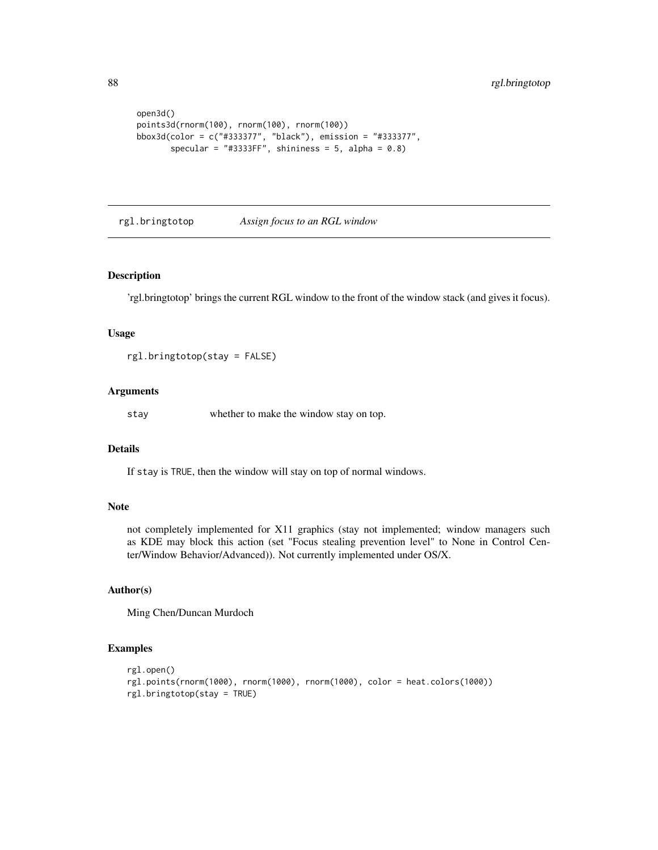```
open3d()
points3d(rnorm(100), rnorm(100), rnorm(100))
bbox3d(color = c("#333377", "black"), emission = "#333377",
      specular = "#3333FF", shininess = 5, alpha = 0.8)
```
<span id="page-87-0"></span>rgl.bringtotop *Assign focus to an RGL window*

#### Description

'rgl.bringtotop' brings the current RGL window to the front of the window stack (and gives it focus).

### Usage

```
rgl.bringtotop(stay = FALSE)
```
## Arguments

stay whether to make the window stay on top.

# Details

If stay is TRUE, then the window will stay on top of normal windows.

## Note

not completely implemented for X11 graphics (stay not implemented; window managers such as KDE may block this action (set "Focus stealing prevention level" to None in Control Center/Window Behavior/Advanced)). Not currently implemented under OS/X.

# Author(s)

Ming Chen/Duncan Murdoch

```
rgl.open()
rgl.points(rnorm(1000), rnorm(1000), rnorm(1000), color = heat.colors(1000))
rgl.bringtotop(stay = TRUE)
```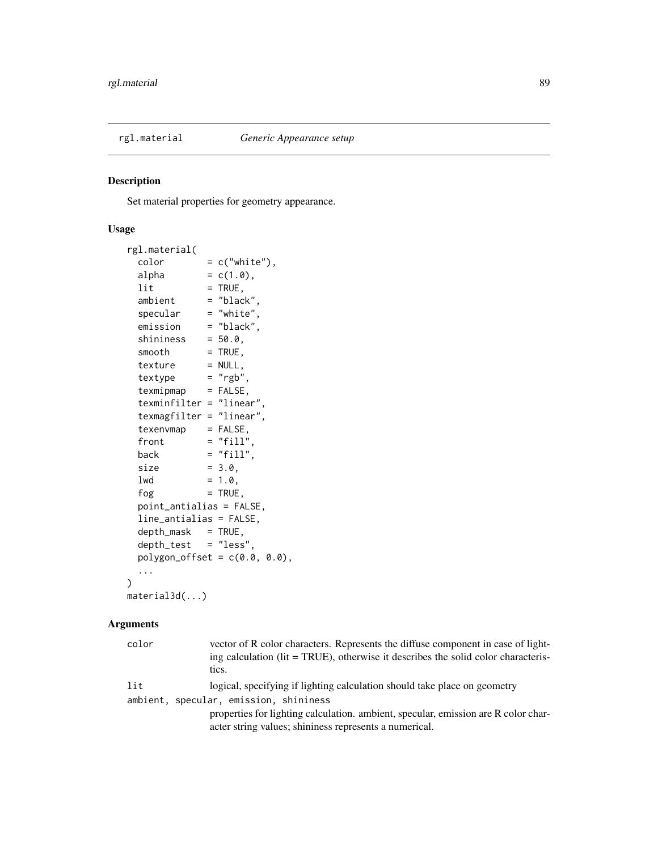<span id="page-88-0"></span>

## Description

Set material properties for geometry appearance.

# Usage

```
rgl.material(
 color = c("white"),alpha = c(1.0),
 lit = TRUE,ambient = "black"specialar = "white",emission = "black",
 shininess = 50.0,
 smooth = TRUE,
 text{text} = NULL,text{textype} = "rgb",
 text{tr} = FALSE,
 texminfilter = "linear",
 texmagfilter = "linear",
 texenvmap = FALSE,
 front = "fill",back = "fill",size = 3.0,
 1wd = 1.0,
 fog = TRUE,point_antialias = FALSE,
 line_antialias = FALSE,
 depth\_mask = TRUE,
 depth_test = "less",
 polygon_{offset} = c(0.0, 0.0),
 ...
)
material3d(...)
```

| color | vector of R color characters. Represents the diffuse component in case of light-<br>ing calculation (lit = TRUE), otherwise it describes the solid color characteris-<br>tics. |
|-------|--------------------------------------------------------------------------------------------------------------------------------------------------------------------------------|
| lit   | logical, specifying if lighting calculation should take place on geometry                                                                                                      |
|       | ambient, specular, emission, shininess                                                                                                                                         |
|       | properties for lighting calculation, ambient, specular, emission are R color char-<br>acter string values; shininess represents a numerical.                                   |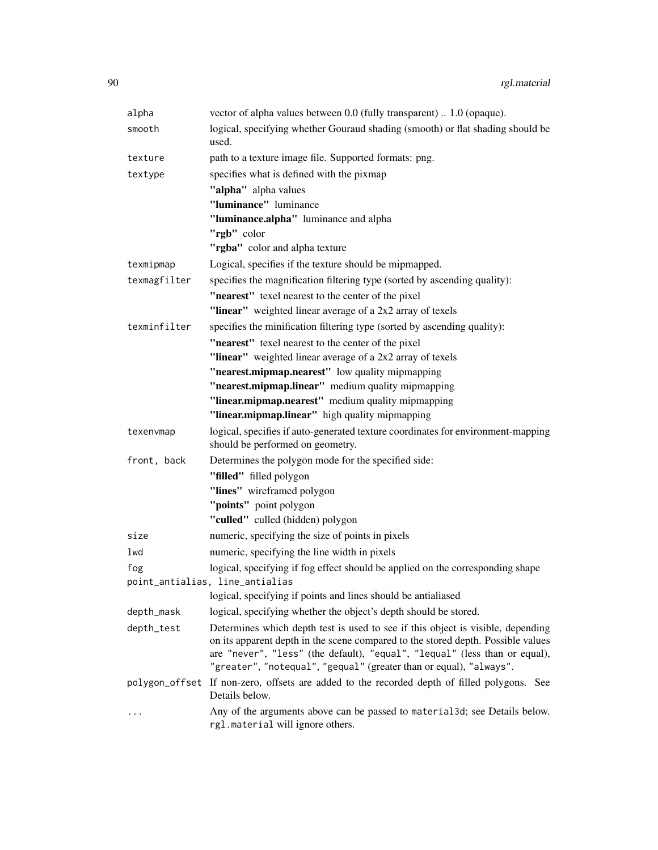| alpha        | vector of alpha values between 0.0 (fully transparent)  1.0 (opaque).                                                                                                                                                                                                                                                   |
|--------------|-------------------------------------------------------------------------------------------------------------------------------------------------------------------------------------------------------------------------------------------------------------------------------------------------------------------------|
| smooth       | logical, specifying whether Gouraud shading (smooth) or flat shading should be<br>used.                                                                                                                                                                                                                                 |
| texture      | path to a texture image file. Supported formats: png.                                                                                                                                                                                                                                                                   |
| textype      | specifies what is defined with the pixmap                                                                                                                                                                                                                                                                               |
|              | "alpha" alpha values                                                                                                                                                                                                                                                                                                    |
|              | "luminance" luminance                                                                                                                                                                                                                                                                                                   |
|              | "luminance.alpha" luminance and alpha                                                                                                                                                                                                                                                                                   |
|              | "rgb" color                                                                                                                                                                                                                                                                                                             |
|              | "rgba" color and alpha texture                                                                                                                                                                                                                                                                                          |
| texmipmap    | Logical, specifies if the texture should be mipmapped.                                                                                                                                                                                                                                                                  |
| texmagfilter | specifies the magnification filtering type (sorted by ascending quality):                                                                                                                                                                                                                                               |
|              | "nearest" texel nearest to the center of the pixel                                                                                                                                                                                                                                                                      |
|              | "linear" weighted linear average of a 2x2 array of texels                                                                                                                                                                                                                                                               |
| texminfilter | specifies the minification filtering type (sorted by ascending quality):                                                                                                                                                                                                                                                |
|              | "nearest" texel nearest to the center of the pixel                                                                                                                                                                                                                                                                      |
|              | "linear" weighted linear average of a 2x2 array of texels                                                                                                                                                                                                                                                               |
|              | "nearest.mipmap.nearest" low quality mipmapping                                                                                                                                                                                                                                                                         |
|              | "nearest.mipmap.linear" medium quality mipmapping<br>"linear.mipmap.nearest" medium quality mipmapping                                                                                                                                                                                                                  |
|              | "linear.mipmap.linear" high quality mipmapping                                                                                                                                                                                                                                                                          |
| texenvmap    | logical, specifies if auto-generated texture coordinates for environment-mapping                                                                                                                                                                                                                                        |
|              | should be performed on geometry.                                                                                                                                                                                                                                                                                        |
| front, back  | Determines the polygon mode for the specified side:                                                                                                                                                                                                                                                                     |
|              | "filled" filled polygon                                                                                                                                                                                                                                                                                                 |
|              | "lines" wireframed polygon                                                                                                                                                                                                                                                                                              |
|              | "points" point polygon                                                                                                                                                                                                                                                                                                  |
|              | "culled" culled (hidden) polygon                                                                                                                                                                                                                                                                                        |
| size         | numeric, specifying the size of points in pixels                                                                                                                                                                                                                                                                        |
| lwd          | numeric, specifying the line width in pixels                                                                                                                                                                                                                                                                            |
| fog          | logical, specifying if fog effect should be applied on the corresponding shape                                                                                                                                                                                                                                          |
|              | point_antialias, line_antialias                                                                                                                                                                                                                                                                                         |
|              | logical, specifying if points and lines should be antialiased                                                                                                                                                                                                                                                           |
| depth_mask   | logical, specifying whether the object's depth should be stored.                                                                                                                                                                                                                                                        |
| depth_test   | Determines which depth test is used to see if this object is visible, depending<br>on its apparent depth in the scene compared to the stored depth. Possible values<br>are "never", "less" (the default), "equal", "lequal" (less than or equal),<br>"greater", "notequal", "gequal" (greater than or equal), "always". |
|              | polygon_offset If non-zero, offsets are added to the recorded depth of filled polygons. See<br>Details below.                                                                                                                                                                                                           |
|              | Any of the arguments above can be passed to material3d; see Details below.<br>rgl.material will ignore others.                                                                                                                                                                                                          |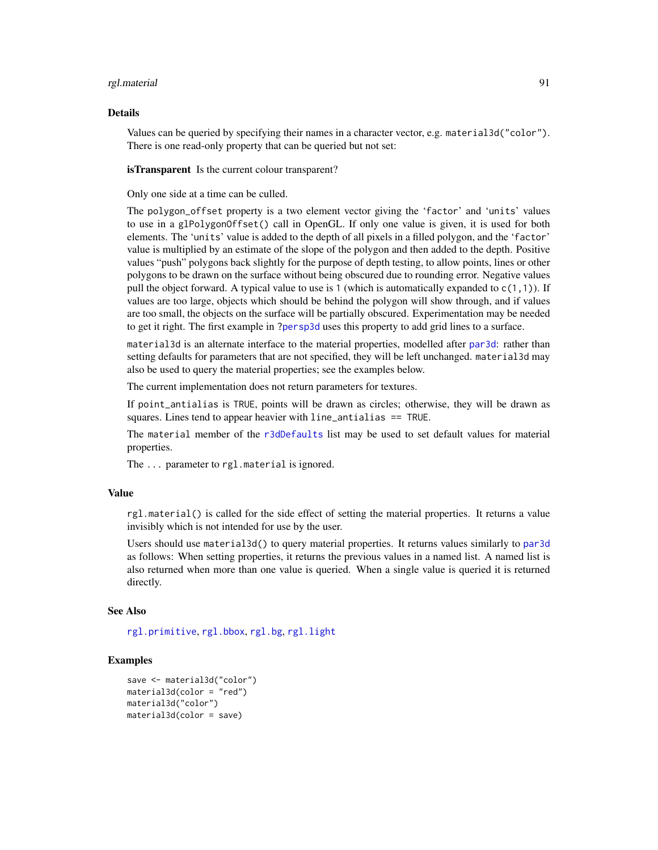#### rgl.material 91

#### Details

Values can be queried by specifying their names in a character vector, e.g. material3d("color"). There is one read-only property that can be queried but not set:

**isTransparent** Is the current colour transparent?

Only one side at a time can be culled.

The polygon\_offset property is a two element vector giving the 'factor' and 'units' values to use in a glPolygonOffset() call in OpenGL. If only one value is given, it is used for both elements. The 'units' value is added to the depth of all pixels in a filled polygon, and the 'factor' value is multiplied by an estimate of the slope of the polygon and then added to the depth. Positive values "push" polygons back slightly for the purpose of depth testing, to allow points, lines or other polygons to be drawn on the surface without being obscured due to rounding error. Negative values pull the object forward. A typical value to use is 1 (which is automatically expanded to  $c(1,1)$ ). If values are too large, objects which should be behind the polygon will show through, and if values are too small, the objects on the surface will be partially obscured. Experimentation may be needed to get it right. The first example in [?persp3d](#page-51-0) uses this property to add grid lines to a surface.

material3d is an alternate interface to the material properties, modelled after [par3d](#page-42-1): rather than setting defaults for parameters that are not specified, they will be left unchanged. material3d may also be used to query the material properties; see the examples below.

The current implementation does not return parameters for textures.

If point\_antialias is TRUE, points will be drawn as circles; otherwise, they will be drawn as squares. Lines tend to appear heavier with line\_antialias == TRUE.

The material member of the [r3dDefaults](#page-42-0) list may be used to set default values for material properties.

The ... parameter to rgl.material is ignored.

#### Value

rgl.material() is called for the side effect of setting the material properties. It returns a value invisibly which is not intended for use by the user.

Users should use material3d() to query material properties. It returns values similarly to [par3d](#page-42-1) as follows: When setting properties, it returns the previous values in a named list. A named list is also returned when more than one value is queried. When a single value is queried it is returned directly.

#### See Also

[rgl.primitive](#page-95-0), [rgl.bbox](#page-85-0), [rgl.bg](#page-18-0), [rgl.light](#page-33-0)

```
save <- material3d("color")
material3d(color = "red")
material3d("color")
material3d(color = save)
```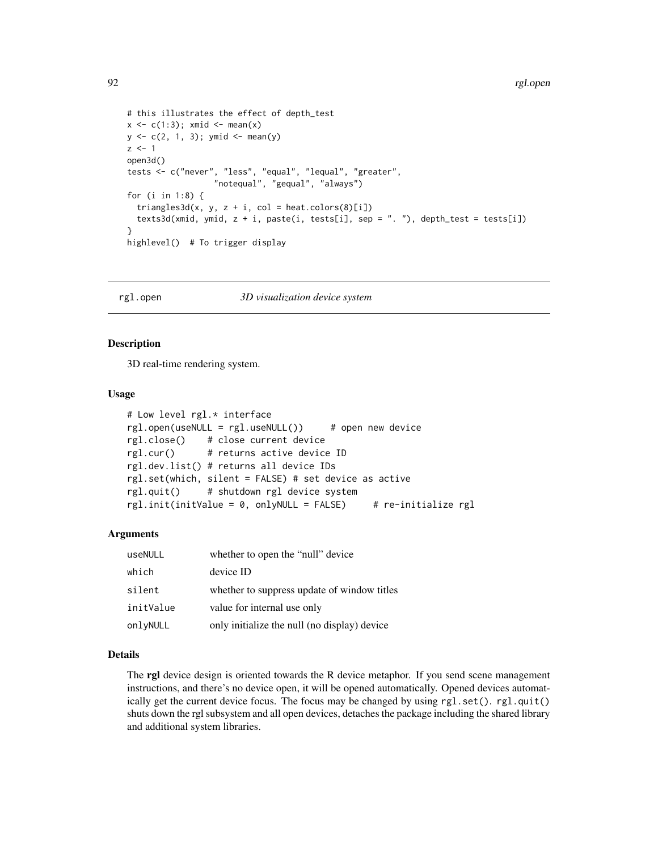```
# this illustrates the effect of depth_test
x \leftarrow c(1:3); x \text{mid} \leftarrow \text{mean}(x)y \leftarrow c(2, 1, 3); y \text{mid} < - mean(y)
z \le -1open3d()
tests <- c("never", "less", "equal", "lequal", "greater",
                    "notequal", "gequal", "always")
for (i in 1:8) {
  triangles3d(x, y, z + i, col = heat.colors(8)[i])
  texts3d(xmid, ymid, z + i, paste(i, tests[i], sep = ". "), depth_test = tests[i])
}
highlevel() # To trigger display
```
<span id="page-91-0"></span>

#### rgl.open *3D visualization device system*

## Description

3D real-time rendering system.

## Usage

```
# Low level rgl.* interface
rgl.open(useNULL = rgl.useNULL()) # open new device
rgl.close() # close current device
rgl.cur() # returns active device ID
rgl.dev.list() # returns all device IDs
rgl.set(which, silent = FALSE) # set device as active
rgl.quit() # shutdown rgl device system
rgl.init(initValue = 0, onlyNULL = FALSE) # re-initialize rgl
```
#### Arguments

| useNULL   | whether to open the "null" device            |
|-----------|----------------------------------------------|
| which     | device ID                                    |
| silent    | whether to suppress update of window titles  |
| initValue | value for internal use only                  |
| onlyNULL  | only initialize the null (no display) device |

# Details

The **rgl** device design is oriented towards the R device metaphor. If you send scene management instructions, and there's no device open, it will be opened automatically. Opened devices automatically get the current device focus. The focus may be changed by using  $rgl.set()$ .  $rgl.quit()$ shuts down the rgl subsystem and all open devices, detaches the package including the shared library and additional system libraries.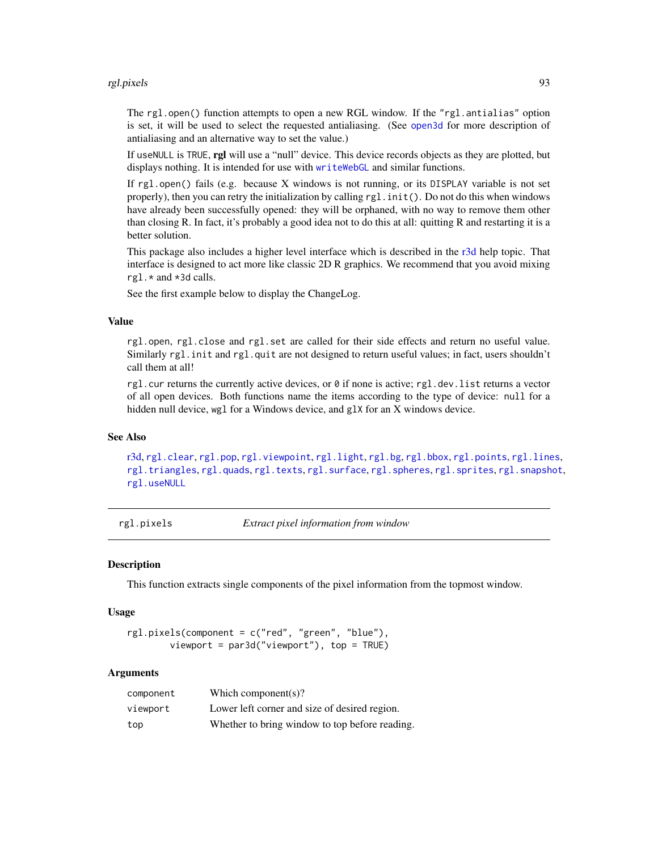#### rgl.pixels 93

The rgl.open() function attempts to open a new RGL window. If the "rgl.antialias" option is set, it will be used to select the requested antialiasing. (See [open3d](#page-42-0) for more description of antialiasing and an alternative way to set the value.)

If useNULL is TRUE, rgl will use a "null" device. This device records objects as they are plotted, but displays nothing. It is intended for use with [writeWebGL](#page-158-0) and similar functions.

If  $rgl.open()$  fails (e.g. because X windows is not running, or its DISPLAY variable is not set properly), then you can retry the initialization by calling  $rgl.init()$ . Do not do this when windows have already been successfully opened: they will be orphaned, with no way to remove them other than closing R. In fact, it's probably a good idea not to do this at all: quitting R and restarting it is a better solution.

This package also includes a higher level interface which is described in the [r3d](#page-79-0) help topic. That interface is designed to act more like classic 2D R graphics. We recommend that you avoid mixing rgl.\* and \*3d calls.

See the first example below to display the ChangeLog.

## Value

rgl.open, rgl.close and rgl.set are called for their side effects and return no useful value. Similarly rgl.init and rgl.quit are not designed to return useful values; in fact, users shouldn't call them at all!

rgl.cur returns the currently active devices, or 0 if none is active; rgl.dev.list returns a vector of all open devices. Both functions name the items according to the type of device: null for a hidden null device, wgl for a Windows device, and glX for an X windows device.

## See Also

[r3d,](#page-79-0) [rgl.clear](#page-113-0), [rgl.pop](#page-113-0), [rgl.viewpoint](#page-149-0), [rgl.light](#page-33-0), [rgl.bg](#page-18-0), [rgl.bbox](#page-85-0), [rgl.points](#page-95-1), [rgl.lines](#page-95-1), [rgl.triangles](#page-95-1), [rgl.quads](#page-95-1), [rgl.texts](#page-140-1), [rgl.surface](#page-100-0), [rgl.spheres](#page-130-1), [rgl.sprites](#page-132-0), [rgl.snapshot](#page-98-0), [rgl.useNULL](#page-103-0)

rgl.pixels *Extract pixel information from window*

## Description

This function extracts single components of the pixel information from the topmost window.

## Usage

```
rgl.pixels(component = c("red", "green", "blue"),
       viewport = par3d("viewport"), top = TRUE)
```

| component | Which component(s)?                            |
|-----------|------------------------------------------------|
| viewport  | Lower left corner and size of desired region.  |
| top       | Whether to bring window to top before reading. |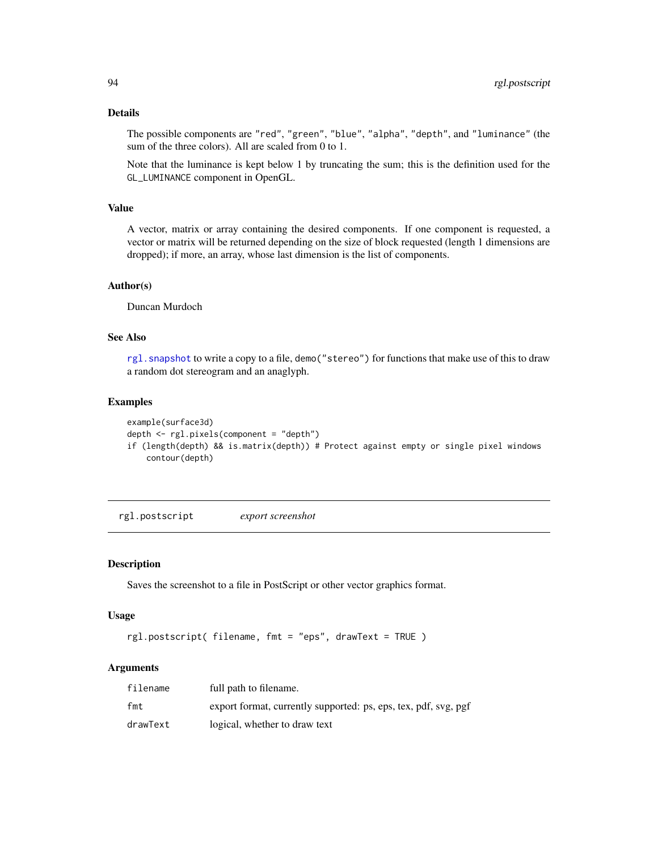# Details

The possible components are "red", "green", "blue", "alpha", "depth", and "luminance" (the sum of the three colors). All are scaled from 0 to 1.

Note that the luminance is kept below 1 by truncating the sum; this is the definition used for the GL\_LUMINANCE component in OpenGL.

# Value

A vector, matrix or array containing the desired components. If one component is requested, a vector or matrix will be returned depending on the size of block requested (length 1 dimensions are dropped); if more, an array, whose last dimension is the list of components.

### Author(s)

Duncan Murdoch

# See Also

rgl. snapshot to write a copy to a file, demo("stereo") for functions that make use of this to draw a random dot stereogram and an anaglyph.

### Examples

```
example(surface3d)
depth <- rgl.pixels(component = "depth")
if (length(depth) && is.matrix(depth)) # Protect against empty or single pixel windows
   contour(depth)
```
<span id="page-93-0"></span>rgl.postscript *export screenshot*

### Description

Saves the screenshot to a file in PostScript or other vector graphics format.

#### Usage

```
rgl.postscript( filename, fmt = "eps", drawText = TRUE )
```

| filename | full path to filename.                                          |
|----------|-----------------------------------------------------------------|
| fmt      | export format, currently supported: ps, eps, tex, pdf, svg, pgf |
| drawText | logical, whether to draw text                                   |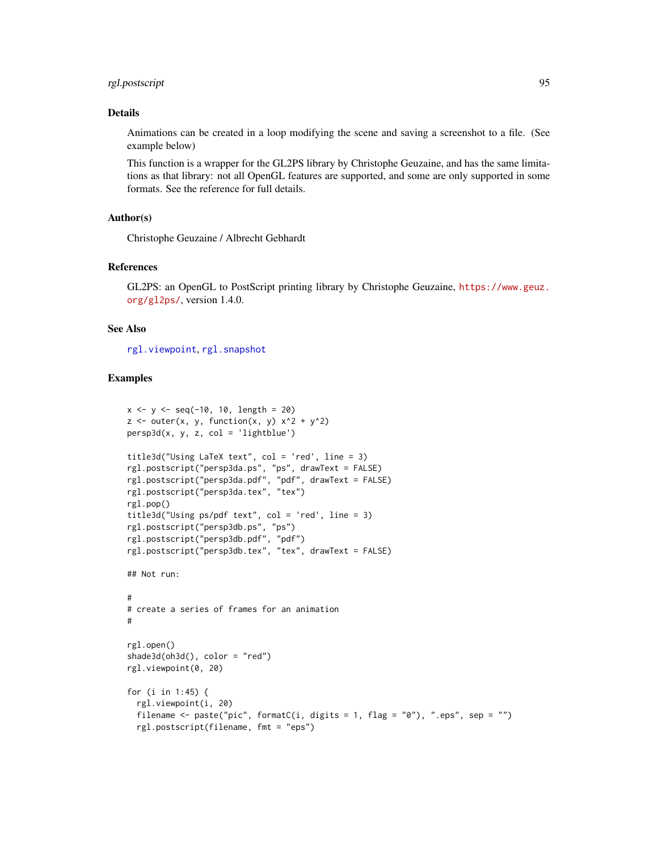# rgl.postscript 95

# Details

Animations can be created in a loop modifying the scene and saving a screenshot to a file. (See example below)

This function is a wrapper for the GL2PS library by Christophe Geuzaine, and has the same limitations as that library: not all OpenGL features are supported, and some are only supported in some formats. See the reference for full details.

## Author(s)

Christophe Geuzaine / Albrecht Gebhardt

## References

GL2PS: an OpenGL to PostScript printing library by Christophe Geuzaine, [https://www.geuz.](https://www.geuz.org/gl2ps/) [org/gl2ps/](https://www.geuz.org/gl2ps/), version 1.4.0.

## See Also

[rgl.viewpoint](#page-149-0), [rgl.snapshot](#page-98-0)

```
x \le -y \le -\text{seq}(-10, 10, \text{ length} = 20)z \le outer(x, y, function(x, y) x^2 + y^2)
persp3d(x, y, z, col = 'lightblue')title3d("Using LaTeX text", col = 'red', line = 3)
rgl.postscript("persp3da.ps", "ps", drawText = FALSE)
rgl.postscript("persp3da.pdf", "pdf", drawText = FALSE)
rgl.postscript("persp3da.tex", "tex")
rgl.pop()
title3d("Using ps/pdf text", col = 'red', line = 3)
rgl.postscript("persp3db.ps", "ps")
rgl.postscript("persp3db.pdf", "pdf")
rgl.postscript("persp3db.tex", "tex", drawText = FALSE)
## Not run:
#
# create a series of frames for an animation
#
rgl.open()
shade3d(oh3d(), color = "red")
rgl.viewpoint(0, 20)
for (i in 1:45) {
  rgl.viewpoint(i, 20)
  filename <- paste("pic", formatC(i, digits = 1, flag = "0"), ".eps", sep = "")
  rgl.postscript(filename, fmt = "eps")
```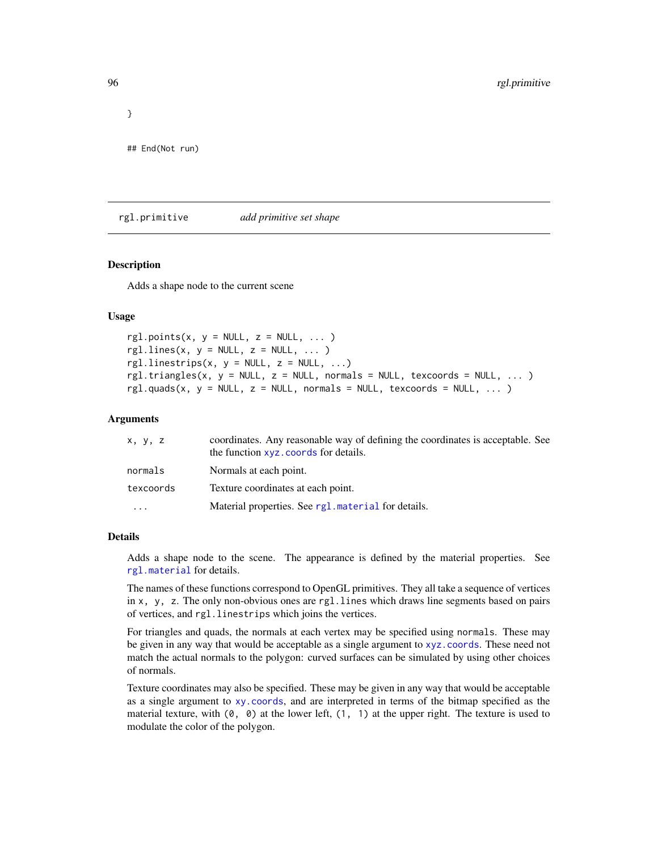## End(Not run)

<span id="page-95-0"></span>rgl.primitive *add primitive set shape*

# <span id="page-95-1"></span>Description

Adds a shape node to the current scene

## Usage

```
rgl.points(x, y = NULL, z = NULL, ... )rgl.lines(x, y = NULL, z = NULL, ...)
rgl.linestrips(x, y = NULL, z = NULL, ...)
rgl.triangles(x, y = NULL, z = NULL, normals = NULL, texcoords = NULL, ... )
rgl.quads(x, y = NULL, z = NULL, normals = NULL, txccords = NULL, ...)
```
### **Arguments**

| x, y, z                 | coordinates. Any reasonable way of defining the coordinates is acceptable. See<br>the function xyz. coords for details. |
|-------------------------|-------------------------------------------------------------------------------------------------------------------------|
| normals                 | Normals at each point.                                                                                                  |
| texcoords               | Texture coordinates at each point.                                                                                      |
| $\cdot$ $\cdot$ $\cdot$ | Material properties. See rg1. material for details.                                                                     |

# Details

Adds a shape node to the scene. The appearance is defined by the material properties. See [rgl.material](#page-88-0) for details.

The names of these functions correspond to OpenGL primitives. They all take a sequence of vertices in x, y, z. The only non-obvious ones are rgl.lines which draws line segments based on pairs of vertices, and rgl.linestrips which joins the vertices.

For triangles and quads, the normals at each vertex may be specified using normals. These may be given in any way that would be acceptable as a single argument to [xyz.coords](#page-0-0). These need not match the actual normals to the polygon: curved surfaces can be simulated by using other choices of normals.

Texture coordinates may also be specified. These may be given in any way that would be acceptable as a single argument to [xy.coords](#page-0-0), and are interpreted in terms of the bitmap specified as the material texture, with  $(0, 0)$  at the lower left,  $(1, 1)$  at the upper right. The texture is used to modulate the color of the polygon.

}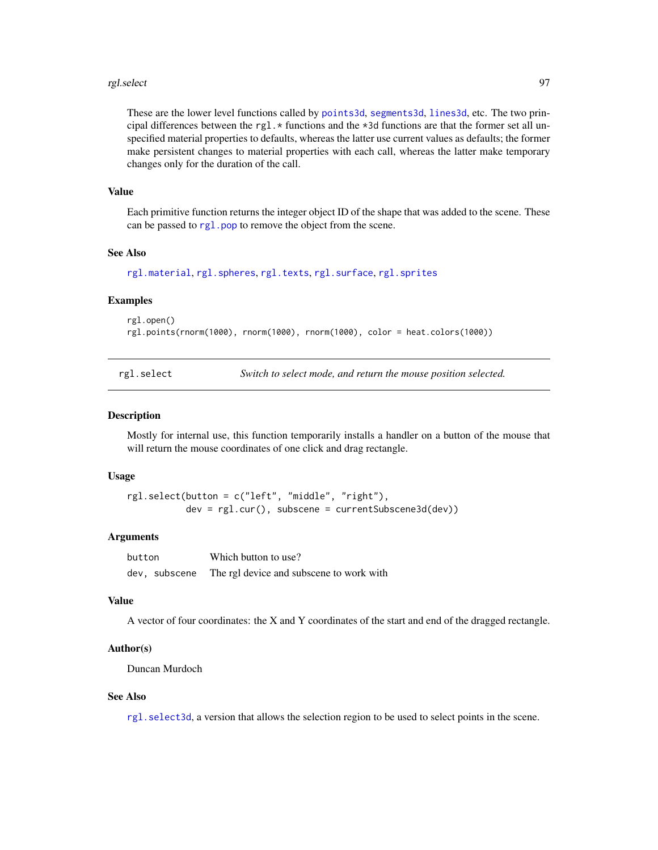#### rgl.select 97

These are the lower level functions called by [points3d](#page-72-1), [segments3d](#page-72-0), [lines3d](#page-72-0), etc. The two principal differences between the rgl.  $\star$  functions and the  $\star$ 3d functions are that the former set all unspecified material properties to defaults, whereas the latter use current values as defaults; the former make persistent changes to material properties with each call, whereas the latter make temporary changes only for the duration of the call.

#### Value

Each primitive function returns the integer object ID of the shape that was added to the scene. These can be passed to [rgl.pop](#page-113-0) to remove the object from the scene.

## See Also

```
rgl.material, rgl.spheres, rgl.texts, rgl.surface, rgl.sprites
```
# Examples

```
rgl.open()
rgl.points(rnorm(1000), rnorm(1000), rnorm(1000), color = heat.colors(1000))
```
rgl.select *Switch to select mode, and return the mouse position selected.*

#### Description

Mostly for internal use, this function temporarily installs a handler on a button of the mouse that will return the mouse coordinates of one click and drag rectangle.

## Usage

```
rgl.select(button = c("left", "middle", "right"),
           dev = rgl.cur(), subscene = currentSubscene3d(dev))
```
## **Arguments**

| button |               | Which button to use?                     |
|--------|---------------|------------------------------------------|
|        | dev, subscene | The rgl device and subscene to work with |

# Value

A vector of four coordinates: the X and Y coordinates of the start and end of the dragged rectangle.

## Author(s)

Duncan Murdoch

### See Also

[rgl.select3d](#page-118-1), a version that allows the selection region to be used to select points in the scene.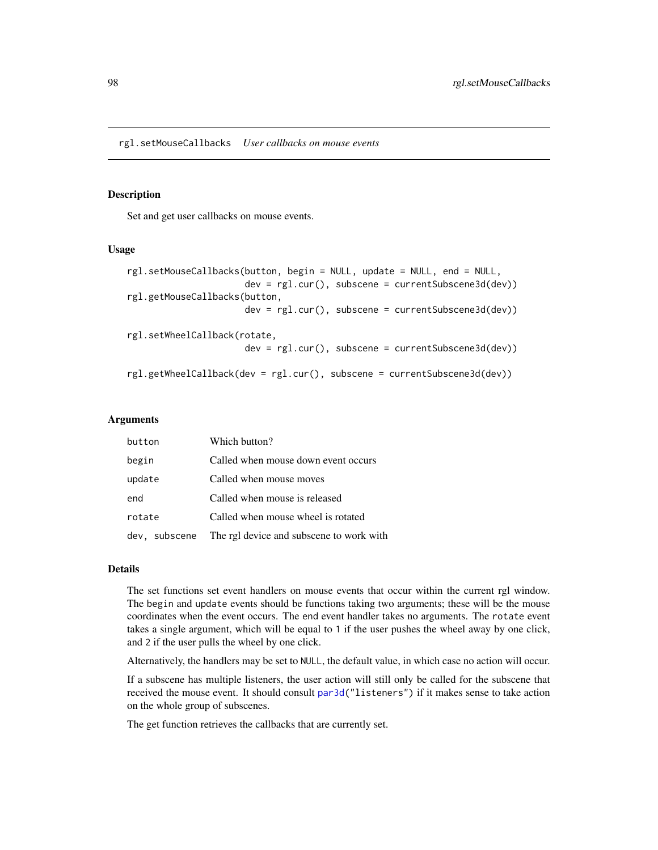# Description

Set and get user callbacks on mouse events.

### Usage

```
rgl.setMouseCallbacks(button, begin = NULL, update = NULL, end = NULL,
                      dev = rgl.cur(), subscene = currentSubscene3d(dev))
rgl.getMouseCallbacks(button,
                      dev = rgl.cur(), subscene = currentSubscene3d(dev))
rgl.setWheelCallback(rotate,
                      dev = rgl.cur(), subscene = currentSubscene3d(dev))
rgl.getWheelCallback(dev = rgl.cur(), subscene = currentSubscene3d(dev))
```
## Arguments

| button | Which button?                                          |
|--------|--------------------------------------------------------|
| begin  | Called when mouse down event occurs                    |
| update | Called when mouse moves                                |
| end    | Called when mouse is released                          |
| rotate | Called when mouse wheel is rotated                     |
|        | dev, subscene The rgl device and subscene to work with |

#### Details

The set functions set event handlers on mouse events that occur within the current rgl window. The begin and update events should be functions taking two arguments; these will be the mouse coordinates when the event occurs. The end event handler takes no arguments. The rotate event takes a single argument, which will be equal to 1 if the user pushes the wheel away by one click, and 2 if the user pulls the wheel by one click.

Alternatively, the handlers may be set to NULL, the default value, in which case no action will occur.

If a subscene has multiple listeners, the user action will still only be called for the subscene that received the mouse event. It should consult [par3d\(](#page-42-1)"listeners") if it makes sense to take action on the whole group of subscenes.

The get function retrieves the callbacks that are currently set.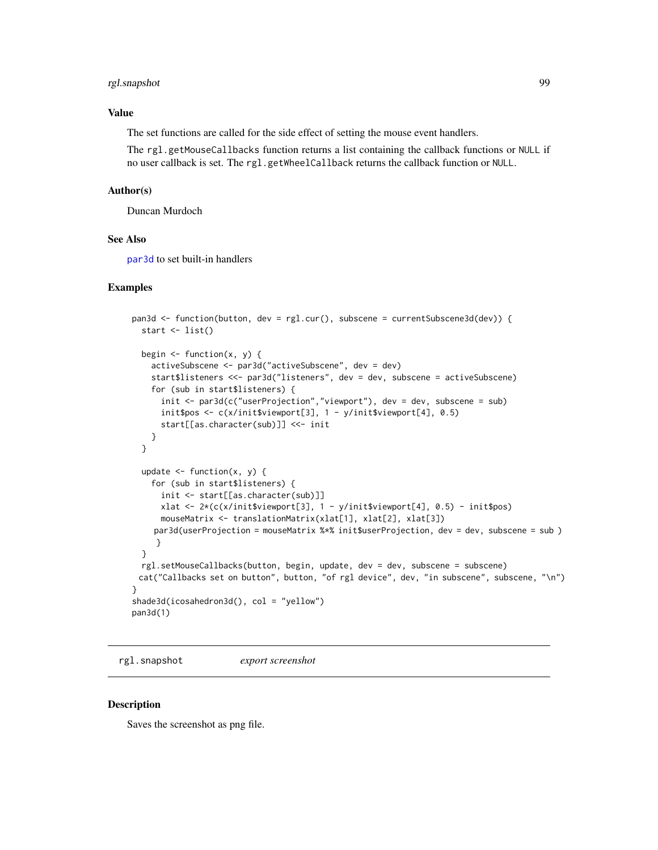# rgl.snapshot 99

# Value

The set functions are called for the side effect of setting the mouse event handlers.

The rgl.getMouseCallbacks function returns a list containing the callback functions or NULL if no user callback is set. The rgl.getWheelCallback returns the callback function or NULL.

## Author(s)

Duncan Murdoch

## See Also

[par3d](#page-42-1) to set built-in handlers

## Examples

```
pan3d <- function(button, dev = rgl.cur(), subscene = currentSubscene3d(dev)) {
  start <- list()
  begin \leq function(x, y) {
    activeSubscene <- par3d("activeSubscene", dev = dev)
    start$listeners <<- par3d("listeners", dev = dev, subscene = activeSubscene)
    for (sub in start$listeners) {
      init <- par3d(c("userProjection","viewport"), dev = dev, subscene = sub)
      init$pos <- c(x/init$viewport[3], 1 - y/init$viewport[4], 0.5)
      start[[as.character(sub)]] <<- init
    }
  }
  update \leq function(x, y) {
    for (sub in start$listeners) {
      init <- start[[as.character(sub)]]
      xlat <- 2*(c(x/init$viewport[3], 1 - y/init$viewport[4], 0.5) - init$pos)
      mouseMatrix <- translationMatrix(xlat[1], xlat[2], xlat[3])
    par3d(userProjection = mouseMatrix %*% init$userProjection, dev = dev, subscene = sub )
     }
  }
  rgl.setMouseCallbacks(button, begin, update, dev = dev, subscene = subscene)
 cat("Callbacks set on button", button, "of rgl device", dev, "in subscene", subscene, "\n")
}
shade3d(icosahedron3d(), col = "yellow")
pan3d(1)
```
<span id="page-98-0"></span>rgl.snapshot *export screenshot*

#### Description

Saves the screenshot as png file.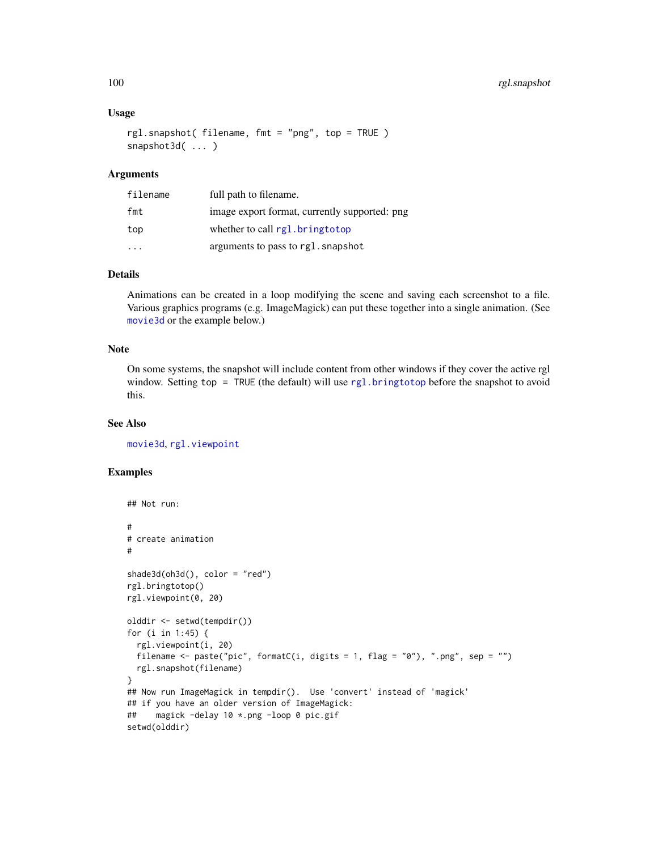## Usage

```
rgl.snapshot( filename, fmt = "png", top = TRUE )
snapshot3d( ... )
```
## Arguments

| filename | full path to filename.                        |
|----------|-----------------------------------------------|
| fmt      | image export format, currently supported: png |
| top      | whether to call rgl.bringtotop                |
|          | arguments to pass to rgl. snapshot            |

# Details

Animations can be created in a loop modifying the scene and saving each screenshot to a file. Various graphics programs (e.g. ImageMagick) can put these together into a single animation. (See [movie3d](#page-61-0) or the example below.)

# Note

On some systems, the snapshot will include content from other windows if they cover the active rgl window. Setting top = TRUE (the default) will use [rgl.bringtotop](#page-87-0) before the snapshot to avoid this.

# See Also

[movie3d](#page-61-0), [rgl.viewpoint](#page-149-0)

```
## Not run:
#
# create animation
#
shade3d(oh3d(), color = "red")
rgl.bringtotop()
rgl.viewpoint(0, 20)
olddir <- setwd(tempdir())
for (i in 1:45) {
  rgl.viewpoint(i, 20)
  filename \leq paste("pic", formatC(i, digits = 1, flag = "0"), ".png", sep = "")
  rgl.snapshot(filename)
}
## Now run ImageMagick in tempdir(). Use 'convert' instead of 'magick'
## if you have an older version of ImageMagick:
## magick -delay 10 *.png -loop 0 pic.gif
setwd(olddir)
```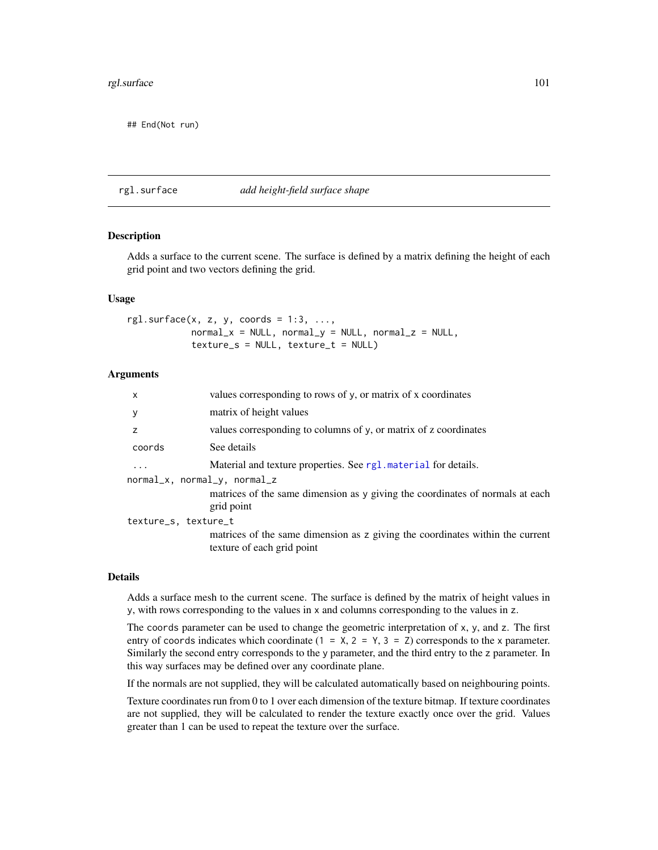# rgl.surface 101

## End(Not run)

## <span id="page-100-0"></span>rgl.surface *add height-field surface shape*

# **Description**

Adds a surface to the current scene. The surface is defined by a matrix defining the height of each grid point and two vectors defining the grid.

## Usage

rgl.surface $(x, z, y,$  coords = 1:3, ...,  $normal_x = NULL$ ,  $normal_y = NULL$ ,  $normal_z = NULL$  $texture_s = NULL, \text{ texture_t} = NULL)$ 

## **Arguments**

| $\boldsymbol{\mathsf{x}}$    | values corresponding to rows of y, or matrix of x coordinates                                               |  |
|------------------------------|-------------------------------------------------------------------------------------------------------------|--|
| y                            | matrix of height values                                                                                     |  |
| z                            | values corresponding to columns of y, or matrix of z coordinates                                            |  |
| coords                       | See details                                                                                                 |  |
| $\ddots$                     | Material and texture properties. See rg1. material for details.                                             |  |
| normal_x, normal_y, normal_z |                                                                                                             |  |
|                              | matrices of the same dimension as y giving the coordinates of normals at each<br>grid point                 |  |
| texture_s, texture_t         |                                                                                                             |  |
|                              | matrices of the same dimension as z giving the coordinates within the current<br>texture of each grid point |  |
|                              |                                                                                                             |  |

### Details

Adds a surface mesh to the current scene. The surface is defined by the matrix of height values in y, with rows corresponding to the values in x and columns corresponding to the values in z.

The coords parameter can be used to change the geometric interpretation of  $x$ ,  $y$ , and  $z$ . The first entry of coords indicates which coordinate  $(1 = X, 2 = Y, 3 = Z)$  corresponds to the x parameter. Similarly the second entry corresponds to the y parameter, and the third entry to the z parameter. In this way surfaces may be defined over any coordinate plane.

If the normals are not supplied, they will be calculated automatically based on neighbouring points.

Texture coordinates run from 0 to 1 over each dimension of the texture bitmap. If texture coordinates are not supplied, they will be calculated to render the texture exactly once over the grid. Values greater than 1 can be used to repeat the texture over the surface.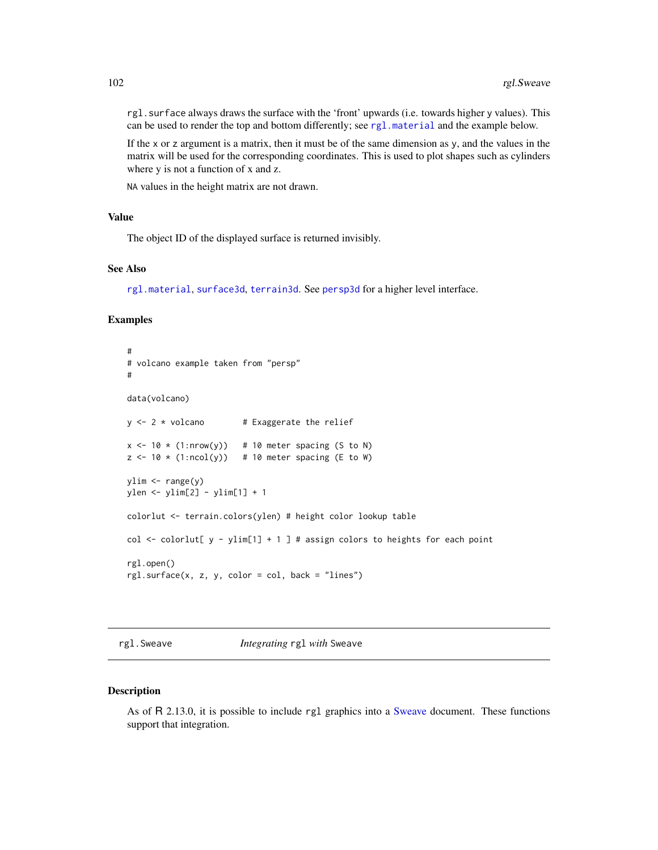rgl.surface always draws the surface with the 'front' upwards (i.e. towards higher y values). This can be used to render the top and bottom differently; see [rgl.material](#page-88-0) and the example below.

If the x or z argument is a matrix, then it must be of the same dimension as y, and the values in the matrix will be used for the corresponding coordinates. This is used to plot shapes such as cylinders where y is not a function of x and z.

NA values in the height matrix are not drawn.

## Value

The object ID of the displayed surface is returned invisibly.

### See Also

[rgl.material](#page-88-0), [surface3d](#page-139-1), [terrain3d](#page-139-0). See [persp3d](#page-51-0) for a higher level interface.

### Examples

```
#
# volcano example taken from "persp"
#
data(volcano)
y \le -2 * volcano # Exaggerate the relief
x \le -10 \times (1: nrow(y)) # 10 meter spacing (S to N)
z \le -10 \times (1:\text{ncol}(y)) # 10 meter spacing (E to W)
ylim <- range(y)
ylen <- ylim[2] - ylim[1] + 1
colorlut <- terrain.colors(ylen) # height color lookup table
col \le colorlut[ y - ylim[1] + 1 ] # assign colors to heights for each point
rgl.open()
rgl.surface(x, z, y, color = col, back = "lines")
```
rgl.Sweave *Integrating* rgl *with* Sweave

## Description

As of R 2.13.0, it is possible to include rgl graphics into a [Sweave](#page-0-0) document. These functions support that integration.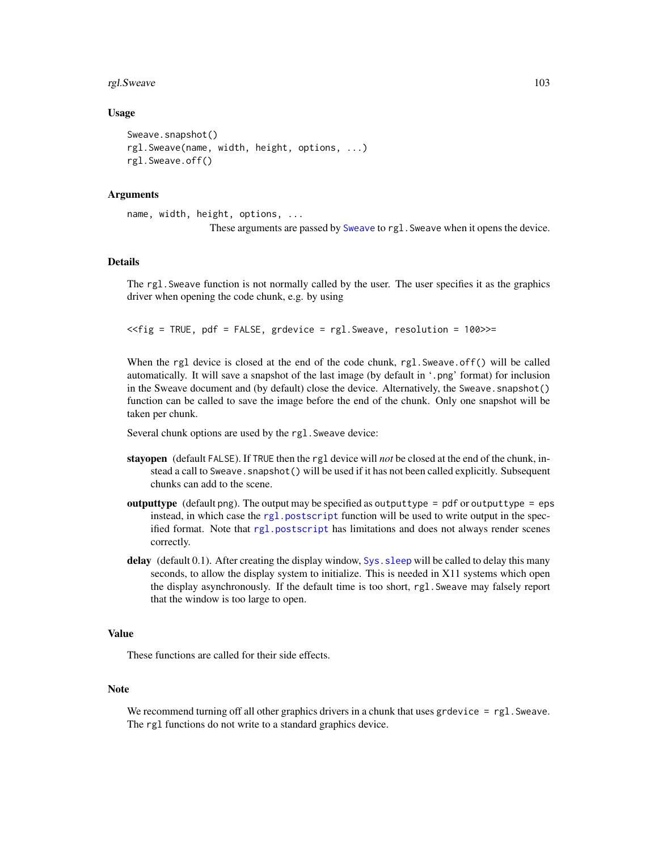#### rgl.Sweave 103

## Usage

```
Sweave.snapshot()
rgl.Sweave(name, width, height, options, ...)
rgl.Sweave.off()
```
## Arguments

```
name, width, height, options, ...
                 These arguments are passed by Sweave to rgl.Sweave when it opens the device.
```
### Details

The rgl.Sweave function is not normally called by the user. The user specifies it as the graphics driver when opening the code chunk, e.g. by using

<<fig = TRUE, pdf = FALSE, grdevice = rgl.Sweave, resolution = 100>>=

When the rgl device is closed at the end of the code chunk, rgl. Sweave.off() will be called automatically. It will save a snapshot of the last image (by default in '.png' format) for inclusion in the Sweave document and (by default) close the device. Alternatively, the Sweave. snapshot() function can be called to save the image before the end of the chunk. Only one snapshot will be taken per chunk.

Several chunk options are used by the rgl. Sweave device:

- stayopen (default FALSE). If TRUE then the rgl device will *not* be closed at the end of the chunk, instead a call to Sweave. snapshot () will be used if it has not been called explicitly. Subsequent chunks can add to the scene.
- **outputtype** (default png). The output may be specified as outputtype = pdf or outputtype = eps instead, in which case the [rgl.postscript](#page-93-0) function will be used to write output in the specified format. Note that [rgl.postscript](#page-93-0) has limitations and does not always render scenes correctly.
- delay (default 0.1). After creating the display window, Sys. sleep will be called to delay this many seconds, to allow the display system to initialize. This is needed in X11 systems which open the display asynchronously. If the default time is too short, rgl.Sweave may falsely report that the window is too large to open.

# Value

These functions are called for their side effects.

# Note

We recommend turning off all other graphics drivers in a chunk that uses grdevice  $=$  rgl. Sweave. The rgl functions do not write to a standard graphics device.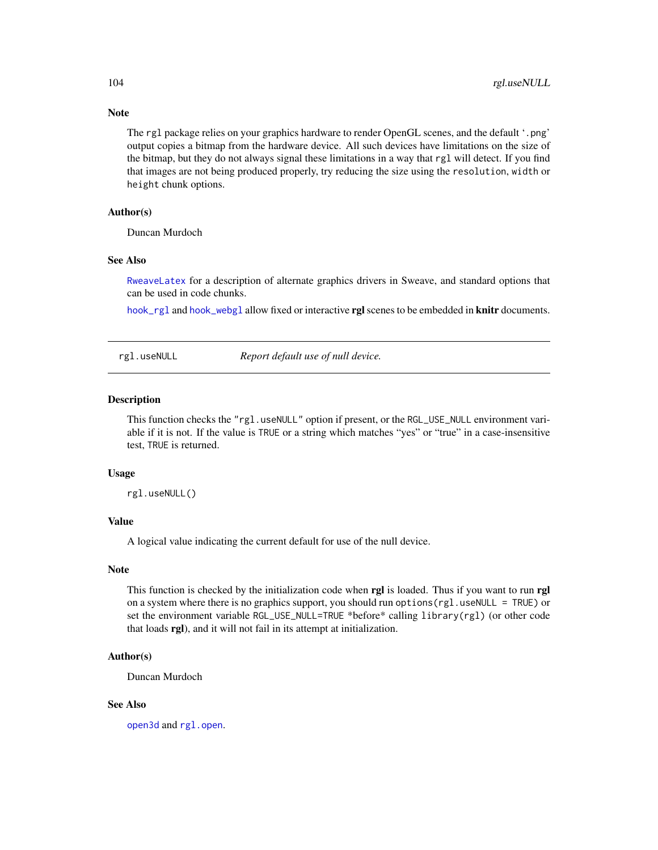Note

The rgl package relies on your graphics hardware to render OpenGL scenes, and the default '.png' output copies a bitmap from the hardware device. All such devices have limitations on the size of the bitmap, but they do not always signal these limitations in a way that rgl will detect. If you find that images are not being produced properly, try reducing the size using the resolution, width or height chunk options.

## Author(s)

Duncan Murdoch

### See Also

[RweaveLatex](#page-0-0) for a description of alternate graphics drivers in Sweave, and standard options that can be used in code chunks.

[hook\\_rgl](#page-31-0) and [hook\\_webgl](#page-31-1) allow fixed or interactive rgl scenes to be embedded in knitr documents.

<span id="page-103-0"></span>rgl.useNULL *Report default use of null device.*

#### Description

This function checks the "rgl.useNULL" option if present, or the RGL\_USE\_NULL environment variable if it is not. If the value is TRUE or a string which matches "yes" or "true" in a case-insensitive test, TRUE is returned.

## Usage

rgl.useNULL()

## Value

A logical value indicating the current default for use of the null device.

## **Note**

This function is checked by the initialization code when rgl is loaded. Thus if you want to run rgl on a system where there is no graphics support, you should run options  $(rgl.useNULL = TRUE)$  or set the environment variable RGL\_USE\_NULL=TRUE \*before\* calling library(rgl) (or other code that loads rgl), and it will not fail in its attempt at initialization.

# Author(s)

Duncan Murdoch

#### See Also

[open3d](#page-42-0) and [rgl.open](#page-91-0).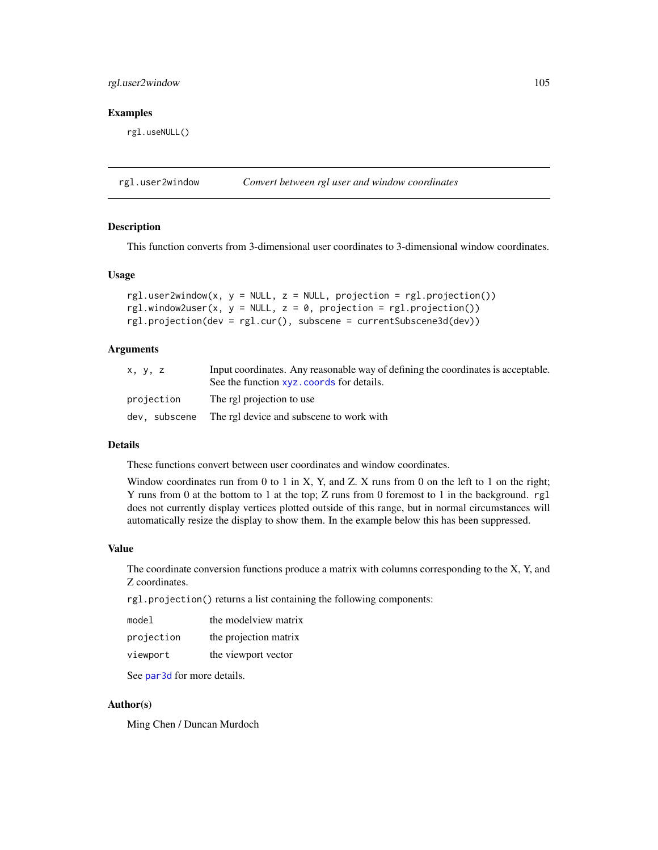# rgl.user2window 105

### Examples

rgl.useNULL()

rgl.user2window *Convert between rgl user and window coordinates*

### Description

This function converts from 3-dimensional user coordinates to 3-dimensional window coordinates.

### Usage

```
rgl.user2window(x, y = NULL, z = NULL, projection = rgl.projection())rgl.window2user(x, y = NULL, z = 0, projection = rgl.projection())
rgl.projection(dev = rgl.cur(), subscene = currentSubscene3d(dev))
```
# Arguments

| x, y, z       | Input coordinates. Any reasonable way of defining the coordinates is acceptable.<br>See the function xyz. coords for details. |
|---------------|-------------------------------------------------------------------------------------------------------------------------------|
| projection    | The rgl projection to use                                                                                                     |
| dev, subscene | The rgl device and subscene to work with                                                                                      |

#### Details

These functions convert between user coordinates and window coordinates.

Window coordinates run from 0 to 1 in X, Y, and Z. X runs from 0 on the left to 1 on the right; Y runs from 0 at the bottom to 1 at the top; Z runs from 0 foremost to 1 in the background. rgl does not currently display vertices plotted outside of this range, but in normal circumstances will automatically resize the display to show them. In the example below this has been suppressed.

# Value

The coordinate conversion functions produce a matrix with columns corresponding to the X, Y, and Z coordinates.

rgl.projection() returns a list containing the following components:

| model      | the modelview matrix  |
|------------|-----------------------|
| projection | the projection matrix |
| viewport   | the viewport vector   |

See [par3d](#page-42-1) for more details.

## Author(s)

Ming Chen / Duncan Murdoch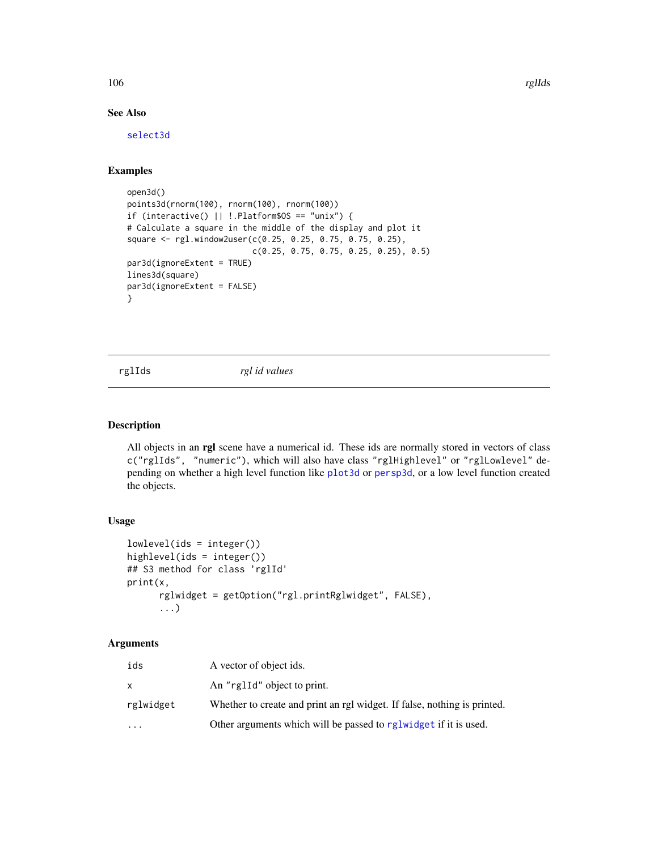106 rglIds and the control of the control of the control of the control of the control of the control of the control of the control of the control of the control of the control of the control of the control of the control

# See Also

[select3d](#page-118-0)

# Examples

```
open3d()
points3d(rnorm(100), rnorm(100), rnorm(100))
if (interactive() || !.Platform$OS == "unix") {
# Calculate a square in the middle of the display and plot it
square <- rgl.window2user(c(0.25, 0.25, 0.75, 0.75, 0.25),
                          c(0.25, 0.75, 0.75, 0.25, 0.25), 0.5)
par3d(ignoreExtent = TRUE)
lines3d(square)
par3d(ignoreExtent = FALSE)
}
```
rglIds *rgl id values*

## Description

All objects in an rgl scene have a numerical id. These ids are normally stored in vectors of class c("rglIds", "numeric"), which will also have class "rglHighlevel" or "rglLowlevel" depending on whether a high level function like [plot3d](#page-66-0) or [persp3d](#page-51-0), or a low level function created the objects.

#### Usage

```
lowlevel(ids = integer())
highlevel(ids = integer())
## S3 method for class 'rglId'
print(x,
      rglwidget = getOption("rgl.printRglwidget", FALSE),
      ...)
```

| ids       | A vector of object ids.                                                  |
|-----------|--------------------------------------------------------------------------|
| X         | An "rglId" object to print.                                              |
| rglwidget | Whether to create and print an rgl widget. If false, nothing is printed. |
| $\cdots$  | Other arguments which will be passed to reglwidget if it is used.        |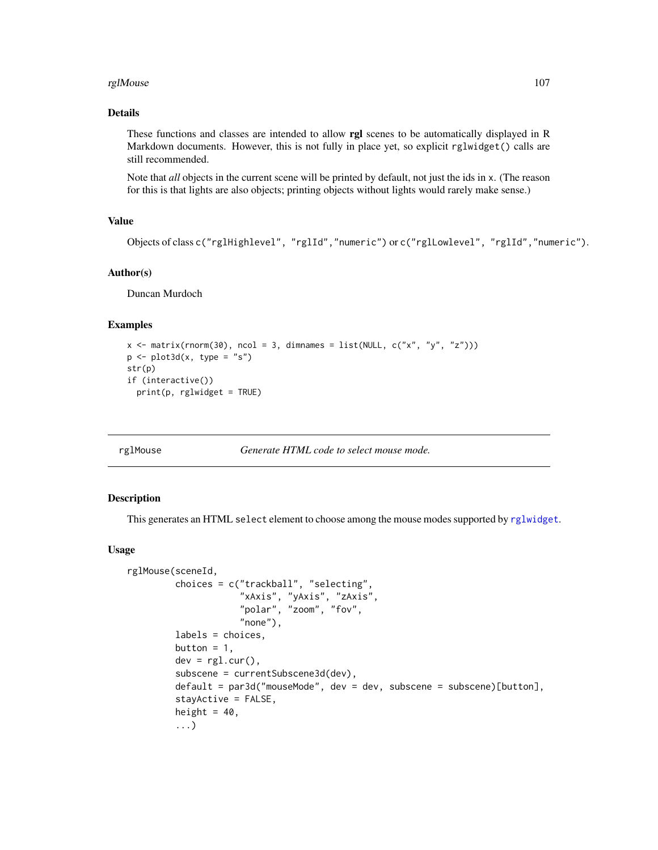#### rglMouse that the contract of the contract of the contract of the contract of the contract of the contract of the contract of the contract of the contract of the contract of the contract of the contract of the contract of

# Details

These functions and classes are intended to allow rgl scenes to be automatically displayed in R Markdown documents. However, this is not fully in place yet, so explicit rglwidget() calls are still recommended.

Note that *all* objects in the current scene will be printed by default, not just the ids in x. (The reason for this is that lights are also objects; printing objects without lights would rarely make sense.)

## Value

```
Objects of class c("rglHighlevel", "rglId","numeric") or c("rglLowlevel", "rglId","numeric").
```
# Author(s)

Duncan Murdoch

# Examples

```
x \le matrix(rnorm(30), ncol = 3, dimnames = list(NULL, c("x", "y", "z")))
p \leftarrow plot3d(x, type = "s")str(p)
if (interactive())
  print(p, rglwidget = TRUE)
```
rglMouse *Generate HTML code to select mouse mode.*

## Description

This generates an HTML select element to choose among the mouse modes supported by [rglwidget](#page-110-0).

### Usage

```
rglMouse(sceneId,
         choices = c("trackball", "selecting",
                     "xAxis", "yAxis", "zAxis",
                     "polar", "zoom", "fov",
                     "none"),
         labels = choices,
         button = 1,
         dev = rg1.cur(),subscene = currentSubscene3d(dev),
         default = par3d("mouseMode", dev = dev, subscence = subscence)[button],stayActive = FALSE,
         height = 40,
         ...)
```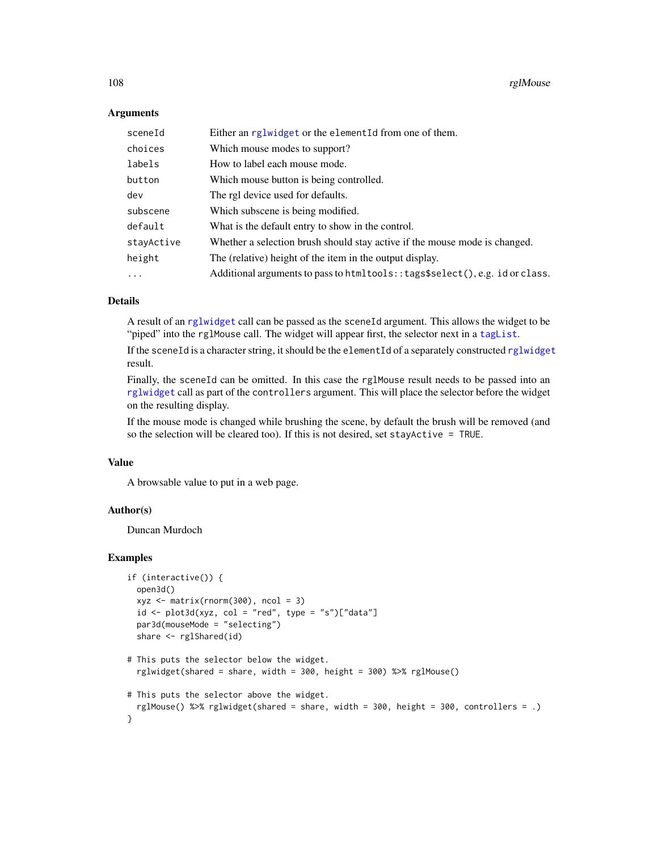## **Arguments**

| sceneId    | Either an rglwidget or the elementId from one of them.                         |
|------------|--------------------------------------------------------------------------------|
| choices    | Which mouse modes to support?                                                  |
| labels     | How to label each mouse mode.                                                  |
| button     | Which mouse button is being controlled.                                        |
| dev        | The rgl device used for defaults.                                              |
| subscene   | Which subscene is being modified.                                              |
| default    | What is the default entry to show in the control.                              |
| stayActive | Whether a selection brush should stay active if the mouse mode is changed.     |
| height     | The (relative) height of the item in the output display.                       |
| $\ddots$ . | Additional arguments to pass to htmltools: : tags\$select(), e.g. id or class. |

# Details

A result of an [rglwidget](#page-110-0) call can be passed as the sceneId argument. This allows the widget to be "piped" into the rglMouse call. The widget will appear first, the selector next in a taglist.

If the sceneId is a character string, it should be the elementId of a separately constructed [rglwidget](#page-110-0) result.

Finally, the sceneId can be omitted. In this case the rglMouse result needs to be passed into an [rglwidget](#page-110-0) call as part of the controllers argument. This will place the selector before the widget on the resulting display.

If the mouse mode is changed while brushing the scene, by default the brush will be removed (and so the selection will be cleared too). If this is not desired, set stayActive = TRUE.

# Value

A browsable value to put in a web page.

# Author(s)

Duncan Murdoch

```
if (interactive()) {
 open3d()
 xyz \leq -\text{matrix}(rnorm(300), ncol = 3)id \leftarrow plot3d(xyz, col = "red", type = "s")['data"]par3d(mouseMode = "selecting")
 share <- rglShared(id)
# This puts the selector below the widget.
 rglwidget(shared = share, width = 300, height = 300) %>% rglMouse()
```

```
# This puts the selector above the widget.
 rglMouse() %>% rglwidget(shared = share, width = 300, height = 300, controllers = .)
}
```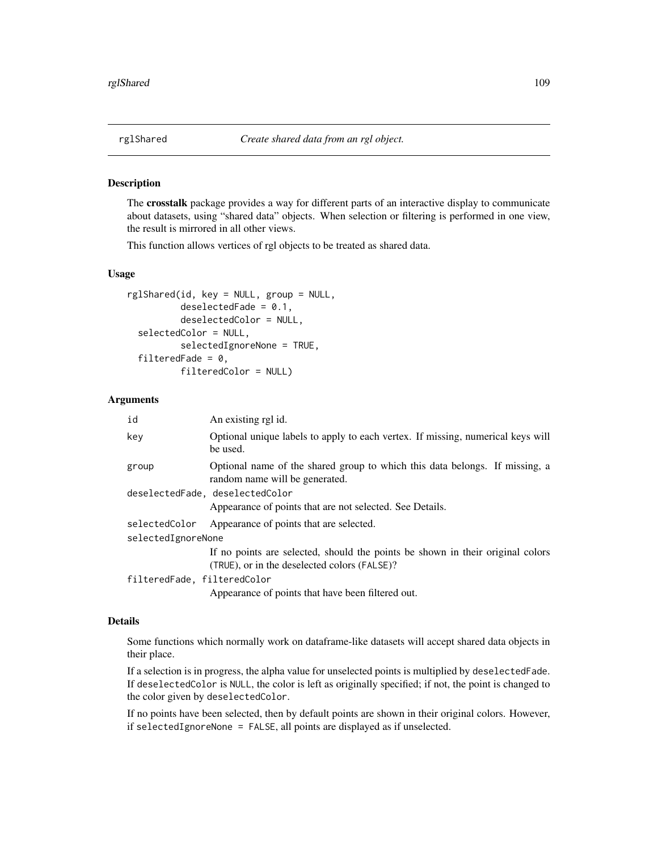## <span id="page-108-0"></span>Description

The crosstalk package provides a way for different parts of an interactive display to communicate about datasets, using "shared data" objects. When selection or filtering is performed in one view, the result is mirrored in all other views.

This function allows vertices of rgl objects to be treated as shared data.

#### Usage

```
rglShared(id, key = NULL, group = NULL,
         deselectedFade = 0.1,
          deselectedColor = NULL,
  selectedColor = NULL,
          selectedIgnoreNone = TRUE,
  filteredFade = 0,
          filteredColor = NULL)
```
## Arguments

| id                          | An existing rgl id.                                                                                                            |
|-----------------------------|--------------------------------------------------------------------------------------------------------------------------------|
| key                         | Optional unique labels to apply to each vertex. If missing, numerical keys will<br>be used.                                    |
| group                       | Optional name of the shared group to which this data belongs. If missing, a<br>random name will be generated.                  |
|                             | deselectedFade, deselectedColor                                                                                                |
|                             | Appearance of points that are not selected. See Details.                                                                       |
| selectedColor               | Appearance of points that are selected.                                                                                        |
| selectedIgnoreNone          |                                                                                                                                |
|                             | If no points are selected, should the points be shown in their original colors<br>(TRUE), or in the deselected colors (FALSE)? |
| filteredFade, filteredColor |                                                                                                                                |
|                             | Appearance of points that have been filtered out.                                                                              |

### Details

Some functions which normally work on dataframe-like datasets will accept shared data objects in their place.

If a selection is in progress, the alpha value for unselected points is multiplied by deselectedFade. If deselectedColor is NULL, the color is left as originally specified; if not, the point is changed to the color given by deselectedColor.

If no points have been selected, then by default points are shown in their original colors. However, if selectedIgnoreNone = FALSE, all points are displayed as if unselected.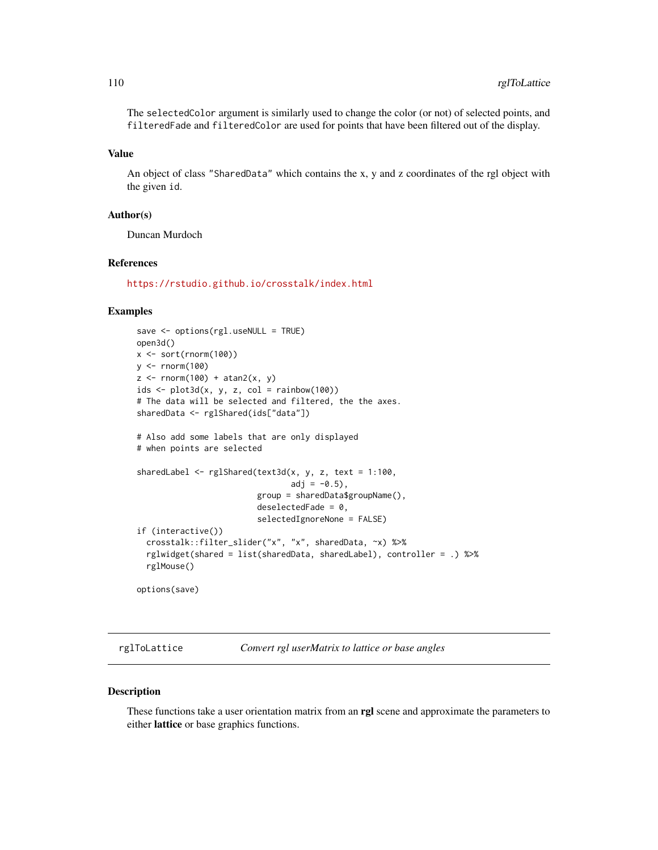The selectedColor argument is similarly used to change the color (or not) of selected points, and filteredFade and filteredColor are used for points that have been filtered out of the display.

## Value

An object of class "SharedData" which contains the x, y and z coordinates of the rgl object with the given id.

## Author(s)

Duncan Murdoch

#### **References**

<https://rstudio.github.io/crosstalk/index.html>

### Examples

```
save <- options(rgl.useNULL = TRUE)
open3d()
x \leftarrow sort(rnorm(100))y <- rnorm(100)
z \leftarrow \text{norm}(100) + \text{atan2}(x, y)ids < -plot3d(x, y, z, col = rainbow(100))# The data will be selected and filtered, the the axes.
sharedData <- rglShared(ids["data"])
# Also add some labels that are only displayed
# when points are selected
sharedLabel <- rglShared(text3d(x, y, z, text = 1:100,
                                 adj = -0.5,
                          group = sharedData$groupName(),
                          deselectedFade = 0,
                          selectedIgnoreNone = FALSE)
if (interactive())
  crosstalk::filter_slider("x", "x", sharedData, ~x) %>%
  rglwidget(shared = list(sharedData, sharedLabel), controller = .) %>%
  rglMouse()
options(save)
```
rglToLattice *Convert rgl userMatrix to lattice or base angles*

## **Description**

These functions take a user orientation matrix from an rgl scene and approximate the parameters to either lattice or base graphics functions.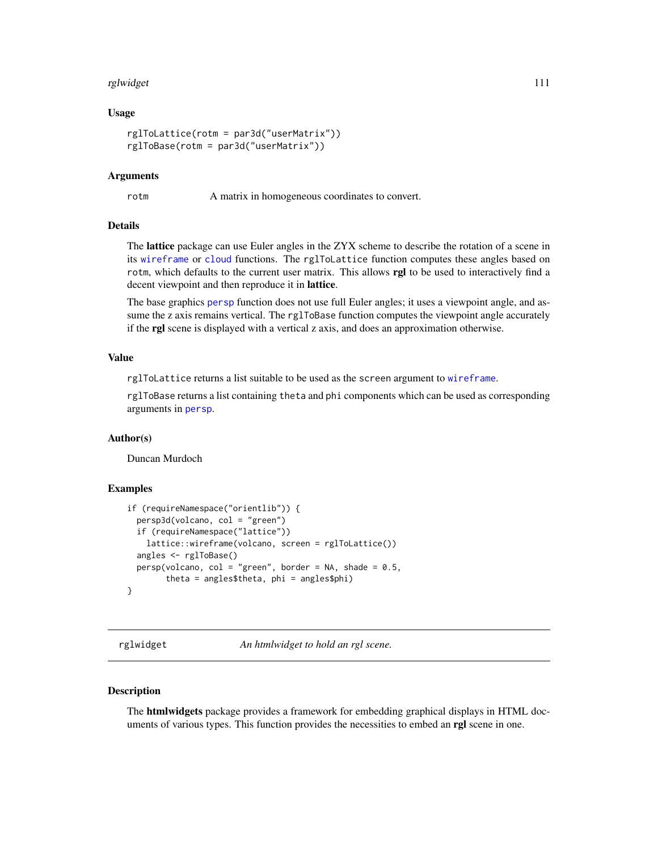#### rglwidget 111

### Usage

```
rglToLattice(rotm = par3d("userMatrix"))
rglToBase(rotm = par3d("userMatrix"))
```
### Arguments

rotm A matrix in homogeneous coordinates to convert.

## Details

The lattice package can use Euler angles in the ZYX scheme to describe the rotation of a scene in its [wireframe](#page-0-0) or [cloud](#page-0-0) functions. The rglToLattice function computes these angles based on rotm, which defaults to the current user matrix. This allows rgl to be used to interactively find a decent viewpoint and then reproduce it in lattice.

The base graphics [persp](#page-0-0) function does not use full Euler angles; it uses a viewpoint angle, and assume the z axis remains vertical. The rglToBase function computes the viewpoint angle accurately if the rgl scene is displayed with a vertical z axis, and does an approximation otherwise.

## Value

rglToLattice returns a list suitable to be used as the screen argument to [wireframe](#page-0-0).

rglToBase returns a list containing theta and phi components which can be used as corresponding arguments in [persp](#page-0-0).

#### Author(s)

Duncan Murdoch

#### Examples

```
if (requireNamespace("orientlib")) {
 persp3d(volcano, col = "green")
 if (requireNamespace("lattice"))
   lattice::wireframe(volcano, screen = rglToLattice())
 angles <- rglToBase()
 persp(volcano, col = "green", border = NA, shade = 0.5,theta = angles$theta, phi = angles$phi)
}
```
<span id="page-110-0"></span>rglwidget *An htmlwidget to hold an rgl scene.*

## Description

The **htmlwidgets** package provides a framework for embedding graphical displays in HTML documents of various types. This function provides the necessities to embed an rgl scene in one.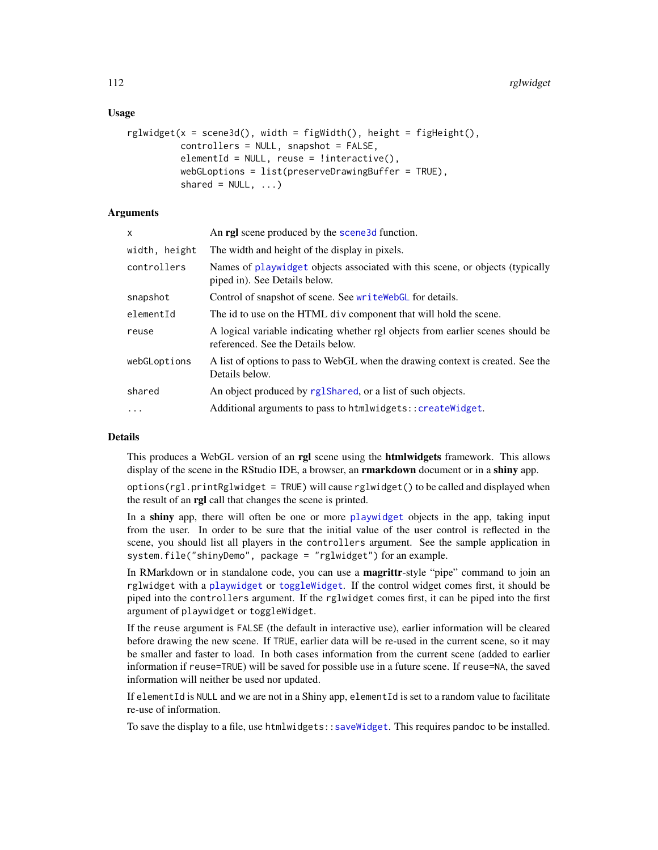## Usage

```
rglwidget(x = scene3d(), width = figWidth(), height = figHeight().
         controllers = NULL, snapshot = FALSE,
         elementId = NULL, reuse = linteractive(),
         webGLoptions = list(preserveDrawingBuffer = TRUE),
         shared = NULL, ...)
```
## Arguments

| x             | An <b>rgl</b> scene produced by the <b>scene3d</b> function.                                                          |
|---------------|-----------------------------------------------------------------------------------------------------------------------|
| width, height | The width and height of the display in pixels.                                                                        |
| controllers   | Names of playwidget objects associated with this scene, or objects (typically<br>piped in). See Details below.        |
| snapshot      | Control of snapshot of scene. See write WebGL for details.                                                            |
| elementId     | The id to use on the HTML div component that will hold the scene.                                                     |
| reuse         | A logical variable indicating whether rgl objects from earlier scenes should be<br>referenced. See the Details below. |
| webGLoptions  | A list of options to pass to WebGL when the drawing context is created. See the<br>Details below.                     |
| shared        | An object produced by rglShared, or a list of such objects.                                                           |
| $\cdots$      | Additional arguments to pass to htmlwidgets:: createWidget.                                                           |
|               |                                                                                                                       |

# Details

This produces a WebGL version of an rgl scene using the htmlwidgets framework. This allows display of the scene in the RStudio IDE, a browser, an **rmarkdown** document or in a **shiny** app.

options(rgl.printRglwidget = TRUE) will cause rglwidget() to be called and displayed when the result of an rgl call that changes the scene is printed.

In a shiny app, there will often be one or more [playwidget](#page-63-0) objects in the app, taking input from the user. In order to be sure that the initial value of the user control is reflected in the scene, you should list all players in the controllers argument. See the sample application in system.file("shinyDemo", package = "rglwidget") for an example.

In RMarkdown or in standalone code, you can use a **magrittr**-style "pipe" command to join an rglwidget with a [playwidget](#page-63-0) or [toggleWidget](#page-144-0). If the control widget comes first, it should be piped into the controllers argument. If the rglwidget comes first, it can be piped into the first argument of playwidget or toggleWidget.

If the reuse argument is FALSE (the default in interactive use), earlier information will be cleared before drawing the new scene. If TRUE, earlier data will be re-used in the current scene, so it may be smaller and faster to load. In both cases information from the current scene (added to earlier information if reuse=TRUE) will be saved for possible use in a future scene. If reuse=NA, the saved information will neither be used nor updated.

If elementId is NULL and we are not in a Shiny app, elementId is set to a random value to facilitate re-use of information.

To save the display to a file, use htmlwidgets:[:saveWidget](#page-0-0). This requires pandoc to be installed.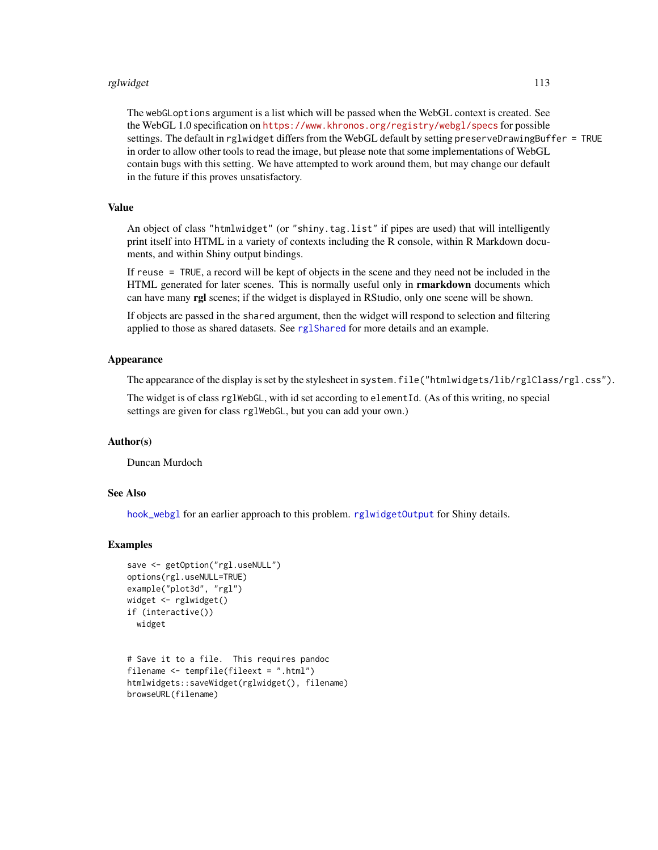#### rglwidget the contract of the contract of the contract of the contract of the contract of the contract of the contract of the contract of the contract of the contract of the contract of the contract of the contract of the

The webGLoptions argument is a list which will be passed when the WebGL context is created. See the WebGL 1.0 specification on <https://www.khronos.org/registry/webgl/specs> for possible settings. The default in rglwidget differs from the WebGL default by setting preserveDrawingBuffer = TRUE in order to allow other tools to read the image, but please note that some implementations of WebGL contain bugs with this setting. We have attempted to work around them, but may change our default in the future if this proves unsatisfactory.

# Value

An object of class "htmlwidget" (or "shiny.tag.list" if pipes are used) that will intelligently print itself into HTML in a variety of contexts including the R console, within R Markdown documents, and within Shiny output bindings.

If reuse = TRUE, a record will be kept of objects in the scene and they need not be included in the HTML generated for later scenes. This is normally useful only in **rmarkdown** documents which can have many rgl scenes; if the widget is displayed in RStudio, only one scene will be shown.

If objects are passed in the shared argument, then the widget will respond to selection and filtering applied to those as shared datasets. See [rglShared](#page-108-0) for more details and an example.

## Appearance

The appearance of the display is set by the stylesheet in system.file("htmlwidgets/lib/rglClass/rgl.css").

The widget is of class rglWebGL, with id set according to elementId. (As of this writing, no special settings are given for class rglWebGL, but you can add your own.)

#### Author(s)

Duncan Murdoch

### See Also

[hook\\_webgl](#page-31-0) for an earlier approach to this problem. [rglwidgetOutput](#page-125-0) for Shiny details.

#### Examples

```
save <- getOption("rgl.useNULL")
options(rgl.useNULL=TRUE)
example("plot3d", "rgl")
widget <- rglwidget()
if (interactive())
 widget
```

```
# Save it to a file. This requires pandoc
filename <- tempfile(fileext = ".html")
htmlwidgets::saveWidget(rglwidget(), filename)
browseURL(filename)
```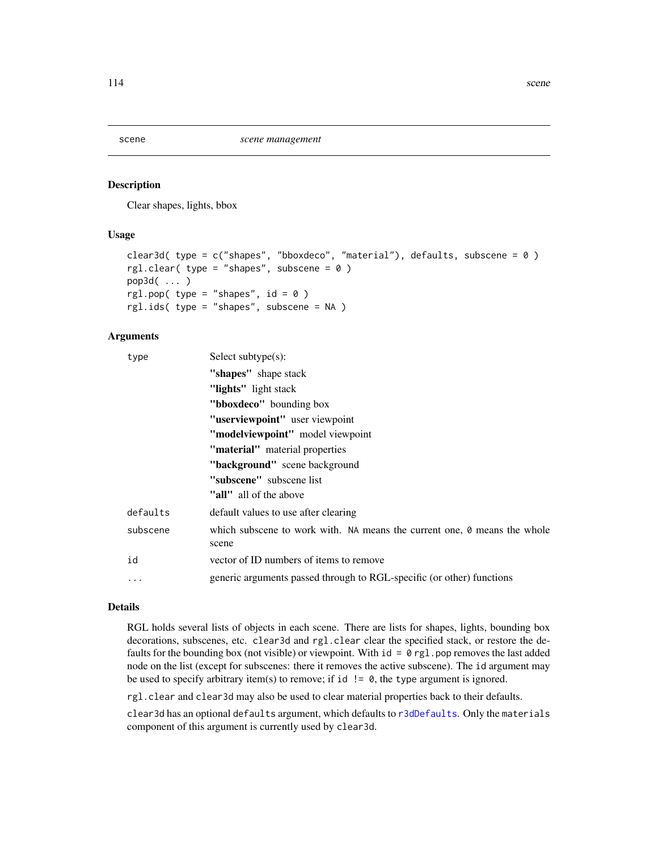#### <span id="page-113-0"></span>Description

Clear shapes, lights, bbox

### Usage

```
clear3d( type = c("shapes", "bboxdeco", "material"), defaults, subscene = 0)
rgl.clear( type = "shapes", subscene = 0)
pop3d( ... )
rgl.pop( type = "shapes", id = 0 )
rgl.ids( type = "shapes", subscene = NA )
```
### Arguments

| type                                                                                        | Select subtype $(s)$ :                                                            |          |                                      |
|---------------------------------------------------------------------------------------------|-----------------------------------------------------------------------------------|----------|--------------------------------------|
|                                                                                             | "shapes" shape stack                                                              |          |                                      |
|                                                                                             | "lights" light stack                                                              |          |                                      |
|                                                                                             | "bboxdeco" bounding box"                                                          |          |                                      |
|                                                                                             | "userviewpoint" user viewpoint                                                    |          |                                      |
|                                                                                             | "modelviewpoint" model viewpoint                                                  |          |                                      |
| "material" material properties<br>"background" scene background<br>"subscene" subscene list |                                                                                   |          |                                      |
|                                                                                             |                                                                                   |          | "all" all of the above               |
|                                                                                             |                                                                                   | defaults | default values to use after clearing |
| subscene                                                                                    | which subscene to work with. NA means the current one, 0 means the whole<br>scene |          |                                      |
| id                                                                                          | vector of ID numbers of items to remove                                           |          |                                      |
| $\cdots$                                                                                    | generic arguments passed through to RGL-specific (or other) functions             |          |                                      |

## Details

RGL holds several lists of objects in each scene. There are lists for shapes, lights, bounding box decorations, subscenes, etc. clear3d and rgl.clear clear the specified stack, or restore the defaults for the bounding box (not visible) or viewpoint. With  $id = 0$  rgl. pop removes the last added node on the list (except for subscenes: there it removes the active subscene). The id argument may be used to specify arbitrary item(s) to remove; if id  $!=$  0, the type argument is ignored.

rgl.clear and clear3d may also be used to clear material properties back to their defaults.

clear3d has an optional defaults argument, which defaults to [r3dDefaults](#page-42-0). Only the materials component of this argument is currently used by clear3d.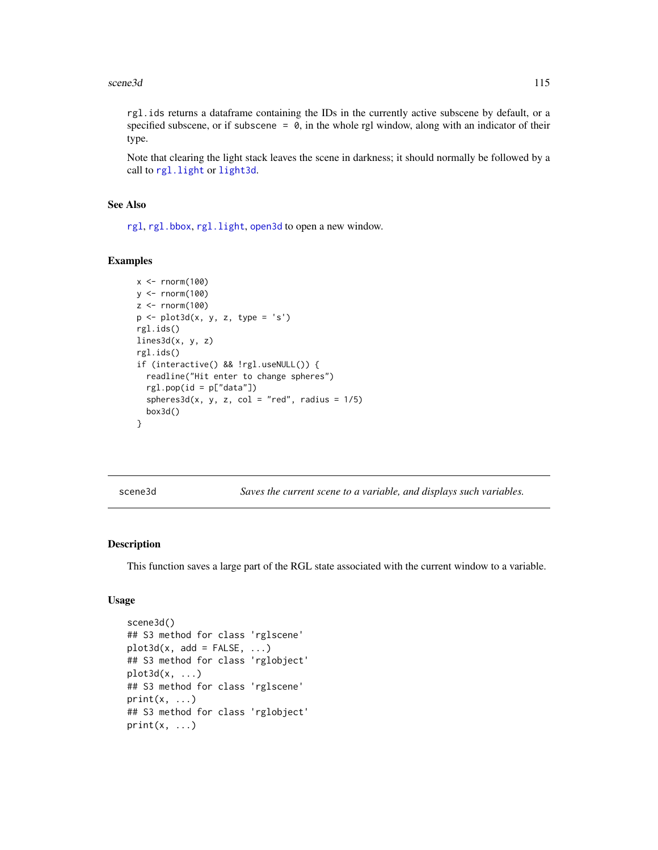#### scene3d 115

rgl.ids returns a dataframe containing the IDs in the currently active subscene by default, or a specified subscene, or if subscene  $= 0$ , in the whole rgl window, along with an indicator of their type.

Note that clearing the light stack leaves the scene in darkness; it should normally be followed by a call to [rgl.light](#page-33-0) or [light3d](#page-33-0).

### See Also

[rgl](#page-3-0), [rgl.bbox](#page-85-0), [rgl.light](#page-33-0), [open3d](#page-42-0) to open a new window.

# Examples

```
x < - rnorm(100)
y <- rnorm(100)
z < - rnorm(100)p <- plot3d(x, y, z, type = 's')
rgl.ids()
lines3d(x, y, z)
rgl.ids()
if (interactive() && !rgl.useNULL()) {
  readline("Hit enter to change spheres")
  rgl.pop(id = p["data"])
  spheres3d(x, y, z, col = "red", radius = 1/5)box3d()
}
```
<span id="page-114-0"></span>scene3d *Saves the current scene to a variable, and displays such variables.*

#### Description

This function saves a large part of the RGL state associated with the current window to a variable.

## Usage

```
scene3d()
## S3 method for class 'rglscene'
plot3d(x, add = FALSE, ...)## S3 method for class 'rglobject'
plot3d(x, \ldots)## S3 method for class 'rglscene'
print(x, \ldots)## S3 method for class 'rglobject'
print(x, \ldots)
```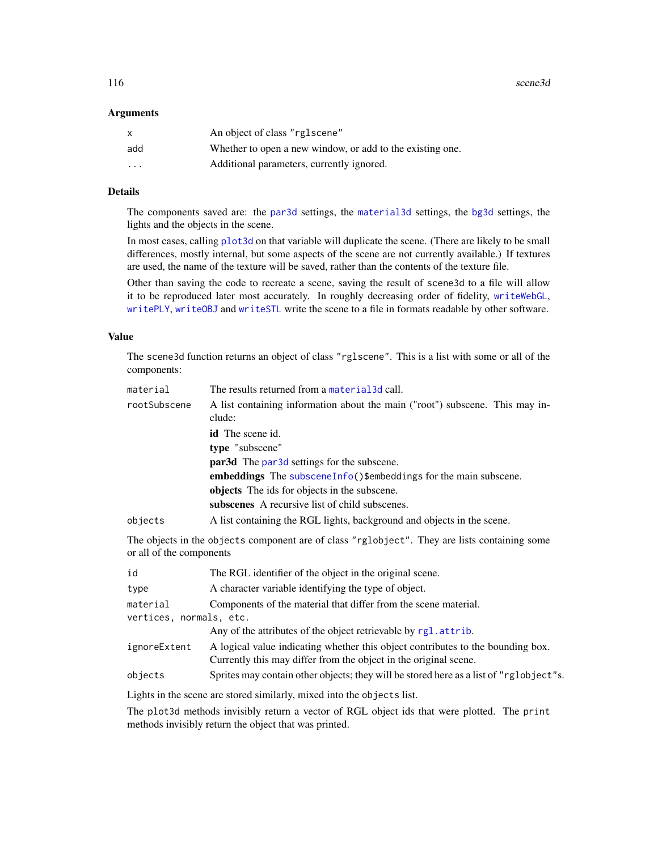116 scene3d

### Arguments

| X   | An object of class "rglscene"                             |
|-----|-----------------------------------------------------------|
| add | Whether to open a new window, or add to the existing one. |
| .   | Additional parameters, currently ignored.                 |

## Details

The components saved are: the [par3d](#page-42-1) settings, the [material3d](#page-88-0) settings, the [bg3d](#page-18-0) settings, the lights and the objects in the scene.

In most cases, calling [plot3d](#page-66-0) on that variable will duplicate the scene. (There are likely to be small differences, mostly internal, but some aspects of the scene are not currently available.) If textures are used, the name of the texture will be saved, rather than the contents of the texture file.

Other than saving the code to recreate a scene, saving the result of scene3d to a file will allow it to be reproduced later most accurately. In roughly decreasing order of fidelity, [writeWebGL](#page-158-0), [writePLY](#page-156-0), [writeOBJ](#page-154-0) and [writeSTL](#page-81-0) write the scene to a file in formats readable by other software.

# Value

The scene3d function returns an object of class "rglscene". This is a list with some or all of the components:

| material     | The results returned from a material 3d call.                                          |  |
|--------------|----------------------------------------------------------------------------------------|--|
| rootSubscene | A list containing information about the main ("root") subscene. This may in-<br>clude: |  |
|              | <b>id</b> The scene id.                                                                |  |
|              | type "subscene"                                                                        |  |
|              | <b>par3d</b> The par3d settings for the subscene.                                      |  |
|              | <b>embeddings</b> The subscene Info() \$embeddings for the main subscene.              |  |
|              | objects The ids for objects in the subscene.                                           |  |
|              | subscenes A recursive list of child subscenes.                                         |  |
| objects      | A list containing the RGL lights, background and objects in the scene.                 |  |

The objects in the objects component are of class "rglobject". They are lists containing some or all of the components

| id                      | The RGL identifier of the object in the original scene.                                                                                             |  |
|-------------------------|-----------------------------------------------------------------------------------------------------------------------------------------------------|--|
| type                    | A character variable identifying the type of object.                                                                                                |  |
| material                | Components of the material that differ from the scene material.                                                                                     |  |
| vertices, normals, etc. |                                                                                                                                                     |  |
|                         | Any of the attributes of the object retrievable by rgl. attrib.                                                                                     |  |
| ignoreExtent            | A logical value indicating whether this object contributes to the bounding box.<br>Currently this may differ from the object in the original scene. |  |
| objects                 | Sprites may contain other objects; they will be stored here as a list of "rglobject"s.                                                              |  |

Lights in the scene are stored similarly, mixed into the objects list.

The plot3d methods invisibly return a vector of RGL object ids that were plotted. The print methods invisibly return the object that was printed.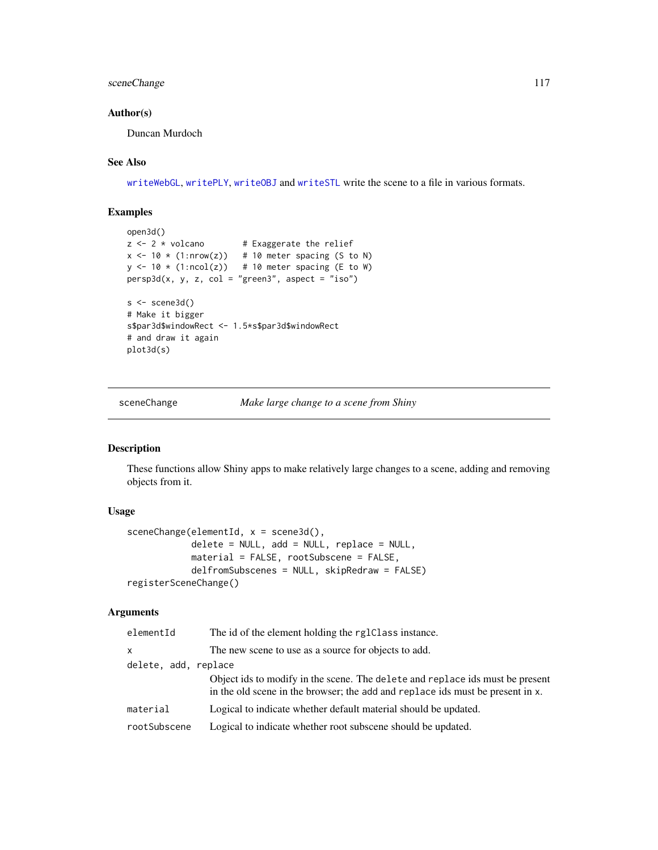# sceneChange 117

## Author(s)

Duncan Murdoch

# See Also

[writeWebGL](#page-158-0), [writePLY](#page-156-0), [writeOBJ](#page-154-0) and [writeSTL](#page-81-0) write the scene to a file in various formats.

# Examples

```
open3d()
z \le -2 \times volcano # Exaggerate the relief
x \le -10 \times (1: nrow(z)) # 10 meter spacing (S to N)
y \leftarrow 10 \times (1:\text{ncol}(z)) # 10 meter spacing (E to W)
persp3d(x, y, z, col = "green3", aspect = "iso")s < - scene3d()
# Make it bigger
s$par3d$windowRect <- 1.5*s$par3d$windowRect
# and draw it again
plot3d(s)
```
sceneChange *Make large change to a scene from Shiny*

## Description

These functions allow Shiny apps to make relatively large changes to a scene, adding and removing objects from it.

## Usage

```
sceneChange(elementId, x = scene3d(),
            delete = NULL, add = NULL, replace = NULL,
            material = FALSE, rootSubscene = FALSE,
            delfromSubscenes = NULL, skipRedraw = FALSE)
registerSceneChange()
```
#### Arguments

| elementId            | The id of the element holding the rg1Class instance.                                                                                                            |  |
|----------------------|-----------------------------------------------------------------------------------------------------------------------------------------------------------------|--|
| $\mathsf{x}$         | The new scene to use as a source for objects to add.                                                                                                            |  |
| delete, add, replace |                                                                                                                                                                 |  |
|                      | Object ids to modify in the scene. The delete and replace ids must be present<br>in the old scene in the browser; the add and replace ids must be present in x. |  |
| material             | Logical to indicate whether default material should be updated.                                                                                                 |  |
| rootSubscene         | Logical to indicate whether root subscene should be updated.                                                                                                    |  |
|                      |                                                                                                                                                                 |  |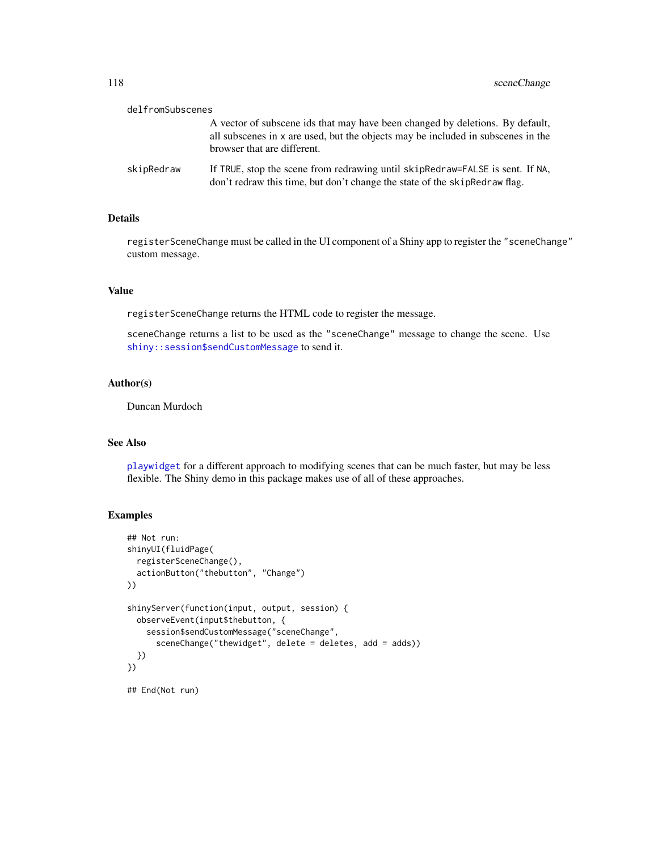| delfromSubscenes |                                                                                                                                                                                                  |
|------------------|--------------------------------------------------------------------------------------------------------------------------------------------------------------------------------------------------|
|                  | A vector of subscene ids that may have been changed by deletions. By default,<br>all subscenes in x are used, but the objects may be included in subscenes in the<br>browser that are different. |
| skipRedraw       | If TRUE, stop the scene from redrawing until skipRedraw=FALSE is sent. If NA,<br>don't redraw this time, but don't change the state of the skipRedraw flag.                                      |

## Details

registerSceneChange must be called in the UI component of a Shiny app to register the "sceneChange" custom message.

## Value

registerSceneChange returns the HTML code to register the message.

sceneChange returns a list to be used as the "sceneChange" message to change the scene. Use [shiny::session\\$sendCustomMessage](#page-0-0) to send it.

# Author(s)

Duncan Murdoch

## See Also

[playwidget](#page-63-0) for a different approach to modifying scenes that can be much faster, but may be less flexible. The Shiny demo in this package makes use of all of these approaches.

## Examples

```
## Not run:
shinyUI(fluidPage(
  registerSceneChange(),
  actionButton("thebutton", "Change")
))
shinyServer(function(input, output, session) {
  observeEvent(input$thebutton, {
    session$sendCustomMessage("sceneChange",
      sceneChange("thewidget", delete = deletes, add = adds))
  })
})
## End(Not run)
```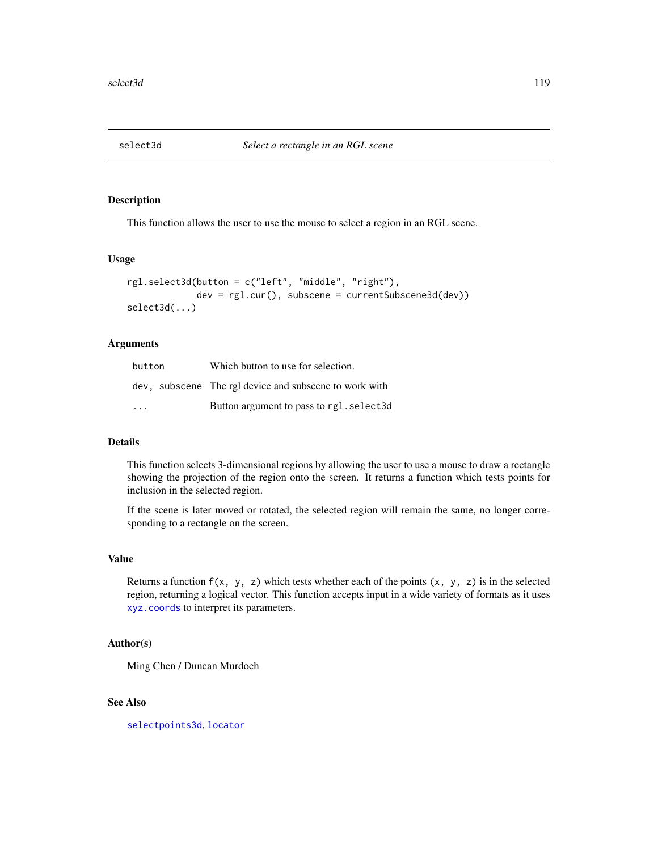<span id="page-118-0"></span>

# Description

This function allows the user to use the mouse to select a region in an RGL scene.

## Usage

```
rgl.select3d(button = c("left", "middle", "right"),
             dev = rgl.cur(), subscene = currentSubscene3d(dev))
select3d(...)
```
## Arguments

| button  | Which button to use for selection.                     |
|---------|--------------------------------------------------------|
|         | dev, subscene The rgl device and subscene to work with |
| $\cdot$ | Button argument to pass to rgl. select3d               |

### Details

This function selects 3-dimensional regions by allowing the user to use a mouse to draw a rectangle showing the projection of the region onto the screen. It returns a function which tests points for inclusion in the selected region.

If the scene is later moved or rotated, the selected region will remain the same, no longer corresponding to a rectangle on the screen.

#### Value

Returns a function  $f(x, y, z)$  which tests whether each of the points  $(x, y, z)$  is in the selected region, returning a logical vector. This function accepts input in a wide variety of formats as it uses [xyz.coords](#page-0-0) to interpret its parameters.

## Author(s)

Ming Chen / Duncan Murdoch

#### See Also

[selectpoints3d](#page-119-0), [locator](#page-0-0)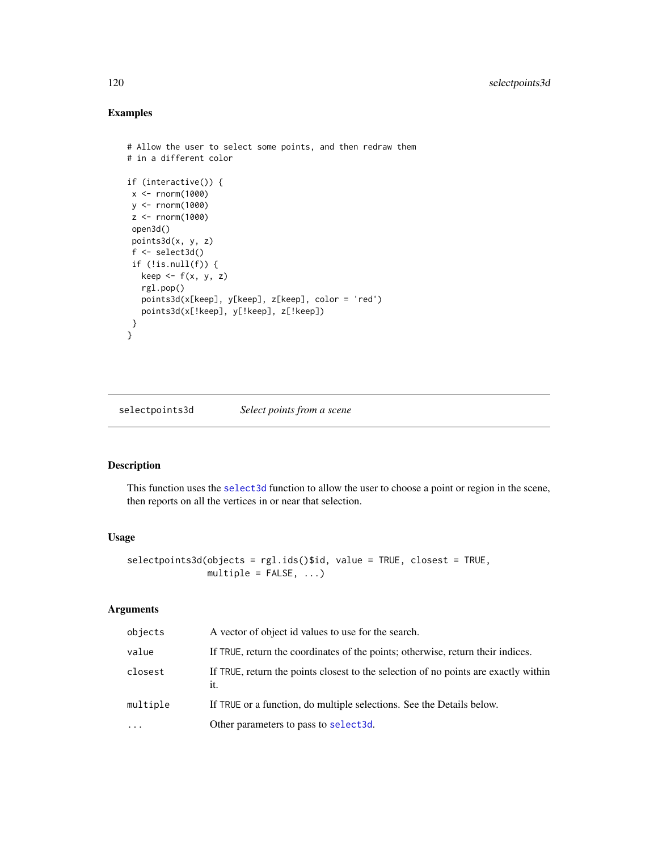# Examples

```
# Allow the user to select some points, and then redraw them
# in a different color
if (interactive()) {
x <- rnorm(1000)
y <- rnorm(1000)
z <- rnorm(1000)
open3d()
points3d(x, y, z)
f \leftarrow \text{select3d}()if (!is.null(f)) {
  keep \leftarrow f(x, y, z)rgl.pop()
   points3d(x[keep], y[keep], z[keep], color = 'red')
  points3d(x[!keep], y[!keep], z[!keep])
}
}
```
<span id="page-119-0"></span>selectpoints3d *Select points from a scene*

# Description

This function uses the [select3d](#page-118-0) function to allow the user to choose a point or region in the scene, then reports on all the vertices in or near that selection.

## Usage

```
selectpoints3d(objects = rgl.ids()$id, value = TRUE, closest = TRUE,
              multiple = FALSE, ...)
```
### Arguments

| objects   | A vector of object id values to use for the search.                                        |
|-----------|--------------------------------------------------------------------------------------------|
| value     | If TRUE, return the coordinates of the points; otherwise, return their indices.            |
| closest   | If TRUE, return the points closest to the selection of no points are exactly within<br>it. |
| multiple  | If TRUE or a function, do multiple selections. See the Details below.                      |
| $\ddotsc$ | Other parameters to pass to select3d.                                                      |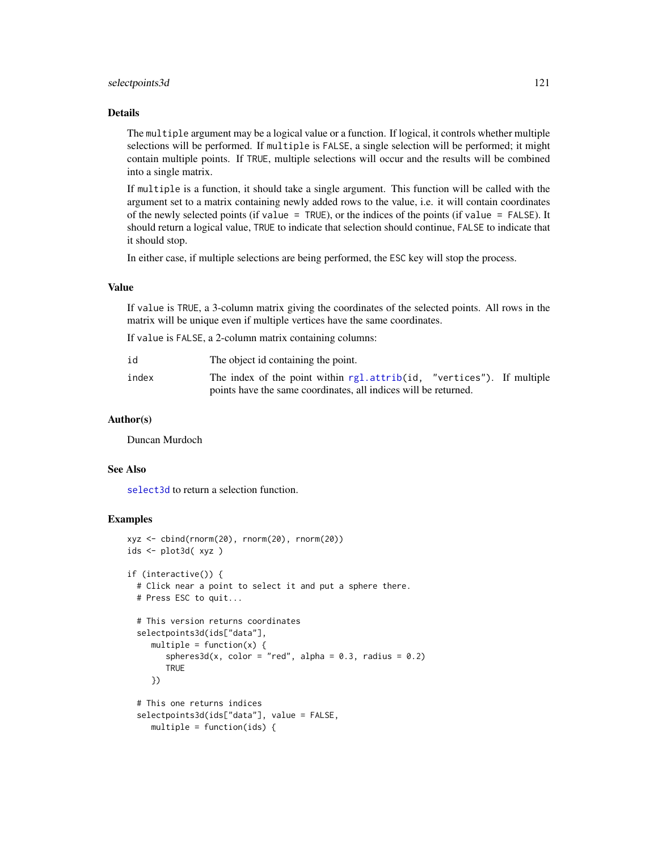### selectpoints3d 121

# Details

The multiple argument may be a logical value or a function. If logical, it controls whether multiple selections will be performed. If multiple is FALSE, a single selection will be performed; it might contain multiple points. If TRUE, multiple selections will occur and the results will be combined into a single matrix.

If multiple is a function, it should take a single argument. This function will be called with the argument set to a matrix containing newly added rows to the value, i.e. it will contain coordinates of the newly selected points (if value = TRUE), or the indices of the points (if value = FALSE). It should return a logical value, TRUE to indicate that selection should continue, FALSE to indicate that it should stop.

In either case, if multiple selections are being performed, the ESC key will stop the process.

### Value

If value is TRUE, a 3-column matrix giving the coordinates of the selected points. All rows in the matrix will be unique even if multiple vertices have the same coordinates.

If value is FALSE, a 2-column matrix containing columns:

| id    | The object id containing the point.                                   |  |
|-------|-----------------------------------------------------------------------|--|
| index | The index of the point within rgl.attrib(id, "vertices"). If multiple |  |
|       | points have the same coordinates, all indices will be returned.       |  |

## Author(s)

Duncan Murdoch

#### See Also

[select3d](#page-118-0) to return a selection function.

## Examples

```
xyz \leq - \text{cbind}(\text{rnorm}(20), \text{rnorm}(20), \text{rnorm}(20))ids <- plot3d( xyz )
if (interactive()) {
  # Click near a point to select it and put a sphere there.
  # Press ESC to quit...
  # This version returns coordinates
  selectpoints3d(ids["data"],
     multiple = function(x) {
        spheres3d(x, color = "red", alpha = 0.3, radius = 0.2)TRUE
     })
  # This one returns indices
  selectpoints3d(ids["data"], value = FALSE,
     multiple = function(ids) {
```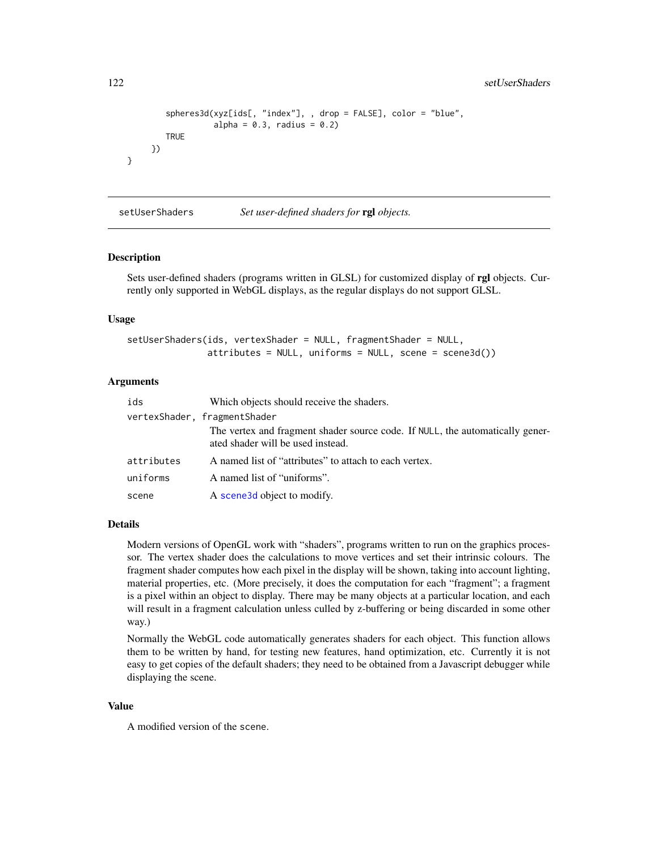```
spheres3d(xyz[ids[, "index"], , drop = FALSE], color = "blue",
             alpha = 0.3, radius = 0.2)
  TRUE
})
```
setUserShaders *Set user-defined shaders for* rgl *objects.*

#### Description

}

Sets user-defined shaders (programs written in GLSL) for customized display of rgl objects. Currently only supported in WebGL displays, as the regular displays do not support GLSL.

#### Usage

setUserShaders(ids, vertexShader = NULL, fragmentShader = NULL, attributes = NULL, uniforms = NULL, scene = scene3d())

#### Arguments

| ids        | Which objects should receive the shaders.                                                                          |  |
|------------|--------------------------------------------------------------------------------------------------------------------|--|
|            | vertexShader, fragmentShader                                                                                       |  |
|            | The vertex and fragment shader source code. If NULL, the automatically gener-<br>ated shader will be used instead. |  |
| attributes | A named list of "attributes" to attach to each vertex.                                                             |  |
| uniforms   | A named list of "uniforms".                                                                                        |  |
| scene      | A scene 3d object to modify.                                                                                       |  |

## Details

Modern versions of OpenGL work with "shaders", programs written to run on the graphics processor. The vertex shader does the calculations to move vertices and set their intrinsic colours. The fragment shader computes how each pixel in the display will be shown, taking into account lighting, material properties, etc. (More precisely, it does the computation for each "fragment"; a fragment is a pixel within an object to display. There may be many objects at a particular location, and each will result in a fragment calculation unless culled by z-buffering or being discarded in some other way.)

Normally the WebGL code automatically generates shaders for each object. This function allows them to be written by hand, for testing new features, hand optimization, etc. Currently it is not easy to get copies of the default shaders; they need to be obtained from a Javascript debugger while displaying the scene.

### Value

A modified version of the scene.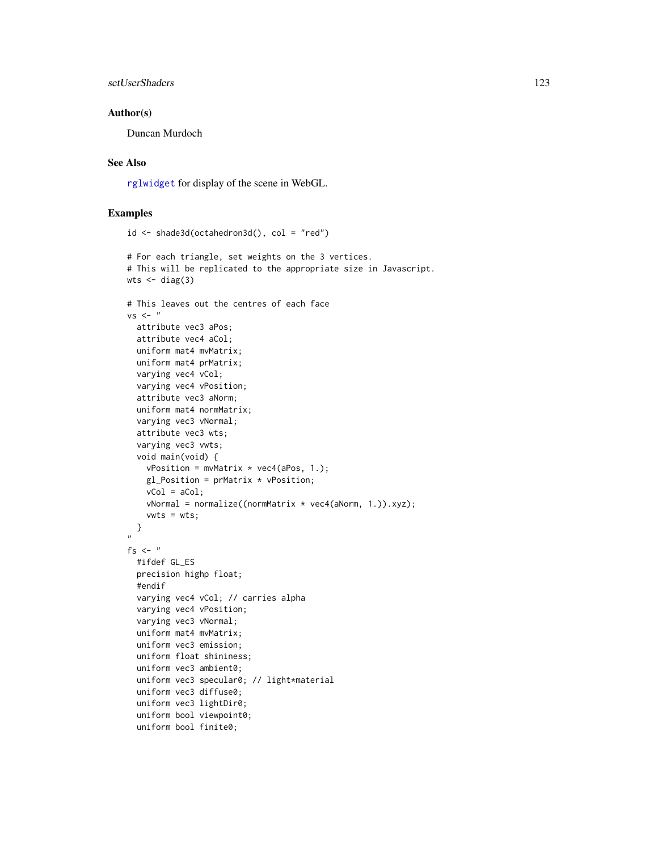```
setUserShaders 123
```
### Author(s)

Duncan Murdoch

# See Also

[rglwidget](#page-110-0) for display of the scene in WebGL.

# Examples

```
id \leq -shade3d(octahedron3d(), col = "red")# For each triangle, set weights on the 3 vertices.
# This will be replicated to the appropriate size in Javascript.
wts \leftarrow diag(3)
# This leaves out the centres of each face
vs < - "
  attribute vec3 aPos;
  attribute vec4 aCol;
  uniform mat4 mvMatrix;
  uniform mat4 prMatrix;
  varying vec4 vCol;
  varying vec4 vPosition;
  attribute vec3 aNorm;
  uniform mat4 normMatrix;
  varying vec3 vNormal;
  attribute vec3 wts;
  varying vec3 vwts;
  void main(void) {
   vPosition = mvMatrix * vec4(aPos, 1.);
   gl_Position = prMatrix * vPosition;
   vCol = aCol;vNormal = normalize((normMatrix * vec4(aNorm, 1.)).xyz);
    vwts = wts;}
"
fs \leq - "
  #ifdef GL_ES
  precision highp float;
  #endif
  varying vec4 vCol; // carries alpha
  varying vec4 vPosition;
  varying vec3 vNormal;
  uniform mat4 mvMatrix;
  uniform vec3 emission;
  uniform float shininess;
  uniform vec3 ambient0;
  uniform vec3 specular0; // light*material
  uniform vec3 diffuse0;
  uniform vec3 lightDir0;
  uniform bool viewpoint0;
  uniform bool finite0;
```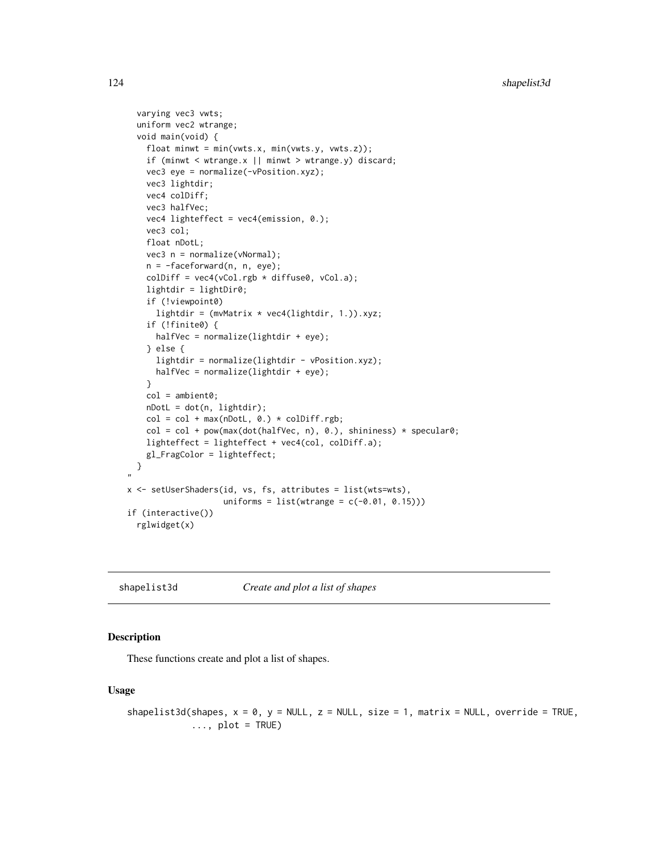```
varying vec3 vwts;
 uniform vec2 wtrange;
 void main(void) {
    float minwt = min(vwts.x, min(vwts.y, vwts.z));
    if (minwt < wtrange.x || minwt > wtrange.y) discard;
   vec3 eye = normalize(-vPosition.xyz);
   vec3 lightdir;
    vec4 colDiff;
    vec3 halfVec;
    vec4 lighteffect = vec4(emission, 0.);
    vec3 col;
    float nDotL;
    vec3 n = normalize(vNormal);
    n = -faceforward(n, n, eye);
    \text{colDiff} = \text{vec4}(\text{vCol.rgb} * \text{diffuse0}, \text{vCol.a});lightdir = lightDir0;
    if (!viewpoint0)
      lightdir = (mvMatrix * vec4(lightdir, 1.)).xyz;
    if (!finite0) {
     halfVec = normalize(lightdir + eye);
    } else {
     lightdir = normalize(lightdir - vPosition.xyz);
      halfVec = normalize(lightdir + eye);
    }
    col = ambient0;nDotL = dot(n, lightdir);
    col = col + max(nDotL, 0.) * colDiff.rgb;col = col + pow(max(dot(halfVec, n), 0.), shininess) * specular0;lighteffect = lighteffect + vec4(col, colDiff.a);
    gl_FragColor = lighteffect;
 }
"
x \leq - setUserShaders(id, vs, fs, attributes = list(wts=wts),
                     uniforms = list(wrange = c(-0.01, 0.15)))if (interactive())
 rglwidget(x)
```
shapelist3d *Create and plot a list of shapes*

## Description

These functions create and plot a list of shapes.

## Usage

```
shapelist3d(shapes, x = 0, y = NULL, z = NULL, size = 1, matrix = NULL, override = TRUE,
            \ldots, plot = TRUE)
```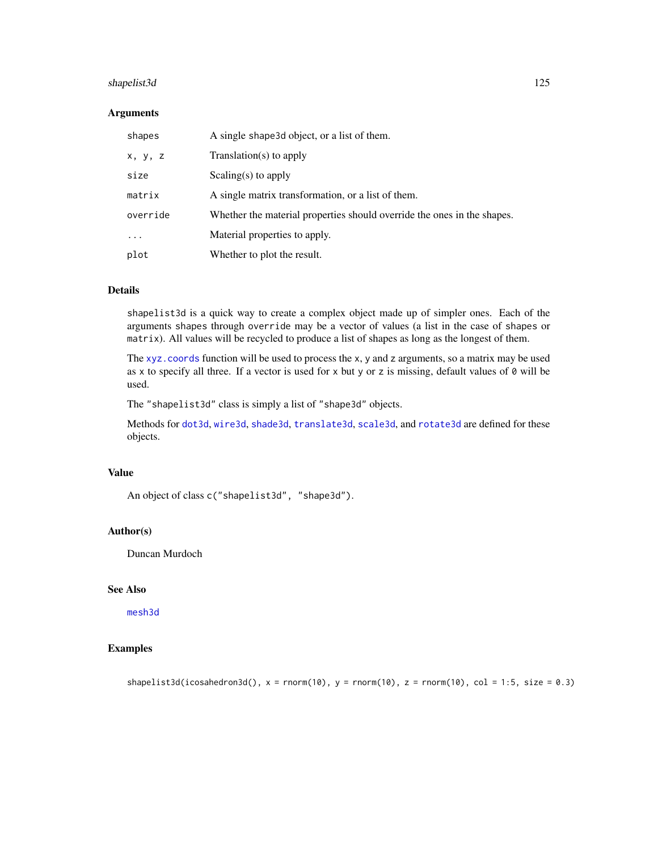# shapelist3d 125

#### Arguments

| shapes   | A single shape 3d object, or a list of them.                            |
|----------|-------------------------------------------------------------------------|
| x, y, z  | $Translation(s)$ to apply                                               |
| size     | Scaling(s) to apply                                                     |
| matrix   | A single matrix transformation, or a list of them.                      |
| override | Whether the material properties should override the ones in the shapes. |
| $\cdots$ | Material properties to apply.                                           |
| plot     | Whether to plot the result.                                             |

# Details

shapelist3d is a quick way to create a complex object made up of simpler ones. Each of the arguments shapes through override may be a vector of values (a list in the case of shapes or matrix). All values will be recycled to produce a list of shapes as long as the longest of them.

The [xyz.coords](#page-0-0) function will be used to process the x, y and z arguments, so a matrix may be used as x to specify all three. If a vector is used for x but y or z is missing, default values of 0 will be used.

The "shapelist3d" class is simply a list of "shape3d" objects.

Methods for [dot3d](#page-36-0), [wire3d](#page-36-0), [shade3d](#page-36-0), [translate3d](#page-34-0), [scale3d](#page-34-0), and [rotate3d](#page-34-0) are defined for these objects.

# Value

An object of class c("shapelist3d", "shape3d").

## Author(s)

Duncan Murdoch

## See Also

[mesh3d](#page-36-1)

# Examples

shapelist3d(icosahedron3d(),  $x = rnorm(10)$ ,  $y = rnorm(10)$ ,  $z = rnorm(10)$ ,  $col = 1:5$ , size = 0.3)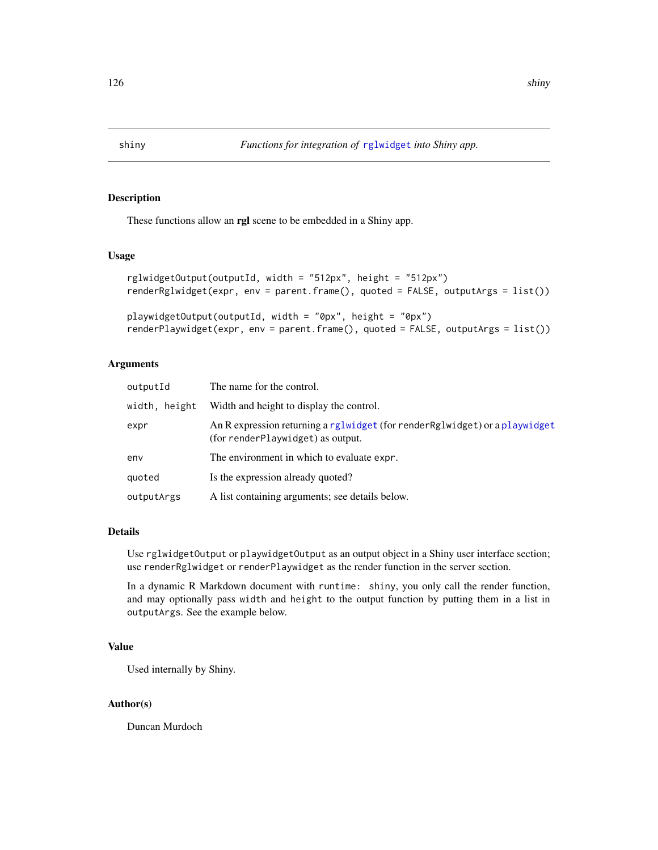### <span id="page-125-0"></span>Description

These functions allow an rgl scene to be embedded in a Shiny app.

## Usage

```
rglwidgetOutput(outputId, width = "512px", height = "512px")
renderRglwidget(expr, env = parent.frame(), quoted = FALSE, outputArgs = list())
playwidgetOutput(outputId, width = "0px", height = "0px")
```
## renderPlaywidget(expr, env = parent.frame(), quoted = FALSE, outputArgs = list())

## Arguments

| outputId      | The name for the control.                                                                                         |
|---------------|-------------------------------------------------------------------------------------------------------------------|
| width, height | Width and height to display the control.                                                                          |
| expr          | An R expression returning a rglwidget (for render Rglwidget) or a playwidget<br>(for renderPlaywidget) as output. |
| env           | The environment in which to evaluate expr.                                                                        |
| quoted        | Is the expression already quoted?                                                                                 |
| outputArgs    | A list containing arguments; see details below.                                                                   |

# Details

Use rglwidgetOutput or playwidgetOutput as an output object in a Shiny user interface section; use renderRglwidget or renderPlaywidget as the render function in the server section.

In a dynamic R Markdown document with runtime: shiny, you only call the render function, and may optionally pass width and height to the output function by putting them in a list in outputArgs. See the example below.

# Value

Used internally by Shiny.

## Author(s)

Duncan Murdoch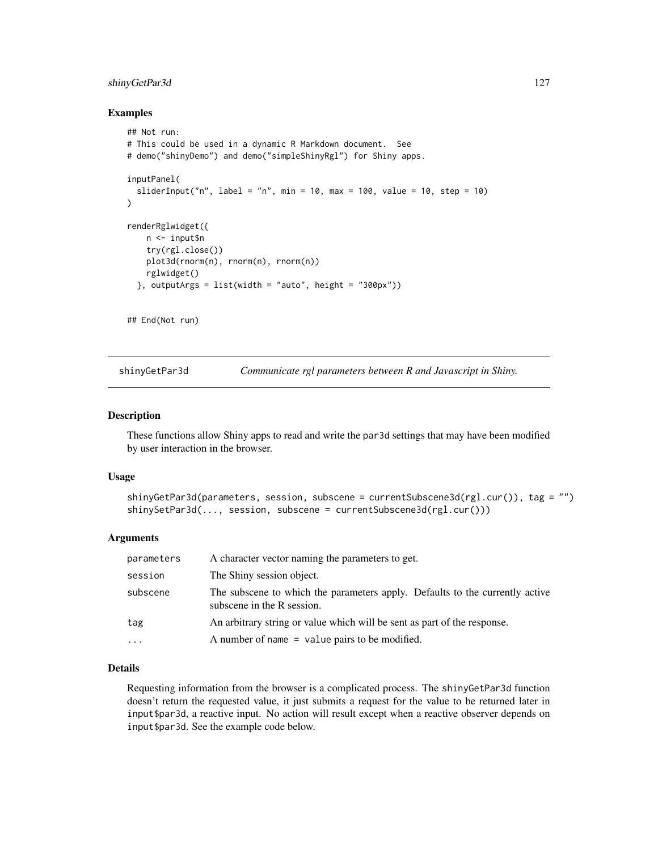# shinyGetPar3d 127

### Examples

```
## Not run:
# This could be used in a dynamic R Markdown document. See
# demo("shinyDemo") and demo("simpleShinyRgl") for Shiny apps.
inputPanel(
 sliderInput("n", label = "n", min = 10, max = 100, value = 10, step = 10)
)
renderRglwidget({
   n <- input$n
   try(rgl.close())
   plot3d(rnorm(n), rnorm(n), rnorm(n))
   rglwidget()
 }, outputArgs = list(width = "auto", height = "300px"))
## End(Not run)
```
shinyGetPar3d *Communicate rgl parameters between R and Javascript in Shiny.*

## Description

These functions allow Shiny apps to read and write the par3d settings that may have been modified by user interaction in the browser.

## Usage

```
shinyGetPar3d(parameters, session, subscene = currentSubscene3d(rgl.cur()), tag = "")
shinySetPar3d(..., session, subscene = currentSubscene3d(rgl.cur()))
```
#### Arguments

| parameters | A character vector naming the parameters to get.                                                           |
|------------|------------------------------------------------------------------------------------------------------------|
| session    | The Shiny session object.                                                                                  |
| subscene   | The subscene to which the parameters apply. Defaults to the currently active<br>subscene in the R session. |
| tag        | An arbitrary string or value which will be sent as part of the response.                                   |
| $\cdots$   | A number of name $=$ value pairs to be modified.                                                           |

## Details

Requesting information from the browser is a complicated process. The shinyGetPar3d function doesn't return the requested value, it just submits a request for the value to be returned later in input\$par3d, a reactive input. No action will result except when a reactive observer depends on input\$par3d. See the example code below.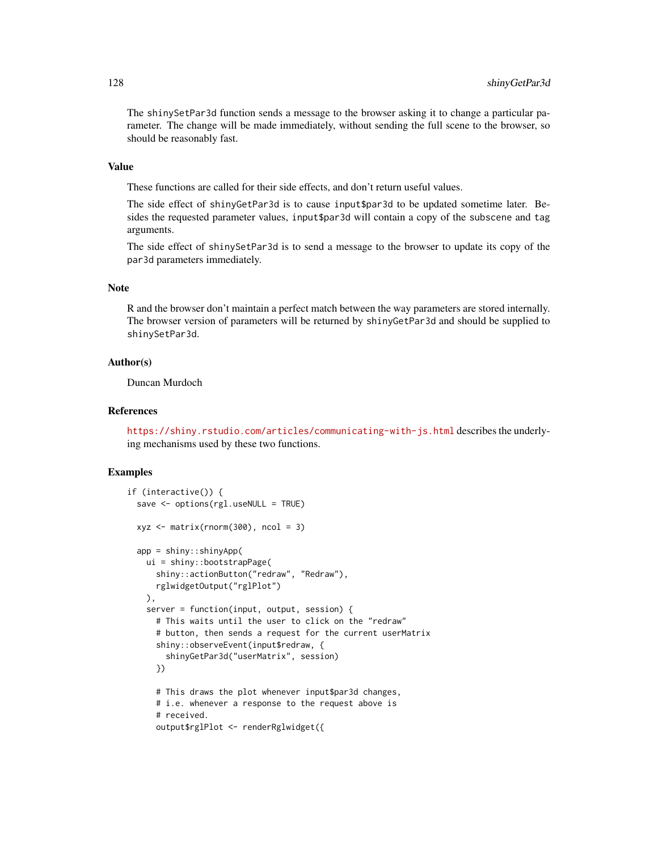The shinySetPar3d function sends a message to the browser asking it to change a particular parameter. The change will be made immediately, without sending the full scene to the browser, so should be reasonably fast.

### Value

These functions are called for their side effects, and don't return useful values.

The side effect of shinyGetPar3d is to cause input\$par3d to be updated sometime later. Besides the requested parameter values, input\$par3d will contain a copy of the subscene and tag arguments.

The side effect of shinySetPar3d is to send a message to the browser to update its copy of the par3d parameters immediately.

### Note

R and the browser don't maintain a perfect match between the way parameters are stored internally. The browser version of parameters will be returned by shinyGetPar3d and should be supplied to shinySetPar3d.

### Author(s)

Duncan Murdoch

#### References

<https://shiny.rstudio.com/articles/communicating-with-js.html> describes the underlying mechanisms used by these two functions.

#### Examples

```
if (interactive()) {
 save <- options(rgl.useNULL = TRUE)
 xyz \le matrix(rnorm(300), ncol = 3)
 app = shiny::shinyApp(
   ui = shiny::bootstrapPage(
     shiny::actionButton("redraw", "Redraw"),
     rglwidgetOutput("rglPlot")
   ),
    server = function(input, output, session) {
     # This waits until the user to click on the "redraw"
      # button, then sends a request for the current userMatrix
      shiny::observeEvent(input$redraw, {
        shinyGetPar3d("userMatrix", session)
      })
     # This draws the plot whenever input$par3d changes,
      # i.e. whenever a response to the request above is
      # received.
     output$rglPlot <- renderRglwidget({
```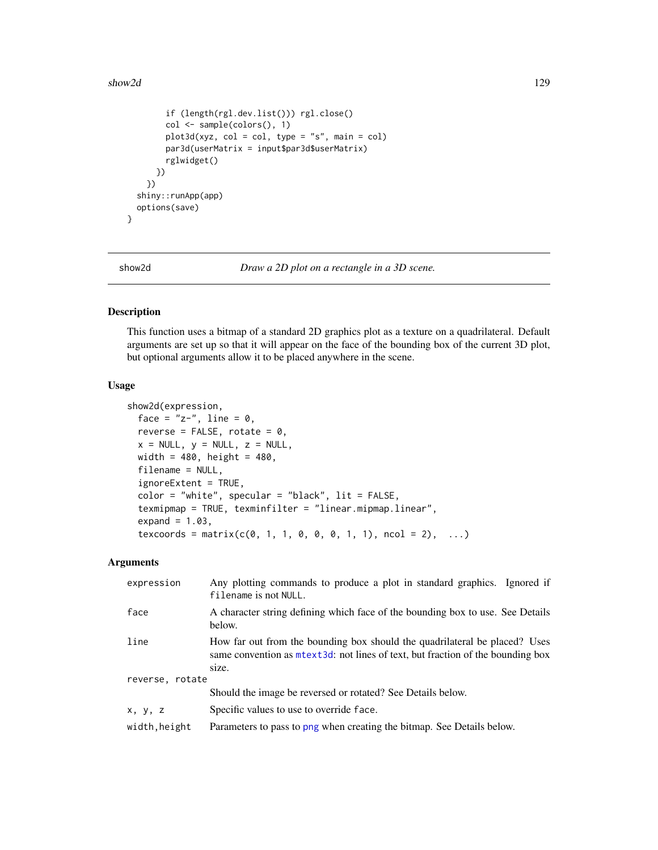### show2d 129

```
if (length(rgl.dev.list())) rgl.close()
      col <- sample(colors(), 1)
      plot3d(xyz, col = col, type = "s", main = col)
      par3d(userMatrix = input$par3d$userMatrix)
      rglwidget()
    })
  })
shiny::runApp(app)
options(save)
```
}

show2d *Draw a 2D plot on a rectangle in a 3D scene.*

## Description

This function uses a bitmap of a standard 2D graphics plot as a texture on a quadrilateral. Default arguments are set up so that it will appear on the face of the bounding box of the current 3D plot, but optional arguments allow it to be placed anywhere in the scene.

#### Usage

```
show2d(expression,
 face = "z-", line = 0,
 reverse = FALSE, rotate = 0,
 x = NULL, y = NULL, z = NULL,
 width = 480, height = 480,
 filename = NULL,
  ignoreExtent = TRUE,
  color = "white", spectrum = "black", lit = FALSE,
  texmipmap = TRUE, texminfilter = "linear.mipmap.linear",
  expand = 1.03,
  texcoords = matrix(c(0, 1, 1, 0, 0, 0, 1, 1), ncol = 2), ...
```
#### Arguments

| expression      | Any plotting commands to produce a plot in standard graphics. Ignored if<br>filename is not NULL.                                                               |  |
|-----------------|-----------------------------------------------------------------------------------------------------------------------------------------------------------------|--|
| face            | A character string defining which face of the bounding box to use. See Details<br>below.                                                                        |  |
| line            | How far out from the bounding box should the quadrilateral be placed? Uses<br>same convention as m text 3d: not lines of text, but fraction of the bounding box |  |
|                 | size.                                                                                                                                                           |  |
| reverse, rotate |                                                                                                                                                                 |  |
|                 | Should the image be reversed or rotated? See Details below.                                                                                                     |  |
| x, y, z         | Specific values to use to override face.                                                                                                                        |  |
| width, height   | Parameters to pass to png when creating the bitmap. See Details below.                                                                                          |  |
|                 |                                                                                                                                                                 |  |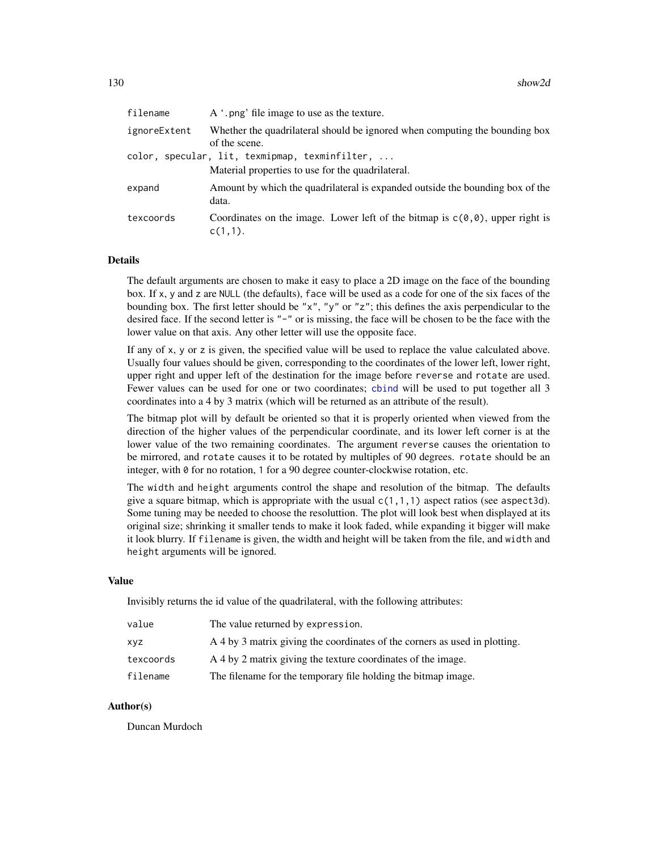| filename     | A '.png' file image to use as the texture.                                                               |
|--------------|----------------------------------------------------------------------------------------------------------|
| ignoreExtent | Whether the quadrilateral should be ignored when computing the bounding box<br>of the scene.             |
|              | color, specular, lit, texmipmap, texminfilter,<br>Material properties to use for the quadrilateral.      |
| expand       | Amount by which the quadrilateral is expanded outside the bounding box of the<br>data.                   |
| texcoords    | Coordinates on the image. Lower left of the bitmap is $c(\theta, \theta)$ , upper right is<br>$c(1,1)$ . |

#### Details

The default arguments are chosen to make it easy to place a 2D image on the face of the bounding box. If x, y and z are NULL (the defaults), face will be used as a code for one of the six faces of the bounding box. The first letter should be "x", "y" or "z"; this defines the axis perpendicular to the desired face. If the second letter is "-" or is missing, the face will be chosen to be the face with the lower value on that axis. Any other letter will use the opposite face.

If any of x, y or z is given, the specified value will be used to replace the value calculated above. Usually four values should be given, corresponding to the coordinates of the lower left, lower right, upper right and upper left of the destination for the image before reverse and rotate are used. Fewer values can be used for one or two coordinates; [cbind](#page-0-0) will be used to put together all 3 coordinates into a 4 by 3 matrix (which will be returned as an attribute of the result).

The bitmap plot will by default be oriented so that it is properly oriented when viewed from the direction of the higher values of the perpendicular coordinate, and its lower left corner is at the lower value of the two remaining coordinates. The argument reverse causes the orientation to be mirrored, and rotate causes it to be rotated by multiples of 90 degrees. rotate should be an integer, with 0 for no rotation, 1 for a 90 degree counter-clockwise rotation, etc.

The width and height arguments control the shape and resolution of the bitmap. The defaults give a square bitmap, which is appropriate with the usual  $c(1,1,1)$  aspect ratios (see aspect3d). Some tuning may be needed to choose the resoluttion. The plot will look best when displayed at its original size; shrinking it smaller tends to make it look faded, while expanding it bigger will make it look blurry. If filename is given, the width and height will be taken from the file, and width and height arguments will be ignored.

#### Value

Invisibly returns the id value of the quadrilateral, with the following attributes:

| value     | The value returned by expression.                                          |
|-----------|----------------------------------------------------------------------------|
| XVZ.      | A 4 by 3 matrix giving the coordinates of the corners as used in plotting. |
| texcoords | A 4 by 2 matrix giving the texture coordinates of the image.               |
| filename  | The filename for the temporary file holding the bitmap image.              |

## Author(s)

Duncan Murdoch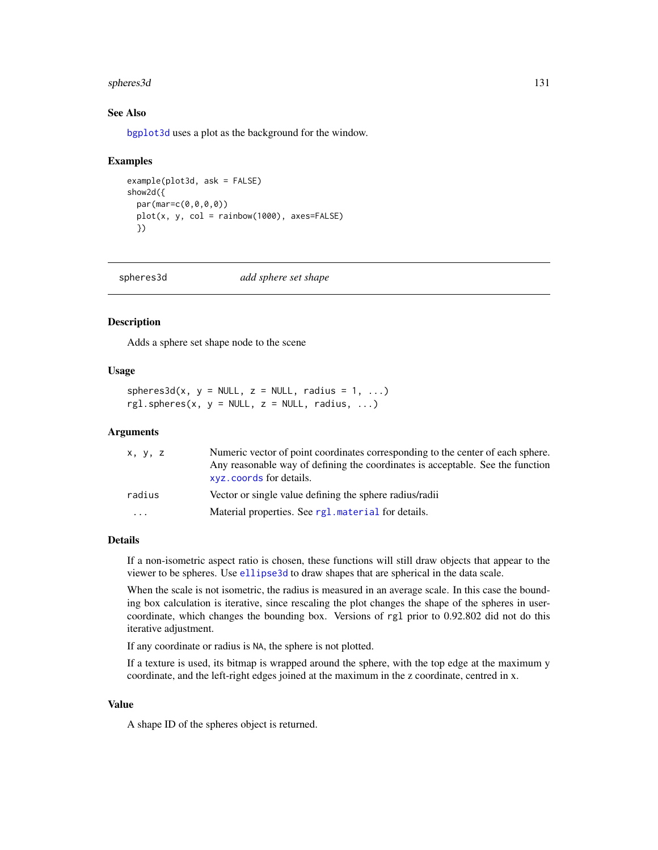#### spheres3d 131

## See Also

[bgplot3d](#page-20-0) uses a plot as the background for the window.

#### Examples

```
example(plot3d, ask = FALSE)
show2d({
 par(mar=c(0,0,0,0))
 plot(x, y, col = rainbow(1000), axes=FALSE)
 })
```
### Description

Adds a sphere set shape node to the scene

#### Usage

 $spheres3d(x, y = NULL, z = NULL, radius = 1, ...)$  $rgl.spheres(x, y = NULL, z = NULL, radius, ...)$ 

#### Arguments

| X, Y, Z                 | Numeric vector of point coordinates corresponding to the center of each sphere.<br>Any reasonable way of defining the coordinates is acceptable. See the function<br>xyz. coords for details. |
|-------------------------|-----------------------------------------------------------------------------------------------------------------------------------------------------------------------------------------------|
| radius                  | Vector or single value defining the sphere radius/radii                                                                                                                                       |
| $\cdot$ $\cdot$ $\cdot$ | Material properties. See rg1. material for details.                                                                                                                                           |

#### Details

If a non-isometric aspect ratio is chosen, these functions will still draw objects that appear to the viewer to be spheres. Use [ellipse3d](#page-25-0) to draw shapes that are spherical in the data scale.

When the scale is not isometric, the radius is measured in an average scale. In this case the bounding box calculation is iterative, since rescaling the plot changes the shape of the spheres in usercoordinate, which changes the bounding box. Versions of rgl prior to 0.92.802 did not do this iterative adjustment.

If any coordinate or radius is NA, the sphere is not plotted.

If a texture is used, its bitmap is wrapped around the sphere, with the top edge at the maximum y coordinate, and the left-right edges joined at the maximum in the z coordinate, centred in x.

## Value

A shape ID of the spheres object is returned.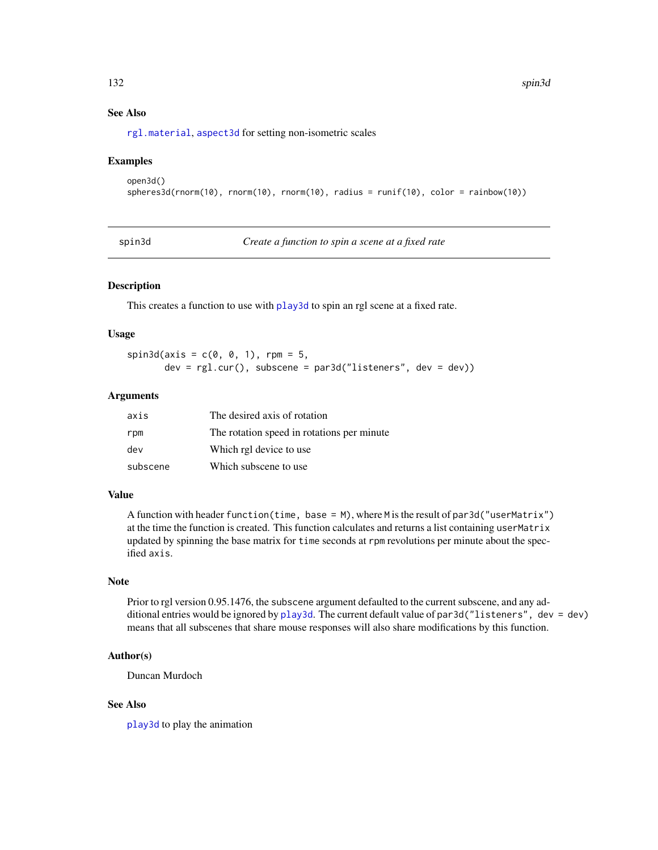## See Also

[rgl.material](#page-88-1), [aspect3d](#page-14-0) for setting non-isometric scales

### Examples

```
open3d()
spheres3d(rnorm(10), rnorm(10), rnorm(10), radius = runif(10), color = rainbow(10))
```
spin3d *Create a function to spin a scene at a fixed rate*

#### Description

This creates a function to use with [play3d](#page-61-0) to spin an rgl scene at a fixed rate.

### Usage

 $spin3d(axis = c(0, 0, 1), rpm = 5,$  $dev = rgl.cur()$ , subscene = par3d("listeners", dev = dev))

### Arguments

| axis     | The desired axis of rotation                |
|----------|---------------------------------------------|
| rpm      | The rotation speed in rotations per minute. |
| dev      | Which rgl device to use                     |
| subscene | Which subscene to use.                      |

## Value

A function with header function(time, base =  $M$ ), where M is the result of par3d("userMatrix") at the time the function is created. This function calculates and returns a list containing userMatrix updated by spinning the base matrix for time seconds at rpm revolutions per minute about the specified axis.

#### Note

Prior to rgl version 0.95.1476, the subscene argument defaulted to the current subscene, and any additional entries would be ignored by [play3d](#page-61-0). The current default value of par3d("listeners", dev = dev) means that all subscenes that share mouse responses will also share modifications by this function.

## Author(s)

Duncan Murdoch

## See Also

[play3d](#page-61-0) to play the animation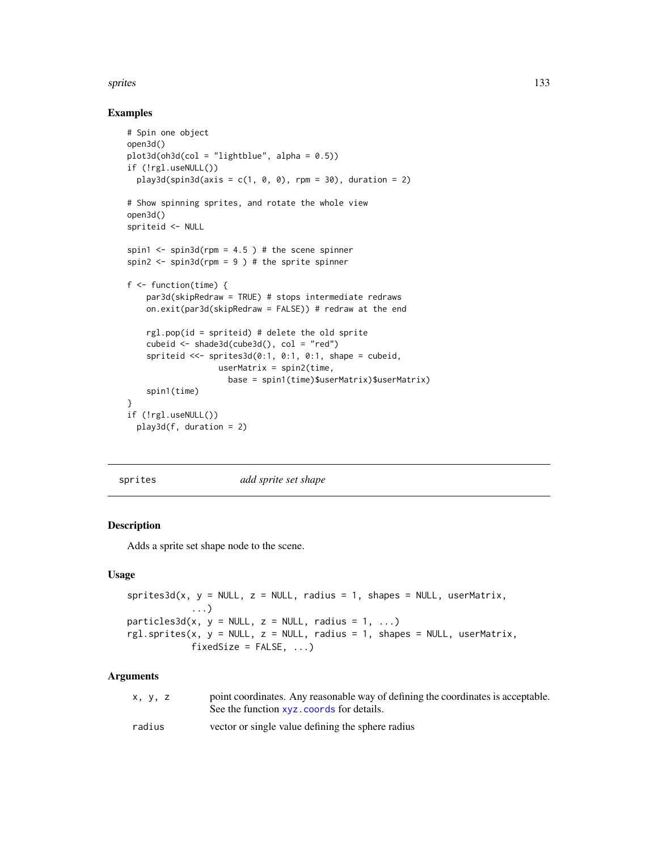#### sprites that the set of the set of the set of the set of the set of the set of the set of the set of the set of the set of the set of the set of the set of the set of the set of the set of the set of the set of the set of

## Examples

```
# Spin one object
open3d()
plot3d(oh3d(col = "lightblue", alpha = 0.5))if (!rgl.useNULL())
  play3d(spin3d(axis = c(1, 0, 0), rpm = 30), duration = 2)# Show spinning sprites, and rotate the whole view
open3d()
spriteid <- NULL
spin1 \le- spin3d(rpm = 4.5 ) # the scene spinner
spin2 \le spin3d(rpm = 9 ) # the sprite spinner
f <- function(time) {
    par3d(skipRedraw = TRUE) # stops intermediate redraws
    on.exit(par3d(skipRedraw = FALSE)) # redraw at the end
    rgl.pop(id = spriteid) # delete the old sprite
    cubeid <- shade3d(cube3d(), col = "red")
    spriteid <<- sprites3d(0:1, 0:1, 0:1, shape = cubeid,
                   userMatrix = spin2(time,
                     base = spin1(time)$userMatrix)$userMatrix)
    spin1(time)
}
if (!rgl.useNULL())
  play3d(f, duration = 2)
```
sprites *add sprite set shape*

# Description

Adds a sprite set shape node to the scene.

#### Usage

```
sprites3d(x, y = NULL, z = NULL, radius = 1, shapes = NULL, userMatrix,...)
particles3d(x, y = NULL, z = NULL, radius = 1, ...)rgl.sprites(x, y = NULL, z = NULL, radius = 1, shapes = NULL, userMatrix,fixedSize = FALSE, ...
```
#### Arguments

| x, y, z | point coordinates. Any reasonable way of defining the coordinates is acceptable.<br>See the function xvz. coords for details. |
|---------|-------------------------------------------------------------------------------------------------------------------------------|
| radius  | vector or single value defining the sphere radius                                                                             |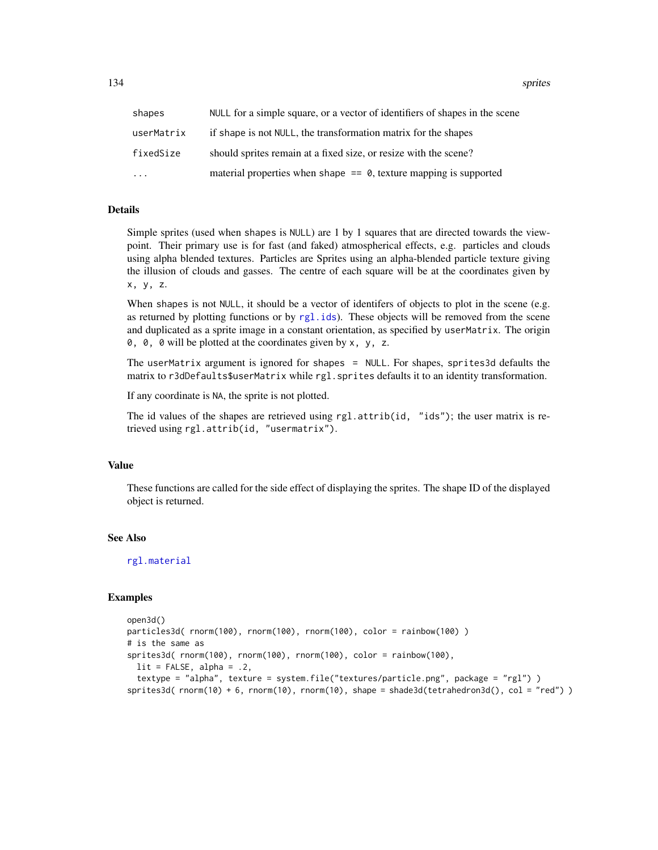134 sprites

| shapes     | NULL for a simple square, or a vector of identifiers of shapes in the scene |
|------------|-----------------------------------------------------------------------------|
| userMatrix | if shape is not NULL, the transformation matrix for the shapes              |
| fixedSize  | should sprites remain at a fixed size, or resize with the scene?            |
| .          | material properties when shape $== 0$ , texture mapping is supported        |

### Details

Simple sprites (used when shapes is NULL) are 1 by 1 squares that are directed towards the viewpoint. Their primary use is for fast (and faked) atmospherical effects, e.g. particles and clouds using alpha blended textures. Particles are Sprites using an alpha-blended particle texture giving the illusion of clouds and gasses. The centre of each square will be at the coordinates given by x, y, z.

When shapes is not NULL, it should be a vector of identifers of objects to plot in the scene (e.g. as returned by plotting functions or by  $rg1$ .ids). These objects will be removed from the scene and duplicated as a sprite image in a constant orientation, as specified by userMatrix. The origin  $0, 0, 0$  will be plotted at the coordinates given by x, y, z.

The userMatrix argument is ignored for shapes = NULL. For shapes, sprites3d defaults the matrix to r3dDefaults\$userMatrix while rgl.sprites defaults it to an identity transformation.

If any coordinate is NA, the sprite is not plotted.

The id values of the shapes are retrieved using rgl.attrib(id, "ids"); the user matrix is retrieved using rgl.attrib(id, "usermatrix").

## Value

These functions are called for the side effect of displaying the sprites. The shape ID of the displayed object is returned.

#### See Also

[rgl.material](#page-88-1)

#### Examples

```
open3d()
particles3d( rnorm(100), rnorm(100), rnorm(100), color = rainbow(100) )
# is the same as
sprites3d( rnorm(100), rnorm(100), rnorm(100), color = rainbow(100),
 lit = FALSE, alpha = .2,textype = "alpha", texture = system.file("textures/particle.png", package = "rgl") )
sprites3d( rnorm(10) + 6, rnorm(10), rnorm(10), shape = shade3d(tetrahedron3d(), col = "red") )
```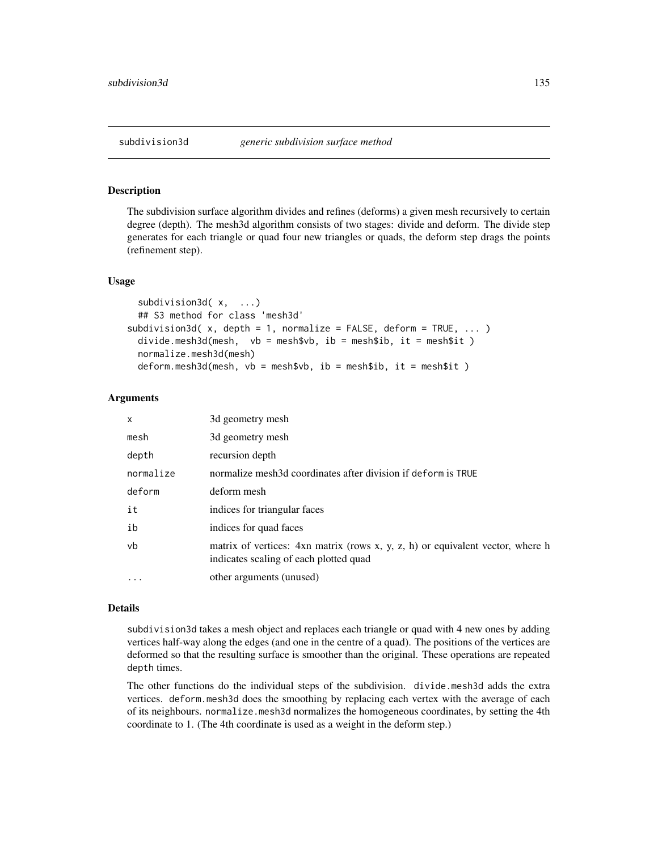## **Description**

The subdivision surface algorithm divides and refines (deforms) a given mesh recursively to certain degree (depth). The mesh3d algorithm consists of two stages: divide and deform. The divide step generates for each triangle or quad four new triangles or quads, the deform step drags the points (refinement step).

### Usage

```
subdivision3d(x, ...)
 ## S3 method for class 'mesh3d'
subdivision3d(x, depth = 1, normalize = FALSE, deform = TRUE, ... )
 divide.mesh3d(mesh, vb = mesh$vb, ib = mesh$ib, it = mesh$it )
 normalize.mesh3d(mesh)
 deform.mesh3d(mesh, vb = mesh$vb, ib = mesh$ib, it = mesh$it )
```
#### Arguments

| x         | 3d geometry mesh                                                                                                         |
|-----------|--------------------------------------------------------------------------------------------------------------------------|
| mesh      | 3d geometry mesh                                                                                                         |
| depth     | recursion depth                                                                                                          |
| normalize | normalize mesh3d coordinates after division if deform is TRUE                                                            |
| deform    | deform mesh                                                                                                              |
| it        | indices for triangular faces                                                                                             |
| ib        | indices for quad faces                                                                                                   |
| vb        | matrix of vertices: 4xn matrix (rows x, y, z, h) or equivalent vector, where h<br>indicates scaling of each plotted quad |
| $\ddotsc$ | other arguments (unused)                                                                                                 |

#### Details

subdivision3d takes a mesh object and replaces each triangle or quad with 4 new ones by adding vertices half-way along the edges (and one in the centre of a quad). The positions of the vertices are deformed so that the resulting surface is smoother than the original. These operations are repeated depth times.

The other functions do the individual steps of the subdivision. divide.mesh3d adds the extra vertices. deform.mesh3d does the smoothing by replacing each vertex with the average of each of its neighbours. normalize.mesh3d normalizes the homogeneous coordinates, by setting the 4th coordinate to 1. (The 4th coordinate is used as a weight in the deform step.)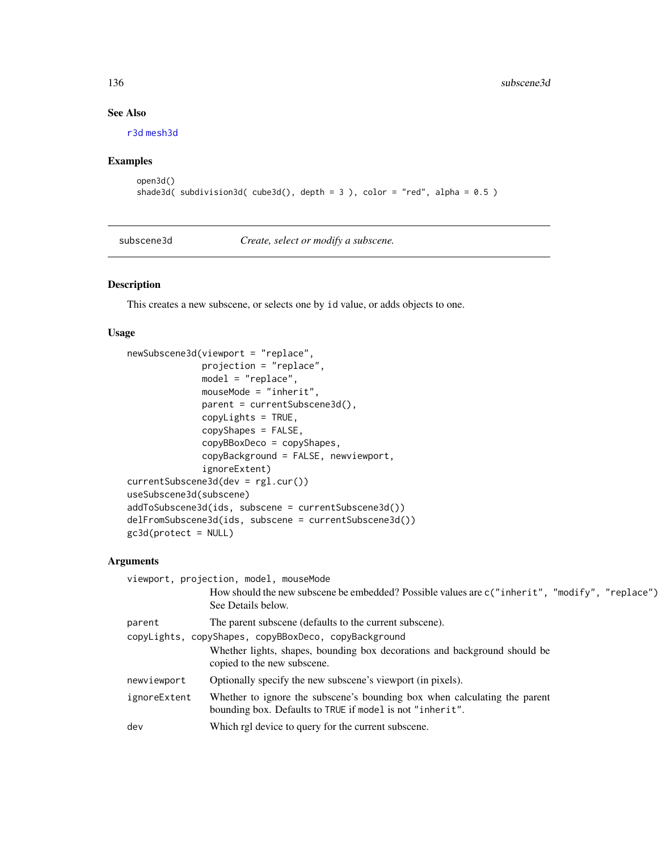# See Also

[r3d](#page-79-0) [mesh3d](#page-36-1)

# Examples

```
open3d()
shade3d( subdivision3d( cube3d(), depth = 3 ), color = "red", alpha = 0.5 )
```
subscene3d *Create, select or modify a subscene.*

# <span id="page-135-0"></span>Description

This creates a new subscene, or selects one by id value, or adds objects to one.

# Usage

```
newSubscene3d(viewport = "replace",
              projection = "replace",
              model = "replace",
              mouseMode = "inherit",
              parent = currentSubscene3d(),
              copyLights = TRUE,
              copyShapes = FALSE,
              copyBBoxDeco = copyShapes,
              copyBackground = FALSE, newviewport,
              ignoreExtent)
currentSubscene3d(dev = rgl.cur())
useSubscene3d(subscene)
addToSubscene3d(ids, subscene = currentSubscene3d())
delFromSubscene3d(ids, subscene = currentSubscene3d())
gc3d(protect = NULL)
```
## Arguments

| viewport, projection, model, mouseMode               |                                                                                                                                        |  |
|------------------------------------------------------|----------------------------------------------------------------------------------------------------------------------------------------|--|
|                                                      | How should the new subscene be embedded? Possible values are c("inherit", "modify", "replace")<br>See Details below.                   |  |
| parent                                               | The parent subscene (defaults to the current subscene).                                                                                |  |
| copyLights, copyShapes, copyBBoxDeco, copyBackground |                                                                                                                                        |  |
|                                                      | Whether lights, shapes, bounding box decorations and background should be<br>copied to the new subscene.                               |  |
| newviewport                                          | Optionally specify the new subscene's viewport (in pixels).                                                                            |  |
| ignoreExtent                                         | Whether to ignore the subscene's bounding box when calculating the parent<br>bounding box. Defaults to TRUE if model is not "inherit". |  |
| dev                                                  | Which rgl device to query for the current subscene.                                                                                    |  |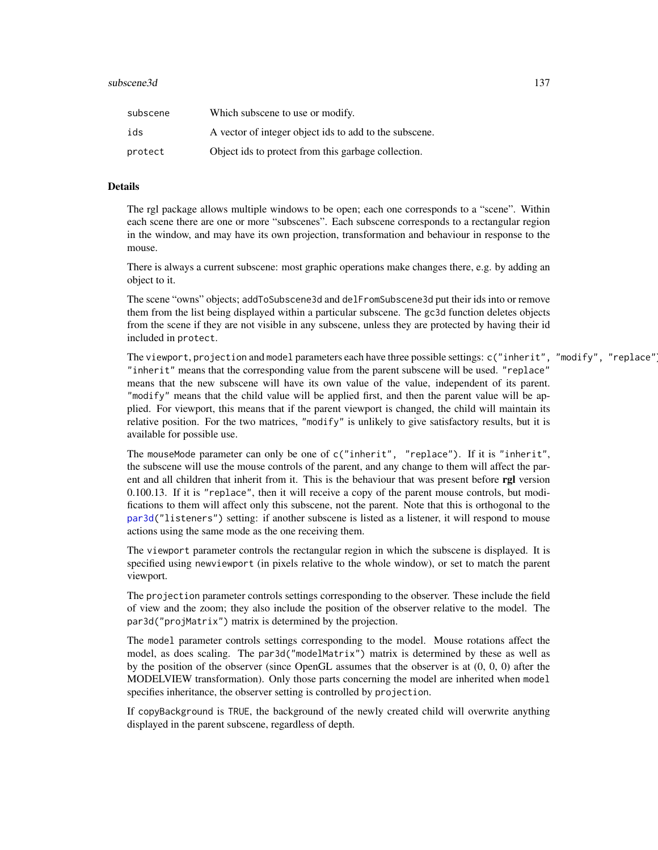#### subscene3d 137

| subscene | Which subscene to use or modify.                       |
|----------|--------------------------------------------------------|
| ids      | A vector of integer object ids to add to the subscene. |
| protect  | Object ids to protect from this garbage collection.    |

### Details

The rgl package allows multiple windows to be open; each one corresponds to a "scene". Within each scene there are one or more "subscenes". Each subscene corresponds to a rectangular region in the window, and may have its own projection, transformation and behaviour in response to the mouse.

There is always a current subscene: most graphic operations make changes there, e.g. by adding an object to it.

The scene "owns" objects; addToSubscene3d and delFromSubscene3d put their ids into or remove them from the list being displayed within a particular subscene. The gc3d function deletes objects from the scene if they are not visible in any subscene, unless they are protected by having their id included in protect.

The viewport, projection and model parameters each have three possible settings: c("inherit", "modify", "replace"). "inherit" means that the corresponding value from the parent subscene will be used. "replace" means that the new subscene will have its own value of the value, independent of its parent. "modify" means that the child value will be applied first, and then the parent value will be applied. For viewport, this means that if the parent viewport is changed, the child will maintain its relative position. For the two matrices, "modify" is unlikely to give satisfactory results, but it is available for possible use.

The mouseMode parameter can only be one of c("inherit", "replace"). If it is "inherit", the subscene will use the mouse controls of the parent, and any change to them will affect the parent and all children that inherit from it. This is the behaviour that was present before rgl version 0.100.13. If it is "replace", then it will receive a copy of the parent mouse controls, but modifications to them will affect only this subscene, not the parent. Note that this is orthogonal to the [par3d\(](#page-42-1)"listeners") setting: if another subscene is listed as a listener, it will respond to mouse actions using the same mode as the one receiving them.

The viewport parameter controls the rectangular region in which the subscene is displayed. It is specified using newviewport (in pixels relative to the whole window), or set to match the parent viewport.

The projection parameter controls settings corresponding to the observer. These include the field of view and the zoom; they also include the position of the observer relative to the model. The par3d("projMatrix") matrix is determined by the projection.

The model parameter controls settings corresponding to the model. Mouse rotations affect the model, as does scaling. The par3d("modelMatrix") matrix is determined by these as well as by the position of the observer (since OpenGL assumes that the observer is at (0, 0, 0) after the MODELVIEW transformation). Only those parts concerning the model are inherited when model specifies inheritance, the observer setting is controlled by projection.

If copyBackground is TRUE, the background of the newly created child will overwrite anything displayed in the parent subscene, regardless of depth.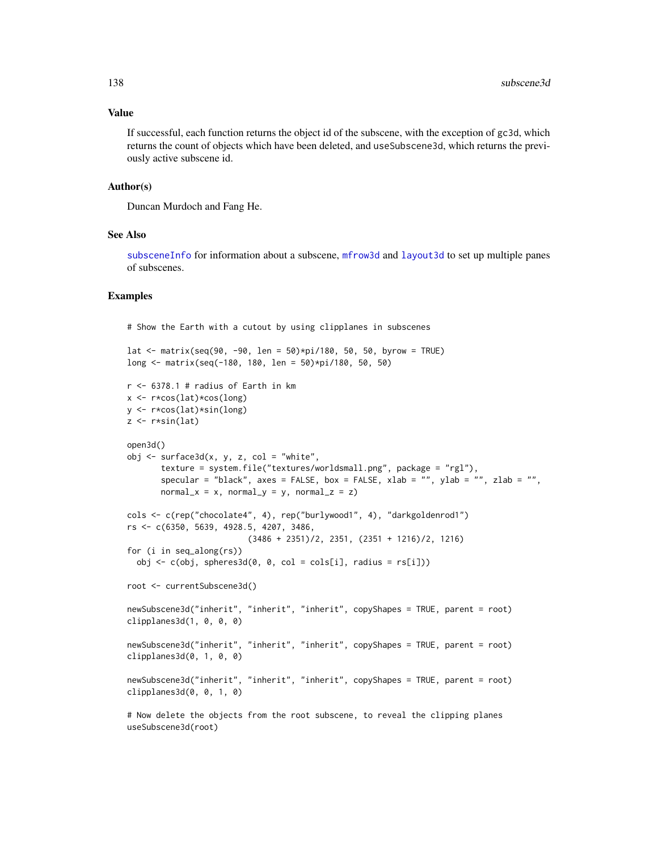#### Value

If successful, each function returns the object id of the subscene, with the exception of gc3d, which returns the count of objects which have been deleted, and useSubscene3d, which returns the previously active subscene id.

#### Author(s)

Duncan Murdoch and Fang He.

## See Also

[subsceneInfo](#page-138-0) for information about a subscene, [mfrow3d](#page-39-0) and [layout3d](#page-39-1) to set up multiple panes of subscenes.

#### Examples

# Show the Earth with a cutout by using clipplanes in subscenes

```
lat <- matrix(seq(90, -90, len = 50)*pi/180, 50, 50, byrow = TRUE)
long <- matrix(seq(-180, 180, len = 50)*pi/180, 50, 50)
r <- 6378.1 # radius of Earth in kmx \leftarrow r * cos(lat) * cos(long)y <- r*cos(lat)*sin(long)
z \leftarrow r * sin(lat)open3d()
obj \leq surface3d(x, y, z, col = "white",texture = system.file("textures/worldsmall.png", package = "rgl"),
       specular = "black", axes = FALSE, box = FALSE, xlab = "", ylab = "", zlab = "",
       normal_x = x, normal_y = y, normal_z = z)
cols <- c(rep("chocolate4", 4), rep("burlywood1", 4), "darkgoldenrod1")
rs <- c(6350, 5639, 4928.5, 4207, 3486,
                          (3486 + 2351)/2, 2351, (2351 + 1216)/2, 1216)
for (i in seq_along(rs))
  obj \leftarrow c(obj, spheres3d(0, 0, col = cols[i], radius = rs[i]))root <- currentSubscene3d()
newSubscene3d("inherit", "inherit", "inherit", copyShapes = TRUE, parent = root)
clipplanes3d(1, 0, 0, 0)
newSubscene3d("inherit", "inherit", "inherit", copyShapes = TRUE, parent = root)
clipplanes3d(0, 1, 0, 0)newSubscene3d("inherit", "inherit", "inherit", copyShapes = TRUE, parent = root)
clipplanes3d(0, 0, 1, 0)
# Now delete the objects from the root subscene, to reveal the clipping planes
useSubscene3d(root)
```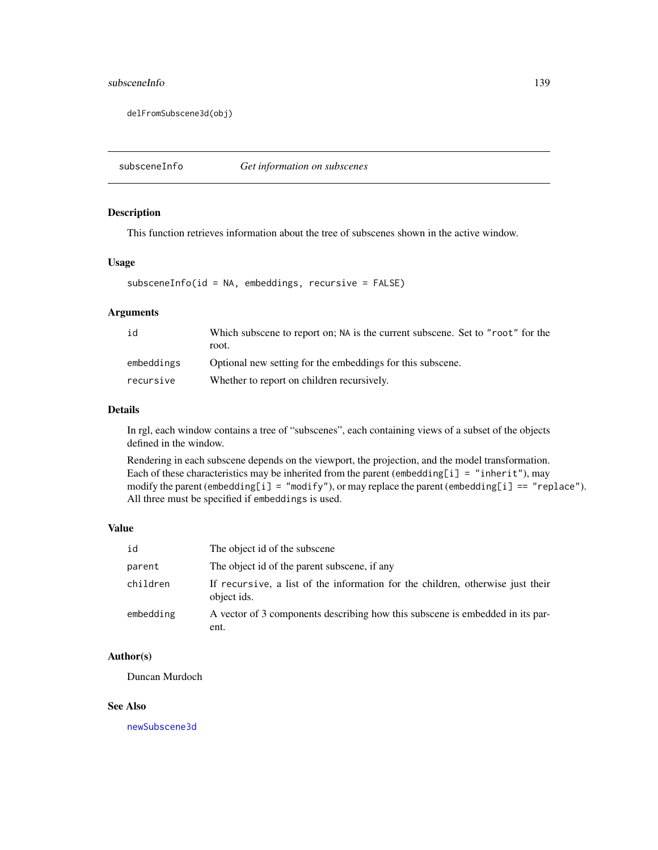#### subsceneInfo 139

delFromSubscene3d(obj)

<span id="page-138-0"></span>subsceneInfo *Get information on subscenes*

## Description

This function retrieves information about the tree of subscenes shown in the active window.

# Usage

```
subsceneInfo(id = NA, embeddings, recursive = FALSE)
```
# Arguments

| id         | Which subscene to report on; NA is the current subscene. Set to "root" for the<br>root. |
|------------|-----------------------------------------------------------------------------------------|
| embeddings | Optional new setting for the embeddings for this subscene.                              |
| recursive  | Whether to report on children recursively.                                              |

#### Details

In rgl, each window contains a tree of "subscenes", each containing views of a subset of the objects defined in the window.

Rendering in each subscene depends on the viewport, the projection, and the model transformation. Each of these characteristics may be inherited from the parent (embedding[i] = "inherit"), may modify the parent (embedding[i] = "modify"), or may replace the parent (embedding[i] == "replace"). All three must be specified if embeddings is used.

## Value

| id        | The object id of the subscene                                                                 |
|-----------|-----------------------------------------------------------------------------------------------|
| parent    | The object id of the parent subscene, if any                                                  |
| children  | If recursive, a list of the information for the children, otherwise just their<br>object ids. |
| embedding | A vector of 3 components describing how this subscene is embedded in its par-                 |
|           | ent.                                                                                          |

## Author(s)

Duncan Murdoch

## See Also

[newSubscene3d](#page-135-0)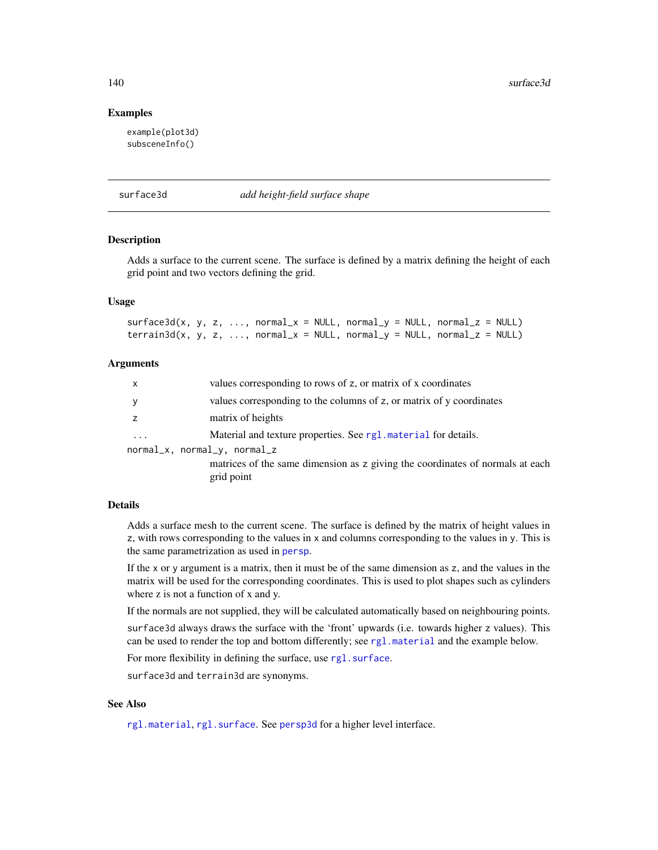140 surface3d surface3d surface3d surface3d surface3d surface3d surface3d surface3d surface3d surface3d surface3d surface3d surface3d surface3d surface3d surface3d surface3d surface3d surface3d surface3d surface3d surface3

### Examples

example(plot3d) subsceneInfo()

surface3d *add height-field surface shape*

### Description

Adds a surface to the current scene. The surface is defined by a matrix defining the height of each grid point and two vectors defining the grid.

#### Usage

 $surface3d(x, y, z, ..., normal_x = NULL, normal_y = NULL, normal_z = NULL)$  $\text{terrain3d}(x, y, z, \ldots, \text{normal}_x = \text{NULL}, \text{normal}_y = \text{NULL}, \text{normal}_z = \text{NULL}$ 

### Arguments

| X                 | values corresponding to rows of z, or matrix of x coordinates                 |
|-------------------|-------------------------------------------------------------------------------|
| y                 | values corresponding to the columns of z, or matrix of y coordinates          |
|                   | matrix of heights                                                             |
| $\cdot\cdot\cdot$ | Material and texture properties. See rg1 material for details.                |
|                   | normal_x, normal_y, normal_z                                                  |
|                   | matrices of the same dimension as z giving the coordinates of normals at each |
|                   | grid point                                                                    |

## **Details**

Adds a surface mesh to the current scene. The surface is defined by the matrix of height values in z, with rows corresponding to the values in x and columns corresponding to the values in y. This is the same parametrization as used in [persp](#page-0-0).

If the x or y argument is a matrix, then it must be of the same dimension as z, and the values in the matrix will be used for the corresponding coordinates. This is used to plot shapes such as cylinders where z is not a function of x and y.

If the normals are not supplied, they will be calculated automatically based on neighbouring points.

surface3d always draws the surface with the 'front' upwards (i.e. towards higher z values). This can be used to render the top and bottom differently; see [rgl.material](#page-88-1) and the example below.

For more flexibility in defining the surface, use rgl. surface.

surface3d and terrain3d are synonyms.

#### See Also

[rgl.material](#page-88-1), [rgl.surface](#page-100-0). See [persp3d](#page-51-0) for a higher level interface.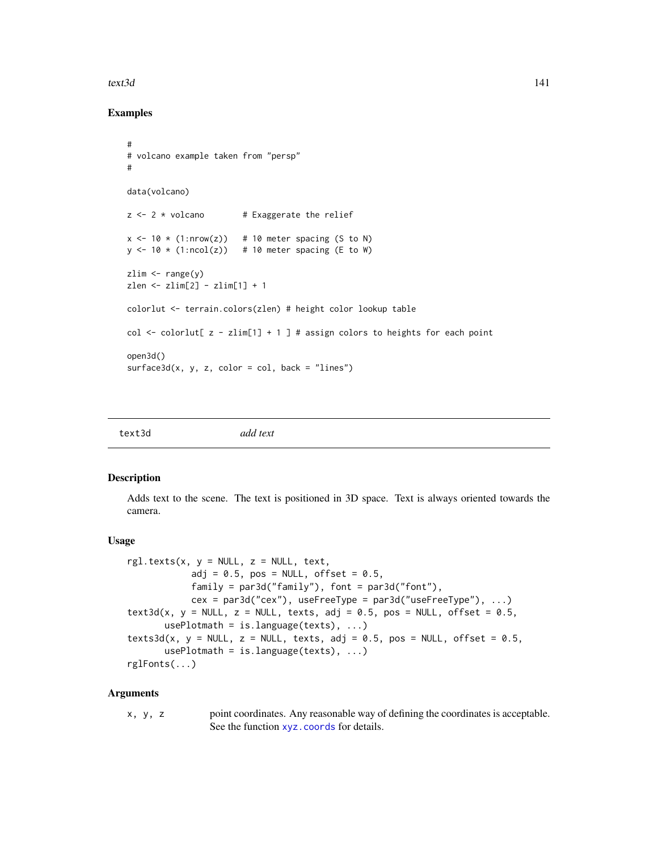#### text3d 141

### Examples

```
#
# volcano example taken from "persp"
#
data(volcano)
z \le -2 \times volcano # Exaggerate the relief
x \le -10 \times (1: nrow(z)) # 10 meter spacing (S to N)
y \le -10 \times (1:\text{ncol}(z)) # 10 meter spacing (E to W)
zlim <- range(y)
zlen <- zlim[2] - zlim[1] + 1
colorlut <- terrain.colors(zlen) # height color lookup table
col \le colorlut[ z - zlim[1] + 1 ] # assign colors to heights for each point
open3d()
surface3d(x, y, z, color = col, back = "lines")
```
<span id="page-140-0"></span>

| add text<br>text3d |  |
|--------------------|--|
|--------------------|--|

## Description

Adds text to the scene. The text is positioned in 3D space. Text is always oriented towards the camera.

#### Usage

```
rgl.text(x, y = NULL, z = NULL, text,adj = 0.5, pos = NULL, offset = 0.5,
           family = par3d("family"), font = par3d("font"),
           cex = par3d("cex"), useFreeType = par3d("useFreeType"), ...)text3d(x, y = NULL, z = NULL, texts, adj = 0.5, pos = NULL, offset = 0.5,
      usePlotmath = is.language(texts), ...)
text3d(x, y = NULL, z = NULL, texts, adj = 0.5, pos = NULL, offset = 0.5,usePlotmath = is.language(texts), ...rglFonts(...)
```
### Arguments

x, y, z point coordinates. Any reasonable way of defining the coordinates is acceptable. See the function [xyz.coords](#page-0-0) for details.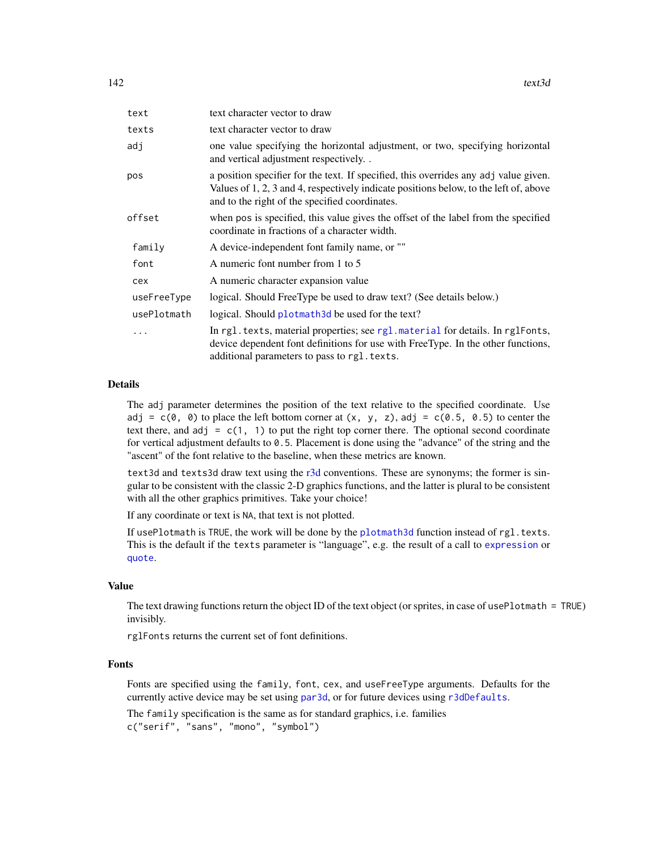| text        | text character vector to draw                                                                                                                                                                                                   |
|-------------|---------------------------------------------------------------------------------------------------------------------------------------------------------------------------------------------------------------------------------|
| texts       | text character vector to draw                                                                                                                                                                                                   |
| adj         | one value specifying the horizontal adjustment, or two, specifying horizontal<br>and vertical adjustment respectively                                                                                                           |
| pos         | a position specifier for the text. If specified, this overrides any adj value given.<br>Values of 1, 2, 3 and 4, respectively indicate positions below, to the left of, above<br>and to the right of the specified coordinates. |
| offset      | when pos is specified, this value gives the offset of the label from the specified<br>coordinate in fractions of a character width.                                                                                             |
| family      | A device-independent font family name, or ""                                                                                                                                                                                    |
| font        | A numeric font number from 1 to 5                                                                                                                                                                                               |
| cex         | A numeric character expansion value                                                                                                                                                                                             |
| useFreeType | logical. Should FreeType be used to draw text? (See details below.)                                                                                                                                                             |
| usePlotmath | logical. Should plotmath 3d be used for the text?                                                                                                                                                                               |
|             | In rgl. texts, material properties; see rgl. material for details. In rglFonts,<br>device dependent font definitions for use with FreeType. In the other functions,<br>additional parameters to pass to rgl. texts.             |

### Details

The adj parameter determines the position of the text relative to the specified coordinate. Use adj =  $c(\emptyset, \emptyset)$  to place the left bottom corner at  $(x, y, z)$ , adj =  $c(\emptyset.5, \emptyset.5)$  to center the text there, and  $adj = c(1, 1)$  to put the right top corner there. The optional second coordinate for vertical adjustment defaults to 0.5. Placement is done using the "advance" of the string and the "ascent" of the font relative to the baseline, when these metrics are known.

text3d and texts3d draw text using the [r3d](#page-79-0) conventions. These are synonyms; the former is singular to be consistent with the classic 2-D graphics functions, and the latter is plural to be consistent with all the other graphics primitives. Take your choice!

If any coordinate or text is NA, that text is not plotted.

If usePlotmath is TRUE, the work will be done by the [plotmath3d](#page-71-0) function instead of rgl.texts. This is the default if the texts parameter is "language", e.g. the result of a call to [expression](#page-0-0) or [quote](#page-0-0).

### Value

The text drawing functions return the object ID of the text object (or sprites, in case of usePlotmath = TRUE) invisibly.

rglFonts returns the current set of font definitions.

## Fonts

Fonts are specified using the family, font, cex, and useFreeType arguments. Defaults for the currently active device may be set using [par3d](#page-42-1), or for future devices using [r3dDefaults](#page-42-0).

The family specification is the same as for standard graphics, i.e. families c("serif", "sans", "mono", "symbol")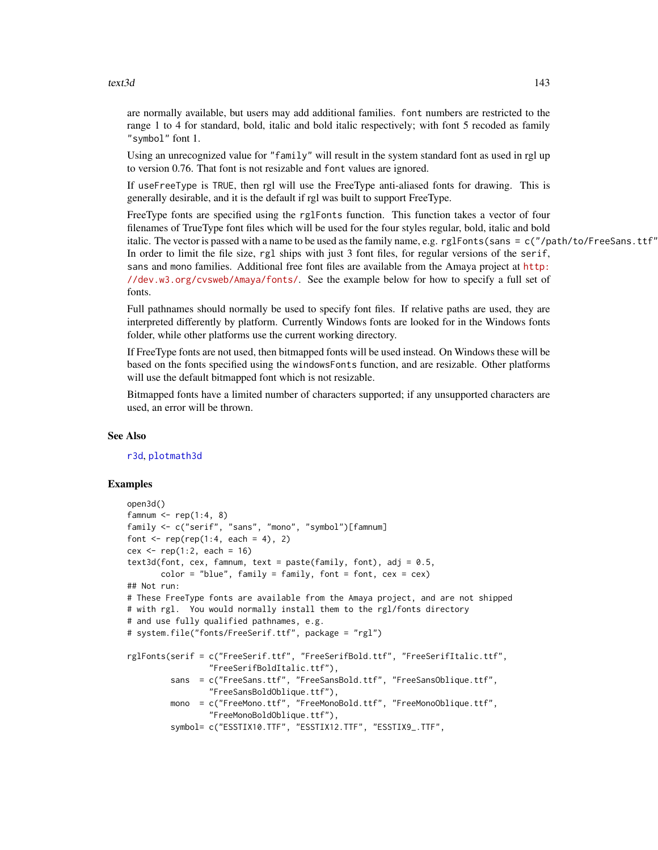#### text3d 143

are normally available, but users may add additional families. font numbers are restricted to the range 1 to 4 for standard, bold, italic and bold italic respectively; with font 5 recoded as family "symbol" font 1.

Using an unrecognized value for "family" will result in the system standard font as used in rgl up to version 0.76. That font is not resizable and font values are ignored.

If useFreeType is TRUE, then rgl will use the FreeType anti-aliased fonts for drawing. This is generally desirable, and it is the default if rgl was built to support FreeType.

FreeType fonts are specified using the rglFonts function. This function takes a vector of four filenames of TrueType font files which will be used for the four styles regular, bold, italic and bold italic. The vector is passed with a name to be used as the family name, e.g. rg1Fonts(sans =  $c''/path/to/FreeSans.ttf''$ In order to limit the file size, rgl ships with just 3 font files, for regular versions of the serif, sans and mono families. Additional free font files are available from the Amaya project at [http:](http://dev.w3.org/cvsweb/Amaya/fonts/) [//dev.w3.org/cvsweb/Amaya/fonts/](http://dev.w3.org/cvsweb/Amaya/fonts/). See the example below for how to specify a full set of fonts.

Full pathnames should normally be used to specify font files. If relative paths are used, they are interpreted differently by platform. Currently Windows fonts are looked for in the Windows fonts folder, while other platforms use the current working directory.

If FreeType fonts are not used, then bitmapped fonts will be used instead. On Windows these will be based on the fonts specified using the windowsFonts function, and are resizable. Other platforms will use the default bitmapped font which is not resizable.

Bitmapped fonts have a limited number of characters supported; if any unsupported characters are used, an error will be thrown.

#### See Also

[r3d](#page-79-0), [plotmath3d](#page-71-0)

### Examples

```
open3d()
famnum \leq rep(1:4, 8)
family <- c("serif", "sans", "mono", "symbol")[famnum]
font \leq rep(rep(1:4, each = 4), 2)
cex \leq rep(1:2, each = 16)
text3d(font, cex, fammum, text = paste(family, font), adj = 0.5,color = "blue", family = family, font = font, cex = cex)## Not run:
# These FreeType fonts are available from the Amaya project, and are not shipped
# with rgl. You would normally install them to the rgl/fonts directory
# and use fully qualified pathnames, e.g.
# system.file("fonts/FreeSerif.ttf", package = "rgl")
rglFonts(serif = c("FreeSerif.ttf", "FreeSerifBold.ttf", "FreeSerifItalic.ttf",
                 "FreeSerifBoldItalic.ttf"),
         sans = c("FreeSans.ttf", "FreeSansBold.ttf", "FreeSansOblique.ttf",
                 "FreeSansBoldOblique.ttf"),
         mono = c("FreeMono.ttf", "FreeMonoBold.ttf", "FreeMonoOblique.ttf",
                 "FreeMonoBoldOblique.ttf"),
         symbol= c("ESSTIX10.TTF", "ESSTIX12.TTF", "ESSTIX9_.TTF",
```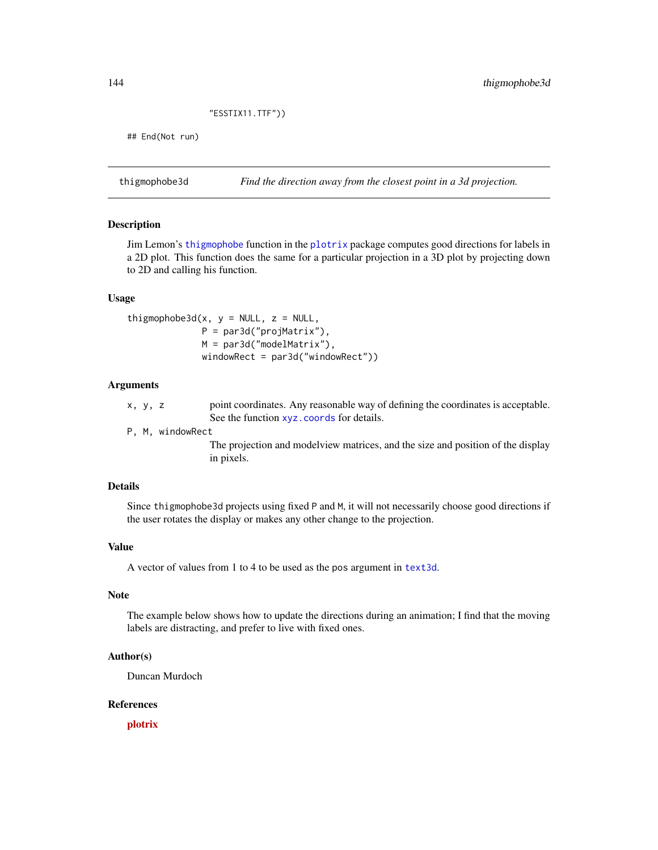## "ESSTIX11.TTF"))

## End(Not run)

thigmophobe3d *Find the direction away from the closest point in a 3d projection.*

## **Description**

Jim Lemon's [thigmophobe](#page-0-0) function in the [plotrix](#page-0-0) package computes good directions for labels in a 2D plot. This function does the same for a particular projection in a 3D plot by projecting down to 2D and calling his function.

### Usage

thigmophobe3d(x,  $y = NULL$ ,  $z = NULL$ , P = par3d("projMatrix"), M = par3d("modelMatrix"), windowRect = par3d("windowRect"))

#### Arguments

- x, y, z point coordinates. Any reasonable way of defining the coordinates is acceptable. See the function [xyz.coords](#page-0-0) for details.
- P, M, windowRect

The projection and modelview matrices, and the size and position of the display in pixels.

### Details

Since thigmophobe3d projects using fixed P and M, it will not necessarily choose good directions if the user rotates the display or makes any other change to the projection.

#### Value

A vector of values from 1 to 4 to be used as the pos argument in [text3d](#page-140-0).

## Note

The example below shows how to update the directions during an animation; I find that the moving labels are distracting, and prefer to live with fixed ones.

#### Author(s)

Duncan Murdoch

## References

[plotrix](https://CRAN.R-project.org/package=plotrix)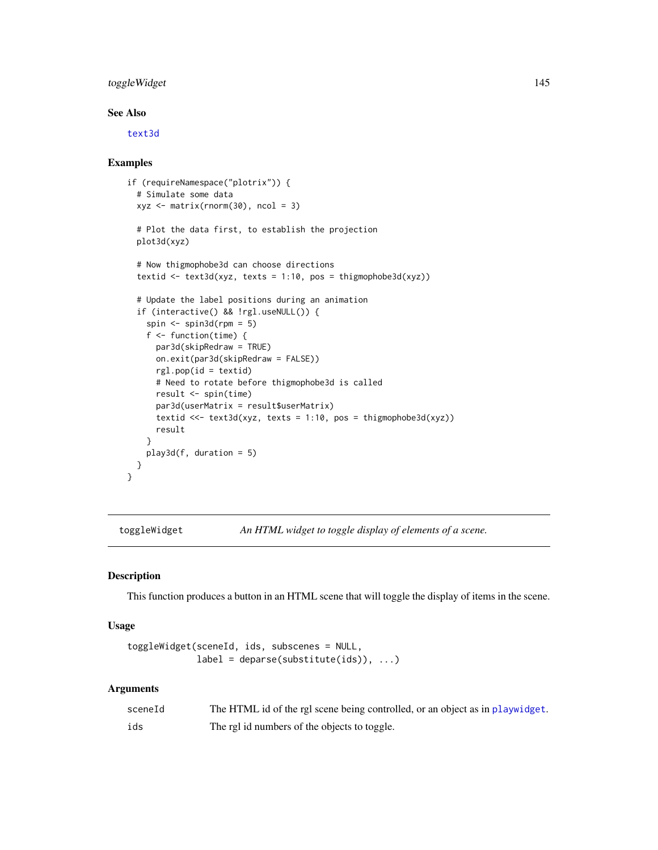# <span id="page-144-1"></span>toggleWidget 145

# See Also

[text3d](#page-140-0)

# Examples

```
if (requireNamespace("plotrix")) {
 # Simulate some data
 xyz \le matrix(rnorm(30), ncol = 3)
 # Plot the data first, to establish the projection
 plot3d(xyz)
 # Now thigmophobe3d can choose directions
 textid <- text3d(xyz, texts = 1:10, pos = thigmophobe3d(xyz))
 # Update the label positions during an animation
 if (interactive() && !rgl.useNULL()) {
    spin \le spin3d(rpm = 5)
    f <- function(time) {
     par3d(skipRedraw = TRUE)
     on.exit(par3d(skipRedraw = FALSE))
     rgl.pop(id = textid)
     # Need to rotate before thigmophobe3d is called
     result <- spin(time)
     par3d(userMatrix = result$userMatrix)
     textid <<- text3d(xyz, texts = 1:10, pos = thigmophobe3d(xyz))
     result
    }
   play3d(f, duration = 5)
 }
}
```
<span id="page-144-0"></span>toggleWidget *An HTML widget to toggle display of elements of a scene.*

# Description

This function produces a button in an HTML scene that will toggle the display of items in the scene.

#### Usage

```
toggleWidget(sceneId, ids, subscenes = NULL,
               label = <math>deparse(substitute(ids))</math>, ...)
```
#### Arguments

| sceneId | The HTML id of the rgl scene being controlled, or an object as in playwidget. |
|---------|-------------------------------------------------------------------------------|
| ids     | The rgl id numbers of the objects to toggle.                                  |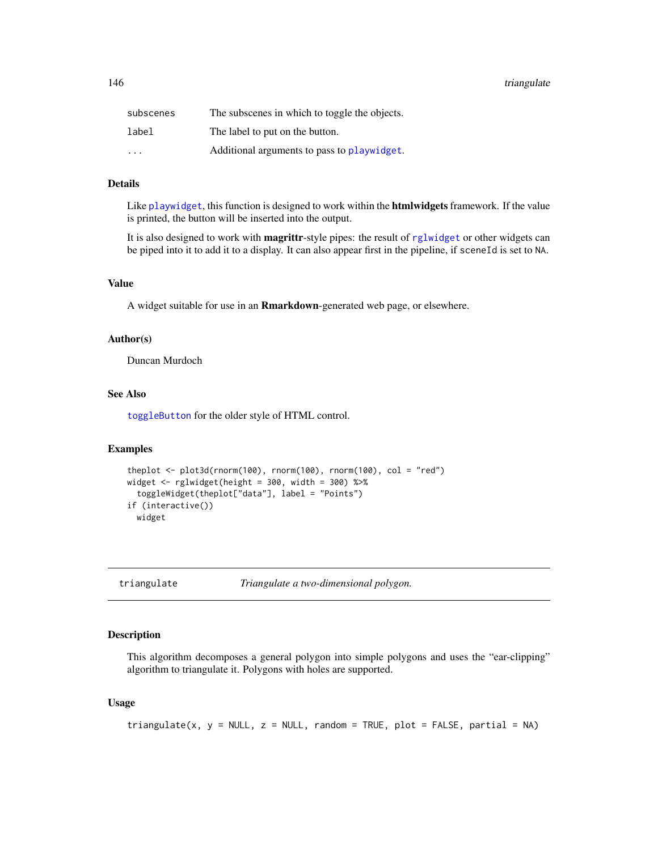<span id="page-145-0"></span>146 triangulate

| subscenes               | The subscenes in which to toggle the objects. |
|-------------------------|-----------------------------------------------|
| label                   | The label to put on the button.               |
| $\cdot$ $\cdot$ $\cdot$ | Additional arguments to pass to playwidget.   |

#### Details

Like [playwidget](#page-63-0), this function is designed to work within the **htmlwidgets** framework. If the value is printed, the button will be inserted into the output.

It is also designed to work with magrittr-style pipes: the result of [rglwidget](#page-110-0) or other widgets can be piped into it to add it to a display. It can also appear first in the pipeline, if sceneId is set to NA.

# Value

A widget suitable for use in an Rmarkdown-generated web page, or elsewhere.

#### Author(s)

Duncan Murdoch

#### See Also

[toggleButton](#page-151-0) for the older style of HTML control.

# Examples

```
theplot \leq plot3d(rnorm(100), rnorm(100), rnorm(100), col = "red")
widget <- rglwidget(height = 300, width = 300) %>%
  toggleWidget(theplot["data"], label = "Points")
if (interactive())
 widget
```
triangulate *Triangulate a two-dimensional polygon.*

#### Description

This algorithm decomposes a general polygon into simple polygons and uses the "ear-clipping" algorithm to triangulate it. Polygons with holes are supported.

# Usage

```
triangulate(x, y = NULL, z = NULL, random = TRUE, plot = FALSE, partial = NA)
```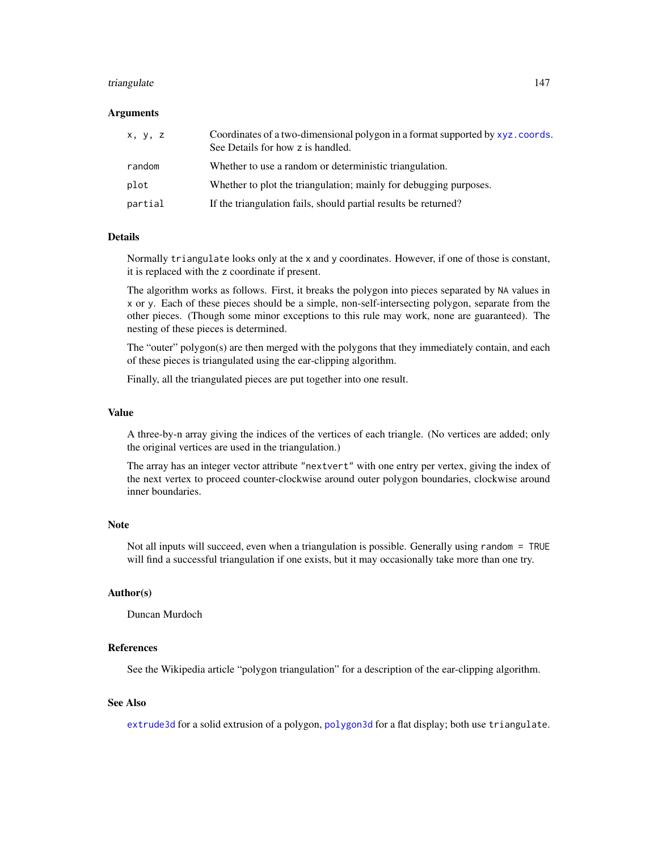#### <span id="page-146-0"></span>triangulate the control of the control of the control of the control of the control of the control of the control of the control of the control of the control of the control of the control of the control of the control of

#### Arguments

| x, y, z | Coordinates of a two-dimensional polygon in a format supported by xyz.coords.<br>See Details for how z is handled. |
|---------|--------------------------------------------------------------------------------------------------------------------|
| random  | Whether to use a random or deterministic triangulation.                                                            |
| plot    | Whether to plot the triangulation; mainly for debugging purposes.                                                  |
| partial | If the triangulation fails, should partial results be returned?                                                    |

# Details

Normally triangulate looks only at the x and y coordinates. However, if one of those is constant, it is replaced with the z coordinate if present.

The algorithm works as follows. First, it breaks the polygon into pieces separated by NA values in x or y. Each of these pieces should be a simple, non-self-intersecting polygon, separate from the other pieces. (Though some minor exceptions to this rule may work, none are guaranteed). The nesting of these pieces is determined.

The "outer" polygon(s) are then merged with the polygons that they immediately contain, and each of these pieces is triangulated using the ear-clipping algorithm.

Finally, all the triangulated pieces are put together into one result.

#### Value

A three-by-n array giving the indices of the vertices of each triangle. (No vertices are added; only the original vertices are used in the triangulation.)

The array has an integer vector attribute "nextvert" with one entry per vertex, giving the index of the next vertex to proceed counter-clockwise around outer polygon boundaries, clockwise around inner boundaries.

# **Note**

Not all inputs will succeed, even when a triangulation is possible. Generally using random = TRUE will find a successful triangulation if one exists, but it may occasionally take more than one try.

# Author(s)

Duncan Murdoch

#### References

See the Wikipedia article "polygon triangulation" for a description of the ear-clipping algorithm.

# See Also

[extrude3d](#page-26-0) for a solid extrusion of a polygon, [polygon3d](#page-74-0) for a flat display; both use triangulate.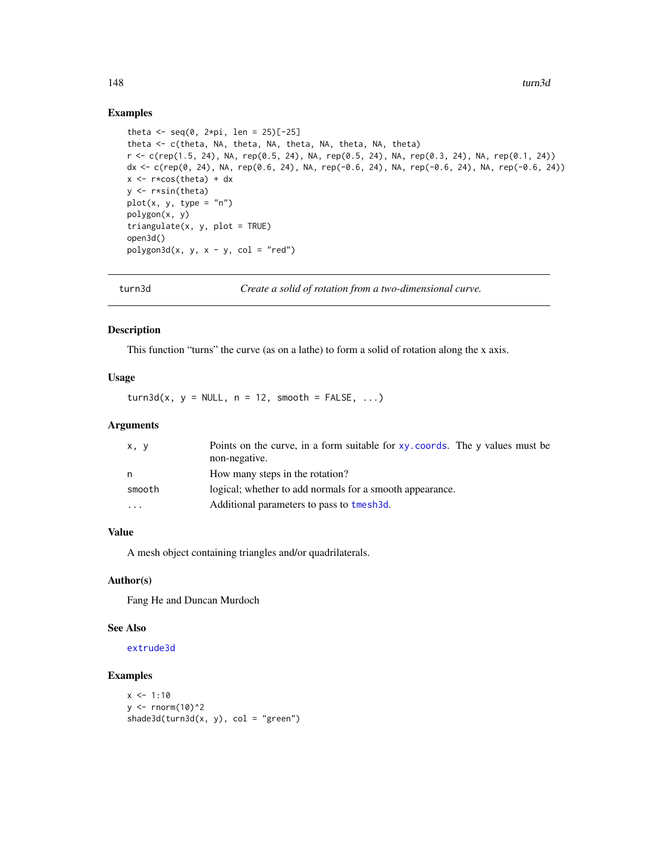## Examples

```
theta \leq seq(0, 2*pi, len = 25)[-25]
theta <- c(theta, NA, theta, NA, theta, NA, theta, NA, theta)
r <- c(rep(1.5, 24), NA, rep(0.5, 24), NA, rep(0.5, 24), NA, rep(0.3, 24), NA, rep(0.1, 24))
dx <- c(rep(0, 24), NA, rep(0.6, 24), NA, rep(-0.6, 24), NA, rep(-0.6, 24), NA, rep(-0.6, 24))
x \leftarrow r * cos(theta) + dxy <- r*sin(theta)
plot(x, y, type = "n")
polygon(x, y)
triangle(x, y, plot = TRUE)open3d()
polygon3d(x, y, x - y, col = "red")
```
turn3d *Create a solid of rotation from a two-dimensional curve.*

# Description

This function "turns" the curve (as on a lathe) to form a solid of rotation along the x axis.

# Usage

 $turn3d(x, y = NULL, n = 12, smooth = FALSE, ...)$ 

# Arguments

| x, y     | Points on the curve, in a form suitable for xy. coords. The y values must be<br>non-negative. |
|----------|-----------------------------------------------------------------------------------------------|
| n        | How many steps in the rotation?                                                               |
| smooth   | logical; whether to add normals for a smooth appearance.                                      |
| $\cdots$ | Additional parameters to pass to tmesh3d.                                                     |

# Value

A mesh object containing triangles and/or quadrilaterals.

### Author(s)

Fang He and Duncan Murdoch

# See Also

[extrude3d](#page-26-0)

# Examples

```
x \le -1:10y \le - rnorm(10)^2
shade3d(turn3d(x, y), col = "green")
```
<span id="page-147-0"></span>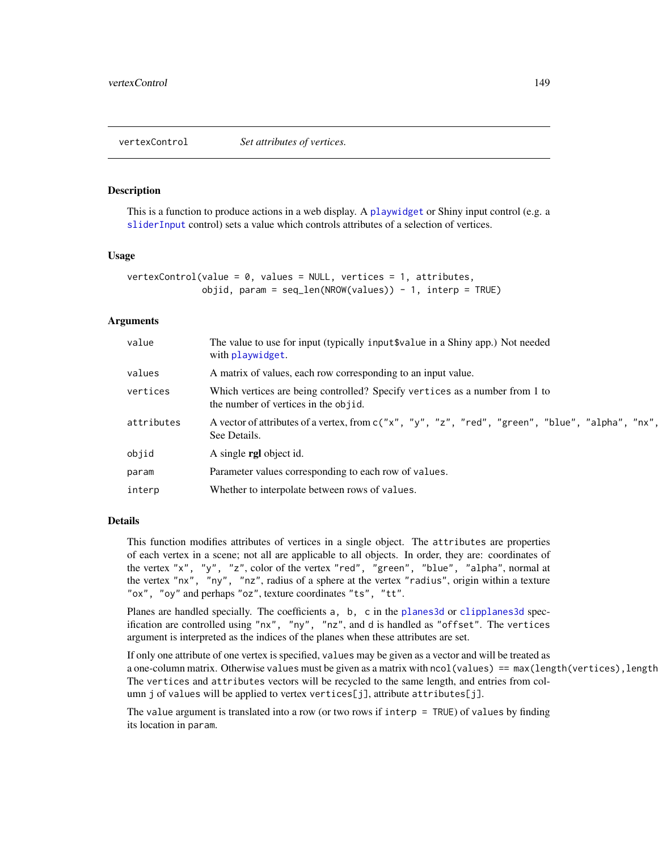<span id="page-148-0"></span>

#### Description

This is a function to produce actions in a web display. A [playwidget](#page-63-0) or Shiny input control (e.g. a [sliderInput](#page-0-0) control) sets a value which controls attributes of a selection of vertices.

#### Usage

```
vertexControl(value = 0, values = NULL, vertices = 1, attributes,objid, param = seq\_len(NROW(values)) - 1, interp = TRUE)
```
#### **Arguments**

| value      | The value to use for input (typically input \$value in a Shiny app.) Not needed<br>with playwidget.                 |
|------------|---------------------------------------------------------------------------------------------------------------------|
| values     | A matrix of values, each row corresponding to an input value.                                                       |
| vertices   | Which vertices are being controlled? Specify vertices as a number from 1 to<br>the number of vertices in the objid. |
| attributes | A vector of attributes of a vertex, from c("x", "y", "z", "red", "green", "blue", "alpha", "nx",<br>See Details.    |
| objid      | A single <b>rgl</b> object id.                                                                                      |
| param      | Parameter values corresponding to each row of values.                                                               |
| interp     | Whether to interpolate between rows of values.                                                                      |

#### Details

This function modifies attributes of vertices in a single object. The attributes are properties of each vertex in a scene; not all are applicable to all objects. In order, they are: coordinates of the vertex "x", "y", "z", color of the vertex "red", "green", "blue", "alpha", normal at the vertex "nx", "ny", "nz", radius of a sphere at the vertex "radius", origin within a texture "ox", "oy" and perhaps "oz", texture coordinates "ts", "tt".

Planes are handled specially. The coefficients a, b, c in the [planes3d](#page-60-0) or [clipplanes3d](#page-60-1) specification are controlled using "nx", "ny", "nz", and d is handled as "offset". The vertices argument is interpreted as the indices of the planes when these attributes are set.

If only one attribute of one vertex is specified, values may be given as a vector and will be treated as a one-column matrix. Otherwise values must be given as a matrix with ncol(values) == max(length(vertices),length The vertices and attributes vectors will be recycled to the same length, and entries from column j of values will be applied to vertex vertices[j], attribute attributes[j].

The value argument is translated into a row (or two rows if interp = TRUE) of values by finding its location in param.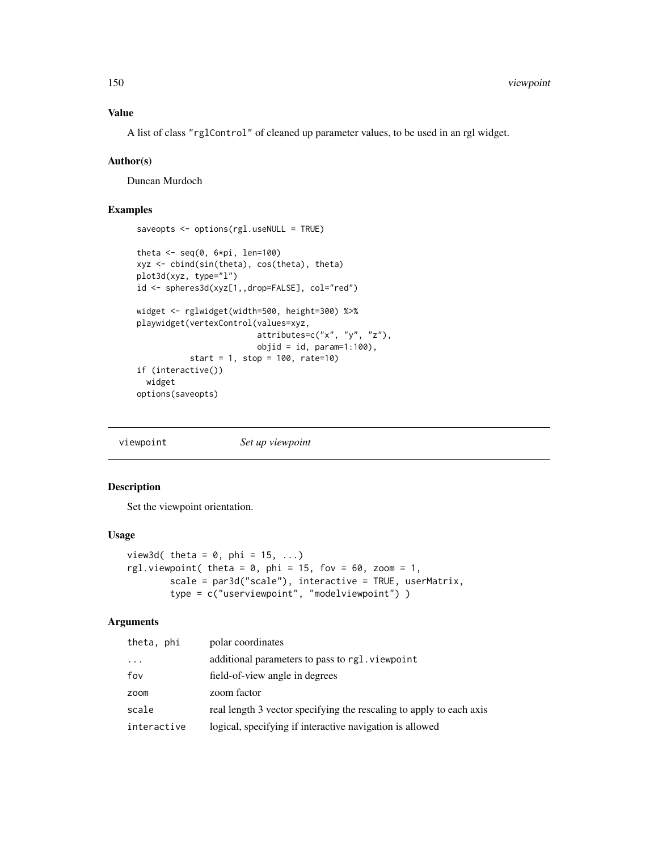# Value

A list of class "rglControl" of cleaned up parameter values, to be used in an rgl widget.

#### Author(s)

Duncan Murdoch

# Examples

```
saveopts <- options(rgl.useNULL = TRUE)
theta \leq seq(0, 6*pi, len=100)
xyz <- cbind(sin(theta), cos(theta), theta)
plot3d(xyz, type="l")
id <- spheres3d(xyz[1,,drop=FALSE], col="red")
widget <- rglwidget(width=500, height=300) %>%
playwidget(vertexControl(values=xyz,
                         attributes=c("x", "y", "z"),
                         objid = id, param=1:100,
           start = 1, stop = 100, rate=10)
if (interactive())
  widget
options(saveopts)
```
viewpoint *Set up viewpoint*

#### Description

Set the viewpoint orientation.

#### Usage

```
view3d( theta = 0, phi = 15, ...)
rgl.viewpoint( theta = 0, phi = 15, fov = 60, zoom = 1,
       scale = par3d("scale"), interactive = TRUE, userMatrix,
       type = c("userviewpoint", "modelviewpoint") )
```
# Arguments

| theta, phi  | polar coordinates                                                   |
|-------------|---------------------------------------------------------------------|
| .           | additional parameters to pass to rgl. viewpoint                     |
| fov         | field-of-view angle in degrees                                      |
| zoom        | zoom factor                                                         |
| scale       | real length 3 vector specifying the rescaling to apply to each axis |
| interactive | logical, specifying if interactive navigation is allowed            |

<span id="page-149-0"></span>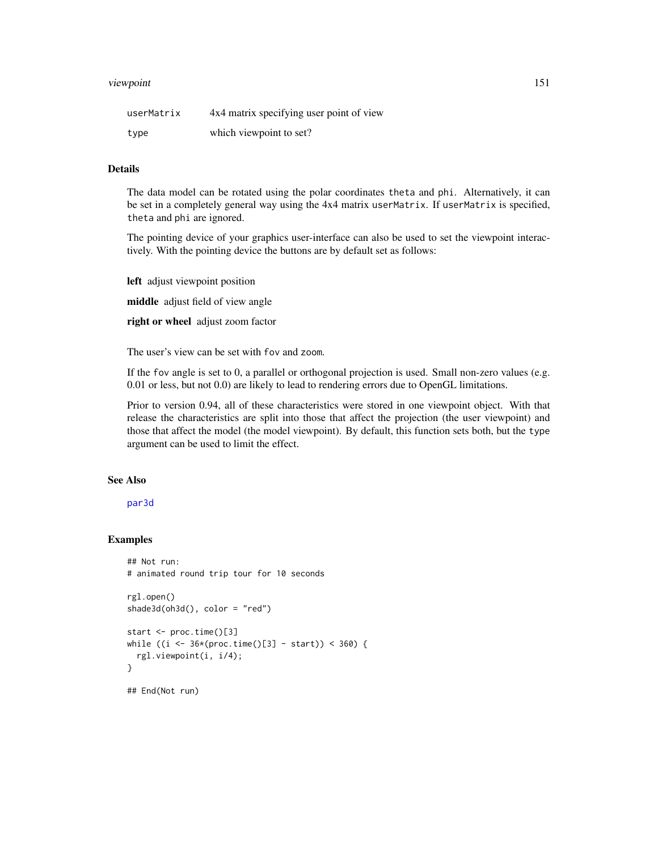#### <span id="page-150-0"></span>viewpoint 151

| userMatrix | 4x4 matrix specifying user point of view |
|------------|------------------------------------------|
| type       | which viewpoint to set?                  |

#### Details

The data model can be rotated using the polar coordinates theta and phi. Alternatively, it can be set in a completely general way using the 4x4 matrix userMatrix. If userMatrix is specified, theta and phi are ignored.

The pointing device of your graphics user-interface can also be used to set the viewpoint interactively. With the pointing device the buttons are by default set as follows:

left adjust viewpoint position middle adjust field of view angle right or wheel adjust zoom factor

The user's view can be set with fov and zoom.

If the fov angle is set to 0, a parallel or orthogonal projection is used. Small non-zero values (e.g. 0.01 or less, but not 0.0) are likely to lead to rendering errors due to OpenGL limitations.

Prior to version 0.94, all of these characteristics were stored in one viewpoint object. With that release the characteristics are split into those that affect the projection (the user viewpoint) and those that affect the model (the model viewpoint). By default, this function sets both, but the type argument can be used to limit the effect.

# See Also

#### [par3d](#page-42-0)

# Examples

```
## Not run:
# animated round trip tour for 10 seconds
rgl.open()
shade3d(oh3d(), color = "red")
start <- proc.time()[3]
while ((i \leq 36*(proc.time))[3] - start)) < 360) {
 rgl.viewpoint(i, i/4);
}
## End(Not run)
```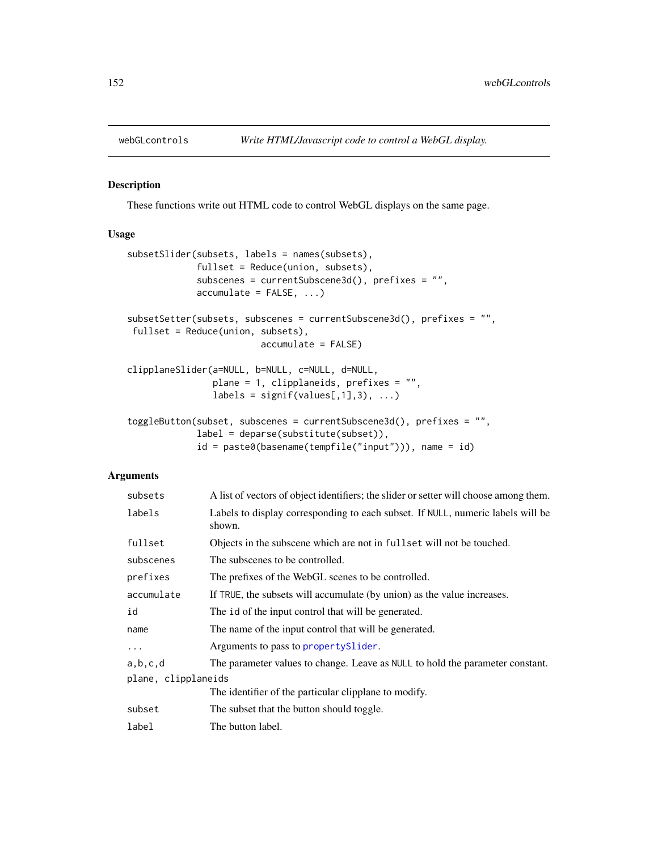<span id="page-151-1"></span>

# <span id="page-151-0"></span>Description

These functions write out HTML code to control WebGL displays on the same page.

### Usage

```
subsetSlider(subsets, labels = names(subsets),
             fullset = Reduce(union, subsets),
             subscenes = currentSubscene3d(), prefixes = "",
             accumulate = FALSE, ...)subsetSetter(subsets, subscenes = currentSubscene3d(), prefixes = "",
fullset = Reduce(union, subsets),
                         accumulate = FALSE)
clipplaneSlider(a=NULL, b=NULL, c=NULL, d=NULL,
               plane = 1, clipplaneids, prefixes = "",
                labels = signif(values[, 1], 3), ...toggleButton(subset, subscenes = currentSubscene3d(), prefixes = "",
             label = deparse(substitute(subset)),
```

```
id = paste0(basename(tempfile("input"))), name = id)
```
## Arguments

| subsets             | A list of vectors of object identifiers; the slider or setter will choose among them.     |
|---------------------|-------------------------------------------------------------------------------------------|
| labels              | Labels to display corresponding to each subset. If NULL, numeric labels will be<br>shown. |
| fullset             | Objects in the subscene which are not in fuller will not be touched.                      |
| subscenes           | The subscenes to be controlled.                                                           |
| prefixes            | The prefixes of the WebGL scenes to be controlled.                                        |
| accumulate          | If TRUE, the subsets will accumulate (by union) as the value increases.                   |
| id                  | The id of the input control that will be generated.                                       |
| name                | The name of the input control that will be generated.                                     |
| $\ddots$ .          | Arguments to pass to property Slider.                                                     |
| a,b,c,d             | The parameter values to change. Leave as NULL to hold the parameter constant.             |
| plane, clipplaneids |                                                                                           |
|                     | The identifier of the particular clipplane to modify.                                     |
| subset              | The subset that the button should toggle.                                                 |
| label               | The button label.                                                                         |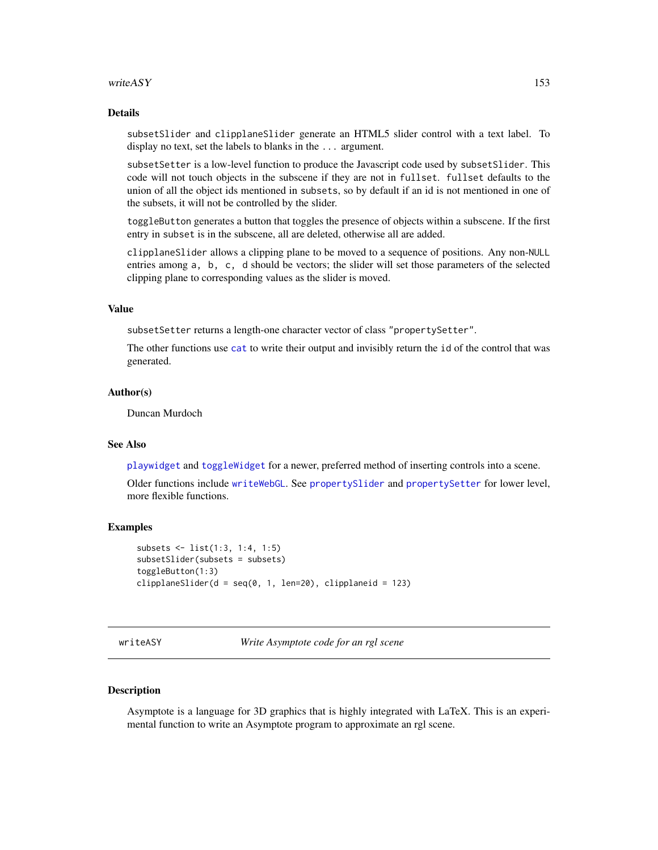#### <span id="page-152-1"></span>writeASY 153

# Details

subsetSlider and clipplaneSlider generate an HTML5 slider control with a text label. To display no text, set the labels to blanks in the ... argument.

subsetSetter is a low-level function to produce the Javascript code used by subsetSlider. This code will not touch objects in the subscene if they are not in fullset. fullset defaults to the union of all the object ids mentioned in subsets, so by default if an id is not mentioned in one of the subsets, it will not be controlled by the slider.

toggleButton generates a button that toggles the presence of objects within a subscene. If the first entry in subset is in the subscene, all are deleted, otherwise all are added.

clipplaneSlider allows a clipping plane to be moved to a sequence of positions. Any non-NULL entries among a, b, c, d should be vectors; the slider will set those parameters of the selected clipping plane to corresponding values as the slider is moved.

#### Value

subsetSetter returns a length-one character vector of class "propertySetter".

The other functions use [cat](#page-0-0) to write their output and invisibly return the id of the control that was generated.

#### Author(s)

Duncan Murdoch

#### See Also

[playwidget](#page-63-0) and [toggleWidget](#page-144-0) for a newer, preferred method of inserting controls into a scene.

Older functions include [writeWebGL](#page-158-0). See [propertySlider](#page-76-0) and [propertySetter](#page-76-1) for lower level, more flexible functions.

#### Examples

```
subsets <- list(1:3, 1:4, 1:5)
subsetSlider(subsets = subsets)
toggleButton(1:3)
clipplaneSlider(d = seq(0, 1, len=20), clipplaneid = 123)
```
<span id="page-152-0"></span>writeASY *Write Asymptote code for an rgl scene*

#### Description

Asymptote is a language for 3D graphics that is highly integrated with LaTeX. This is an experimental function to write an Asymptote program to approximate an rgl scene.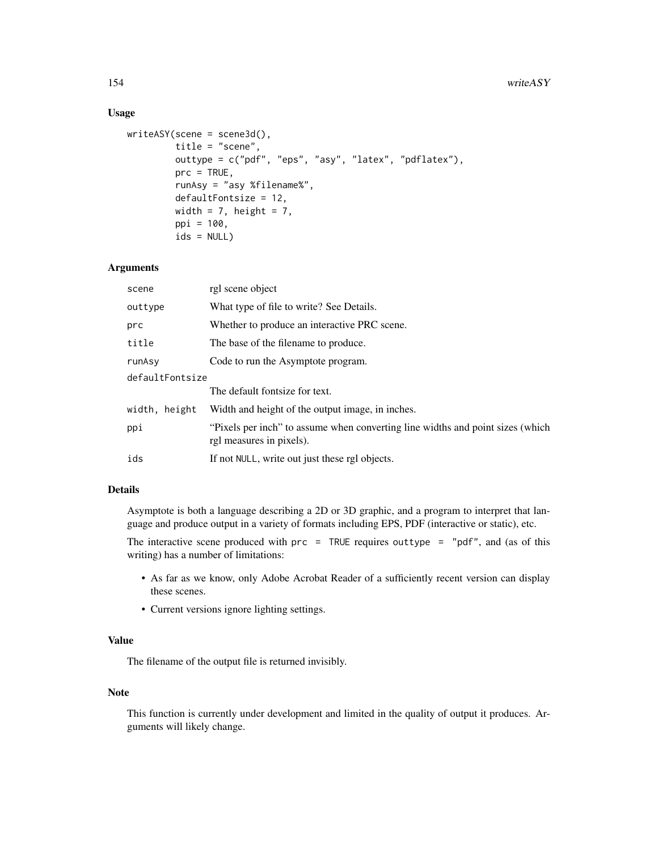# Usage

```
writeASY(scene = scene3d(),
         title = "scene",
         outtype = c("pdf", "eps", "asy", "latex", "pdflatex"),
         prc = TRUE,
         runAsy = "asy %filename%",
         defaultFontsize = 12,
         width = 7, height = 7,
         ppi = 100,
         ids = NULL)
```
### Arguments

| scene           | rgl scene object                                                                                           |  |
|-----------------|------------------------------------------------------------------------------------------------------------|--|
| outtype         | What type of file to write? See Details.                                                                   |  |
| prc             | Whether to produce an interactive PRC scene.                                                               |  |
| title           | The base of the filename to produce.                                                                       |  |
| runAsy          | Code to run the Asymptote program.                                                                         |  |
| defaultFontsize |                                                                                                            |  |
|                 | The default fontsize for text.                                                                             |  |
| width, height   | Width and height of the output image, in inches.                                                           |  |
| ppi             | "Pixels per inch" to assume when converting line widths and point sizes (which<br>rgl measures in pixels). |  |
| ids             | If not NULL, write out just these rgl objects.                                                             |  |
|                 |                                                                                                            |  |

#### Details

Asymptote is both a language describing a 2D or 3D graphic, and a program to interpret that language and produce output in a variety of formats including EPS, PDF (interactive or static), etc.

The interactive scene produced with  $pre = TRUE$  requires outtype = "pdf", and (as of this writing) has a number of limitations:

- As far as we know, only Adobe Acrobat Reader of a sufficiently recent version can display these scenes.
- Current versions ignore lighting settings.

#### Value

The filename of the output file is returned invisibly.

# Note

This function is currently under development and limited in the quality of output it produces. Arguments will likely change.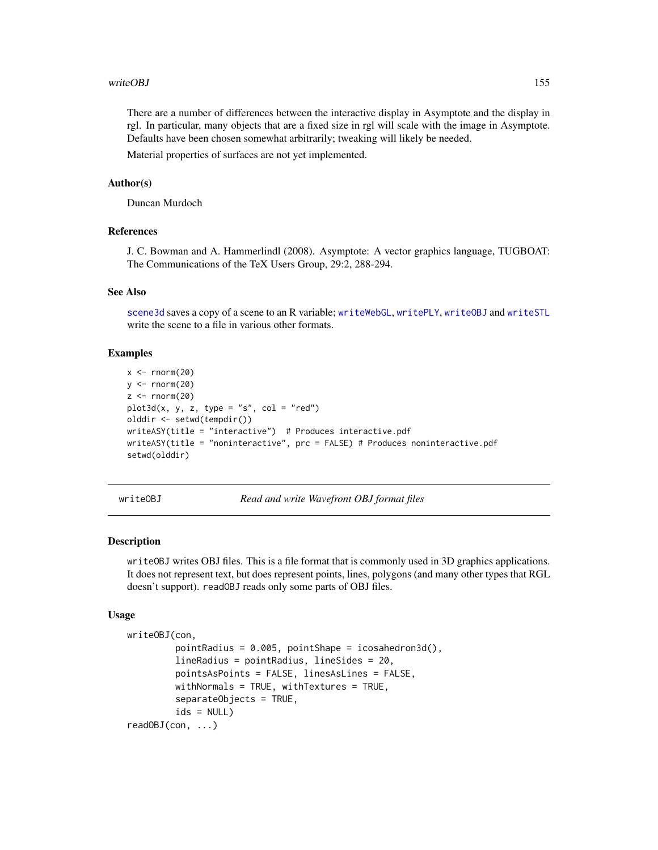#### <span id="page-154-1"></span>writeOBJ 155

There are a number of differences between the interactive display in Asymptote and the display in rgl. In particular, many objects that are a fixed size in rgl will scale with the image in Asymptote. Defaults have been chosen somewhat arbitrarily; tweaking will likely be needed.

Material properties of surfaces are not yet implemented.

## Author(s)

Duncan Murdoch

# References

J. C. Bowman and A. Hammerlindl (2008). Asymptote: A vector graphics language, TUGBOAT: The Communications of the TeX Users Group, 29:2, 288-294.

#### See Also

[scene3d](#page-114-0) saves a copy of a scene to an R variable; [writeWebGL](#page-158-0), [writePLY](#page-156-0), [writeOBJ](#page-154-0) and [writeSTL](#page-81-0) write the scene to a file in various other formats.

#### Examples

```
x \le rnorm(20)
y \le - rnorm(20)z < - rnorm(20)plot3d(x, y, z, type = "s", col = "red")olddir <- setwd(tempdir())
writeASY(title = "interactive") # Produces interactive.pdf
writeASY(title = "noninteractive", prc = FALSE) # Produces noninteractive.pdf
setwd(olddir)
```
<span id="page-154-0"></span>writeOBJ *Read and write Wavefront OBJ format files*

#### Description

writeOBJ writes OBJ files. This is a file format that is commonly used in 3D graphics applications. It does not represent text, but does represent points, lines, polygons (and many other types that RGL doesn't support). readOBJ reads only some parts of OBJ files.

#### Usage

```
writeOBJ(con,
         pointRadius = 0.005, pointShape = icosahedron3d(),
         lineRadius = pointRadius, lineSides = 20,
         pointsAsPoints = FALSE, linesAsLines = FALSE,
         withNormals = TRUE, withTextures = TRUE,
         separateObjects = TRUE,
         ids = NULL)readOBJ(con, ...)
```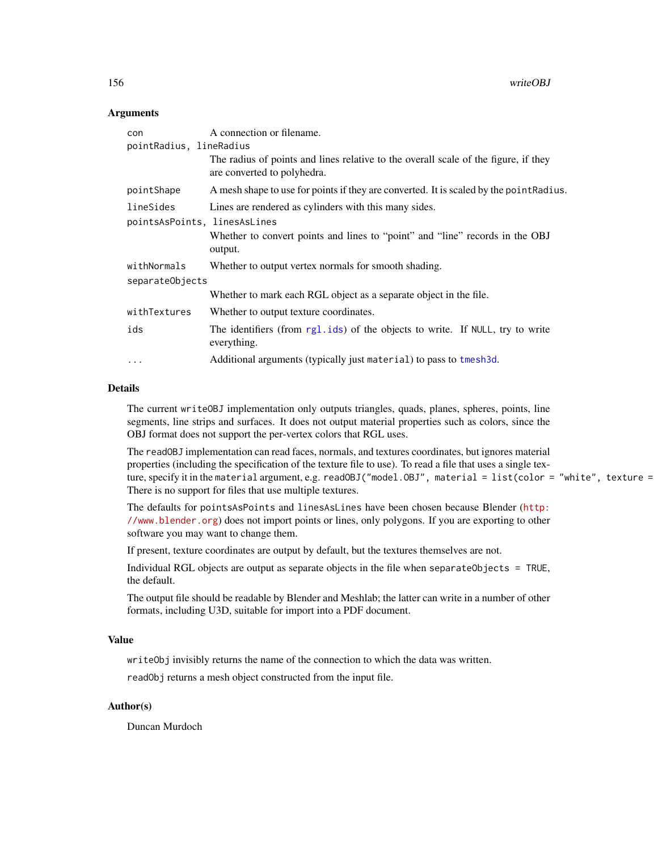<span id="page-155-0"></span>156 writeOBJ

## Arguments

| con<br>pointRadius, lineRadius            | A connection or filename.<br>The radius of points and lines relative to the overall scale of the figure, if they<br>are converted to polyhedra.  |
|-------------------------------------------|--------------------------------------------------------------------------------------------------------------------------------------------------|
| pointShape                                | A mesh shape to use for points if they are converted. It is scaled by the point Radius.                                                          |
| lineSides<br>pointsAsPoints, linesAsLines | Lines are rendered as cylinders with this many sides.<br>Whether to convert points and lines to "point" and "line" records in the OBJ<br>output. |
| withNormals<br>separateObjects            | Whether to output vertex normals for smooth shading.                                                                                             |
|                                           | Whether to mark each RGL object as a separate object in the file.                                                                                |
| withTextures                              | Whether to output texture coordinates.                                                                                                           |
| ids                                       | The identifiers (from rgl.ids) of the objects to write. If NULL, try to write<br>everything.                                                     |
| $\cdots$                                  | Additional arguments (typically just material) to pass to tmesh3d.                                                                               |

# Details

The current writeOBJ implementation only outputs triangles, quads, planes, spheres, points, line segments, line strips and surfaces. It does not output material properties such as colors, since the OBJ format does not support the per-vertex colors that RGL uses.

The readOBJ implementation can read faces, normals, and textures coordinates, but ignores material properties (including the specification of the texture file to use). To read a file that uses a single texture, specify it in the material argument, e.g. readOBJ("model.OBJ", material = list(color = "white", texture = There is no support for files that use multiple textures.

The defaults for pointsAsPoints and linesAsLines have been chosen because Blender ([http:](http://www.blender.org) [//www.blender.org](http://www.blender.org)) does not import points or lines, only polygons. If you are exporting to other software you may want to change them.

If present, texture coordinates are output by default, but the textures themselves are not.

Individual RGL objects are output as separate objects in the file when separateObjects = TRUE, the default.

The output file should be readable by Blender and Meshlab; the latter can write in a number of other formats, including U3D, suitable for import into a PDF document.

#### Value

writeObj invisibly returns the name of the connection to which the data was written.

readObj returns a mesh object constructed from the input file.

# Author(s)

Duncan Murdoch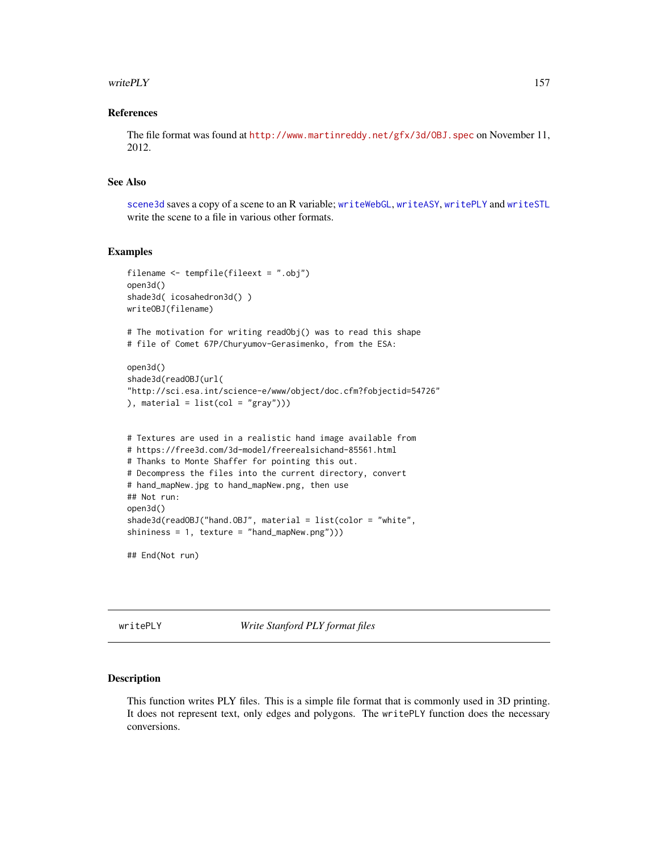#### <span id="page-156-1"></span>write  $PLY$  157

#### References

The file format was found at <http://www.martinreddy.net/gfx/3d/OBJ.spec> on November 11, 2012.

# See Also

[scene3d](#page-114-0) saves a copy of a scene to an R variable; [writeWebGL](#page-158-0), [writeASY](#page-152-0), [writePLY](#page-156-0) and [writeSTL](#page-81-0) write the scene to a file in various other formats.

#### Examples

```
filename <- tempfile(fileext = ".obj")
open3d()
shade3d( icosahedron3d() )
writeOBJ(filename)
# The motivation for writing readObj() was to read this shape
# file of Comet 67P/Churyumov-Gerasimenko, from the ESA:
open3d()
shade3d(readOBJ(url(
"http://sci.esa.int/science-e/www/object/doc.cfm?fobjectid=54726"
), material = list(col = "gray"))# Textures are used in a realistic hand image available from
# https://free3d.com/3d-model/freerealsichand-85561.html
# Thanks to Monte Shaffer for pointing this out.
# Decompress the files into the current directory, convert
# hand_mapNew.jpg to hand_mapNew.png, then use
## Not run:
open3d()
shade3d(readOBJ("hand.OBJ", material = list(color = "white",
shininess = 1, texture = "hand_mapNew.png")))
## End(Not run)
```
<span id="page-156-0"></span>writePLY *Write Stanford PLY format files*

#### Description

This function writes PLY files. This is a simple file format that is commonly used in 3D printing. It does not represent text, only edges and polygons. The writePLY function does the necessary conversions.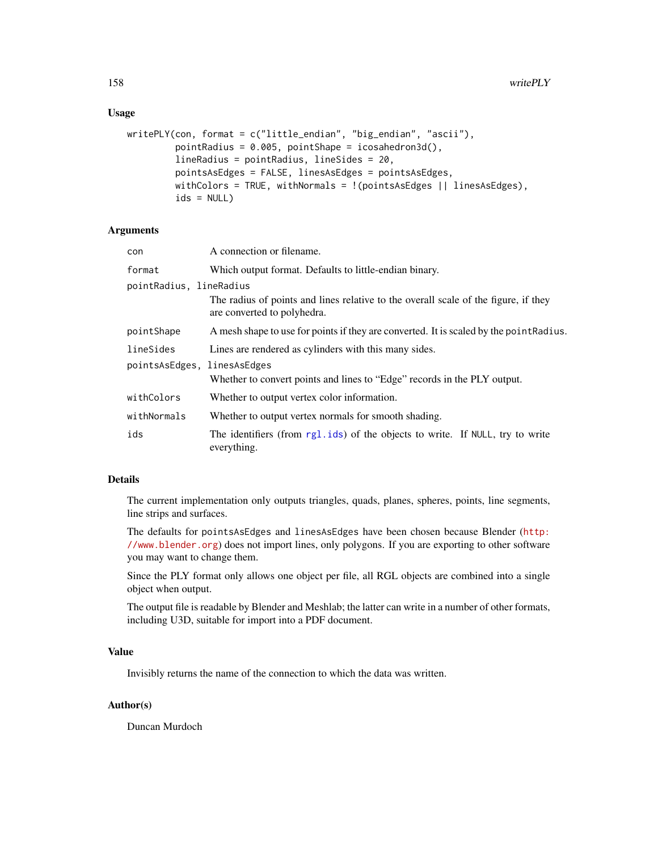# <span id="page-157-0"></span>Usage

```
writePLY(con, format = c("little_endian", "big_endian", "ascii"),
         pointRadius = 0.005, pointShape = icosahedron3d(),
         lineRadius = pointRadius, lineSides = 20,
         pointsAsEdges = FALSE, linesAsEdges = pointsAsEdges,
         withColors = TRUE, withNormals = !(pointsAsEdges || linesAsEdges),
         ids = NULL)
```
# Arguments

| con                     | A connection or filename.                                                                                          |
|-------------------------|--------------------------------------------------------------------------------------------------------------------|
| format                  | Which output format. Defaults to little-endian binary.                                                             |
| pointRadius, lineRadius |                                                                                                                    |
|                         | The radius of points and lines relative to the overall scale of the figure, if they<br>are converted to polyhedra. |
| pointShape              | A mesh shape to use for points if they are converted. It is scaled by the point Radius.                            |
| lineSides               | Lines are rendered as cylinders with this many sides.                                                              |
| pointsAsEdges,          | linesAsEdges<br>Whether to convert points and lines to "Edge" records in the PLY output.                           |
| withColors              | Whether to output vertex color information.                                                                        |
| withNormals             | Whether to output vertex normals for smooth shading.                                                               |
| ids                     | The identifiers (from rg1.ids) of the objects to write. If NULL, try to write<br>everything.                       |

# Details

The current implementation only outputs triangles, quads, planes, spheres, points, line segments, line strips and surfaces.

The defaults for pointsAsEdges and linesAsEdges have been chosen because Blender ([http:](http://www.blender.org) [//www.blender.org](http://www.blender.org)) does not import lines, only polygons. If you are exporting to other software you may want to change them.

Since the PLY format only allows one object per file, all RGL objects are combined into a single object when output.

The output file is readable by Blender and Meshlab; the latter can write in a number of other formats, including U3D, suitable for import into a PDF document.

#### Value

Invisibly returns the name of the connection to which the data was written.

# Author(s)

Duncan Murdoch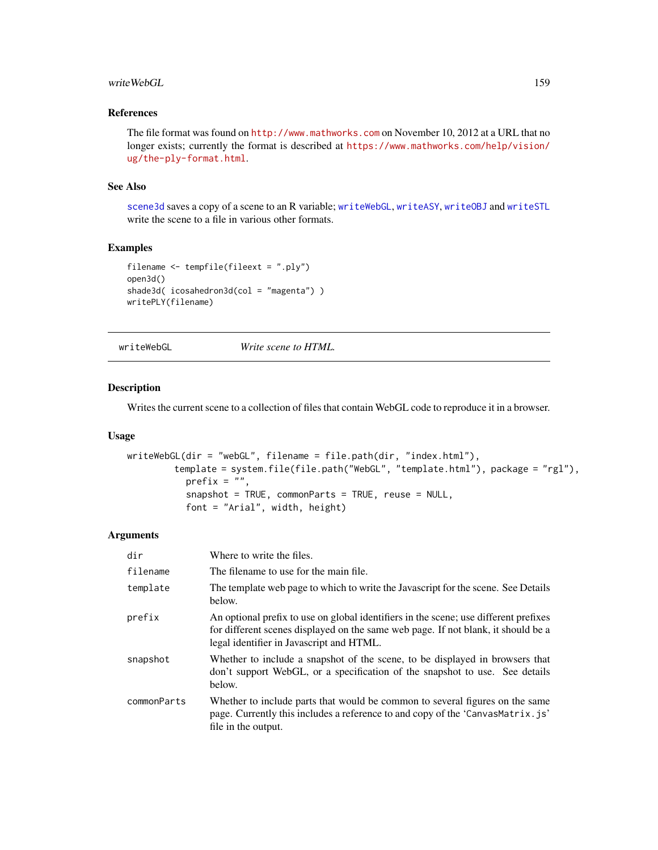#### <span id="page-158-1"></span>writeWebGL 159

# References

The file format was found on <http://www.mathworks.com> on November 10, 2012 at a URL that no longer exists; currently the format is described at [https://www.mathworks.com/help/vision/](https://www.mathworks.com/help/vision/ug/the-ply-format.html) [ug/the-ply-format.html](https://www.mathworks.com/help/vision/ug/the-ply-format.html).

#### See Also

[scene3d](#page-114-0) saves a copy of a scene to an R variable; [writeWebGL](#page-158-0), [writeASY](#page-152-0), [writeOBJ](#page-154-0) and [writeSTL](#page-81-0) write the scene to a file in various other formats.

# Examples

```
filename <- tempfile(fileext = ".ply")
open3d()
shade3d( icosahedron3d(col = "magenta") )
writePLY(filename)
```
<span id="page-158-0"></span>writeWebGL *Write scene to HTML.*

### Description

Writes the current scene to a collection of files that contain WebGL code to reproduce it in a browser.

## Usage

```
writeWebGL(dir = "webGL", filename = file.path(dir, "index.html"),
        template = system.file(file.path("WebGL", "template.html"), package = "rgl"),
          prefix = ",
           snapshot = TRUE, commonParts = TRUE, reuse = NULL,
           font = "Arial", width, height)
```
#### **Arguments**

| dir         | Where to write the files.                                                                                                                                                                                             |
|-------------|-----------------------------------------------------------------------------------------------------------------------------------------------------------------------------------------------------------------------|
| filename    | The filename to use for the main file.                                                                                                                                                                                |
| template    | The template web page to which to write the Javascript for the scene. See Details<br>below.                                                                                                                           |
| prefix      | An optional prefix to use on global identifiers in the scene; use different prefixes<br>for different scenes displayed on the same web page. If not blank, it should be a<br>legal identifier in Javascript and HTML. |
| snapshot    | Whether to include a snapshot of the scene, to be displayed in browsers that<br>don't support WebGL, or a specification of the snapshot to use. See details<br>below.                                                 |
| commonParts | Whether to include parts that would be common to several figures on the same<br>page. Currently this includes a reference to and copy of the 'CanvasMatrix.js'<br>file in the output.                                 |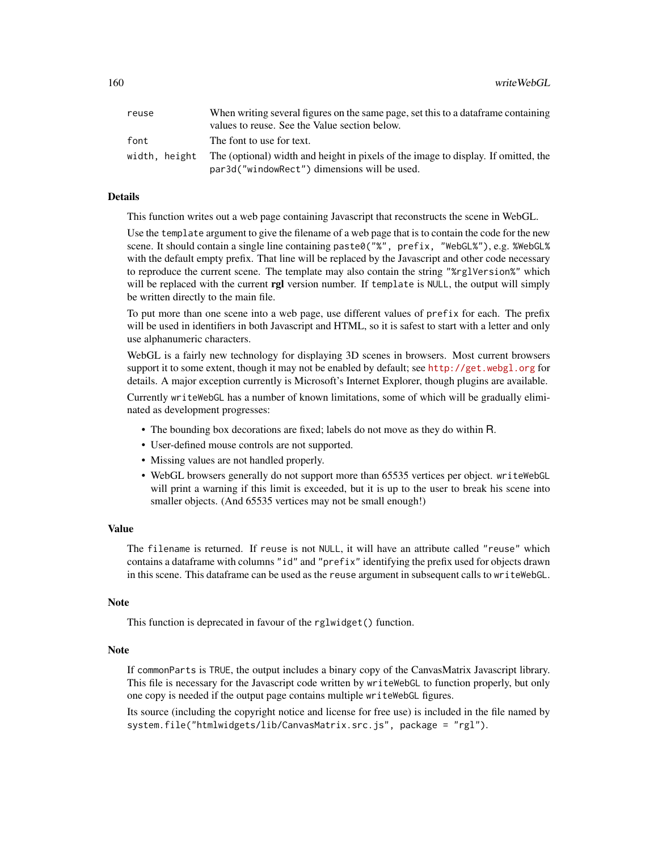| reuse | When writing several figures on the same page, set this to a data frame containing               |
|-------|--------------------------------------------------------------------------------------------------|
|       | values to reuse. See the Value section below.                                                    |
| font  | The font to use for text.                                                                        |
|       | width, height The (optional) width and height in pixels of the image to display. If omitted, the |
|       | par3d("windowRect") dimensions will be used.                                                     |

#### Details

This function writes out a web page containing Javascript that reconstructs the scene in WebGL.

Use the template argument to give the filename of a web page that is to contain the code for the new scene. It should contain a single line containing paste0("%", prefix, "WebGL%"), e.g. %WebGL% with the default empty prefix. That line will be replaced by the Javascript and other code necessary to reproduce the current scene. The template may also contain the string "%rglVersion%" which will be replaced with the current rgl version number. If template is NULL, the output will simply be written directly to the main file.

To put more than one scene into a web page, use different values of prefix for each. The prefix will be used in identifiers in both Javascript and HTML, so it is safest to start with a letter and only use alphanumeric characters.

WebGL is a fairly new technology for displaying 3D scenes in browsers. Most current browsers support it to some extent, though it may not be enabled by default; see <http://get.webgl.org> for details. A major exception currently is Microsoft's Internet Explorer, though plugins are available.

Currently writeWebGL has a number of known limitations, some of which will be gradually eliminated as development progresses:

- The bounding box decorations are fixed; labels do not move as they do within R.
- User-defined mouse controls are not supported.
- Missing values are not handled properly.
- WebGL browsers generally do not support more than 65535 vertices per object. writeWebGL will print a warning if this limit is exceeded, but it is up to the user to break his scene into smaller objects. (And 65535 vertices may not be small enough!)

#### Value

The filename is returned. If reuse is not NULL, it will have an attribute called "reuse" which contains a dataframe with columns "id" and "prefix" identifying the prefix used for objects drawn in this scene. This dataframe can be used as the reuse argument in subsequent calls to writeWebGL.

#### Note

This function is deprecated in favour of the rglwidget() function.

#### Note

If commonParts is TRUE, the output includes a binary copy of the CanvasMatrix Javascript library. This file is necessary for the Javascript code written by writeWebGL to function properly, but only one copy is needed if the output page contains multiple writeWebGL figures.

Its source (including the copyright notice and license for free use) is included in the file named by system.file("htmlwidgets/lib/CanvasMatrix.src.js", package = "rgl").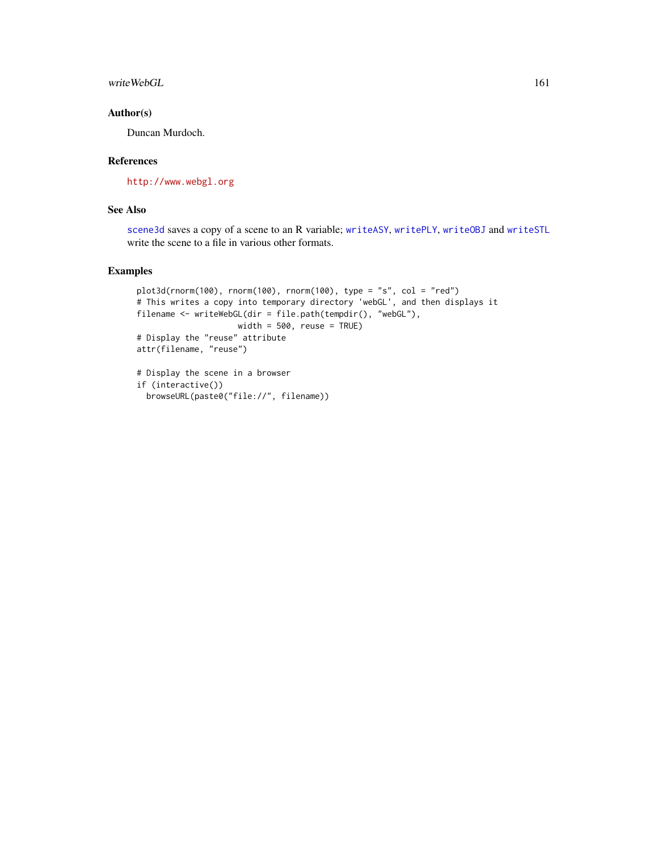<span id="page-160-0"></span>writeWebGL 161

# Author(s)

Duncan Murdoch.

# References

<http://www.webgl.org>

# See Also

[scene3d](#page-114-0) saves a copy of a scene to an R variable; [writeASY](#page-152-0), [writePLY](#page-156-0), [writeOBJ](#page-154-0) and [writeSTL](#page-81-0) write the scene to a file in various other formats.

# Examples

```
plot3d(rnorm(100), rnorm(100), rnorm(100), type = "s", col = "red")
# This writes a copy into temporary directory 'webGL', and then displays it
filename <- writeWebGL(dir = file.path(tempdir(), "webGL"),
                   width = 500, reuse = TRUE)
# Display the "reuse" attribute
attr(filename, "reuse")
# Display the scene in a browser
```

```
if (interactive())
 browseURL(paste0("file://", filename))
```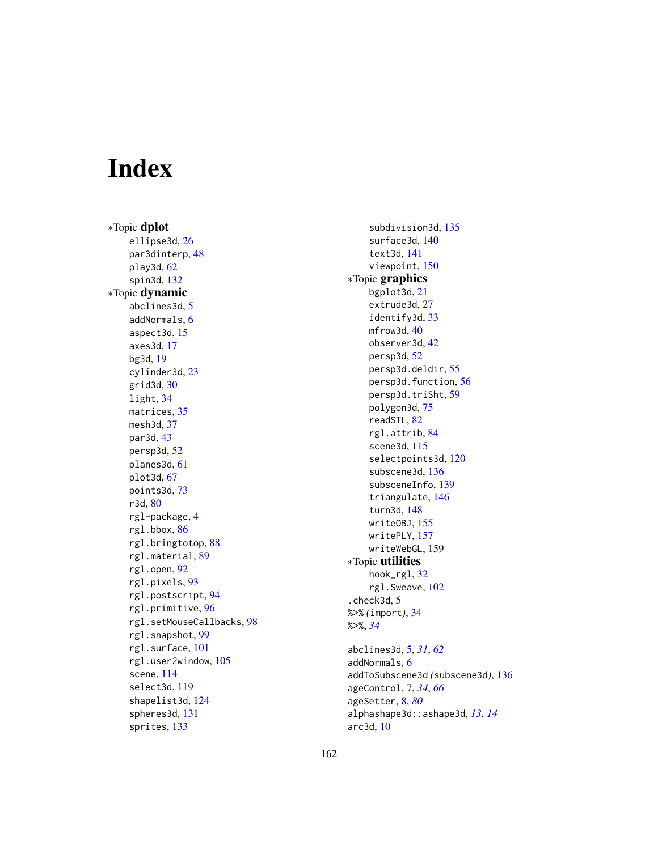# **Index**

∗Topic dplot ellipse3d , [26](#page-25-0) par3dinterp , [48](#page-47-0) play3d , [62](#page-61-0) spin3d , [132](#page-131-0) ∗Topic dynamic abclines3d , [5](#page-4-0) addNormals , [6](#page-5-0) aspect3d , [15](#page-14-0) axes3d , [17](#page-16-0) bg3d , [19](#page-18-0) cylinder3d , [23](#page-22-0) grid3d , [30](#page-29-0) light , [34](#page-33-0) matrices , [35](#page-34-0) mesh3d , [37](#page-36-1) par3d , [43](#page-42-1) persp3d , [52](#page-51-0) planes3d , [61](#page-60-2) plot3d , [67](#page-66-0) points3d , [73](#page-72-0) r3d , [80](#page-79-0) rgl-package , [4](#page-3-0) rgl.bbox , [86](#page-85-0) rgl.bringtotop , [88](#page-87-0) rgl.material , [89](#page-88-0) rgl.open , [92](#page-91-0) rgl.pixels , [93](#page-92-0) rgl.postscript , [94](#page-93-0) rgl.primitive , [96](#page-95-0) rgl.setMouseCallbacks , [98](#page-97-0) rgl.snapshot, [99](#page-98-0) rgl.surface , [101](#page-100-0) rgl.user2window , [105](#page-104-0) scene, [114](#page-113-1) select3d , [119](#page-118-0) shapelist3d , [124](#page-123-0) spheres3d , [131](#page-130-0) sprites , [133](#page-132-0)

subdivision3d , [135](#page-134-0) surface3d , [140](#page-139-0) text3d , [141](#page-140-1) viewpoint , [150](#page-149-0) ∗Topic graphics bgplot3d , [21](#page-20-0) extrude3d , [27](#page-26-1) identify3d , [33](#page-32-0) mfrow3d, [40](#page-39-0) observer3d , [42](#page-41-0) persp3d , [52](#page-51-0) persp3d.deldir , [55](#page-54-0) persp3d.function , [56](#page-55-0) persp3d.triSht , [59](#page-58-0) polygon3d , [75](#page-74-1) readSTL , [82](#page-81-1) rgl.attrib , [84](#page-83-0) scene3d , [115](#page-114-1) selectpoints3d , [120](#page-119-0) subscene3d , [136](#page-135-0) subsceneInfo, [139](#page-138-0) triangulate , [146](#page-145-0) turn3d , [148](#page-147-0) writeOBJ , [155](#page-154-1) writePLY , [157](#page-156-1) writeWebGL , [159](#page-158-1) ∗Topic utilities hook\_rgl , [32](#page-31-0) rgl.Sweave , [102](#page-101-0) .check3d , [5](#page-4-0) %>% *(*import *)* , [34](#page-33-0) %>% , *[34](#page-33-0)* abclines3d , [5](#page-4-0) , *[31](#page-30-0)* , *[62](#page-61-0)* addNormals , [6](#page-5-0) addToSubscene3d *(*subscene3d *)* , [136](#page-135-0) ageControl , [7](#page-6-0) , *[34](#page-33-0)* , *[66](#page-65-0)* ageSetter , [8](#page-7-0) , *[80](#page-79-0)* alphashape3d::ashape3d , *[13](#page-12-0) , [14](#page-13-0)*

arc3d , [10](#page-9-0)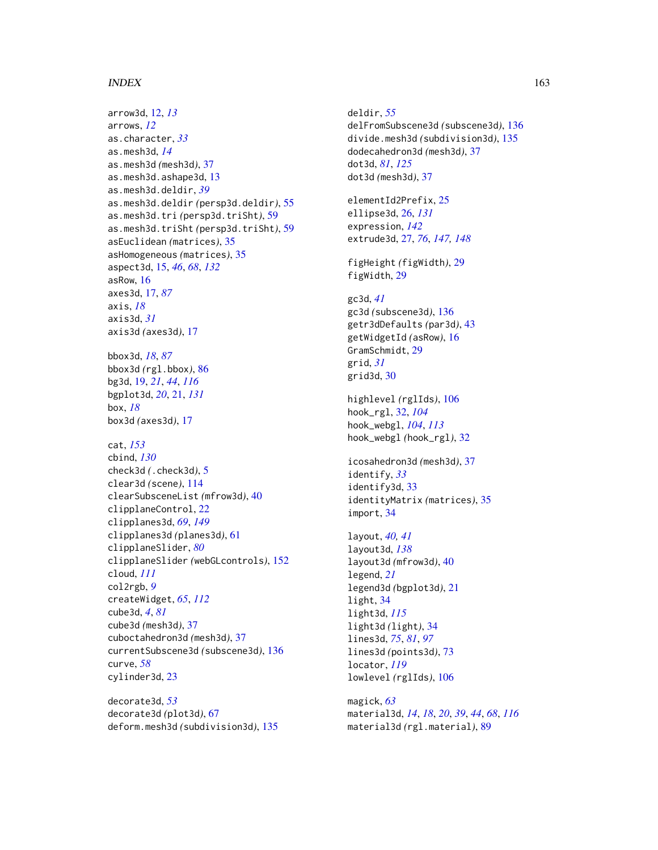#### $I\Lambda$  is a set of  $I\Lambda$  is a set of  $I\Lambda$  is a set of  $I\Lambda$  is a set of  $I\Lambda$  is a set of  $I\Lambda$

arrow3d, [12,](#page-11-0) *[13](#page-12-0)* arrows, *[12](#page-11-0)* as.character, *[33](#page-32-0)* as.mesh3d, *[14](#page-13-0)* as.mesh3d *(*mesh3d*)*, [37](#page-36-1) as.mesh3d.ashape3d, [13](#page-12-0) as.mesh3d.deldir, *[39](#page-38-0)* as.mesh3d.deldir *(*persp3d.deldir*)*, [55](#page-54-0) as.mesh3d.tri *(*persp3d.triSht*)*, [59](#page-58-0) as.mesh3d.triSht *(*persp3d.triSht*)*, [59](#page-58-0) asEuclidean *(*matrices*)*, [35](#page-34-0) asHomogeneous *(*matrices*)*, [35](#page-34-0) aspect3d, [15,](#page-14-0) *[46](#page-45-0)*, *[68](#page-67-0)*, *[132](#page-131-0)* asRow, [16](#page-15-0) axes3d, [17,](#page-16-0) *[87](#page-86-0)* axis, *[18](#page-17-0)* axis3d, *[31](#page-30-0)* axis3d *(*axes3d*)*, [17](#page-16-0) bbox3d, *[18](#page-17-0)*, *[87](#page-86-0)* bbox3d *(*rgl.bbox*)*, [86](#page-85-0) bg3d, [19,](#page-18-0) *[21](#page-20-0)*, *[44](#page-43-0)*, *[116](#page-115-0)* bgplot3d, *[20](#page-19-0)*, [21,](#page-20-0) *[131](#page-130-0)* box, *[18](#page-17-0)* box3d *(*axes3d*)*, [17](#page-16-0) cat, *[153](#page-152-1)* cbind, *[130](#page-129-0)* check3d *(*.check3d*)*, [5](#page-4-0) clear3d *(*scene*)*, [114](#page-113-1) clearSubsceneList *(*mfrow3d*)*, [40](#page-39-0) clipplaneControl, [22](#page-21-0) clipplanes3d, *[69](#page-68-0)*, *[149](#page-148-0)* clipplanes3d *(*planes3d*)*, [61](#page-60-2) clipplaneSlider, *[80](#page-79-0)* clipplaneSlider *(*webGLcontrols*)*, [152](#page-151-1) cloud, *[111](#page-110-1)* col2rgb, *[9](#page-8-0)* createWidget, *[65](#page-64-0)*, *[112](#page-111-0)* cube3d, *[4](#page-3-0)*, *[81](#page-80-0)* cube3d *(*mesh3d*)*, [37](#page-36-1) cuboctahedron3d *(*mesh3d*)*, [37](#page-36-1) currentSubscene3d *(*subscene3d*)*, [136](#page-135-0) curve, *[58](#page-57-0)* cylinder3d, [23](#page-22-0)

decorate3d, *[53](#page-52-0)* decorate3d *(*plot3d*)*, [67](#page-66-0) deform.mesh3d *(*subdivision3d*)*, [135](#page-134-0) deldir, *[55](#page-54-0)* delFromSubscene3d *(*subscene3d*)*, [136](#page-135-0) divide.mesh3d *(*subdivision3d*)*, [135](#page-134-0) dodecahedron3d *(*mesh3d*)*, [37](#page-36-1) dot3d, *[81](#page-80-0)*, *[125](#page-124-0)* dot3d *(*mesh3d*)*, [37](#page-36-1)

elementId2Prefix, [25](#page-24-0) ellipse3d, [26,](#page-25-0) *[131](#page-130-0)* expression, *[142](#page-141-0)* extrude3d, [27,](#page-26-1) *[76](#page-75-0)*, *[147,](#page-146-0) [148](#page-147-0)*

figHeight *(*figWidth*)*, [29](#page-28-0) figWidth, [29](#page-28-0)

gc3d, *[41](#page-40-0)* gc3d *(*subscene3d*)*, [136](#page-135-0) getr3dDefaults *(*par3d*)*, [43](#page-42-1) getWidgetId *(*asRow*)*, [16](#page-15-0) GramSchmidt, [29](#page-28-0) grid, *[31](#page-30-0)* grid3d, [30](#page-29-0)

highlevel *(*rglIds*)*, [106](#page-105-0) hook\_rgl, [32,](#page-31-0) *[104](#page-103-0)* hook\_webgl, *[104](#page-103-0)*, *[113](#page-112-0)* hook\_webgl *(*hook\_rgl*)*, [32](#page-31-0)

icosahedron3d *(*mesh3d*)*, [37](#page-36-1) identify, *[33](#page-32-0)* identify3d, [33](#page-32-0) identityMatrix *(*matrices*)*, [35](#page-34-0) import, [34](#page-33-0)

```
layout, 40, 41
layout3d, 138
layout3d (mfrow3d), 40
legend, 21
legend3d (bgplot3d), 21
light, 34
light3d, 115
light3d (light), 34
lines3d, 75, 81, 97
lines3d (points3d), 73
locator, 119
lowlevel (rglIds), 106
```
magick, *[63](#page-62-0)* material3d, *[14](#page-13-0)*, *[18](#page-17-0)*, *[20](#page-19-0)*, *[39](#page-38-0)*, *[44](#page-43-0)*, *[68](#page-67-0)*, *[116](#page-115-0)* material3d *(*rgl.material*)*, [89](#page-88-0)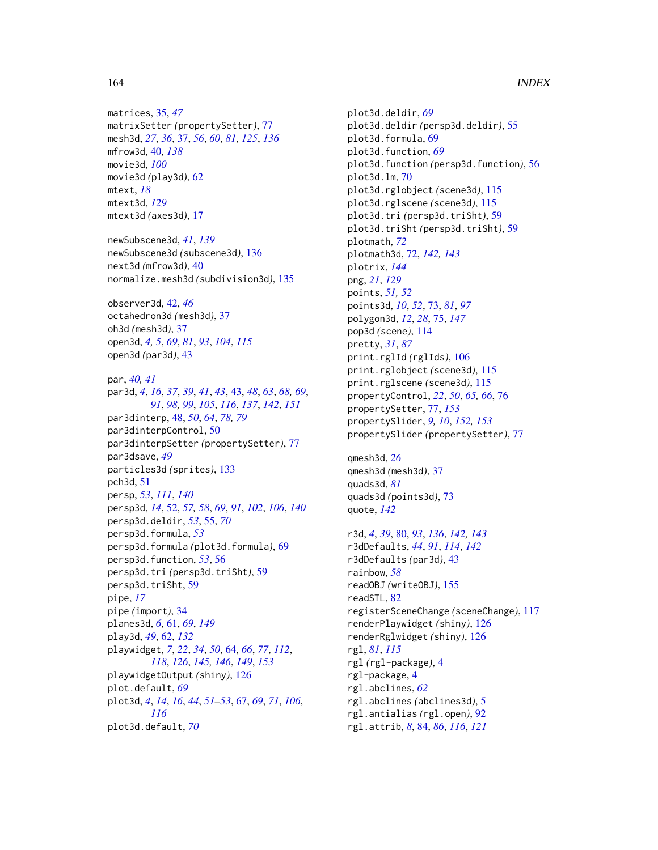matrices, [35,](#page-34-0) *[47](#page-46-0)* matrixSetter *(*propertySetter*)*, [77](#page-76-2) mesh3d, *[27](#page-26-1)*, *[36](#page-35-0)*, [37,](#page-36-1) *[56](#page-55-0)*, *[60](#page-59-0)*, *[81](#page-80-0)*, *[125](#page-124-0)*, *[136](#page-135-0)* mfrow3d, [40,](#page-39-0) *[138](#page-137-0)* movie3d, *[100](#page-99-0)* movie3d *(*play3d*)*, [62](#page-61-0) mtext, *[18](#page-17-0)* mtext3d, *[129](#page-128-0)* mtext3d *(*axes3d*)*, [17](#page-16-0)

newSubscene3d, *[41](#page-40-0)*, *[139](#page-138-0)* newSubscene3d *(*subscene3d*)*, [136](#page-135-0) next3d *(*mfrow3d*)*, [40](#page-39-0) normalize.mesh3d *(*subdivision3d*)*, [135](#page-134-0)

observer3d, [42,](#page-41-0) *[46](#page-45-0)* octahedron3d *(*mesh3d*)*, [37](#page-36-1) oh3d *(*mesh3d*)*, [37](#page-36-1) open3d, *[4,](#page-3-0) [5](#page-4-0)*, *[69](#page-68-0)*, *[81](#page-80-0)*, *[93](#page-92-0)*, *[104](#page-103-0)*, *[115](#page-114-1)* open3d *(*par3d*)*, [43](#page-42-1)

par, *[40,](#page-39-0) [41](#page-40-0)* par3d, *[4](#page-3-0)*, *[16](#page-15-0)*, *[37](#page-36-1)*, *[39](#page-38-0)*, *[41](#page-40-0)*, *[43](#page-42-1)*, [43,](#page-42-1) *[48](#page-47-0)*, *[63](#page-62-0)*, *[68,](#page-67-0) [69](#page-68-0)*, *[91](#page-90-0)*, *[98,](#page-97-0) [99](#page-98-0)*, *[105](#page-104-0)*, *[116](#page-115-0)*, *[137](#page-136-0)*, *[142](#page-141-0)*, *[151](#page-150-0)* par3dinterp, [48,](#page-47-0) *[50](#page-49-0)*, *[64](#page-63-1)*, *[78,](#page-77-0) [79](#page-78-0)* par3dinterpControl, [50](#page-49-0) par3dinterpSetter *(*propertySetter*)*, [77](#page-76-2) par3dsave, *[49](#page-48-0)* particles3d *(*sprites*)*, [133](#page-132-0) pch3d, [51](#page-50-0) persp, *[53](#page-52-0)*, *[111](#page-110-1)*, *[140](#page-139-0)* persp3d, *[14](#page-13-0)*, [52,](#page-51-0) *[57,](#page-56-0) [58](#page-57-0)*, *[69](#page-68-0)*, *[91](#page-90-0)*, *[102](#page-101-0)*, *[106](#page-105-0)*, *[140](#page-139-0)* persp3d.deldir, *[53](#page-52-0)*, [55,](#page-54-0) *[70](#page-69-0)* persp3d.formula, *[53](#page-52-0)* persp3d.formula *(*plot3d.formula*)*, [69](#page-68-0) persp3d.function, *[53](#page-52-0)*, [56](#page-55-0) persp3d.tri *(*persp3d.triSht*)*, [59](#page-58-0) persp3d.triSht, [59](#page-58-0) pipe, *[17](#page-16-0)* pipe *(*import*)*, [34](#page-33-0) planes3d, *[6](#page-5-0)*, [61,](#page-60-2) *[69](#page-68-0)*, *[149](#page-148-0)* play3d, *[49](#page-48-0)*, [62,](#page-61-0) *[132](#page-131-0)* playwidget, *[7](#page-6-0)*, *[22](#page-21-0)*, *[34](#page-33-0)*, *[50](#page-49-0)*, [64,](#page-63-1) *[66](#page-65-0)*, *[77](#page-76-2)*, *[112](#page-111-0)*, *[118](#page-117-0)*, *[126](#page-125-0)*, *[145,](#page-144-1) [146](#page-145-0)*, *[149](#page-148-0)*, *[153](#page-152-1)* playwidgetOutput *(*shiny*)*, [126](#page-125-0) plot.default, *[69](#page-68-0)* plot3d, *[4](#page-3-0)*, *[14](#page-13-0)*, *[16](#page-15-0)*, *[44](#page-43-0)*, *[51–](#page-50-0)[53](#page-52-0)*, [67,](#page-66-0) *[69](#page-68-0)*, *[71](#page-70-0)*, *[106](#page-105-0)*, *[116](#page-115-0)* plot3d.default, *[70](#page-69-0)*

plot3d.deldir, *[69](#page-68-0)* plot3d.deldir *(*persp3d.deldir*)*, [55](#page-54-0) plot3d.formula, [69](#page-68-0) plot3d.function, *[69](#page-68-0)* plot3d.function *(*persp3d.function*)*, [56](#page-55-0) plot3d.lm, [70](#page-69-0) plot3d.rglobject *(*scene3d*)*, [115](#page-114-1) plot3d.rglscene *(*scene3d*)*, [115](#page-114-1) plot3d.tri *(*persp3d.triSht*)*, [59](#page-58-0) plot3d.triSht *(*persp3d.triSht*)*, [59](#page-58-0) plotmath, *[72](#page-71-0)* plotmath3d, [72,](#page-71-0) *[142,](#page-141-0) [143](#page-142-0)* plotrix, *[144](#page-143-0)* png, *[21](#page-20-0)*, *[129](#page-128-0)* points, *[51,](#page-50-0) [52](#page-51-0)* points3d, *[10](#page-9-0)*, *[52](#page-51-0)*, [73,](#page-72-0) *[81](#page-80-0)*, *[97](#page-96-0)* polygon3d, *[12](#page-11-0)*, *[28](#page-27-0)*, [75,](#page-74-1) *[147](#page-146-0)* pop3d *(*scene*)*, [114](#page-113-1) pretty, *[31](#page-30-0)*, *[87](#page-86-0)* print.rglId *(*rglIds*)*, [106](#page-105-0) print.rglobject *(*scene3d*)*, [115](#page-114-1) print.rglscene *(*scene3d*)*, [115](#page-114-1) propertyControl, *[22](#page-21-0)*, *[50](#page-49-0)*, *[65,](#page-64-0) [66](#page-65-0)*, [76](#page-75-0) propertySetter, [77,](#page-76-2) *[153](#page-152-1)* propertySlider, *[9,](#page-8-0) [10](#page-9-0)*, *[152,](#page-151-1) [153](#page-152-1)* propertySlider *(*propertySetter*)*, [77](#page-76-2)

qmesh3d, *[26](#page-25-0)* qmesh3d *(*mesh3d*)*, [37](#page-36-1) quads3d, *[81](#page-80-0)* quads3d *(*points3d*)*, [73](#page-72-0) quote, *[142](#page-141-0)*

r3d, *[4](#page-3-0)*, *[39](#page-38-0)*, [80,](#page-79-0) *[93](#page-92-0)*, *[136](#page-135-0)*, *[142,](#page-141-0) [143](#page-142-0)* r3dDefaults, *[44](#page-43-0)*, *[91](#page-90-0)*, *[114](#page-113-1)*, *[142](#page-141-0)* r3dDefaults *(*par3d*)*, [43](#page-42-1) rainbow, *[58](#page-57-0)* readOBJ *(*writeOBJ*)*, [155](#page-154-1) readSTL, [82](#page-81-1) registerSceneChange *(*sceneChange*)*, [117](#page-116-0) renderPlaywidget *(*shiny*)*, [126](#page-125-0) renderRglwidget *(*shiny*)*, [126](#page-125-0) rgl, *[81](#page-80-0)*, *[115](#page-114-1)* rgl *(*rgl-package*)*, [4](#page-3-0) rgl-package, [4](#page-3-0) rgl.abclines, *[62](#page-61-0)* rgl.abclines *(*abclines3d*)*, [5](#page-4-0) rgl.antialias *(*rgl.open*)*, [92](#page-91-0) rgl.attrib, *[8](#page-7-0)*, [84,](#page-83-0) *[86](#page-85-0)*, *[116](#page-115-0)*, *[121](#page-120-0)*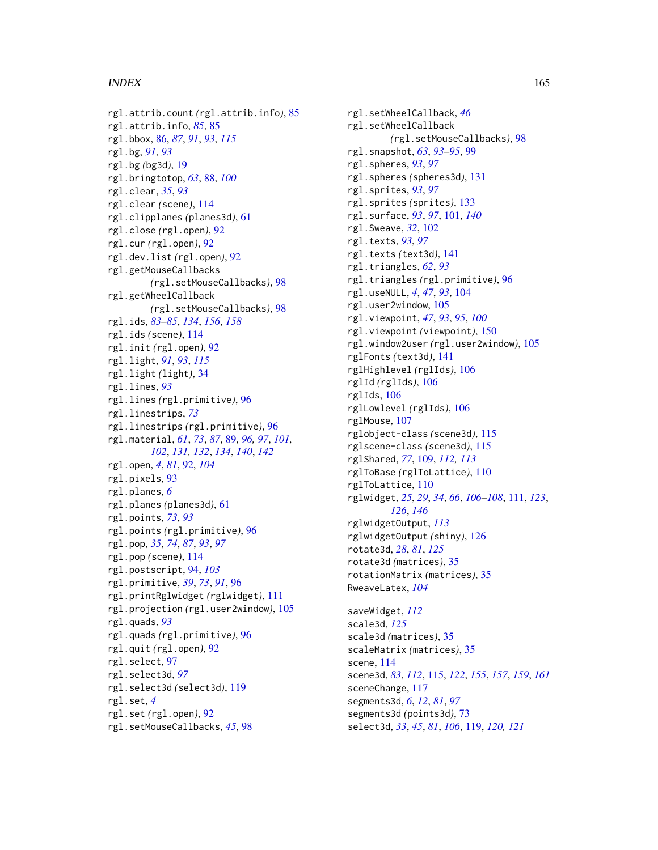# $I\Lambda$  is a set of  $I\Lambda$  is a set of  $I\Lambda$  is a set of  $I\Lambda$  is a set of  $I\Lambda$  is a set of  $I\Lambda$

```
rgl.attrib.count (rgl.attrib.info), 85
rgl.attrib.info, 85, 85
rgl.bbox, 86, 87, 91, 93, 115
rgl.bg, 91, 93
rgl.bg (bg3d), 19
rgl.bringtotop, 63, 88, 100
rgl.clear, 35, 93
rgl.clear (scene), 114
rgl.clipplanes (planes3d), 61
rgl.close (rgl.open), 92
rgl.cur (rgl.open), 92
rgl.dev.list (rgl.open), 92
rgl.getMouseCallbacks
        (rgl.setMouseCallbacks), 98
rgl.getWheelCallback
        (rgl.setMouseCallbacks), 98
rgl.ids, 83–85, 134, 156, 158
rgl.ids (scene), 114
rgl.init (rgl.open), 92
rgl.light, 91, 93, 115
rgl.light (light), 34
rgl.lines, 93
rgl.lines (rgl.primitive), 96
rgl.linestrips, 73
rgl.linestrips (rgl.primitive), 96
rgl.material, 61, 73, 87, 89, 96, 97, 101,
         102, 131, 132, 134, 140, 142
rgl.open, 4, 81, 92, 104
rgl.pixels, 93
rgl.planes, 6
rgl.planes (planes3d), 61
rgl.points, 73, 93
rgl.points (rgl.primitive), 96
rgl.pop, 35, 74, 87, 93, 97
rgl.pop (scene), 114
rgl.postscript, 94, 103
rgl.primitive, 39, 73, 91, 96
rgl.printRglwidget (rglwidget), 111
rgl.projection (rgl.user2window), 105
rgl.quads, 93
rgl.quads (rgl.primitive), 96
rgl.quit (rgl.open), 92
rgl.select, 97
rgl.select3d, 97
rgl.select3d (select3d), 119
rgl.set, 4
rgl.set (rgl.open), 92
rgl.setMouseCallbacks, 45, 98
```
rgl.setWheelCallback, *[46](#page-45-0)* rgl.setWheelCallback *(*rgl.setMouseCallbacks*)*, [98](#page-97-0) rgl.snapshot, *[63](#page-62-0)*, *[93](#page-92-0)[–95](#page-94-0)*, [99](#page-98-0) rgl.spheres, *[93](#page-92-0)*, *[97](#page-96-0)* rgl.spheres *(*spheres3d*)*, [131](#page-130-0) rgl.sprites, *[93](#page-92-0)*, *[97](#page-96-0)* rgl.sprites *(*sprites*)*, [133](#page-132-0) rgl.surface, *[93](#page-92-0)*, *[97](#page-96-0)*, [101,](#page-100-0) *[140](#page-139-0)* rgl.Sweave, *[32](#page-31-0)*, [102](#page-101-0) rgl.texts, *[93](#page-92-0)*, *[97](#page-96-0)* rgl.texts *(*text3d*)*, [141](#page-140-1) rgl.triangles, *[62](#page-61-0)*, *[93](#page-92-0)* rgl.triangles *(*rgl.primitive*)*, [96](#page-95-0) rgl.useNULL, *[4](#page-3-0)*, *[47](#page-46-0)*, *[93](#page-92-0)*, [104](#page-103-0) rgl.user2window, [105](#page-104-0) rgl.viewpoint, *[47](#page-46-0)*, *[93](#page-92-0)*, *[95](#page-94-0)*, *[100](#page-99-0)* rgl.viewpoint *(*viewpoint*)*, [150](#page-149-0) rgl.window2user *(*rgl.user2window*)*, [105](#page-104-0) rglFonts *(*text3d*)*, [141](#page-140-1) rglHighlevel *(*rglIds*)*, [106](#page-105-0) rglId *(*rglIds*)*, [106](#page-105-0) rglIds, [106](#page-105-0) rglLowlevel *(*rglIds*)*, [106](#page-105-0) rglMouse, [107](#page-106-0) rglobject-class *(*scene3d*)*, [115](#page-114-1) rglscene-class *(*scene3d*)*, [115](#page-114-1) rglShared, *[77](#page-76-2)*, [109,](#page-108-0) *[112,](#page-111-0) [113](#page-112-0)* rglToBase *(*rglToLattice*)*, [110](#page-109-0) rglToLattice, [110](#page-109-0) rglwidget, *[25](#page-24-0)*, *[29](#page-28-0)*, *[34](#page-33-0)*, *[66](#page-65-0)*, *[106](#page-105-0)[–108](#page-107-0)*, [111,](#page-110-1) *[123](#page-122-0)*, *[126](#page-125-0)*, *[146](#page-145-0)* rglwidgetOutput, *[113](#page-112-0)* rglwidgetOutput *(*shiny*)*, [126](#page-125-0) rotate3d, *[28](#page-27-0)*, *[81](#page-80-0)*, *[125](#page-124-0)* rotate3d *(*matrices*)*, [35](#page-34-0) rotationMatrix *(*matrices*)*, [35](#page-34-0) RweaveLatex, *[104](#page-103-0)*

saveWidget, *[112](#page-111-0)* scale3d, *[125](#page-124-0)* scale3d *(*matrices*)*, [35](#page-34-0) scaleMatrix *(*matrices*)*, [35](#page-34-0) scene, [114](#page-113-1) scene3d, *[83](#page-82-0)*, *[112](#page-111-0)*, [115,](#page-114-1) *[122](#page-121-0)*, *[155](#page-154-1)*, *[157](#page-156-1)*, *[159](#page-158-1)*, *[161](#page-160-0)* sceneChange, [117](#page-116-0) segments3d, *[6](#page-5-0)*, *[12](#page-11-0)*, *[81](#page-80-0)*, *[97](#page-96-0)* segments3d *(*points3d*)*, [73](#page-72-0) select3d, *[33](#page-32-0)*, *[45](#page-44-0)*, *[81](#page-80-0)*, *[106](#page-105-0)*, [119,](#page-118-0) *[120,](#page-119-0) [121](#page-120-0)*